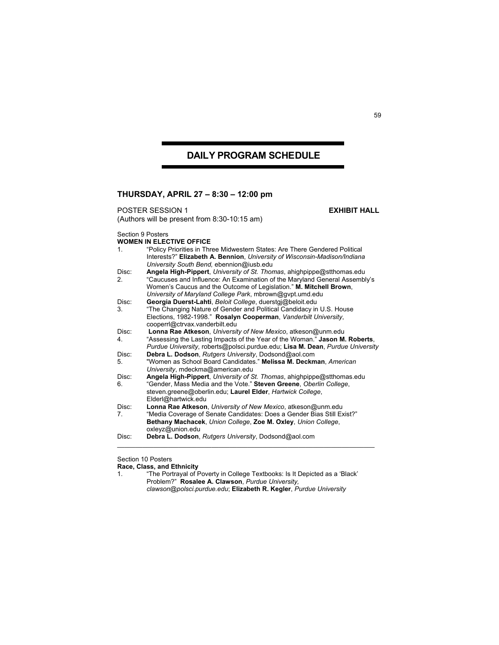## **DAILY PROGRAM SCHEDULE**

## **THURSDAY, APRIL 27 – 8:30 – 12:00 pm**

**POSTER SESSION 1 EXHIBIT HALL** 

(Authors will be present from 8:30-10:15 am)

Section 9 Posters

|         | <b>WOMEN IN ELECTIVE OFFICE</b>                                               |
|---------|-------------------------------------------------------------------------------|
| $1_{-}$ | "Policy Priorities in Three Midwestern States: Are There Gendered Political   |
|         | Interests?" Elizabeth A. Bennion, University of Wisconsin-Madison/Indiana     |
|         | University South Bend, ebennion@iusb.edu                                      |
| Disc:   | Angela High-Pippert, University of St. Thomas, ahighpippe@stthomas.edu        |
| 2.      | "Caucuses and Influence: An Examination of the Maryland General Assembly's    |
|         | Women's Caucus and the Outcome of Legislation." M. Mitchell Brown.            |
|         | University of Maryland College Park, mbrown@gvpt.umd.edu                      |
| Disc:   | Georgia Duerst-Lahti, Beloit College, duerstgi@beloit.edu                     |
| 3.      | "The Changing Nature of Gender and Political Candidacy in U.S. House          |
|         | Elections, 1982-1998." Rosalyn Cooperman, Vanderbilt University,              |
|         | cooperrl@ctrvax.vanderbilt.edu                                                |
| Disc:   | Lonna Rae Atkeson, University of New Mexico, atkeson@unm.edu                  |
| 4.      | "Assessing the Lasting Impacts of the Year of the Woman." Jason M. Roberts,   |
|         | Purdue University, roberts@polsci.purdue.edu; Lisa M. Dean, Purdue University |
| Disc:   | Debra L. Dodson, Rutgers University, Dodsond@aol.com                          |
| 5.      | "Women as School Board Candidates." Melissa M. Deckman, American              |
|         | University, mdeckma@american.edu                                              |
| Disc:   | Angela High-Pippert, University of St. Thomas, ahighpippe@stthomas.edu        |
| 6.      | "Gender, Mass Media and the Vote." Steven Greene, Oberlin College,            |
|         | steven.greene@oberlin.edu; Laurel Elder, Hartwick College,                    |
|         | Elderl@hartwick.edu                                                           |
| Disc:   | Lonna Rae Atkeson, University of New Mexico, atkeson@unm.edu                  |
| 7.      | "Media Coverage of Senate Candidates: Does a Gender Bias Still Exist?"        |
|         | Bethany Machacek, Union College, Zoe M. Oxley, Union College,                 |
|         | oxleyz@union.edu                                                              |
| Disc:   | Debra L. Dodson, Rutgers University, Dodsond@aol.com                          |
|         |                                                                               |

Section 10 Posters

**Race, Class, and Ethnicity** 

1. "The Portrayal of Poverty in College Textbooks: Is It Depicted as a 'Black' Problem?" **Rosalee A. Clawson**, *Purdue University, clawson@polsci.purdue.edu*; **Elizabeth R. Kegler**, *Purdue University*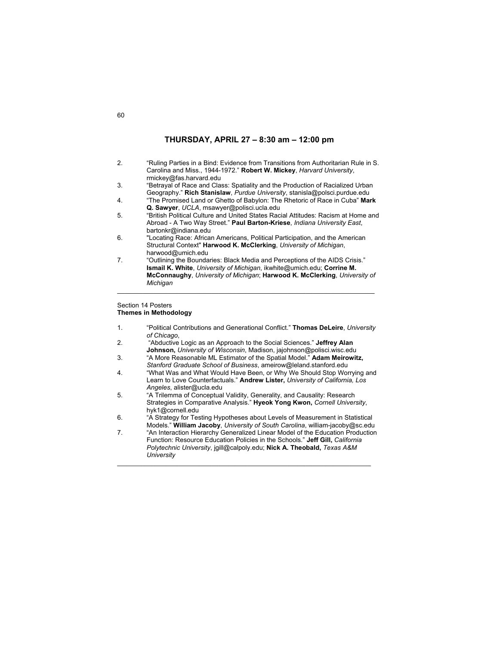## **THURSDAY, APRIL 27 – 8:30 am – 12:00 pm**

| 2.               | "Ruling Parties in a Bind: Evidence from Transitions from Authoritarian Rule in S.<br>Carolina and Miss., 1944-1972." Robert W. Mickey, Harvard University,<br>rmickey@fas.harvard.edu |
|------------------|----------------------------------------------------------------------------------------------------------------------------------------------------------------------------------------|
| 3.               |                                                                                                                                                                                        |
|                  | "Betrayal of Race and Class: Spatiality and the Production of Racialized Urban<br>Geography." Rich Stanislaw, Purdue University, stanisla@polsci.purdue.edu                            |
| $\overline{4}$ . | "The Promised Land or Ghetto of Babylon: The Rhetoric of Race in Cuba" Mark                                                                                                            |
|                  | Q. Sawyer, UCLA, msawyer@polisci.ucla.edu                                                                                                                                              |
| 5.               | "British Political Culture and United States Racial Attitudes: Racism at Home and<br>Abroad - A Two Way Street." Paul Barton-Kriese, Indiana University East,                          |
|                  | bartonkr@indiana.edu                                                                                                                                                                   |
| 6.               | "Locating Race: African Americans, Political Participation, and the American                                                                                                           |
|                  | Structural Context" Harwood K. McClerking, University of Michigan,                                                                                                                     |
|                  | harwood@umich.edu                                                                                                                                                                      |
| 7.               | "Outlining the Boundaries: Black Media and Perceptions of the AIDS Crisis."                                                                                                            |
|                  | Ismail K. White, University of Michigan, ikwhite@umich.edu; Corrine M.                                                                                                                 |
|                  | McConnaughy, University of Michigan; Harwood K. McClerking, University of                                                                                                              |
|                  | Michigan                                                                                                                                                                               |

## Section 14 Posters **Themes in Methodology**

1. "Political Contributions and Generational Conflict." **Thomas DeLeire**, *University of Chicago*,

\_\_\_\_\_\_\_\_\_\_\_\_\_\_\_\_\_\_\_\_\_\_\_\_\_\_\_\_\_\_\_\_\_\_\_\_\_\_\_\_\_\_\_\_\_\_\_\_\_\_\_\_\_\_\_\_\_\_\_\_\_\_\_\_\_\_\_\_\_\_\_

- 2. "Abductive Logic as an Approach to the Social Sciences." **Jeffrey Alan Johnson,** *University of Wisconsin*, Madison, jajohnson@polisci.wisc.edu
- 3. "A More Reasonable ML Estimator of the Spatial Model." **Adam Meirowitz,** *Stanford Graduate School of Business*, ameirow@leland.stanford.edu
- 4. "What Was and What Would Have Been, or Why We Should Stop Worrying and Learn to Love Counterfactuals." **Andrew Lister,** *University of California, Los Angeles*, alister@ucla.edu
- 5. "A Trilemma of Conceptual Validity, Generality, and Causality: Research Strategies in Comparative Analysis." **Hyeok Yong Kwon,** *Cornell University*, hyk1@cornell.edu
- 6. "A Strategy for Testing Hypotheses about Levels of Measurement in Statistical Models." **William Jacoby**, *University of South Carolina*, william-jacoby@sc.edu
- 7. "An Interaction Hierarchy Generalized Linear Model of the Education Production Function: Resource Education Policies in the Schools." **Jeff Gill,** *California Polytechnic University*, jgill@calpoly.edu; **Nick A. Theobald,** *Texas A&M University*  \_\_\_\_\_\_\_\_\_\_\_\_\_\_\_\_\_\_\_\_\_\_\_\_\_\_\_\_\_\_\_\_\_\_\_\_\_\_\_\_\_\_\_\_\_\_\_\_\_\_\_\_\_\_\_\_\_\_\_\_\_\_\_\_\_\_\_\_\_\_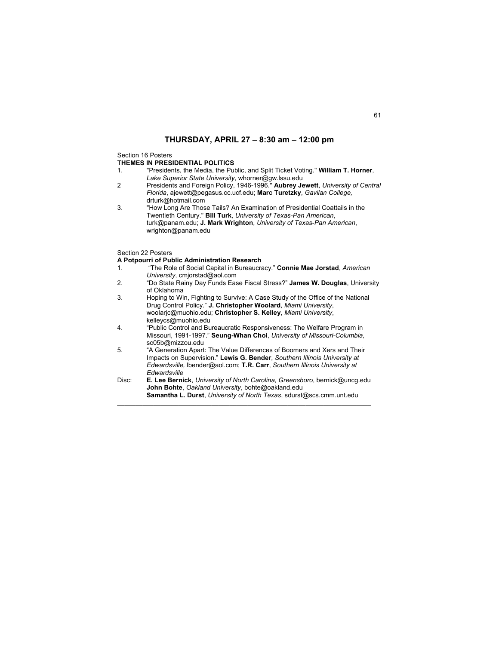## **THURSDAY, APRIL 27 – 8:30 am – 12:00 pm**

## Section 16 Posters

## **THEMES IN PRESIDENTIAL POLITICS**

- 1. "Presidents, the Media, the Public, and Split Ticket Voting." **William T. Horner**, *Lake Superior State University*, whorner@gw.lssu.edu
- 2 Presidents and Foreign Policy, 1946-1996." **Aubrey Jewett**, *University of Central Florida*, ajewett@pegasus.cc.ucf.edu; **Marc Turetzky**, *Gavilan College,*  drturk@hotmail.com
- 3. "How Long Are Those Tails? An Examination of Presidential Coattails in the Twentieth Century." **Bill Turk**, *University of Texas-Pan American*, turk@panam.edu; **J. Mark Wrighton**, *University of Texas-Pan American*, wrighton@panam.edu

\_\_\_\_\_\_\_\_\_\_\_\_\_\_\_\_\_\_\_\_\_\_\_\_\_\_\_\_\_\_\_\_\_\_\_\_\_\_\_\_\_\_\_\_\_\_\_\_\_\_\_\_\_\_\_\_\_\_\_\_\_\_\_\_\_\_\_\_\_\_

## Section 22 Posters

- **A Potpourri of Public Administration Research**
- 1. "The Role of Social Capital in Bureaucracy." **Connie Mae Jorstad**, *American University*, cmjorstad@aol.com
- 2. "Do State Rainy Day Funds Ease Fiscal Stress?" **James W. Douglas**, University of Oklahoma
- 3. Hoping to Win, Fighting to Survive: A Case Study of the Office of the National Drug Control Policy." **J. Christopher Woolard**, *Miami University*, woolarjc@muohio.edu; **Christopher S. Kelley**, *Miami University*, kelleycs@muohio.edu 4. "Public Control and Bureaucratic Responsiveness: The Welfare Program in Missouri, 1991-1997." **Seung-Whan Choi**, *University of Missouri-Columbia*,
- sc05b@mizzou.edu 5. "A Generation Apart: The Value Differences of Boomers and Xers and Their Impacts on Supervision." **Lewis G. Bender**, *Southern Illinois University at Edwardsville,* lbender@aol.com; **T.R. Carr**, *Southern Illinois University at Edwardsville*
- Disc: **E. Lee Bernick**, *University of North Carolina, Greensboro*, bernick@uncg.edu **John Bohte**, *Oakland University*, bohte@oakland.edu **Samantha L. Durst**, *University of North Texas*, sdurst@scs.cmm.unt.edu \_\_\_\_\_\_\_\_\_\_\_\_\_\_\_\_\_\_\_\_\_\_\_\_\_\_\_\_\_\_\_\_\_\_\_\_\_\_\_\_\_\_\_\_\_\_\_\_\_\_\_\_\_\_\_\_\_\_\_\_\_\_\_\_\_\_\_\_\_\_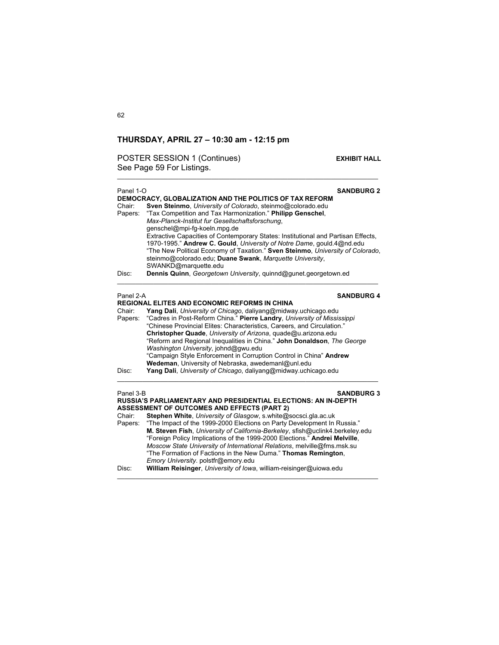POSTER SESSION 1 (Continues) **EXHIBIT HALL** See Page 59 For Listings.

\_\_\_\_\_\_\_\_\_\_\_\_\_\_\_\_\_\_\_\_\_\_\_\_\_\_\_\_\_\_\_\_\_\_\_\_\_\_\_\_\_\_\_\_\_\_\_\_\_\_\_\_\_\_\_\_\_\_\_\_\_\_\_\_\_\_\_\_\_\_\_\_

| Panel 1-O<br>Chair:<br>Papers: | <b>SANDBURG 2</b><br>DEMOCRACY, GLOBALIZATION AND THE POLITICS OF TAX REFORM<br>Sven Steinmo, University of Colorado, steinmo@colorado.edu<br>"Tax Competition and Tax Harmonization." Philipp Genschel,<br>Max-Planck-Institut fur Gesellschaftsforschung,<br>genschel@mpi-fg-koeln.mpg.de<br>Extractive Capacities of Contemporary States: Institutional and Partisan Effects,<br>1970-1995." Andrew C. Gould, University of Notre Dame, gould 4@nd edu<br>"The New Political Economy of Taxation." Sven Steinmo, University of Colorado,<br>steinmo@colorado.edu; Duane Swank, Marquette University,<br>SWANKD@marquette.edu |
|--------------------------------|---------------------------------------------------------------------------------------------------------------------------------------------------------------------------------------------------------------------------------------------------------------------------------------------------------------------------------------------------------------------------------------------------------------------------------------------------------------------------------------------------------------------------------------------------------------------------------------------------------------------------------|
| Disc:                          | Dennis Quinn, Georgetown University, quinnd@qunet.georgetown.ed                                                                                                                                                                                                                                                                                                                                                                                                                                                                                                                                                                 |
| Panel 2-A<br>Chair:<br>Papers: | <b>SANDBURG 4</b><br><b>REGIONAL ELITES AND ECONOMIC REFORMS IN CHINA</b><br>Yang Dali, University of Chicago, daliyang@midway.uchicago.edu<br>"Cadres in Post-Reform China." Pierre Landry, University of Mississippi<br>"Chinese Provincial Elites: Characteristics, Careers, and Circulation."<br>Christopher Quade, University of Arizona, quade@u.arizona.edu<br>"Reform and Regional Inequalities in China." John Donaldson, The George<br>Washington University, johnd@gwu.edu                                                                                                                                           |

## Panel 3-B **SANDBURG 3 RUSSIA'S PARLIAMENTARY AND PRESIDENTIAL ELECTIONS: AN IN-DEPTH ASSESSMENT OF OUTCOMES AND EFFECTS (PART 2)**<br>Chair: **Stephen White** University of Glasgow, s.white@s

"Campaign Style Enforcement in Corruption Control in China" **Andrew** 

 $\mathcal{L}_\mathcal{L} = \{ \mathcal{L}_\mathcal{L} = \{ \mathcal{L}_\mathcal{L} = \{ \mathcal{L}_\mathcal{L} = \{ \mathcal{L}_\mathcal{L} = \{ \mathcal{L}_\mathcal{L} = \{ \mathcal{L}_\mathcal{L} = \{ \mathcal{L}_\mathcal{L} = \{ \mathcal{L}_\mathcal{L} = \{ \mathcal{L}_\mathcal{L} = \{ \mathcal{L}_\mathcal{L} = \{ \mathcal{L}_\mathcal{L} = \{ \mathcal{L}_\mathcal{L} = \{ \mathcal{L}_\mathcal{L} = \{ \mathcal{L}_\mathcal{$ 

**Wedeman**, University of Nebraska, awedemanl@unl.edu Disc: **Yang Dali**, *University of Chicago*, daliyang@midway.uchicago.edu

Stephen White, University of Glasgow, s.white@socsci.gla.ac.uk Papers: "The Impact of the 1999-2000 Elections on Party Development In Russia." **M. Steven Fish**, *University of California-Berkeley*, sfish@uclink4.berkeley.edu "Foreign Policy Implications of the 1999-2000 Elections." **Andrei Melville**, *Moscow State University of International Relations*, melville@fms.msk.su "The Formation of Factions in the New Duma." **Thomas Remington**, *Emory University*. polstfr@emory.edu Disc: **William Reisinger**, *University of Iowa*, william-reisinger@uiowa.edu

 $\mathcal{L}_\mathcal{L} = \{ \mathcal{L}_\mathcal{L} = \{ \mathcal{L}_\mathcal{L} = \{ \mathcal{L}_\mathcal{L} = \{ \mathcal{L}_\mathcal{L} = \{ \mathcal{L}_\mathcal{L} = \{ \mathcal{L}_\mathcal{L} = \{ \mathcal{L}_\mathcal{L} = \{ \mathcal{L}_\mathcal{L} = \{ \mathcal{L}_\mathcal{L} = \{ \mathcal{L}_\mathcal{L} = \{ \mathcal{L}_\mathcal{L} = \{ \mathcal{L}_\mathcal{L} = \{ \mathcal{L}_\mathcal{L} = \{ \mathcal{L}_\mathcal{$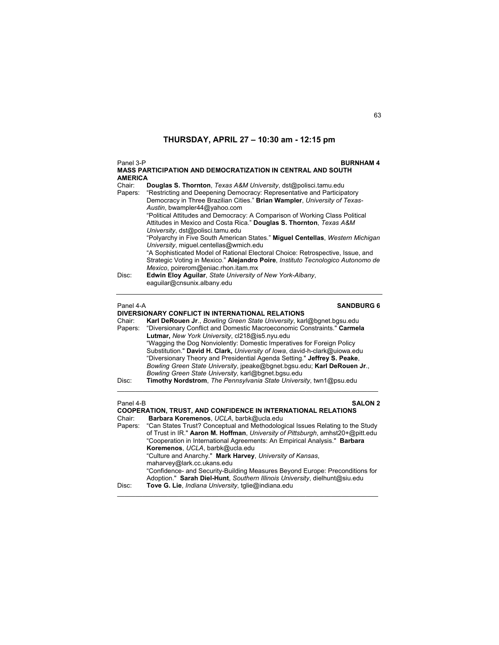| Panel 3-P<br><b>BURNHAM4</b><br><b>MASS PARTICIPATION AND DEMOCRATIZATION IN CENTRAL AND SOUTH</b><br><b>AMERICA</b> |                                                                                                                                                                                                                                                                                                                                                                                                                                                                                                                                                                                                                                                                       |  |
|----------------------------------------------------------------------------------------------------------------------|-----------------------------------------------------------------------------------------------------------------------------------------------------------------------------------------------------------------------------------------------------------------------------------------------------------------------------------------------------------------------------------------------------------------------------------------------------------------------------------------------------------------------------------------------------------------------------------------------------------------------------------------------------------------------|--|
| Chair <sup>-</sup><br>Papers:                                                                                        | <b>Douglas S. Thornton</b> , Texas A&M University, dst@polisci.tamu.edu<br>"Restricting and Deepening Democracy: Representative and Participatory<br>Democracy in Three Brazilian Cities." Brian Wampler, University of Texas-<br>Austin, bwampler44@yahoo.com<br>"Political Attitudes and Democracy: A Comparison of Working Class Political<br>Attitudes in Mexico and Costa Rica." Douglas S. Thornton, Texas A&M<br>University, dst@polisci.tamu.edu<br>"Polyarchy in Five South American States." Miguel Centellas, Western Michigan<br>University, miguel.centellas@wmich.edu<br>"A Sophisticated Model of Rational Electoral Choice: Retrospective, Issue, and |  |
|                                                                                                                      | Strategic Voting in Mexico." Alejandro Poire, Instituto Tecnologico Autonomo de                                                                                                                                                                                                                                                                                                                                                                                                                                                                                                                                                                                       |  |
| Disc:                                                                                                                | Mexico, poirerom@eniac.rhon.itam.mx<br><b>Edwin Eloy Aguilar.</b> State University of New York-Albany,<br>eaquilar@cnsunix.albany.edu                                                                                                                                                                                                                                                                                                                                                                                                                                                                                                                                 |  |
| Panel 4-A<br><b>SANDBURG 6</b>                                                                                       |                                                                                                                                                                                                                                                                                                                                                                                                                                                                                                                                                                                                                                                                       |  |
| Chair:                                                                                                               | DIVERSIONARY CONFLICT IN INTERNATIONAL RELATIONS<br>Karl DeRouen Jr., Bowling Green State University, karl@bgnet.bgsu.edu                                                                                                                                                                                                                                                                                                                                                                                                                                                                                                                                             |  |
| Papers:                                                                                                              | "Diversionary Conflict and Domestic Macroeconomic Constraints." Carmela<br>Lutmar, New York University, cl218@is5.nyu.edu                                                                                                                                                                                                                                                                                                                                                                                                                                                                                                                                             |  |
|                                                                                                                      | "Wagging the Dog Nonviolently: Domestic Imperatives for Foreign Policy                                                                                                                                                                                                                                                                                                                                                                                                                                                                                                                                                                                                |  |
|                                                                                                                      | Substitution." David H. Clark, University of Iowa, david-h-clark@uiowa.edu<br>"Diversionary Theory and Presidential Agenda Setting." Jeffrey S. Peake,                                                                                                                                                                                                                                                                                                                                                                                                                                                                                                                |  |
|                                                                                                                      | Bowling Green State University, jpeake@bgnet.bgsu.edu; Karl DeRouen Jr.,<br>Bowling Green State University, karl@bgnet.bgsu.edu                                                                                                                                                                                                                                                                                                                                                                                                                                                                                                                                       |  |
| Disc:                                                                                                                | Timothy Nordstrom, The Pennsylvania State University, twn1@psu.edu                                                                                                                                                                                                                                                                                                                                                                                                                                                                                                                                                                                                    |  |

| Panel 4-B | <b>SALON 2</b>                                                                 |  |  |
|-----------|--------------------------------------------------------------------------------|--|--|
|           | <b>COOPERATION, TRUST, AND CONFIDENCE IN INTERNATIONAL RELATIONS</b>           |  |  |
| Chair:    | Barbara Koremenos, UCLA, barbk@ucla.edu                                        |  |  |
| Papers:   | "Can States Trust? Conceptual and Methodological Issues Relating to the Study  |  |  |
|           | of Trust in IR." Aaron M. Hoffman, University of Pittsburgh, amhst20+@pitt.edu |  |  |
|           | "Cooperation in International Agreements: An Empirical Analysis." Barbara      |  |  |
|           | Koremenos, UCLA, barbk@ucla.edu                                                |  |  |
|           | "Culture and Anarchy." Mark Harvey, University of Kansas,                      |  |  |
|           | maharvey@lark.cc.ukans.edu                                                     |  |  |
|           | "Confidence- and Security-Building Measures Beyond Europe: Preconditions for   |  |  |
|           | Adoption." Sarah Diel-Hunt, Southern Illinois University, dielhunt@siu.edu     |  |  |
| Disc:     | Tove G. Lie, Indiana University, tolie@indiana.edu                             |  |  |
|           |                                                                                |  |  |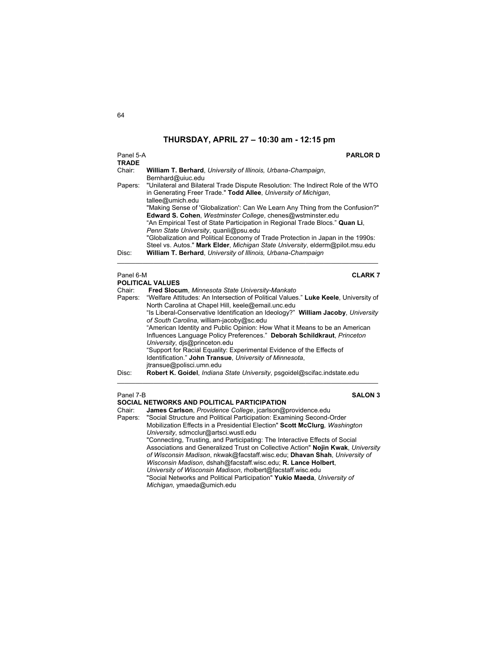| Panel 5-A<br><b>TRADE</b>   | <b>PARLOR D</b>                                                                                                                                                                                                                                                                                                                                          |  |  |
|-----------------------------|----------------------------------------------------------------------------------------------------------------------------------------------------------------------------------------------------------------------------------------------------------------------------------------------------------------------------------------------------------|--|--|
| Chair:                      | William T. Berhard, University of Illinois, Urbana-Champaign,<br>Bernhard@uiuc.edu                                                                                                                                                                                                                                                                       |  |  |
| Papers:                     | "Unilateral and Bilateral Trade Dispute Resolution: The Indirect Role of the WTO<br>in Generating Freer Trade." Todd Allee, University of Michigan,<br>tallee@umich.edu                                                                                                                                                                                  |  |  |
|                             | "Making Sense of 'Globalization': Can We Learn Any Thing from the Confusion?"<br>Edward S. Cohen, Westminster College, chenes@wstminster.edu<br>"An Empirical Test of State Participation in Regional Trade Blocs." Quan Li,<br>Penn State University, quanli@psu.edu<br>"Globalization and Political Economy of Trade Protection in Japan in the 1990s: |  |  |
| Disc:                       | Steel vs. Autos." Mark Elder, Michigan State University, elderm@pilot.msu.edu<br>William T. Berhard, University of Illinois, Urbana-Champaign                                                                                                                                                                                                            |  |  |
| Panel 6-M<br><b>CLARK 7</b> |                                                                                                                                                                                                                                                                                                                                                          |  |  |
|                             | <b>POLITICAL VALUES</b>                                                                                                                                                                                                                                                                                                                                  |  |  |
| Chair:                      | Fred Slocum, Minnesota State University-Mankato                                                                                                                                                                                                                                                                                                          |  |  |
| Papers:                     | "Welfare Attitudes: An Intersection of Political Values." Luke Keele, University of<br>North Carolina at Chapel Hill, keele@email.unc.edu                                                                                                                                                                                                                |  |  |
|                             | "Is Liberal-Conservative Identification an Ideology?" William Jacoby, University<br>of South Carolina, william-jacoby@sc.edu<br>"Approximant International Dublin Optimizer Haus What it Magnetia has an Approximant                                                                                                                                     |  |  |

"American Identity and Public Opinion: How What it Means to be an American Influences Language Policy Preferences." **Deborah Schildkraut**, *Princeton University*, djs@princeton.edu "Support for Racial Equality: Experimental Evidence of the Effects of Identification." **John Transue**, *University of Minnesota*,

\_\_\_\_\_\_\_\_\_\_\_\_\_\_\_\_\_\_\_\_\_\_\_\_\_\_\_\_\_\_\_\_\_\_\_\_\_\_\_\_\_\_\_\_\_\_\_\_\_\_\_\_\_\_\_\_\_\_\_\_\_\_\_\_\_\_\_\_\_\_\_\_

jtransue@polisci.umn.edu Disc: **Robert K. Goidel**, *Indiana State University*, psgoidel@scifac.indstate.edu

## Panel 7-B **SALON 3**

## **SOCIAL NETWORKS AND POLITICAL PARTICIPATION**

Chair: **James Carlson**, *Providence College*, jcarlson@providence.edu "Social Structure and Political Participation: Examining Second-Order Mobilization Effects in a Presidential Election" **Scott McClurg***, Washington University*, sdmcclur@artsci.wustl.edu "Connecting, Trusting, and Participating: The Interactive Effects of Social Associations and Generalized Trust on Collective Action" **Nojin Kwak**, *University of Wisconsin Madison*, nkwak@facstaff.wisc.edu; **Dhavan Shah**, *University of Wisconsin Madison*, dshah@facstaff.wisc.edu; **R. Lance Holbert**, *University of Wisconsin Madison*, rholbert@facstaff.wisc.edu "Social Networks and Political Participation" **Yukio Maeda**, *University of Michigan*, ymaeda@umich.edu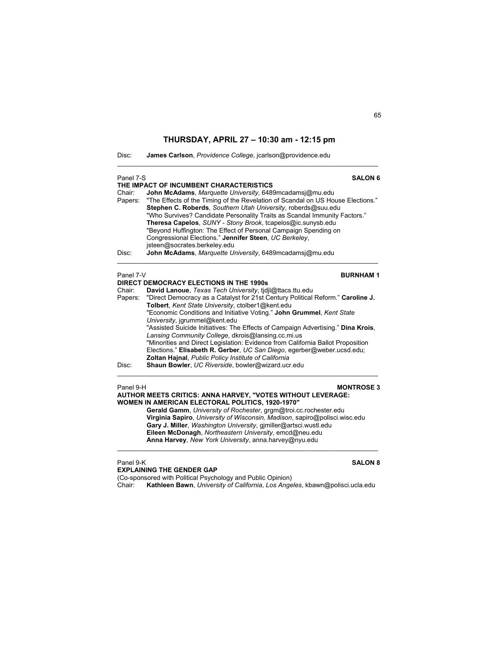$\mathcal{L}_\text{max}$  , and the set of the set of the set of the set of the set of the set of the set of the set of the set of

| Disc: |  |  |  | James Carlson, Providence College, jcarlson@providence.edu |
|-------|--|--|--|------------------------------------------------------------|
|-------|--|--|--|------------------------------------------------------------|

| Panel 7-S<br>Chair:<br>Papers:<br>Disc: | <b>SALON 6</b><br>THE IMPACT OF INCUMBENT CHARACTERISTICS<br>John McAdams, Marquette University, 6489mcadamsj@mu.edu<br>"The Effects of the Timing of the Revelation of Scandal on US House Elections."<br>Stephen C. Roberds, Southern Utah University, roberds@suu.edu<br>"Who Survives? Candidate Personality Traits as Scandal Immunity Factors."<br>Theresa Capelos, SUNY - Stony Brook, tcapelos@ic.sunysb.edu<br>"Beyond Huffington: The Effect of Personal Campaign Spending on<br>Congressional Elections." Jennifer Steen, UC Berkeley,<br>jsteen@socrates.berkeley.edu<br>John McAdams, Marquette University, 6489mcadamsj@mu.edu                                                                                                                                                                       |
|-----------------------------------------|--------------------------------------------------------------------------------------------------------------------------------------------------------------------------------------------------------------------------------------------------------------------------------------------------------------------------------------------------------------------------------------------------------------------------------------------------------------------------------------------------------------------------------------------------------------------------------------------------------------------------------------------------------------------------------------------------------------------------------------------------------------------------------------------------------------------|
| Panel 7-V<br>Chair:<br>Disc:            | <b>BURNHAM1</b><br><b>DIRECT DEMOCRACY ELECTIONS IN THE 1990s</b><br>David Lanoue, Texas Tech University, tidil@ttacs.ttu.edu<br>Papers: "Direct Democracy as a Catalyst for 21st Century Political Reform." Caroline J.<br>Tolbert, Kent State University, ctolber1@kent.edu<br>"Economic Conditions and Initiative Voting." John Grummel, Kent State<br>University, jgrummel@kent.edu<br>"Assisted Suicide Initiatives: The Effects of Campaign Advertising." Dina Krois,<br>Lansing Community College, dkrois@lansing.cc.mi.us<br>"Minorities and Direct Legislation: Evidence from California Ballot Proposition<br>Elections." Elisabeth R. Gerber, UC San Diego, egerber@weber.ucsd.edu;<br><b>Zoltan Hajnal, Public Policy Institute of California</b><br>Shaun Bowler, UC Riverside, bowler@wizard.ucr.edu |

## Panel 9-H **MONTROSE 3 AUTHOR MEETS CRITICS: ANNA HARVEY, "VOTES WITHOUT LEVERAGE: WOMEN IN AMERICAN ELECTORAL POLITICS, 1920-1970" Gerald Gamm**, *University of Rochester*, grgm@troi.cc.rochester.edu

**Virginia Sapiro**, *University of Wisconsin, Madison*, sapiro@polisci.wisc.edu **Gary J. Miller**, *Washington University*, gjmiller@artsci.wustl.edu **Eileen McDonagh**, *Northeastern University*, emcd@neu.edu **Anna Harvey**, *New York University*, anna.harvey@nyu.edu

 $\mathcal{L}_\mathcal{L} = \{ \mathcal{L}_\mathcal{L} = \{ \mathcal{L}_\mathcal{L} = \{ \mathcal{L}_\mathcal{L} = \{ \mathcal{L}_\mathcal{L} = \{ \mathcal{L}_\mathcal{L} = \{ \mathcal{L}_\mathcal{L} = \{ \mathcal{L}_\mathcal{L} = \{ \mathcal{L}_\mathcal{L} = \{ \mathcal{L}_\mathcal{L} = \{ \mathcal{L}_\mathcal{L} = \{ \mathcal{L}_\mathcal{L} = \{ \mathcal{L}_\mathcal{L} = \{ \mathcal{L}_\mathcal{L} = \{ \mathcal{L}_\mathcal{$ 

## Panel 9-K **SALON 8**

**EXPLAINING THE GENDER GAP**  (Co-sponsored with Political Psychology and Public Opinion) Chair: **Kathleen Bawn**, *University of California*, *Los Angeles*, kbawn@polisci.ucla.edu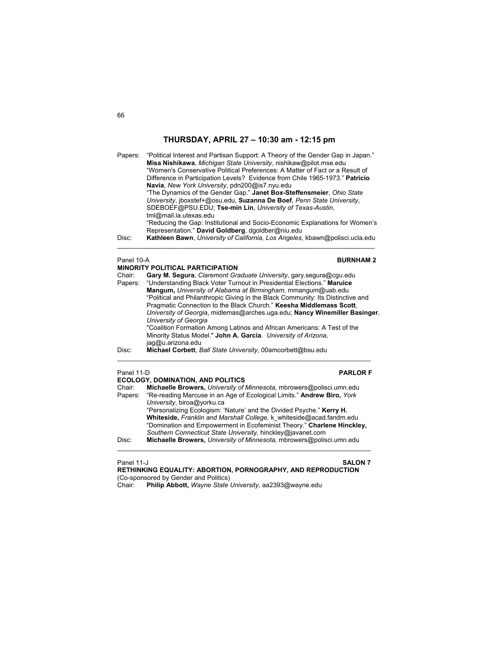Papers: "Political Interest and Partisan Support: A Theory of the Gender Gap in Japan." **Misa Nishikawa**, *Michigan State University*, nishikaw@pilot.mse.edu "Women's Conservative Political Preferences: A Matter of Fact or a Result of Difference in Participation Levels? Evidence from Chile 1965-1973." **Patricio Navia**, *New York University*, pdn200@is7.nyu.edu "The Dynamics of the Gender Gap." **Janet Box-Steffensmeier**, *Ohio State University*, jboxstef+@osu.edu, **Suzanna De Boef**, *Penn State University*, SDEBOEF@PSU.EDU; **Tse-min Lin**, *University of Texas-Austin*, tml@mail.la.utexas.edu "Reducing the Gap: Institutional and Socio-Economic Explanations for Women's Representation." **David Goldberg**, dgoldber@niu.edu Disc: **Kathleen Bawn**, *University of California, Los Angeles*, kbawn@polisci.ucla.edu  $\mathcal{L}_\text{max}$  , and the set of the set of the set of the set of the set of the set of the set of the set of the set of Panel 10-A **BURNHAM 2 MINORITY POLITICAL PARTICIPATION** Chair: **Gary M. Segura**, *Claremont Graduate University*, gary.segura@cgu.edu

| Chair:<br>Papers: | Gary M. Segura, Claremont Graduate University, gary segura@cgu.edu<br>"Understanding Black Voter Turnout in Presidential Elections." Maruice<br>Mangum, University of Alabama at Birmingham, mmangum@uab.edu<br>"Political and Philanthropic Giving in the Black Community: Its Distinctive and<br>Pragmatic Connection to the Black Church." Keesha Middlemass Scott, |  |  |
|-------------------|------------------------------------------------------------------------------------------------------------------------------------------------------------------------------------------------------------------------------------------------------------------------------------------------------------------------------------------------------------------------|--|--|
|                   | University of Georgia, midlemas@arches.uga.edu; Nancy Winemiller Basinger,<br>University of Georgia<br>"Coalition Formation Among Latinos and African Americans: A Test of the<br>Minority Status Model." John A. Garcia. University of Arizona.<br>jag@u.arizona.edu                                                                                                  |  |  |
| Disc:             | Michael Corbett, Ball State University, 00amcorbett@bsu.edu                                                                                                                                                                                                                                                                                                            |  |  |
| Panel 11-D        | <b>PARLOR F</b>                                                                                                                                                                                                                                                                                                                                                        |  |  |

**ECOLOGY, DOMINATION, AND POLITICS**<br>Chair: **Michaelle Browers**. University of Chair: **Michaelle Browers,** *University of Minnesota,* mbrowers@polisci.umn.edu Papers: "Re-reading Marcuse in an Age of Ecological Limits." **Andrew Biro,** *York University*, biroa@yorku.ca "Personalizing Ecologism: 'Nature' and the Divided Psyche." **Kerry H. Whiteside,** *Franklin and Marshall College,* k\_whiteside@acad.fandm.edu "Domination and Empowerment in Ecofeminist Theory." **Charlene Hinckley,** *Southern Connecticut State University,* hinckley@javanet.com Disc: **Michaelle Browers,** *University of Minnesota,* mbrowers@polisci.umn.edu  $\mathcal{L}_\mathcal{L} = \{ \mathcal{L}_\mathcal{L} = \{ \mathcal{L}_\mathcal{L} = \{ \mathcal{L}_\mathcal{L} = \{ \mathcal{L}_\mathcal{L} = \{ \mathcal{L}_\mathcal{L} = \{ \mathcal{L}_\mathcal{L} = \{ \mathcal{L}_\mathcal{L} = \{ \mathcal{L}_\mathcal{L} = \{ \mathcal{L}_\mathcal{L} = \{ \mathcal{L}_\mathcal{L} = \{ \mathcal{L}_\mathcal{L} = \{ \mathcal{L}_\mathcal{L} = \{ \mathcal{L}_\mathcal{L} = \{ \mathcal{L}_\mathcal{$ 

Panel 11-J **SALON 7**

**RETHINKING EQUALITY: ABORTION, PORNOGRAPHY, AND REPRODUCTION**  (Co-sponsored by Gender and Politics) Chair: **Philip Abbott,** *Wayne State University,* aa2393@wayne.edu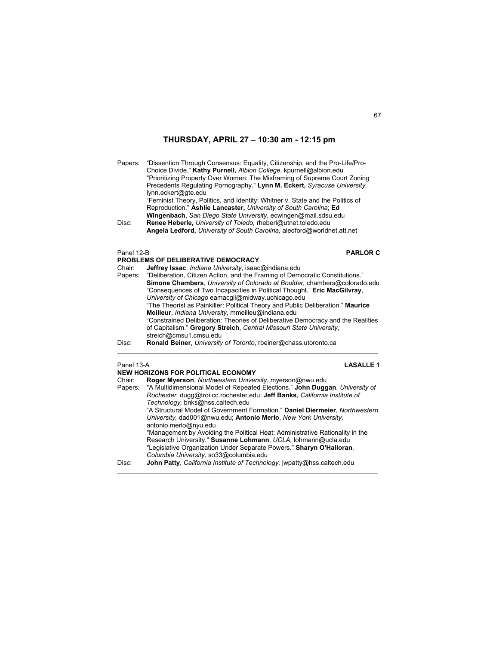| Disc:                           | Choice Divide." Kathy Purnell, Albion College, kpurnell@albion.edu<br>"Prioritizing Property Over Women: The Misframing of Supreme Court Zoning<br>Precedents Regulating Pornography." Lynn M. Eckert, Syracuse University,<br>lynn.eckert@gte.edu<br>"Feminist Theory, Politics, and Identity: Whitner v. State and the Politics of<br>Reproduction." Ashlie Lancaster, University of South Carolina; Ed<br>Wingenbach, San Diego State University, ecwingen@mail.sdsu.edu<br>Renee Heberle, University of Toledo, rheberl@utnet.toledo.edu<br>Angela Ledford, University of South Carolina, aledford@worldnet.att.net |
|---------------------------------|-------------------------------------------------------------------------------------------------------------------------------------------------------------------------------------------------------------------------------------------------------------------------------------------------------------------------------------------------------------------------------------------------------------------------------------------------------------------------------------------------------------------------------------------------------------------------------------------------------------------------|
| Panel 12-B<br>Chair:<br>Papers: | <b>PARLOR C</b><br>PROBLEMS OF DELIBERATIVE DEMOCRACY<br>Jeffrey Issac, Indiana University, isaac@indiana.edu<br>"Deliberation, Citizen Action, and the Framing of Democratic Constitutions."                                                                                                                                                                                                                                                                                                                                                                                                                           |

## Panel 13-A **LASALLE 1**

|        | <b>NEW HORIZONS FOR POLITICAL ECONOMY</b>                                            |
|--------|--------------------------------------------------------------------------------------|
| Chair: | Roger Myerson, Northwestern University, myerson@nwu.edu                              |
|        | Papers: "A Multidimensional Model of Repeated Elections." John Duggan, University of |
|        | Rochester, dugg@troi.cc.rochester.edu; Jeff Banks, California Institute of           |
|        | Technology, bnks@hss.caltech.edu                                                     |
|        | "A Structural Model of Government Formation." Daniel Diermeier, Northwestern         |
|        | University, dad001@nwu.edu; Antonio Merlo, New York University,                      |
|        | antonio.merlo@nyu.edu                                                                |
|        | "Management by Avoiding the Political Heat: Administrative Rationality in the        |
|        | Research University." Susanne Lohmann, UCLA, lohmann@ucla.edu                        |
|        | "Legislative Organization Under Separate Powers." Sharyn O'Halloran,                 |
|        | Columbia University, so33@columbia.edu                                               |
| Disc:  | John Patty, California Institute of Technology, jwpatty@hss.caltech.edu              |

 $\mathcal{L}_\text{max}$  , and the set of the set of the set of the set of the set of the set of the set of the set of the set of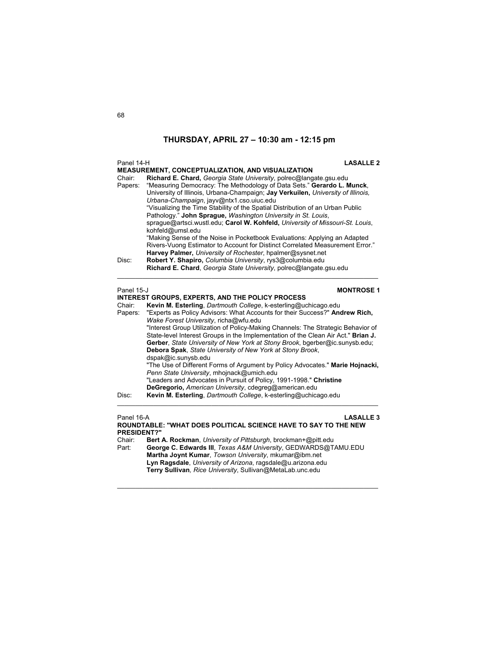| Panel 14-H<br>Chair:<br>Papers:<br>Disc:            | <b>LASALLE 2</b><br>MEASUREMENT, CONCEPTUALIZATION, AND VISUALIZATION<br>Richard E. Chard, Georgia State University, polrec@langate.gsu.edu<br>"Measuring Democracy: The Methodology of Data Sets." Gerardo L. Munck,<br>University of Illinois, Urbana-Champaign; Jay Verkuilen, University of Illinois,<br>Urbana-Champaign, jayv@ntx1.cso.uiuc.edu<br>"Visualizing the Time Stability of the Spatial Distribution of an Urban Public<br>Pathology." John Sprague, Washington University in St. Louis,<br>spraque@artsci.wustl.edu: Carol W. Kohfeld, University of Missouri-St. Louis,<br>kohfeld@umsl.edu<br>"Making Sense of the Noise in Pocketbook Evaluations: Applying an Adapted<br>Rivers-Vuong Estimator to Account for Distinct Correlated Measurement Error."<br>Harvey Palmer, University of Rochester, hpalmer@sysnet.net<br>Robert Y. Shapiro, Columbia University, rys3@columbia.edu<br>Richard E. Chard, Georgia State University, polrec@langate.gsu.edu |
|-----------------------------------------------------|------------------------------------------------------------------------------------------------------------------------------------------------------------------------------------------------------------------------------------------------------------------------------------------------------------------------------------------------------------------------------------------------------------------------------------------------------------------------------------------------------------------------------------------------------------------------------------------------------------------------------------------------------------------------------------------------------------------------------------------------------------------------------------------------------------------------------------------------------------------------------------------------------------------------------------------------------------------------------|
| Panel 15-J<br>Chair:<br>Papers:<br>Disc:            | <b>MONTROSE 1</b><br><b>INTEREST GROUPS, EXPERTS, AND THE POLICY PROCESS</b><br>Kevin M. Esterling, Dartmouth College, k-esterling@uchicago.edu<br>"Experts as Policy Advisors: What Accounts for their Success?" Andrew Rich,<br>Wake Forest University, richa@wfu.edu<br>"Interest Group Utilization of Policy-Making Channels: The Strategic Behavior of<br>State-level Interest Groups in the Implementation of the Clean Air Act." Brian J.<br>Gerber, State University of New York at Stony Brook, bgerber@ic.sunysb.edu;<br>Debora Spak, State University of New York at Stony Brook,<br>dspak@ic.sunysb.edu<br>"The Use of Different Forms of Argument by Policy Advocates." Marie Hojnacki,<br>Penn State University, mhojnack@umich.edu<br>"Leaders and Advocates in Pursuit of Policy, 1991-1998." Christine<br>DeGregorio, American University, cdegreg@american.edu<br>Kevin M. Esterling, Dartmouth College, k-esterling@uchicago.edu                          |
| Panel 16-A<br><b>PRESIDENT?"</b><br>Chair:<br>Part: | <b>LASALLE 3</b><br>ROUNDTABLE: "WHAT DOES POLITICAL SCIENCE HAVE TO SAY TO THE NEW<br>Bert A. Rockman, University of Pittsburgh, brockman+@pitt.edu<br>George C. Edwards III, Texas A&M University, GEDWARDS@TAMU.EDU<br>Martha Joynt Kumar, Towson University, mkumar@ibm.net<br>Lyn Ragsdale, University of Arizona, ragsdale@u.arizona.edu                                                                                                                                                                                                                                                                                                                                                                                                                                                                                                                                                                                                                               |

**Terry Sullivan***, Rice University*, Sullivan@MetaLab.unc.edu

\_\_\_\_\_\_\_\_\_\_\_\_\_\_\_\_\_\_\_\_\_\_\_\_\_\_\_\_\_\_\_\_\_\_\_\_\_\_\_\_\_\_\_\_\_\_\_\_\_\_\_\_\_\_\_\_\_\_\_\_\_\_\_\_\_\_\_\_\_\_\_\_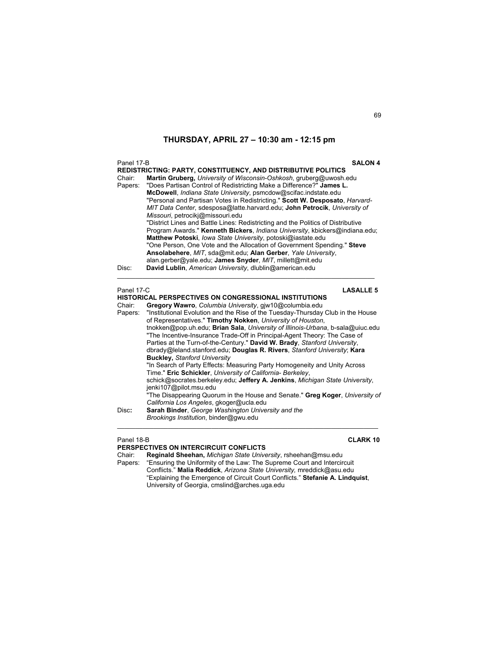| Panel 17-B<br>Chair:<br>Papers: | <b>SALON 4</b><br><b>REDISTRICTING: PARTY, CONSTITUENCY, AND DISTRIBUTIVE POLITICS</b><br>Martin Gruberg, University of Wisconsin-Oshkosh, gruberg@uwosh.edu<br>"Does Partisan Control of Redistricting Make a Difference?" James L.<br>McDowell, Indiana State University, psmcdow@scifac.indstate.edu<br>"Personal and Partisan Votes in Redistricting." Scott W. Desposato, Harvard-<br>MIT Data Center, sdesposa@latte.harvard.edu; John Petrocik, University of<br>Missouri, petrocikj@missouri.edu<br>"District Lines and Battle Lines: Redistricting and the Politics of Distributive<br>Program Awards." Kenneth Bickers, Indiana University, kbickers@indiana.edu;<br>Matthew Potoski, lowa State University, potoski@iastate.edu<br>"One Person, One Vote and the Allocation of Government Spending." Steve<br>Ansolabehere, MIT, sda@mit.edu; Alan Gerber, Yale University,<br>alan.gerber@yale.edu; James Snyder, MIT, millett@mit.edu |
|---------------------------------|----------------------------------------------------------------------------------------------------------------------------------------------------------------------------------------------------------------------------------------------------------------------------------------------------------------------------------------------------------------------------------------------------------------------------------------------------------------------------------------------------------------------------------------------------------------------------------------------------------------------------------------------------------------------------------------------------------------------------------------------------------------------------------------------------------------------------------------------------------------------------------------------------------------------------------------------------|
| Disc:                           | David Lublin, American University, dlublin@american.edu                                                                                                                                                                                                                                                                                                                                                                                                                                                                                                                                                                                                                                                                                                                                                                                                                                                                                            |
| Panel 17-C                      | <b>LASALLE 5</b>                                                                                                                                                                                                                                                                                                                                                                                                                                                                                                                                                                                                                                                                                                                                                                                                                                                                                                                                   |
|                                 | <b>HISTORICAL PERSPECTIVES ON CONGRESSIONAL INSTITUTIONS</b>                                                                                                                                                                                                                                                                                                                                                                                                                                                                                                                                                                                                                                                                                                                                                                                                                                                                                       |
| Chair:                          | Gregory Wawro, Columbia University, giw10@columbia.edu                                                                                                                                                                                                                                                                                                                                                                                                                                                                                                                                                                                                                                                                                                                                                                                                                                                                                             |
| Papers:                         | "Institutional Evolution and the Rise of the Tuesday-Thursday Club in the House                                                                                                                                                                                                                                                                                                                                                                                                                                                                                                                                                                                                                                                                                                                                                                                                                                                                    |
|                                 | of Representatives." Timothy Nokken, University of Houston,<br>tnokken@pop.uh.edu; Brian Sala, University of Illinois-Urbana, b-sala@uiuc.edu                                                                                                                                                                                                                                                                                                                                                                                                                                                                                                                                                                                                                                                                                                                                                                                                      |
|                                 | "The Incentive-Insurance Trade-Off in Principal-Agent Theory: The Case of                                                                                                                                                                                                                                                                                                                                                                                                                                                                                                                                                                                                                                                                                                                                                                                                                                                                          |
|                                 | Parties at the Turn-of-the-Century." David W. Brady, Stanford University,                                                                                                                                                                                                                                                                                                                                                                                                                                                                                                                                                                                                                                                                                                                                                                                                                                                                          |
|                                 | dbrady@leland.stanford.edu; Douglas R. Rivers, Stanford University; Kara                                                                                                                                                                                                                                                                                                                                                                                                                                                                                                                                                                                                                                                                                                                                                                                                                                                                           |
|                                 | <b>Buckley, Stanford University</b>                                                                                                                                                                                                                                                                                                                                                                                                                                                                                                                                                                                                                                                                                                                                                                                                                                                                                                                |
|                                 | "In Search of Party Effects: Measuring Party Homogeneity and Unity Across<br>Time." Eric Schickler, University of California- Berkeley,                                                                                                                                                                                                                                                                                                                                                                                                                                                                                                                                                                                                                                                                                                                                                                                                            |

schick@socrates.berkeley.edu; **Jeffery A. Jenkins**, *Michigan State University*, jenki107@pilot.msu.edu

 "The Disappearing Quorum in the House and Senate." **Greg Koger**, *University of California Los Angeles*, gkoger@ucla.edu

Disc**: Sarah Binder**, *George Washington University and the Brookings Institution*, binder@gwu.edu  $\mathcal{L}_\text{max}$  , and the set of the set of the set of the set of the set of the set of the set of the set of the set of

## Panel 18-B **CLARK 10**

## **PERSPECTIVES ON INTERCIRCUIT CONFLICTS**

Chair: **Reginald Sheehan,** *Michigan State University*, rsheehan@msu.edu Papers: "Ensuring the Uniformity of the Law: The Supreme Court and Intercircuit Conflicts." **Malia Reddick**, *Arizona State University,* mreddick@asu.edu "Explaining the Emergence of Circuit Court Conflicts." **Stefanie A. Lindquist**, University of Georgia, cmslind@arches.uga.edu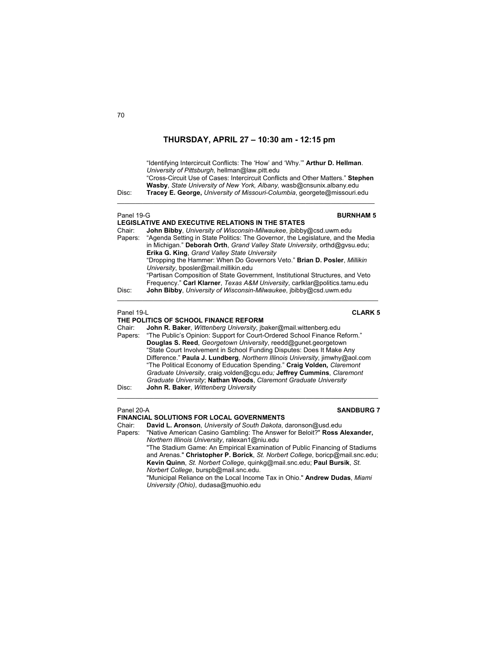"Identifying Intercircuit Conflicts: The 'How' and 'Why.'" **Arthur D. Hellman**. *University of Pittsburgh,* hellman@law.pitt.edu "Cross-Circuit Use of Cases: Intercircuit Conflicts and Other Matters." **Stephen Wasby**, *State University of New York, Albany,* wasb@cnsunix.albany.edu Disc: **Tracey E. George,** *University of Missouri-Columbia*, georgete@missouri.edu  $\mathcal{L}_\text{max}$  , and the set of the set of the set of the set of the set of the set of the set of the set of the set of Panel 19-G **BURNHAM 5 LEGISLATIVE AND EXECUTIVE RELATIONS IN THE STATES** Chair: **John Bibby**, *University of Wisconsin-Milwaukee*, jbibby@csd.uwm.edu Papers: "Agenda Setting in State Politics: The Governor, the Legislature, and the Media in Michigan." **Deborah Orth**, *Grand Valley State University*, orthd@gvsu.edu; **Erika G. King**, *Grand Valley State University*  "Dropping the Hammer: When Do Governors Veto." **Brian D. Posler**, *Millikin University*, bposler@mail.millikin.edu "Partisan Composition of State Government, Institutional Structures, and Veto Frequency." **Carl Klarner**, *Texas A&M University*, carlklar@politics.tamu.edu Disc: **John Bibby**, *University of Wisconsin-Milwaukee*, jbibby@csd.uwm.edu  $\_$  , and the set of the set of the set of the set of the set of the set of the set of the set of the set of the set of the set of the set of the set of the set of the set of the set of the set of the set of the set of th Panel 19-L **CLARK 5 THE POLITICS OF SCHOOL FINANCE REFORM**<br>Chair: **John R. Baker** Wittenberg University ib John R. Baker, Wittenberg University, jbaker@mail.wittenberg.edu Papers: "The Public's Opinion: Support for Court-Ordered School Finance Reform." **Douglas S. Reed**, *Georgetown University*, reedd@gunet.georgetown "State Court Involvement in School Funding Disputes: Does It Make Any Difference." **Paula J. Lundberg**, *Northern Illinois University*, jimwhy@aol.com "The Political Economy of Education Spending." **Craig Volden***, Claremont Graduate University*, craig.volden@cgu.edu*;* **Jeffrey Cummins**, *Claremont Graduate University*; **Nathan Woods**, *Claremont Graduate University* Disc: **John R. Baker**, *Wittenberg University*   $\_$  , and the set of the set of the set of the set of the set of the set of the set of the set of the set of the set of the set of the set of the set of the set of the set of the set of the set of the set of the set of th

## Panel 20-A **SANDBURG 7**

**FINANCIAL SOLUTIONS FOR LOCAL GOVERNMENTS**

Chair: **David L. Aronson**, *University of South Dakota*, daronson@usd.edu Papers: "Native American Casino Gambling: The Answer for Beloit?" **Ross Alexander,** *Northern Illinois University*, ralexan1@niu.edu "The Stadium Game: An Empirical Examination of Public Financing of Stadiums and Arenas." **Christopher P. Borick**, *St. Norbert College*, boricp@mail.snc.edu; **Kevin Quinn**, *St. Norbert College*, quinkg@mail.snc.edu; **Paul Bursik**, *St. Norbert College*, burspb@mail.snc.edu.

 "Municipal Reliance on the Local Income Tax in Ohio." **Andrew Dudas**, *Miami University (Ohio)*, dudasa@muohio.edu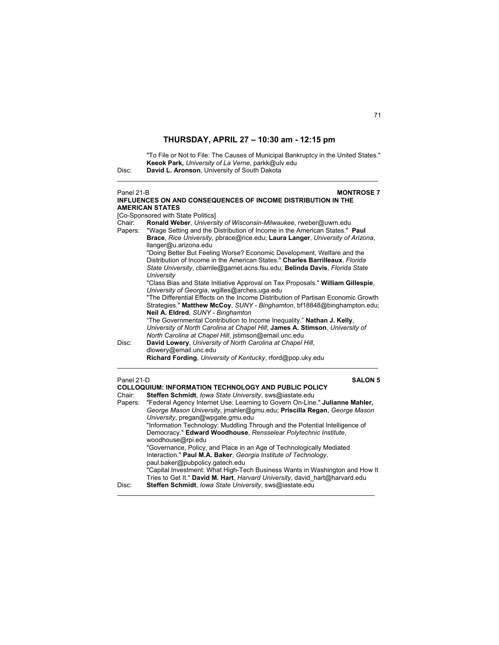"To File or Not to File: The Causes of Municipal Bankruptcy in the United States." **Keeok Park,** *University of La Verne*, parkk@ulv.edu Disc: **David L. Aronson**, University of South Dakota

\_\_\_\_\_\_\_\_\_\_\_\_\_\_\_\_\_\_\_\_\_\_\_\_\_\_\_\_\_\_\_\_\_\_\_\_\_\_\_\_\_\_\_\_\_\_\_\_\_\_\_\_\_\_\_\_\_\_\_\_\_\_\_\_\_\_\_\_\_\_\_\_

| Panel 21-B | <b>MONTROSE 7</b>                                                                                                                                                                                                                                                             |
|------------|-------------------------------------------------------------------------------------------------------------------------------------------------------------------------------------------------------------------------------------------------------------------------------|
|            | INFLUENCES ON AND CONSEQUENCES OF INCOME DISTRIBUTION IN THE                                                                                                                                                                                                                  |
|            | <b>AMERICAN STATES</b>                                                                                                                                                                                                                                                        |
|            | [Co-Sponsored with State Politics]                                                                                                                                                                                                                                            |
| Chair:     | Ronald Weber, University of Wisconsin-Milwaukee, rweber@uwm.edu                                                                                                                                                                                                               |
| Papers:    | "Wage Setting and the Distribution of Income in the American States." Paul<br>Brace, Rice University, pbrace@rice.edu; Laura Langer, University of Arizona,                                                                                                                   |
|            | llanger@u.arizona.edu<br>"Doing Better But Feeling Worse? Economic Development, Welfare and the<br>Distribution of Income in the American States." Charles Barrilleaux, Florida<br>State University, cbarrile@garnet.acns.fsu.edu; Belinda Davis, Florida State<br>University |
|            | "Class Bias and State Initiative Approval on Tax Proposals." William Gillespie,<br>University of Georgia, wgilles@arches.uga.edu                                                                                                                                              |
|            | "The Differential Effects on the Income Distribution of Partisan Economic Growth<br>Strategies." Matthew McCoy, SUNY - Binghamton, bf18848@binghampton.edu;<br>Neil A. Eldred, SUNY - Binghamton                                                                              |
|            | "The Governmental Contribution to Income Inequality." Nathan J. Kelly,<br>University of North Carolina at Chapel Hill; James A. Stimson, University of<br>North Carolina at Chapel Hill, jstimson@email.unc.edu                                                               |
| Disc:      | David Lowery, University of North Carolina at Chapel Hill,<br>dlowery@email.unc.edu                                                                                                                                                                                           |
|            | Richard Fording, University of Kentucky, rford@pop.uky.edu                                                                                                                                                                                                                    |
| Panel 21-D | <b>SALON 5</b>                                                                                                                                                                                                                                                                |
|            | <b>COLLOQUIUM: INFORMATION TECHNOLOGY AND PUBLIC POLICY</b>                                                                                                                                                                                                                   |
| Chair:     | Steffen Schmidt, Iowa State University, sws@iastate.edu                                                                                                                                                                                                                       |
| Papers:    | "Federal Agency Internet Use: Learning to Govern On-Line." Julianne Mahler,<br>George Mason University, imahler@gmu.edu; Priscilla Regan, George Mason<br>University, pregan@wpgate.gmu.edu                                                                                   |
|            | "Information Technology: Muddling Through and the Potential Intelligence of<br>Democracy." Edward Woodhouse, Rensselear Polytechnic Institute,<br>woodhouse@rpi.edu                                                                                                           |
|            | "Governance, Policy, and Place in an Age of Technologically Mediated<br>Interaction." Paul M.A. Baker, Georgia Institute of Technology,                                                                                                                                       |
|            | paul.baker@pubpolicy.gatech.edu                                                                                                                                                                                                                                               |

 "Capital Investment: What High-Tech Business Wants in Washington and How It Tries to Get It." **David M. Hart**, *Harvard University*, david\_hart@harvard.edu

\_\_\_\_\_\_\_\_\_\_\_\_\_\_\_\_\_\_\_\_\_\_\_\_\_\_\_\_\_\_\_\_\_\_\_\_\_\_\_\_\_\_\_\_\_\_\_\_\_\_\_\_\_\_\_\_\_\_\_\_\_\_\_\_\_\_\_\_\_\_\_

Disc: **Steffen Schmidt**, *Iowa State University*, sws@iastate.edu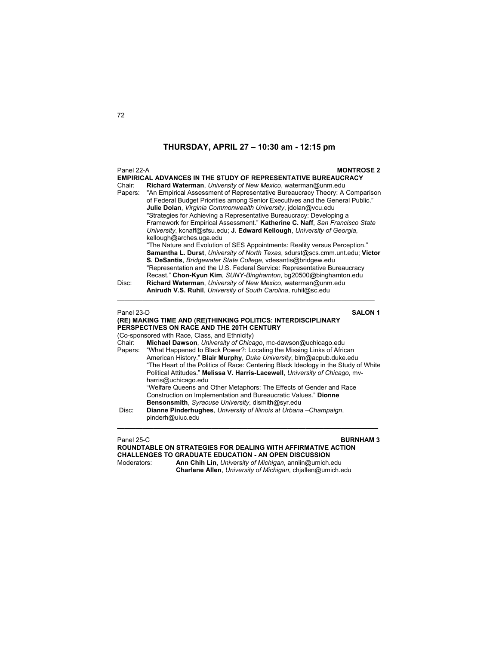|            | Panel 22-A<br><b>MONTROSE 2</b>                                                                                                                            |  |
|------------|------------------------------------------------------------------------------------------------------------------------------------------------------------|--|
| Chair:     | <b>EMPIRICAL ADVANCES IN THE STUDY OF REPRESENTATIVE BUREAUCRACY</b><br>Richard Waterman, University of New Mexico, waterman@unm.edu                       |  |
| Papers:    | "An Empirical Assessment of Representative Bureaucracy Theory: A Comparison                                                                                |  |
|            | of Federal Budget Priorities among Senior Executives and the General Public."                                                                              |  |
|            | Julie Dolan, Virginia Commonwealth University, jdolan@vcu.edu                                                                                              |  |
|            | "Strategies for Achieving a Representative Bureaucracy: Developing a<br>Framework for Empirical Assessment." Katherine C. Naff, San Francisco State        |  |
|            | University, kcnaff@sfsu.edu; J. Edward Kellough, University of Georgia,                                                                                    |  |
|            | kellough@arches.uga.edu                                                                                                                                    |  |
|            | "The Nature and Evolution of SES Appointments: Reality versus Perception."                                                                                 |  |
|            | Samantha L. Durst, University of North Texas, sdurst@scs.cmm.unt.edu; Victor                                                                               |  |
|            | S. DeSantis, Bridgewater State College, vdesantis@bridgew.edu<br>"Representation and the U.S. Federal Service: Representative Bureaucracy                  |  |
|            | Recast." Chon-Kyun Kim, SUNY-Binghamton, bg20500@binghamton.edu                                                                                            |  |
| Disc:      | Richard Waterman, University of New Mexico, waterman@unm.edu                                                                                               |  |
|            | Anirudh V.S. Ruhil, University of South Carolina, ruhil@sc.edu                                                                                             |  |
| Panel 23-D | <b>SALON 1</b>                                                                                                                                             |  |
|            | (RE) MAKING TIME AND (RE)THINKING POLITICS: INTERDISCIPLINARY                                                                                              |  |
|            | PERSPECTIVES ON RACE AND THE 20TH CENTURY                                                                                                                  |  |
|            | (Co-sponsored with Race, Class, and Ethnicity)                                                                                                             |  |
| Chair:     | Michael Dawson, University of Chicago, mc-dawson@uchicago.edu                                                                                              |  |
| Papers:    | "What Happened to Black Power?: Locating the Missing Links of African                                                                                      |  |
|            | American History." Blair Murphy, Duke University, blm@acpub.duke.edu<br>"The Heart of the Politics of Race: Centering Black Ideology in the Study of White |  |
|            | Political Attitudes." Melissa V. Harris-Lacewell, University of Chicago, mv-                                                                               |  |
|            | harris@uchicago.edu                                                                                                                                        |  |
|            | "Welfare Queens and Other Metaphors: The Effects of Gender and Race                                                                                        |  |
|            | Construction on Implementation and Bureaucratic Values." Dionne                                                                                            |  |
| Disc:      | Bensonsmith, Syracuse University, dismith@syr.edu<br>Dianne Pinderhughes, University of Illinois at Urbana - Champaign,                                    |  |
|            | pinderh@uiuc.edu                                                                                                                                           |  |
|            |                                                                                                                                                            |  |
|            |                                                                                                                                                            |  |
| Panel 25-C | <b>BURNHAM3</b><br>ROUNDTABLE ON STRATEGIES FOR DEALING WITH AFFIRMATIVE ACTION                                                                            |  |

**ROUNDTABLE ON STRATEGIES FOR DEALING WITH AFFIRMATIVE ACTION CHALLENGES TO GRADUATE EDUCATION - AN OPEN DISCUSSION** Moderators: **Ann Chih Lin**, *University of Michigan*, annlin@umich.edu **Charlene Allen**, *University of Michigan*, chjallen@umich.edu

 $\mathcal{L}_\mathcal{L} = \{ \mathcal{L}_\mathcal{L} = \{ \mathcal{L}_\mathcal{L} = \{ \mathcal{L}_\mathcal{L} = \{ \mathcal{L}_\mathcal{L} = \{ \mathcal{L}_\mathcal{L} = \{ \mathcal{L}_\mathcal{L} = \{ \mathcal{L}_\mathcal{L} = \{ \mathcal{L}_\mathcal{L} = \{ \mathcal{L}_\mathcal{L} = \{ \mathcal{L}_\mathcal{L} = \{ \mathcal{L}_\mathcal{L} = \{ \mathcal{L}_\mathcal{L} = \{ \mathcal{L}_\mathcal{L} = \{ \mathcal{L}_\mathcal{$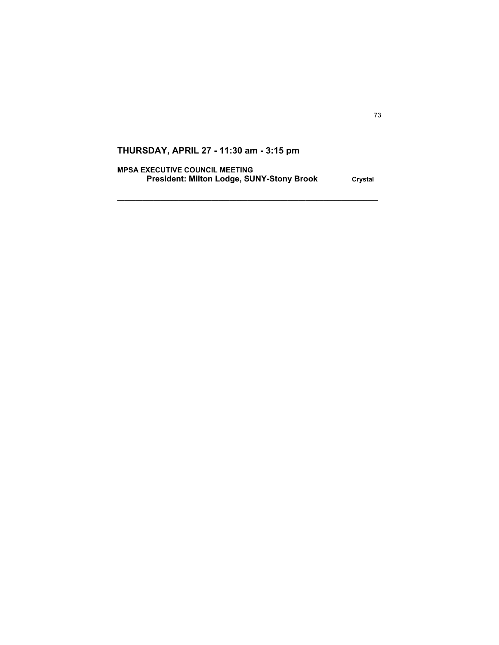**MPSA EXECUTIVE COUNCIL MEETING**  President: Milton Lodge, SUNY-Stony Brook Crystal

 $\mathcal{L}_\text{max}$  , and the set of the set of the set of the set of the set of the set of the set of the set of the set of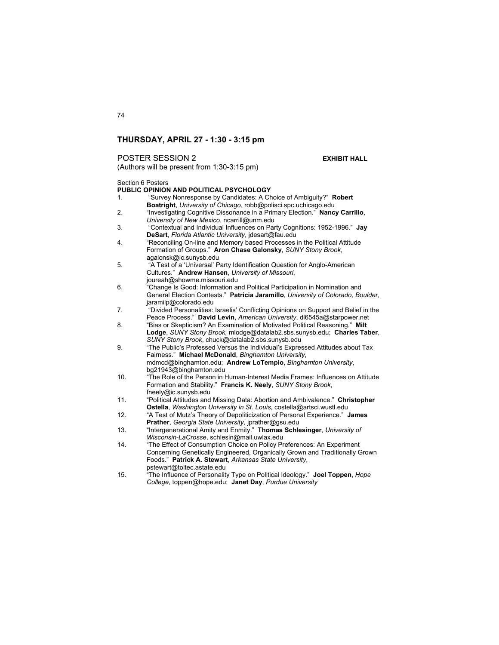## POSTER SESSION 2 **EXHIBIT HALL**

(Authors will be present from 1:30-3:15 pm)

Section 6 Posters

## **PUBLIC OPINION AND POLITICAL PSYCHOLOGY**

- 1. "Survey Nonresponse by Candidates: A Choice of Ambiguity?" **Robert Boatright**, *University of Chicago*, robb@polisci.spc.uchicago.edu
- 2. "Investigating Cognitive Dissonance in a Primary Election." **Nancy Carrillo**, *University of New Mexico*, ncarrill@unm.edu
- 3. "Contextual and Individual Influences on Party Cognitions: 1952-1996." **Jay DeSart**, *Florida Atlantic University*, jdesart@fau.edu
- 4. "Reconciling On-line and Memory based Processes in the Political Attitude Formation of Groups." **Aron Chase Galonsky**, *SUNY Stony Brook*, agalonsk@ic.sunysb.edu
- 5. "A Test of a 'Universal' Party Identification Question for Anglo-American Cultures." **Andrew Hansen**, *University of Missouri*, joureah@showme.missouri.edu
- 6. "Change Is Good: Information and Political Participation in Nomination and General Election Contests." **Patricia Jaramillo**, *University of Colorado, Boulder*, jaramilp@colorado.edu
- 7. "Divided Personalities: Israelis' Conflicting Opinions on Support and Belief in the Peace Process." **David Levin**, *American University*, dl6545a@starpower.net
- 8. "Bias or Skepticism? An Examination of Motivated Political Reasoning." **Milt Lodge**, *SUNY Stony Brook,* mlodge@datalab2.sbs.sunysb.edu; **Charles Taber**, *SUNY Stony Brook*, chuck@datalab2.sbs.sunysb.edu
- 9. "The Public's Professed Versus the Individual's Expressed Attitudes about Tax Fairness." **Michael McDonald**, *Binghamton University*, mdmcd@binghamton.edu; **Andrew LoTempio**, *Binghamton University*, bg21943@binghamton.edu
- 10. "The Role of the Person in Human-Interest Media Frames: Influences on Attitude Formation and Stability." **Francis K. Neely**, *SUNY Stony Brook*, fneely@ic.sunysb.edu
- 11. "Political Attitudes and Missing Data: Abortion and Ambivalence." **Christopher Ostella**, *Washington University in St. Louis*, costella@artsci.wustl.edu
- 12. "A Test of Mutz's Theory of Depoliticization of Personal Experience." **James Prather**, *Georgia State University*, jprather@gsu.edu
- 13. "Intergenerational Amity and Enmity." **Thomas Schlesinger**, *University of Wisconsin-LaCrosse*, schlesin@mail.uwlax.edu
- 14. "The Effect of Consumption Choice on Policy Preferences: An Experiment Concerning Genetically Engineered, Organically Grown and Traditionally Grown Foods." **Patrick A. Stewart**, *Arkansas State University*, pstewart@toltec.astate.edu
- 15. "The Influence of Personality Type on Political Ideology." **Joel Toppen**, *Hope College*, toppen@hope.edu; **Janet Day**, *Purdue University*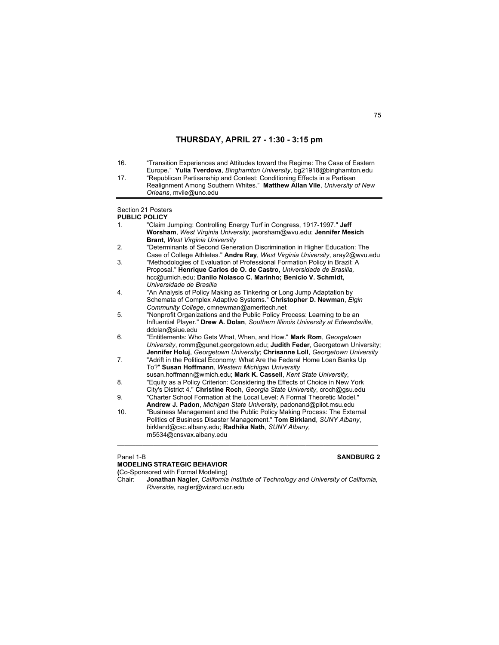16. "Transition Experiences and Attitudes toward the Regime: The Case of Eastern Europe." **Yulia Tverdova**, *Binghamton University*, bg21918@binghamton.edu 17. "Republican Partisanship and Contest: Conditioning Effects in a Partisan Realignment Among Southern Whites." **Matthew Allan Vile**, *University of New Orleans*, mvile@uno.edu Section 21 Posters **PUBLIC POLICY** 1. "Claim Jumping: Controlling Energy Turf in Congress, 1917-1997." **Jeff Worsham**, *West Virginia University*, jworsham@wvu.edu; **Jennifer Mesich Brant**, *West Virginia University* 2. "Determinants of Second Generation Discrimination in Higher Education: The Case of College Athletes." **Andre Ray**, *West Virginia University*, aray2@wvu.edu 3. "Methodologies of Evaluation of Professional Formation Policy in Brazil: A Proposal." **Henrique Carlos de O. de Castro,** *Universidade de Brasilia,* hcc@umich.edu; **Danilo Nolasco C. Marinho; Benicio V. Schmidt,** *Universidade de Brasilia* 4. "An Analysis of Policy Making as Tinkering or Long Jump Adaptation by Schemata of Complex Adaptive Systems." **Christopher D. Newman**, *Elgin Community College*, cmnewman@ameritech.net 5. "Nonprofit Organizations and the Public Policy Process: Learning to be an Influential Player." **Drew A. Dolan**, *Southern Illinois University at Edwardsville*, ddolan@siue.edu 6. "Entitlements: Who Gets What, When, and How." **Mark Rom**, *Georgetown University*, romm@gunet.georgetown.edu; **Judith Feder**, Georgetown University; **Jennifer Holuj**, *Georgetown University*; **Chrisanne Loll**, *Georgetown University* 7. "Adrift in the Political Economy: What Are the Federal Home Loan Banks Up To?" **Susan Hoffmann**, *Western Michigan University* susan.hoffmann@wmich.edu; **Mark K. Cassell**, *Kent State University*, 8. "Equity as a Policy Criterion: Considering the Effects of Choice in New York City's District 4." **Christine Roch**, *Georgia State University*, croch@gsu.edu 9. "Charter School Formation at the Local Level: A Formal Theoretic Model." **Andrew J. Padon**, *Michigan State University*, padonand@pilot.msu.edu 10. "Business Management and the Public Policy Making Process: The External Politics of Business Disaster Management." **Tom Birkland**, *SUNY Albany*, birkland@csc.albany.edu; **Radhika Nath**, *SUNY Albany,* rn5534@cnsvax.albany.edu \_\_\_\_\_\_\_\_\_\_\_\_\_\_\_\_\_\_\_\_\_\_\_\_\_\_\_\_\_\_\_\_\_\_\_\_\_\_\_\_\_\_\_\_\_\_\_\_\_\_\_\_\_\_\_\_\_\_\_\_\_\_\_\_\_\_\_\_\_\_\_\_

Panel 1-B **SANDBURG 2 MODELING STRATEGIC BEHAVIOR (**Co-Sponsored with Formal Modeling) Chair: **Jonathan Nagler,** *California Institute of Technology and University of California, Riverside,* nagler@wizard.ucr.edu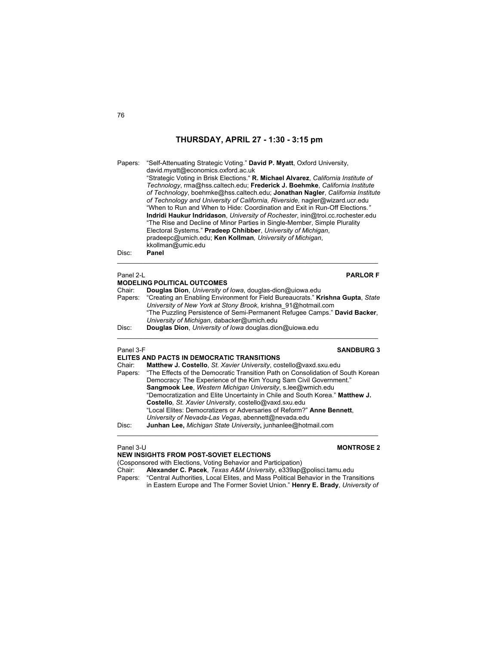Papers: "Self-Attenuating Strategic Voting." **David P. Myatt**, Oxford University, david.myatt@economics.oxford.ac.uk "Strategic Voting in Brisk Elections." **R. Michael Alvarez**, *California Institute of Technology*, rma@hss.caltech.edu; **Frederick J. Boehmke**, *California Institute of Technology*, boehmke@hss.caltech.edu; **Jonathan Nagler**, *California Institute of Technology and University of California, Riverside,* nagler@wizard.ucr.edu "When to Run and When to Hide: Coordination and Exit in Run-Off Elections*."*  **Indridi Haukur Indridason**, *University of Rochester*, inin@troi.cc.rochester.edu "The Rise and Decline of Minor Parties in Single-Member, Simple Plurality Electoral Systems." **Pradeep Chhibber**, *University of Michigan*, pradeepc@umich.edu; **Ken Kollman***, University of Michigan*, kkollman@umic.edu Disc: **Panel** 

\_\_\_\_\_\_\_\_\_\_\_\_\_\_\_\_\_\_\_\_\_\_\_\_\_\_\_\_\_\_\_\_\_\_\_\_\_\_\_\_\_\_\_\_\_\_\_\_\_\_\_\_\_\_\_\_\_\_\_\_\_\_\_\_\_\_\_\_\_\_\_\_

## Panel 2-L **PARLOR F MODELING POLITICAL OUTCOMES**  Chair: **Douglas Dion**, *University of Iowa*, douglas-dion@uiowa.edu Papers: "Creating an Enabling Environment for Field Bureaucrats." **Krishna Gupta**, *State University of New York at Stony Brook*, krishna\_91@hotmail.com "The Puzzling Persistence of Semi-Permanent Refugee Camps." **David Backer**, *University of Michigan*, dabacker@umich.edu Disc: **Douglas Dion**, *University of Iowa* douglas.dion@uiowa.edu  $\mathcal{L}_\mathcal{L} = \{ \mathcal{L}_\mathcal{L} = \{ \mathcal{L}_\mathcal{L} = \{ \mathcal{L}_\mathcal{L} = \{ \mathcal{L}_\mathcal{L} = \{ \mathcal{L}_\mathcal{L} = \{ \mathcal{L}_\mathcal{L} = \{ \mathcal{L}_\mathcal{L} = \{ \mathcal{L}_\mathcal{L} = \{ \mathcal{L}_\mathcal{L} = \{ \mathcal{L}_\mathcal{L} = \{ \mathcal{L}_\mathcal{L} = \{ \mathcal{L}_\mathcal{L} = \{ \mathcal{L}_\mathcal{L} = \{ \mathcal{L}_\mathcal{$ Panel 3-F **SANDBURG 3**

|         | ELITES AND PACTS IN DEMOCRATIC TRANSITIONS                                      |
|---------|---------------------------------------------------------------------------------|
| Chair:  | Matthew J. Costello, St. Xavier University, costello@vaxd.sxu.edu               |
| Papers: | "The Effects of the Democratic Transition Path on Consolidation of South Korean |
|         | Democracy: The Experience of the Kim Young Sam Civil Government."               |
|         | Sangmook Lee, Western Michigan University, s.lee@wmich.edu                      |
|         | "Democratization and Elite Uncertainty in Chile and South Korea." Matthew J.    |
|         | Costello, St. Xavier University, costello@vaxd.sxu.edu                          |
|         | "Local Elites: Democratizers or Adversaries of Reform?" Anne Bennett,           |
|         | University of Nevada-Las Vegas, abennett@nevada.edu                             |
| Disc:   | Junhan Lee, Michigan State University, junhanlee@hotmail.com                    |
|         |                                                                                 |

## Panel 3-U **MONTROSE 2**

**NEW INSIGHTS FROM POST-SOVIET ELECTIONS**  (Cosponsored with Elections, Voting Behavior and Participation)<br>Chair: **Alexander C. Pacek**, Texas A&M University, e339ap Chair: **Alexander C. Pacek**, *Texas A&M University*, e339ap@polisci.tamu.edu "Central Authorities, Local Elites, and Mass Political Behavior in the Transitions in Eastern Europe and The Former Soviet Union." **Henry E. Brady**, *University of*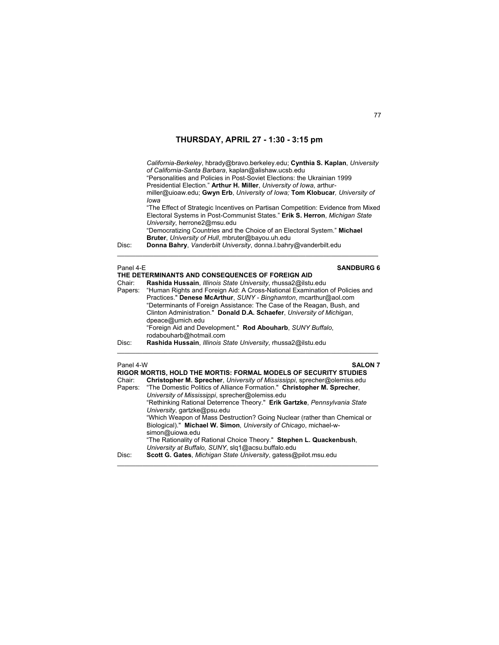*California-Berkeley*, hbrady@bravo.berkeley.edu; **Cynthia S. Kaplan**, *University of California-Santa Barbara*, kaplan@alishaw.ucsb.edu "Personalities and Policies in Post-Soviet Elections: the Ukrainian 1999 Presidential Election." **Arthur H. Miller**, *University of Iowa*, arthurmiller@uioaw.edu; **Gwyn Erb**, *University of Iowa;* **Tom Klobucar***, University of Iowa* "The Effect of Strategic Incentives on Partisan Competition: Evidence from Mixed Electoral Systems in Post-Communist States." **Erik S. Herron**, *Michigan State University*, herrone2@msu.edu "Democratizing Countries and the Choice of an Electoral System." **Michael Bruter**, *University of Hull*, mbruter@bayou.uh.edu Disc: **Donna Bahry**, *Vanderbilt University*, donna.l.bahry@vanderbilt.edu

| Panel 4-E | <b>SANDBURG 6</b>                                                                   |
|-----------|-------------------------------------------------------------------------------------|
|           | THE DETERMINANTS AND CONSEQUENCES OF FOREIGN AID                                    |
| Chair:    | Rashida Hussain, Illinois State University, rhussa2@ilstu.edu                       |
|           | Papers: "Human Rights and Foreign Aid: A Cross-National Examination of Policies and |
|           | Practices." Denese McArthur, SUNY - Binghamton, mcarthur@aol.com                    |
|           | "Determinants of Foreign Assistance: The Case of the Reagan, Bush, and              |
|           | Clinton Administration." Donald D.A. Schaefer, University of Michigan,              |
|           | dpeace@umich.edu                                                                    |
|           | "Foreign Aid and Development." Rod Abouharb, SUNY Buffalo,                          |
|           | rodabouharb@hotmail.com                                                             |
| Disc:     | Rashida Hussain, Illinois State University, rhussa2@ilstu.edu                       |
|           |                                                                                     |

\_\_\_\_\_\_\_\_\_\_\_\_\_\_\_\_\_\_\_\_\_\_\_\_\_\_\_\_\_\_\_\_\_\_\_\_\_\_\_\_\_\_\_\_\_\_\_\_\_\_\_\_\_\_\_\_\_\_\_\_\_\_\_\_\_\_\_\_\_\_\_\_

| Panel 4-W | <b>SALON 7</b><br>RIGOR MORTIS, HOLD THE MORTIS: FORMAL MODELS OF SECURITY STUDIES                                                                                |
|-----------|-------------------------------------------------------------------------------------------------------------------------------------------------------------------|
| Chair:    | Christopher M. Sprecher, University of Mississippi, sprecher@olemiss.edu<br>Papers: "The Domestic Politics of Alliance Formation." Christopher M. Sprecher,       |
|           | University of Mississippi, sprecher@olemiss.edu<br>"Rethinking Rational Deterrence Theory." Erik Gartzke, Pennsylvania State<br>University, gartzke@psu.edu       |
|           | "Which Weapon of Mass Destruction? Going Nuclear (rather than Chemical or<br>Biological)." Michael W. Simon, University of Chicago, michael-w-<br>simon@uiowa.edu |
|           | "The Rationality of Rational Choice Theory." Stephen L. Quackenbush,<br>University at Buffalo, SUNY, slg1@acsu.buffalo.edu                                        |
| Disc:     | Scott G. Gates, Michigan State University, gatess@pilot.msu.edu                                                                                                   |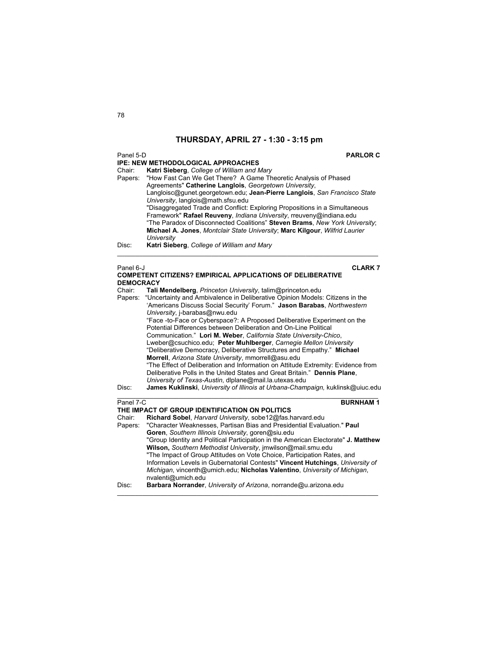## Panel 5-D **PARLOR C IPE: NEW METHODOLOGICAL APPROACHES** Chair: **Katri Sieberg**, *College of William and Mary* Papers: "How Fast Can We Get There? A Game Theoretic Analysis of Phased Agreements" **Catherine Langlois**, *Georgetown University*, Langloisc@gunet.georgetown.edu; **Jean-Pierre Langlois**, *San Francisco State University*, langlois@math.sfsu.edu "Disaggregated Trade and Conflict: Exploring Propositions in a Simultaneous Framework" **Rafael Reuveny**, *Indiana University*, rreuveny@indiana.edu "The Paradox of Disconnected Coalitions" **Steven Brams**, *New York University*; **Michael A. Jones**, *Montclair State University*; **Marc Kilgour**, *Wilfrid Laurier University* Disc: **Katri Sieberg**, *College of William and Mary*  $\mathcal{L}_\mathcal{L} = \{ \mathcal{L}_\mathcal{L} = \{ \mathcal{L}_\mathcal{L} = \{ \mathcal{L}_\mathcal{L} = \{ \mathcal{L}_\mathcal{L} = \{ \mathcal{L}_\mathcal{L} = \{ \mathcal{L}_\mathcal{L} = \{ \mathcal{L}_\mathcal{L} = \{ \mathcal{L}_\mathcal{L} = \{ \mathcal{L}_\mathcal{L} = \{ \mathcal{L}_\mathcal{L} = \{ \mathcal{L}_\mathcal{L} = \{ \mathcal{L}_\mathcal{L} = \{ \mathcal{L}_\mathcal{L} = \{ \mathcal{L}_\mathcal{$ Panel 6-J **CLARK 7 COMPETENT CITIZENS? EMPIRICAL APPLICATIONS OF DELIBERATIVE DEMOCRACY** Chair: **Tali Mendelberg**, *Princeton University*, talim@princeton.edu Papers: "Uncertainty and Ambivalence in Deliberative Opinion Models: Citizens in the 'Americans Discuss Social Security' Forum." **Jason Barabas**, *Northwestern University*, j-barabas@nwu.edu "Face -to-Face or Cyberspace?: A Proposed Deliberative Experiment on the Potential Differences between Deliberation and On-Line Political Communication." **Lori M. Weber**, *California State University-Chico*, Lweber@csuchico.edu; **Peter Muhlberger**, *Carnegie Mellon University* "Deliberative Democracy, Deliberative Structures and Empathy." **Michael Morrell**, *Arizona State University*, mmorrell@asu.edu "The Effect of Deliberation and Information on Attitude Extremity: Evidence from Deliberative Polls in the United States and Great Britain." **Dennis Plane**, *University of Texas-Austin*, dlplane@mail.la.utexas.edu Disc: **James Kuklinski**, *University of Illinois at Urbana-Champaign,* kuklinsk@uiuc.edu  $\_$  , and the set of the set of the set of the set of the set of the set of the set of the set of the set of the set of the set of the set of the set of the set of the set of the set of the set of the set of the set of th **Panel 7-C BURNHAM 1 THE IMPACT OF GROUP IDENTIFICATION ON POLITICS**<br>Chair: **Richard Sobel**, *Harvard University*, sobe12@fas.h

Richard Sobel, *Harvard University*, sobe12@fas.harvard.edu Papers: "Character Weaknesses, Partisan Bias and Presidential Evaluation." **Paul Goren**, *Southern Illinois University*, goren@siu.edu "Group Identity and Political Participation in the American Electorate" **J. Matthew Wilson,** *Southern Methodist University*, jmwilson@mail.smu.edu "The Impact of Group Attitudes on Vote Choice, Participation Rates, and Information Levels in Gubernatorial Contests" **Vincent Hutchings**, *University of Michigan*, vincenth@umich.edu; **Nicholas Valentino**, *University of Michigan*, nvalenti@umich.edu Disc: **Barbara Norrander**, *University of Arizona*, norrande@u.arizona.edu

\_\_\_\_\_\_\_\_\_\_\_\_\_\_\_\_\_\_\_\_\_\_\_\_\_\_\_\_\_\_\_\_\_\_\_\_\_\_\_\_\_\_\_\_\_\_\_\_\_\_\_\_\_\_\_\_\_\_\_\_\_\_\_\_\_\_\_\_\_\_\_\_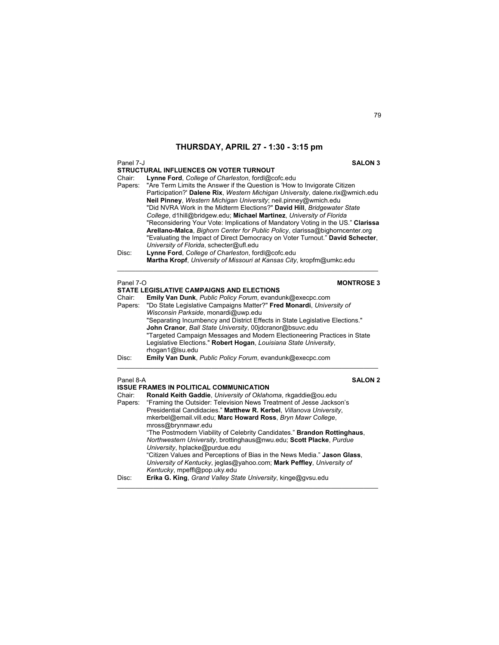| Panel 7-J         | <b>SALON 3</b>                                                                                                                                                                                                                                                                                                                                                                                                                                                                                                                                                                                                                                                                                                                                                                        |
|-------------------|---------------------------------------------------------------------------------------------------------------------------------------------------------------------------------------------------------------------------------------------------------------------------------------------------------------------------------------------------------------------------------------------------------------------------------------------------------------------------------------------------------------------------------------------------------------------------------------------------------------------------------------------------------------------------------------------------------------------------------------------------------------------------------------|
| Chair:<br>Papers: | <b>STRUCTURAL INFLUENCES ON VOTER TURNOUT</b><br>Lynne Ford, College of Charleston, fordl@cofc.edu<br>"Are Term Limits the Answer if the Question is 'How to Invigorate Citizen<br>Participation?' Dalene Rix, Western Michigan University, dalene.rix@wmich.edu<br>Neil Pinney, Western Michigan University; neil.pinney@wmich.edu<br>"Did NVRA Work in the Midterm Elections?" David Hill, Bridgewater State<br>College, d1hill@bridgew.edu; Michael Martinez, University of Florida<br>"Reconsidering Your Vote: Implications of Mandatory Voting in the US." Clarissa<br>Arellano-Malca, Bighorn Center for Public Policy, clarissa@bighorncenter.org<br>"Evaluating the Impact of Direct Democracy on Voter Turnout." David Schecter,<br>University of Florida, schecter@ufl.edu |
| Disc:             | Lynne Ford, College of Charleston, fordl@cofc.edu<br>Martha Kropf, University of Missouri at Kansas City, kropfm@umkc.edu                                                                                                                                                                                                                                                                                                                                                                                                                                                                                                                                                                                                                                                             |
| Panel 7-O         | <b>MONTROSE 3</b>                                                                                                                                                                                                                                                                                                                                                                                                                                                                                                                                                                                                                                                                                                                                                                     |
| Chair:            | <b>STATE LEGISLATIVE CAMPAIGNS AND ELECTIONS</b><br><b>Emily Van Dunk, Public Policy Forum, evandunk@execpc.com</b>                                                                                                                                                                                                                                                                                                                                                                                                                                                                                                                                                                                                                                                                   |
| Papers:           | "Do State Legislative Campaigns Matter?" Fred Monardi, University of                                                                                                                                                                                                                                                                                                                                                                                                                                                                                                                                                                                                                                                                                                                  |
|                   | Wisconsin Parkside, monardi@uwp.edu<br>"Separating Incumbency and District Effects in State Legislative Elections."                                                                                                                                                                                                                                                                                                                                                                                                                                                                                                                                                                                                                                                                   |
|                   | John Cranor, Ball State University, 00jdcranor@bsuvc.edu                                                                                                                                                                                                                                                                                                                                                                                                                                                                                                                                                                                                                                                                                                                              |
|                   | "Targeted Campaign Messages and Modern Electioneering Practices in State                                                                                                                                                                                                                                                                                                                                                                                                                                                                                                                                                                                                                                                                                                              |
|                   | Legislative Elections." Robert Hogan, Louisiana State University,<br>rhogan1@lsu.edu                                                                                                                                                                                                                                                                                                                                                                                                                                                                                                                                                                                                                                                                                                  |
| Disc:             | Emily Van Dunk, Public Policy Forum, evandunk@execpc.com                                                                                                                                                                                                                                                                                                                                                                                                                                                                                                                                                                                                                                                                                                                              |
| Panel 8-A         | <b>SALON 2</b>                                                                                                                                                                                                                                                                                                                                                                                                                                                                                                                                                                                                                                                                                                                                                                        |
| Chair:            | <b>ISSUE FRAMES IN POLITICAL COMMUNICATION</b><br>Ronald Keith Gaddie, University of Oklahoma, rkgaddie@ou.edu                                                                                                                                                                                                                                                                                                                                                                                                                                                                                                                                                                                                                                                                        |
| Papers:           | "Framing the Outsider: Television News Treatment of Jesse Jackson's                                                                                                                                                                                                                                                                                                                                                                                                                                                                                                                                                                                                                                                                                                                   |
|                   | Presidential Candidacies." Matthew R. Kerbel, Villanova University,<br>mkerbel@email.vill.edu; Marc Howard Ross, Bryn Mawr College,                                                                                                                                                                                                                                                                                                                                                                                                                                                                                                                                                                                                                                                   |
|                   | mross@brynmawr.edu<br>"The Postmodern Viability of Celebrity Candidates." Brandon Rottinghaus,                                                                                                                                                                                                                                                                                                                                                                                                                                                                                                                                                                                                                                                                                        |
|                   | Northwestern University, brottinghaus@nwu.edu; Scott Placke, Purdue<br>University, hplacke@purdue.edu                                                                                                                                                                                                                                                                                                                                                                                                                                                                                                                                                                                                                                                                                 |

"Citizen Values and Perceptions of Bias in the News Media." **Jason Glass**, *University of Kentucky*, jeglas@yahoo.com; **Mark Peffley**, *University of Kentucky*, mpeffl@pop.uky.edu

\_\_\_\_\_\_\_\_\_\_\_\_\_\_\_\_\_\_\_\_\_\_\_\_\_\_\_\_\_\_\_\_\_\_\_\_\_\_\_\_\_\_\_\_\_\_\_\_\_\_\_\_\_\_\_\_\_\_\_\_\_\_\_\_\_\_\_\_\_\_\_\_

Disc: **Erika G. King**, *Grand Valley State University*, kinge@gvsu.edu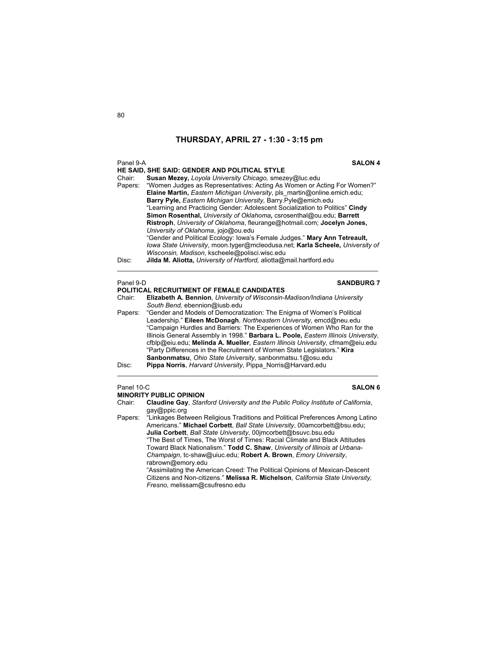| Panel 9-A | <b>SALON 4</b>                                                                  |
|-----------|---------------------------------------------------------------------------------|
|           | HE SAID, SHE SAID: GENDER AND POLITICAL STYLE                                   |
| Chair:    | Susan Mezey, Loyola University Chicago, smezey@luc.edu                          |
|           | Papers: "Women Judges as Representatives: Acting As Women or Acting For Women?" |
|           | Elaine Martin, Eastern Michigan University, pls martin@online.emich.edu;        |
|           | Barry Pyle, Eastern Michigan University, Barry Pyle@emich.edu                   |
|           | "Learning and Practicing Gender: Adolescent Socialization to Politics" Cindy    |
|           | Simon Rosenthal, University of Oklahoma, csrosenthal@ou.edu; Barrett            |
|           | Ristroph, University of Oklahoma, fleurange@hotmail.com; Jocelyn Jones,         |
|           | University of Oklahoma, jojo@ou.edu                                             |
|           | "Gender and Political Ecology: Iowa's Female Judges." Mary Ann Tetreault,       |
|           | lowa State University, moon tyger@mcleodusa.net; Karla Scheele, University of   |
|           | Wisconsin, Madison, kscheele@polisci.wisc.edu                                   |
| Disc:     | Jilda M. Aliotta, University of Hartford, aliotta@mail.hartford.edu             |

## Panel 9-D **SANDBURG 7**

# **POLITICAL RECRUITMENT OF FEMALE CANDIDATES**<br>Chair: **Elizabeth A. Bennion**. University of Wisconsin-

- Elizabeth A. Bennion, *University of Wisconsin-Madison/Indiana University South Bend,* ebennion@iusb.edu
- Papers: "Gender and Models of Democratization: The Enigma of Women's Political Leadership." **Eileen McDonagh**, *Northeastern University*, emcd@neu.edu "Campaign Hurdles and Barriers: The Experiences of Women Who Ran for the Illinois General Assembly in 1998." **Barbara L. Poole,** *Eastern Illinois University*, cfblp@eiu.edu; **Melinda A. Mueller**, *Eastern Illinois University*, cfmam@eiu.edu "Party Differences in the Recruitment of Women State Legislators." **Kira Sanbonmatsu**, *Ohio State University*, sanbonmatsu.1@osu.edu Disc: **Pippa Norris**, *Harvard University*, Pippa\_Norris@Harvard.edu

\_\_\_\_\_\_\_\_\_\_\_\_\_\_\_\_\_\_\_\_\_\_\_\_\_\_\_\_\_\_\_\_\_\_\_\_\_\_\_\_\_\_\_\_\_\_\_\_\_\_\_\_\_\_\_\_\_\_\_\_\_\_\_\_\_\_\_\_\_\_\_\_

## Panel 10-C **SALON 6**

## **MINORITY PUBLIC OPINION**

- Chair: **Claudine Gay**, *Stanford University and the Public Policy Institute of California*, gay@ppic.org
- Papers: "Linkages Between Religious Traditions and Political Preferences Among Latino Americans." **Michael Corbett**, *Ball State University*, 00amcorbett@bsu.edu; **Julia Corbett**, *Ball State University*, 00jmcorbett@bsuvc.bsu.edu "The Best of Times, The Worst of Times: Racial Climate and Black Attitudes Toward Black Nationalism." **Todd C. Shaw**, *University of Illinois at Urbana-Champaign*, tc-shaw@uiuc.edu; **Robert A. Brown**, *Emory University*, rabrown@emory.edu

 "Assimilating the American Creed: The Political Opinions of Mexican-Descent Citizens and Non-citizens." **Melissa R. Michelson**, *California State University, Fresno*, melissam@csufresno.edu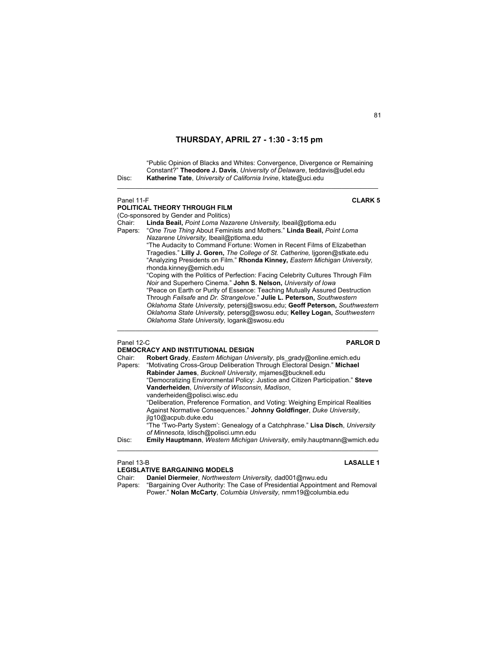"Public Opinion of Blacks and Whites: Convergence, Divergence or Remaining Constant?" **Theodore J. Davis**, *University of Delaware*, teddavis@udel.edu Disc: **Katherine Tate**, *University of California Irvine*, ktate@uci.edu

 $\mathcal{L}_\text{max}$  , and the set of the set of the set of the set of the set of the set of the set of the set of the set of

## Panel 11-F **CLARK 5 POLITICAL THEORY THROUGH FILM**  (Co-sponsored by Gender and Politics) Chair: **Linda Beail,** *Point Loma Nazarene University,* lbeail@ptloma.edu Papers: "*One True Thing* About Feminists and Mothers." **Linda Beail,** *Point Loma Nazarene University,* lbeail@ptloma.edu "The Audacity to Command Fortune: Women in Recent Films of Elizabethan Tragedies." **Lilly J. Goren,** *The College of St. Catherine,* ljgoren@stkate.edu "Analyzing Presidents on Film." **Rhonda Kinney,** *Eastern Michigan University,* rhonda.kinney@emich.edu "Coping with the Politics of Perfection: Facing Celebrity Cultures Through Film *Noir* and Superhero Cinema." **John S. Nelson,** *University of Iowa* "Peace on Earth or Purity of Essence: Teaching Mutually Assured Destruction Through *Failsafe* and *Dr. Strangelove*." **Julie L. Peterson,** *Southwestern Oklahoma State University,* petersj@swosu.edu; **Geoff Peterson,** *Southwestern Oklahoma State University,* petersg@swosu.edu; **Kelley Logan,** *Southwestern Oklahoma State University,* logank@swosu.edu

 $\mathcal{L}_\text{max}$  , and the set of the set of the set of the set of the set of the set of the set of the set of the set of

## Panel 12-C **PARLOR D**

|         | DEMOCRACY AND INSTITUTIONAL DESIGN                                             |
|---------|--------------------------------------------------------------------------------|
| Chair:  | Robert Grady, Eastern Michigan University, pls_grady@online.emich.edu          |
| Papers: | "Motivating Cross-Group Deliberation Through Electoral Design." Michael        |
|         | Rabinder James, Bucknell University, mjames@bucknell.edu                       |
|         | "Democratizing Environmental Policy: Justice and Citizen Participation." Steve |
|         | Vanderheiden, University of Wisconsin, Madison,                                |
|         | vanderheiden@polisci.wisc.edu                                                  |
|         | "Deliberation, Preference Formation, and Voting: Weighing Empirical Realities  |
|         | Against Normative Consequences." Johnny Goldfinger, Duke University,           |
|         | ilg10@acpub.duke.edu                                                           |
|         | "The 'Two-Party System': Genealogy of a Catchphrase." Lisa Disch, University   |
|         | of Minnesota, Idisch@polisci.umn.edu                                           |
| Disc:   | Emily Hauptmann, Western Michigan University, emily hauptmann@wmich.edu        |
|         |                                                                                |

# **LEGISLATIVE BARGAINING MODELS**

## Panel 13-B **LASALLE 1**

Chair: **Daniel Diermeier**, *Northwestern University,* dad001@nwu.edu

Papers: "Bargaining Over Authority: The Case of Presidential Appointment and Removal Power." **Nolan McCarty**, *Columbia University,* nmm19@columbia.edu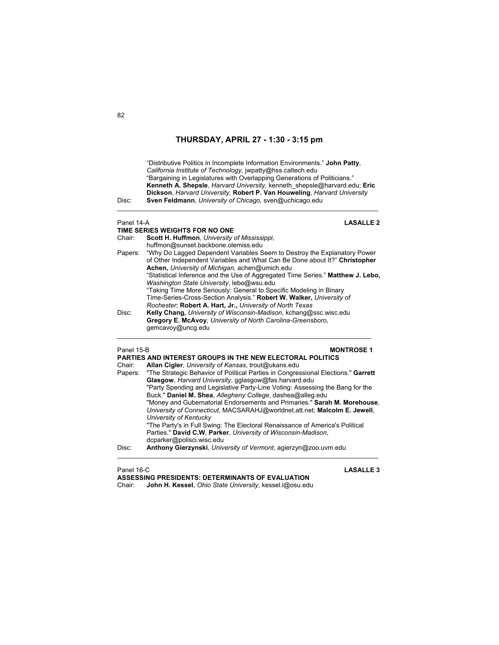

- dcparker@polisci.wisc.edu
- Disc: **Anthony Gierzynski**, *University of Vermont*, agierzyn@zoo.uvm.edu

 $\_$  , and the set of the set of the set of the set of the set of the set of the set of the set of the set of the set of the set of the set of the set of the set of the set of the set of the set of the set of the set of th

**ASSESSING PRESIDENTS: DETERMINANTS OF EVALUATION**  Chair: **John H. Kessel**, *Ohio State University*, kessel.l@osu.edu

Panel 16-C **LASALLE 3**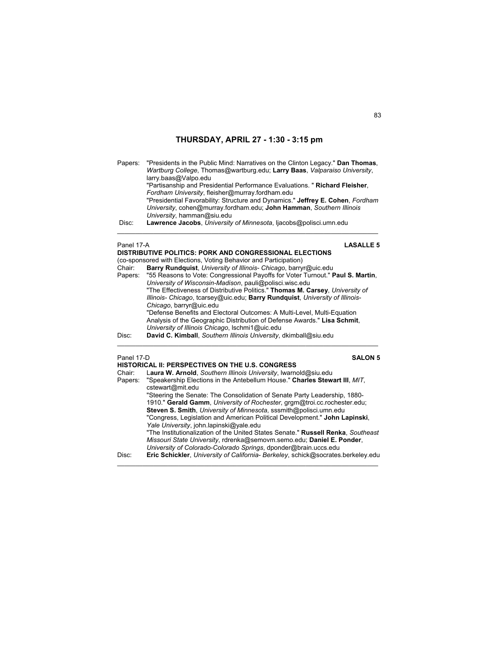Papers: "Presidents in the Public Mind: Narratives on the Clinton Legacy." **Dan Thomas**, *Wartburg College*, Thomas@wartburg.edu; **Larry Baas**, *Valparaiso University*, larry.baas@Valpo.edu "Partisanship and Presidential Performance Evaluations. " **Richard Fleisher**, *Fordham University*, fleisher@murray.fordham.edu "Presidential Favorability: Structure and Dynamics." **Jeffrey E. Cohen**, *Fordham University*, cohen@murray.fordham.edu; **John Hamman**, *Southern Illinois University*, hamman@siu.edu Disc: **Lawrence Jacobs**, *University of Minnesota*, ljacobs@polisci.umn.edu  $\_$  , and the set of the set of the set of the set of the set of the set of the set of the set of the set of the set of the set of the set of the set of the set of the set of the set of the set of the set of the set of th

# **DISTRIBUTIVE POLITICS: PORK AND CONGRESSIONAL ELECTIONS**

Panel 17-A **LASALLE 5**

|        | (co-sponsored with Elections, Voting Behavior and Participation)                       |
|--------|----------------------------------------------------------------------------------------|
| Chair: | Barry Rundquist, University of Illinois- Chicago, barryr@uic.edu                       |
|        | Papers: "55 Reasons to Vote: Congressional Payoffs for Voter Turnout." Paul S. Martin, |
|        | University of Wisconsin-Madison, pauli@polisci.wisc.edu                                |
|        | "The Effectiveness of Distributive Politics." Thomas M. Carsey, University of          |
|        | Illinois- Chicago, tcarsey@uic.edu; Barry Rundquist, University of Illinois-           |
|        | Chicago, barryr@uic.edu                                                                |
|        | "Defense Benefits and Electoral Outcomes: A Multi-Level, Multi-Equation                |
|        | Analysis of the Geographic Distribution of Defense Awards." Lisa Schmit.               |
|        | University of Illinois Chicago, Ischmi1@uic.edu                                        |
| Disc:  | David C. Kimball, Southern Illinois University, dkimball@siu.edu                       |
|        |                                                                                        |
|        |                                                                                        |

Panel 17-D **SALON 5** 

| Chair:<br>Papers: | HISTORICAL II: PERSPECTIVES ON THE U.S. CONGRESS<br>Laura W. Arnold, Southern Illinois University, Iwarnold@siu.edu<br>"Speakership Elections in the Antebellum House." Charles Stewart III, MIT. |
|-------------------|---------------------------------------------------------------------------------------------------------------------------------------------------------------------------------------------------|
|                   | cstewart@mit.edu                                                                                                                                                                                  |
|                   | "Steering the Senate: The Consolidation of Senate Party Leadership, 1880-                                                                                                                         |
|                   | 1910." Gerald Gamm, University of Rochester, grgm@troi.cc.rochester.edu;                                                                                                                          |
|                   | Steven S. Smith, University of Minnesota, sssmith@polisci.umn.edu<br>"Congress, Legislation and American Political Development." John Lapinski,                                                   |
|                   | Yale University, john.lapinski@yale.edu                                                                                                                                                           |
|                   | "The Institutionalization of the United States Senate." Russell Renka, Southeast                                                                                                                  |
|                   | Missouri State University, rdrenka@semovm.semo.edu; Daniel E. Ponder,<br>University of Colorado-Colorado Springs, dponder@brain.uccs.edu                                                          |
| Disc:             | Eric Schickler, University of California-Berkeley, schick@socrates.berkeley.edu                                                                                                                   |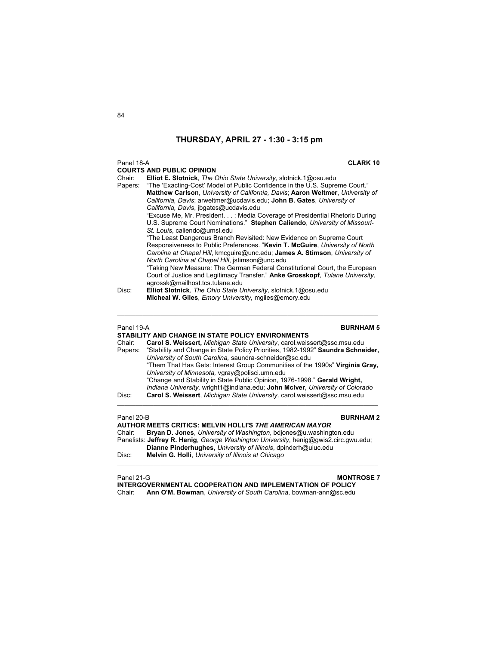## Panel 18-A **CLARK 10**

|            | <b>COURTS AND PUBLIC OPINION</b>                                                                                                                                                                                                                                   |
|------------|--------------------------------------------------------------------------------------------------------------------------------------------------------------------------------------------------------------------------------------------------------------------|
| Chair:     | Elliot E. Slotnick, The Ohio State University, slotnick.1@osu.edu                                                                                                                                                                                                  |
| Papers:    | "The 'Exacting-Cost' Model of Public Confidence in the U.S. Supreme Court."<br>Matthew Carlson, University of California, Davis; Aaron Weltmer, University of                                                                                                      |
|            | California, Davis; arweltmer@ucdavis.edu; John B. Gates, University of                                                                                                                                                                                             |
|            | California, Davis, ibgates@ucdavis.edu<br>"Excuse Me, Mr. President. : Media Coverage of Presidential Rhetoric During                                                                                                                                              |
|            | U.S. Supreme Court Nominations." Stephen Caliendo, University of Missouri-                                                                                                                                                                                         |
|            | St. Louis, caliendo@umsl.edu<br>"The Least Dangerous Branch Revisited: New Evidence on Supreme Court<br>Responsiveness to Public Preferences. "Kevin T. McGuire, University of North<br>Carolina at Chapel Hill, kmcguire@unc.edu; James A. Stimson, University of |
|            | North Carolina at Chapel Hill, jstimson@unc.edu                                                                                                                                                                                                                    |
|            | "Taking New Measure: The German Federal Constitutional Court, the European                                                                                                                                                                                         |
|            | Court of Justice and Legitimacy Transfer." Anke Grosskopf, Tulane University,<br>agrossk@mailhost.tcs.tulane.edu                                                                                                                                                   |
| Disc:      | Elliot Slotnick, The Ohio State University, slotnick.1@osu.edu                                                                                                                                                                                                     |
|            | Micheal W. Giles, Emory University, mgiles@emory.edu                                                                                                                                                                                                               |
| Panel 19-A | <b>BURNHAM 5</b>                                                                                                                                                                                                                                                   |
|            | STABILITY AND CHANGE IN STATE POLICY ENVIRONMENTS                                                                                                                                                                                                                  |
| Chair:     | Carol S. Weissert, Michigan State University, carol weissert@ssc.msu.edu                                                                                                                                                                                           |
| Papers:    | "Stability and Change in State Policy Priorities, 1982-1992" Saundra Schneider,                                                                                                                                                                                    |
|            | University of South Carolina, saundra-schneider@sc.edu                                                                                                                                                                                                             |
|            | "Them That Has Gets: Interest Group Communities of the 1990s" Virginia Gray,                                                                                                                                                                                       |
|            | University of Minnesota, vgray@polisci.umn.edu                                                                                                                                                                                                                     |

 "Change and Stability in State Public Opinion, 1976-1998." **Gerald Wright,** *Indiana University,* wright1@indiana.edu; **John McIver,** *University of Colorado* Disc: **Carol S. Weissert**, *Michigan State University,* carol.weissert@ssc.msu.edu

Panel 20-B **BURNHAM 2** 

**AUTHOR MEETS CRITICS: MELVIN HOLLI'S** *THE AMERICAN MAYOR* Chair: **Bryan D. Jones**, *University of Washington*, bdjones@u.washington.edu Panelists: **Jeffrey R. Henig**, *George Washington University*, henig@gwis2.circ.gwu.edu; **Dianne Pinderhughes**, *University of Illinois*, dpinderh@uiuc.edu Disc: **Melvin G. Holli**, *University of Illinois at Chicago*   $\mathcal{L}_\mathcal{L} = \{ \mathcal{L}_\mathcal{L} = \{ \mathcal{L}_\mathcal{L} = \{ \mathcal{L}_\mathcal{L} = \{ \mathcal{L}_\mathcal{L} = \{ \mathcal{L}_\mathcal{L} = \{ \mathcal{L}_\mathcal{L} = \{ \mathcal{L}_\mathcal{L} = \{ \mathcal{L}_\mathcal{L} = \{ \mathcal{L}_\mathcal{L} = \{ \mathcal{L}_\mathcal{L} = \{ \mathcal{L}_\mathcal{L} = \{ \mathcal{L}_\mathcal{L} = \{ \mathcal{L}_\mathcal{L} = \{ \mathcal{L}_\mathcal{$ 

Panel 21-G **MONTROSE 7**

**INTERGOVERNMENTAL COOPERATION AND IMPLEMENTATION OF POLICY** Chair: **Ann O'M. Bowman**, *University of South Carolina*, bowman-ann@sc.edu

\_\_\_\_\_\_\_\_\_\_\_\_\_\_\_\_\_\_\_\_\_\_\_\_\_\_\_\_\_\_\_\_\_\_\_\_\_\_\_\_\_\_\_\_\_\_\_\_\_\_\_\_\_\_\_\_\_\_\_\_\_\_\_\_\_\_\_\_\_\_\_\_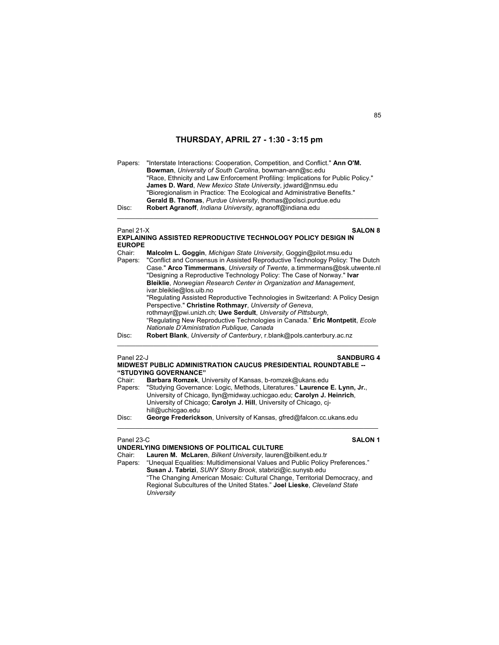Papers: "Interstate Interactions: Cooperation, Competition, and Conflict." **Ann O'M. Bowman**, *University of South Carolina*, bowman-ann@sc.edu "Race, Ethnicity and Law Enforcement Profiling: Implications for Public Policy." **James D. Ward**, *New Mexico State University*, jdward@nmsu.edu "Bioregionalism in Practice: The Ecological and Administrative Benefits." **Gerald B. Thomas**, *Purdue University*, thomas@polsci.purdue.edu Disc: **Robert Agranoff**, *Indiana University*, agranoff@indiana.edu

## Panel 21-X **SALON 8**

| <b>EXPLAINING ASSISTED REPRODUCTIVE TECHNOLOGY POLICY DESIGN IN</b> |  |
|---------------------------------------------------------------------|--|
| <b>EUROPE</b>                                                       |  |

 $\mathcal{L}_\text{max}$  , and the set of the set of the set of the set of the set of the set of the set of the set of the set of

| Chair:  | Malcolm L. Goggin, Michigan State University, Goggin@pilot.msu.edu             |
|---------|--------------------------------------------------------------------------------|
| Papers: | "Conflict and Consensus in Assisted Reproductive Technology Policy: The Dutch  |
|         | Case." Arco Timmermans, University of Twente, a.timmermans@bsk.utwente.nl      |
|         | "Designing a Reproductive Technology Policy: The Case of Norway." Ivar         |
|         | <b>Bleiklie, Norwegian Research Center in Organization and Management,</b>     |
|         | ivar bleiklie@los.uib.no                                                       |
|         | "Regulating Assisted Reproductive Technologies in Switzerland: A Policy Design |
|         | Perspective." Christine Rothmayr, University of Geneva,                        |
|         | rothmayr@pwi.unizh.ch; Uwe Serdult, University of Pittsburgh,                  |
|         | "Regulating New Reproductive Technologies in Canada." Eric Montpetit, Ecole    |
|         | Nationale D'Aministration Publique, Canada                                     |
| Disc:   | Robert Blank, University of Canterbury, r.blank@pols.canterbury.ac.nz          |

 $\mathcal{L}_\text{max}$  , and the set of the set of the set of the set of the set of the set of the set of the set of the set of

## Panel 22-J **SANDBURG 4 MIDWEST PUBLIC ADMINISTRATION CAUCUS PRESIDENTIAL ROUNDTABLE --**

|         | "STUDYING GOVERNANCE"                                                      |
|---------|----------------------------------------------------------------------------|
| Chair:  | Barbara Romzek, University of Kansas, b-romzek@ukans.edu                   |
| Papers: | "Studying Governance: Logic, Methods, Literatures." Laurence E. Lynn, Jr., |
|         | University of Chicago, Ilyn@midway.uchicgao.edu; Carolyn J. Heinrich,      |
|         | University of Chicago; Carolyn J. Hill, University of Chicago, ci-         |
|         | hill@uchicgao.edu                                                          |
| Disc:   | George Frederickson, University of Kansas, gfred@falcon.cc.ukans.edu       |

## Panel 23-C **SALON 1**

## **UNDERLYING DIMENSIONS OF POLITICAL CULTURE**

Chair: **Lauren M. McLaren**, *Bilkent University*, lauren@bilkent.edu.tr Papers: "Unequal Equalities: Multidimensional Values and Public Policy Preferences." **Susan J. Tabrizi**, *SUNY Stony Brook*, stabrizi@ic.sunysb.edu "The Changing American Mosaic: Cultural Change, Territorial Democracy, and Regional Subcultures of the United States." **Joel Lieske**, *Cleveland State University*

 $\mathcal{L}_\text{max}$  , and the set of the set of the set of the set of the set of the set of the set of the set of the set of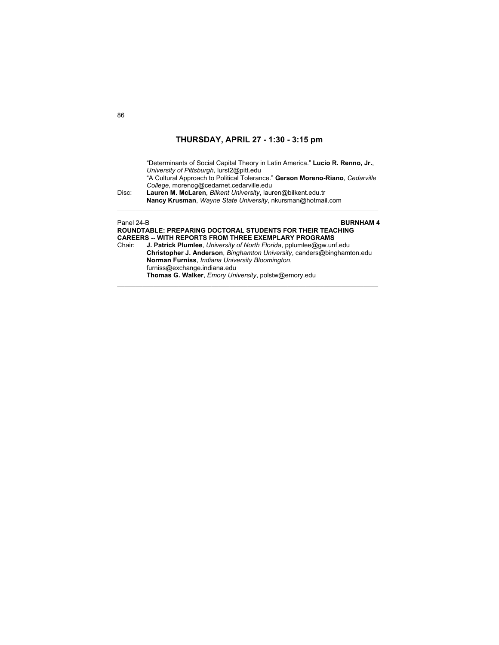"Determinants of Social Capital Theory in Latin America." **Lucio R. Renno, Jr.**, *University of Pittsburgh*, lurst2@pitt.edu "A Cultural Approach to Political Tolerance." **Gerson Moreno-Riano**, *Cedarville College*, morenog@cedarnet.cedarville.edu Disc: **Lauren M. McLaren**, *Bilkent University*, lauren@bilkent.edu.tr **Nancy Krusman**, *Wayne State University*, nkursman@hotmail.com \_\_\_\_\_\_\_\_\_\_\_\_\_\_\_\_\_\_\_\_\_\_\_\_\_\_\_\_\_\_\_\_\_\_\_\_\_\_\_\_\_\_\_\_\_\_\_\_\_\_\_\_\_\_\_\_\_\_\_\_\_\_\_\_\_\_\_\_\_\_\_\_

## Panel 24-B **BURNHAM 4 ROUNDTABLE: PREPARING DOCTORAL STUDENTS FOR THEIR TEACHING CAREERS -- WITH REPORTS FROM THREE EXEMPLARY PROGRAMS**<br>Chair: **J. Patrick Plumlee**, *University of North Florida*, pplumlee@qw.uni Chair: **J. Patrick Plumlee**, *University of North Florida*, pplumlee@gw.unf.edu **Christopher J. Anderson**, *Binghamton University*, canders@binghamton.edu **Norman Furniss**, *Indiana University Bloomington*, furniss@exchange.indiana.edu **Thomas G. Walker**, *Emory University*, polstw@emory.edu

 $\mathcal{L}_\text{max}$  , and the set of the set of the set of the set of the set of the set of the set of the set of the set of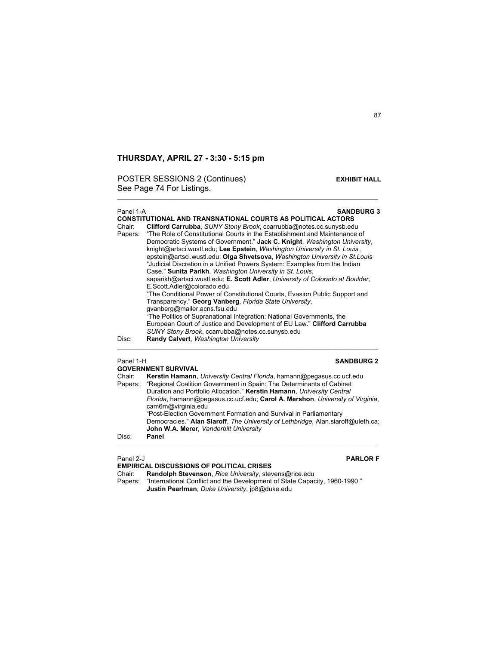POSTER SESSIONS 2 (Continues) **EXHIBIT HALL** See Page 74 For Listings.

## Panel 1-A **SANDBURG 3 CONSTITUTIONAL AND TRANSNATIONAL COURTS AS POLITICAL ACTORS**  Chair: **Clifford Carrubba**, *SUNY Stony Brook*, ccarrubba@notes.cc.sunysb.edu Papers: "The Role of Constitutional Courts in the Establishment and Maintenance of Democratic Systems of Government." **Jack C. Knight**, *Washington University*, knight@artsci.wustl.edu; **Lee Epstein**, *Washington University in St. Louis* , epstein@artsci.wustl.edu; **Olga Shvetsova**, *Washington University in St.Louis* "Judicial Discretion in a Unified Powers System: Examples from the Indian Case." **Sunita Parikh**, *Washington University in St. Louis*, saparikh@artsci.wustl.edu; **E. Scott Adler**, *University of Colorado at Boulder*, E.Scott.Adler@colorado.edu "The Conditional Power of Constitutional Courts, Evasion Public Support and Transparency." **Georg Vanberg**, *Florida State University*, gvanberg@mailer.acns.fsu.edu "The Politics of Supranational Integration: National Governments, the European Court of Justice and Development of EU Law." **Clifford Carrubba**   *SUNY Stony Brook*, ccarrubba@notes.cc.sunysb.edu Disc: **Randy Calvert**, *Washington University* \_\_\_\_\_\_\_\_\_\_\_\_\_\_\_\_\_\_\_\_\_\_\_\_\_\_\_\_\_\_\_\_\_\_\_\_\_\_\_\_\_\_\_\_\_\_\_\_\_\_\_\_\_\_\_\_\_\_\_\_\_\_\_\_\_\_\_\_\_\_\_\_ Panel 1-H **SANDBURG 2 GOVERNMENT SURVIVAL**  Chair: **Kerstin Hamann**, *University Central Florida*, hamann@pegasus.cc.ucf.edu

 $\mathcal{L}_\mathcal{L} = \{ \mathcal{L}_\mathcal{L} = \{ \mathcal{L}_\mathcal{L} = \{ \mathcal{L}_\mathcal{L} = \{ \mathcal{L}_\mathcal{L} = \{ \mathcal{L}_\mathcal{L} = \{ \mathcal{L}_\mathcal{L} = \{ \mathcal{L}_\mathcal{L} = \{ \mathcal{L}_\mathcal{L} = \{ \mathcal{L}_\mathcal{L} = \{ \mathcal{L}_\mathcal{L} = \{ \mathcal{L}_\mathcal{L} = \{ \mathcal{L}_\mathcal{L} = \{ \mathcal{L}_\mathcal{L} = \{ \mathcal{L}_\mathcal{$ 

| Unan.   | <b>INCIBERIII HAMAAMI, ONNOSAY OGNUM NONGA, HAMAAMINGDCQQSUS.CC.UCI.CUQ</b>                                                |
|---------|----------------------------------------------------------------------------------------------------------------------------|
| Papers: | "Regional Coalition Government in Spain: The Determinants of Cabinet                                                       |
|         | Duration and Portfolio Allocation." Kerstin Hamann, University Central                                                     |
|         | Florida, hamann@pegasus.cc.ucf.edu: Carol A. Mershon, University of Virginia.<br>cam6m@virginia.edu                        |
|         | "Post-Election Government Formation and Survival in Parliamentary                                                          |
|         | Democracies." Alan Siaroff, The University of Lethbridge, Alan siaroff@uleth.ca;<br>John W.A. Merer, Vanderbilt University |
| Disc:   | Panel                                                                                                                      |
|         |                                                                                                                            |

# **EMPIRICAL DISCUSSIONS OF POLITICAL CRISES**

Panel 2-J **PARLOR F**

Chair: **Randolph Stevenson**, *Rice University*, stevens@rice.edu Papers: "International Conflict and the Development of State Capacity, 1960-1990."

**Justin Pearlman**, *Duke University*, jp8@duke.edu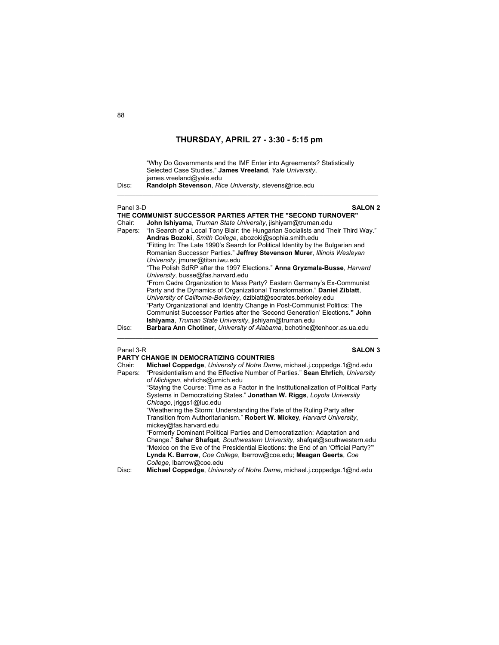"Why Do Governments and the IMF Enter into Agreements? Statistically Selected Case Studies." **James Vreeland**, *Yale University*, james.vreeland@yale.edu Disc: **Randolph Stevenson**, *Rice University*, stevens@rice.edu

\_\_\_\_\_\_\_\_\_\_\_\_\_\_\_\_\_\_\_\_\_\_\_\_\_\_\_\_\_\_\_\_\_\_\_\_\_\_\_\_\_\_\_\_\_\_\_\_\_\_\_\_\_\_\_\_\_\_\_\_\_\_\_\_\_\_\_\_\_\_\_\_

## Panel 3-D **SALON 2**

**THE COMMUNIST SUCCESSOR PARTIES AFTER THE "SECOND TURNOVER"**  Chair: **John Ishiyama**, *Truman State University*, jishiyam@truman.edu Papers: "In Search of a Local Tony Blair: the Hungarian Socialists and Their Third Way." **Andras Bozoki**, *Smith College*, abozoki@sophia.smith.edu "Fitting In: The Late 1990's Search for Political Identity by the Bulgarian and Romanian Successor Parties." **Jeffrey Stevenson Murer**, *Illinois Wesleyan University*, jmurer@titan.iwu.edu "The Polish SdRP after the 1997 Elections." **Anna Gryzmala-Busse**, *Harvard University*, busse@fas.harvard.edu "From Cadre Organization to Mass Party? Eastern Germany's Ex-Communist Party and the Dynamics of Organizational Transformation." **Daniel Ziblatt**, *University of California-Berkeley*, dziblatt@socrates.berkeley.edu "Party Organizational and Identity Change in Post-Communist Politics: The Communist Successor Parties after the 'Second Generation' Elections**." John Ishiyama**, *Truman State University*, jishiyam@truman.edu

Disc: **Barbara Ann Chotiner,** *University of Alabama*, bchotine@tenhoor.as.ua.edu \_\_\_\_\_\_\_\_\_\_\_\_\_\_\_\_\_\_\_\_\_\_\_\_\_\_\_\_\_\_\_\_\_\_\_\_\_\_\_\_\_\_\_\_\_\_\_\_\_\_\_\_\_\_\_\_\_\_\_\_\_\_\_\_\_\_\_\_\_\_\_\_

## Panel 3-R **SALON 3 PARTY CHANGE IN DEMOCRATIZING COUNTRIES**

|         | <u>FANTI VIIANGE IN DEMOVINATIZING GODINITNES</u>                                                                  |
|---------|--------------------------------------------------------------------------------------------------------------------|
| Chair:  | <b>Michael Coppedge</b> , University of Notre Dame, michael.j.coppedge.1@nd.edu                                    |
| Papers: | "Presidentialism and the Effective Number of Parties." Sean Ehrlich, University<br>of Michigan, ehrlichs@umich.edu |
|         |                                                                                                                    |
|         | "Staying the Course: Time as a Factor in the Institutionalization of Political Party                               |
|         | Systems in Democratizing States." Jonathan W. Riggs, Loyola University                                             |
|         | Chicago, jriggs1@luc.edu                                                                                           |
|         | "Weathering the Storm: Understanding the Fate of the Ruling Party after                                            |
|         | Transition from Authoritarianism." Robert W. Mickey, Harvard University,                                           |
|         | mickey@fas.harvard.edu                                                                                             |
|         | "Formerly Dominant Political Parties and Democratization: Adaptation and                                           |
|         | Change." Sahar Shafgat, Southwestern University, shafgat@southwestern.edu                                          |
|         | "Mexico on the Eve of the Presidential Elections: the End of an 'Official Party?""                                 |
|         | Lynda K. Barrow, Coe College, Ibarrow@coe.edu; Meagan Geerts, Coe                                                  |
|         |                                                                                                                    |
|         | College, Ibarrow@coe.edu                                                                                           |
| Disc:   | Michael Coppedge, University of Notre Dame, michael i.coppedge.1@nd.edu                                            |
|         |                                                                                                                    |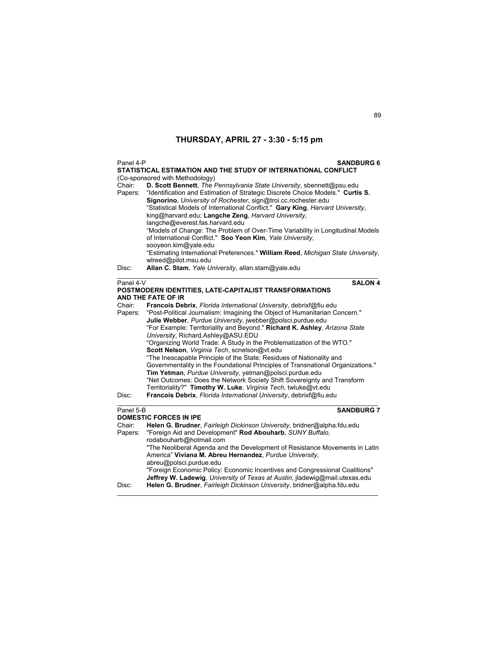| Panel 4-P                               | <b>SANDBURG 6</b><br>STATISTICAL ESTIMATION AND THE STUDY OF INTERNATIONAL CONFLICT                                                                                                                                                                                                                                                                                                                                                                                                                                                                                                                                                                                                                                                                                                                                                                                                                                                                                                                           |
|-----------------------------------------|---------------------------------------------------------------------------------------------------------------------------------------------------------------------------------------------------------------------------------------------------------------------------------------------------------------------------------------------------------------------------------------------------------------------------------------------------------------------------------------------------------------------------------------------------------------------------------------------------------------------------------------------------------------------------------------------------------------------------------------------------------------------------------------------------------------------------------------------------------------------------------------------------------------------------------------------------------------------------------------------------------------|
| Chair:<br>Papers:                       | (Co-sponsored with Methodology)<br>D. Scott Bennett, The Pennsylvania State University, sbennett@psu.edu<br>"Identification and Estimation of Strategic Discrete Choice Models." Curtis S.<br>Signorino, University of Rochester, sign@troi.cc.rochester.edu<br>"Statistical Models of International Conflict." Gary King, Harvard University,<br>king@harvard.edu; Langche Zeng, Harvard University,<br>langche@everest.fas.harvard.edu<br>"Models of Change: The Problem of Over-Time Variability in Longitudinal Models<br>of International Conflict." Soo Yeon Kim, Yale University,<br>sooyeon.kim@yale.edu<br>"Estimating International Preferences." William Reed, Michigan State University,<br>wlreed@pilot.msu.edu                                                                                                                                                                                                                                                                                  |
| Disc:                                   | Allan C. Stam, Yale University, allan.stam@yale.edu                                                                                                                                                                                                                                                                                                                                                                                                                                                                                                                                                                                                                                                                                                                                                                                                                                                                                                                                                           |
| Panel 4-V<br>Chair:<br>Papers:<br>Disc: | <b>SALON 4</b><br>POSTMODERN IDENTITIES, LATE-CAPITALIST TRANSFORMATIONS<br><b>AND THE FATE OF IR</b><br>Francois Debrix, Florida International University, debrixf@fiu.edu<br>"Post-Political Journalism: Imagining the Object of Humanitarian Concern."<br>Julie Webber, Purdue University, jwebber@polsci.purdue.edu<br>"For Example: Territoriality and Beyond." Richard K. Ashley, Arizona State<br>University, Richard.Ashley@ASU.EDU<br>"Organizing World Trade: A Study in the Problematization of the WTO."<br>Scott Nelson, Virginia Tech, scnelson@vt.edu<br>"The Inescapable Principle of the State: Residues of Nationality and<br>Governmentality in the Foundational Principles of Transnational Organizations."<br>Tim Yetman, Purdue University, yetman@polsci.purdue.edu<br>"Net Outcomes: Does the Network Society Shift Sovereignty and Transform<br>Territoriality?" Timothy W. Luke, Virginia Tech, twluke@vt.edu<br>Francois Debrix, Florida International University, debrixf@fiu.edu |
| Panel 5-B<br>Chair:<br>Papers:          | <b>SANDBURG 7</b><br><b>DOMESTIC FORCES IN IPE</b><br>Helen G. Brudner, Fairleigh Dickinson University, bridner@alpha.fdu.edu<br>"Foreign Aid and Development" Rod Abouharb, SUNY Buffalo,<br>rodabouharb@hotmail.com<br>"The Neoliberal Agenda and the Development of Resistance Movements in Latin<br>America" Viviana M. Abreu Hernandez, Purdue University,<br>abreu@polsci.purdue.edu                                                                                                                                                                                                                                                                                                                                                                                                                                                                                                                                                                                                                    |

 "Foreign Economic Policy: Economic Incentives and Congressional Coalitions" **Jeffrey W. Ladewig**, *University of Texas at Austin*, jladewig@mail.utexas.edu

Disc: **Helen G. Brudner**, *Fairleigh Dickinson University*, bridner@alpha.fdu.edu \_\_\_\_\_\_\_\_\_\_\_\_\_\_\_\_\_\_\_\_\_\_\_\_\_\_\_\_\_\_\_\_\_\_\_\_\_\_\_\_\_\_\_\_\_\_\_\_\_\_\_\_\_\_\_\_\_\_\_\_\_\_\_\_\_\_\_\_\_\_\_\_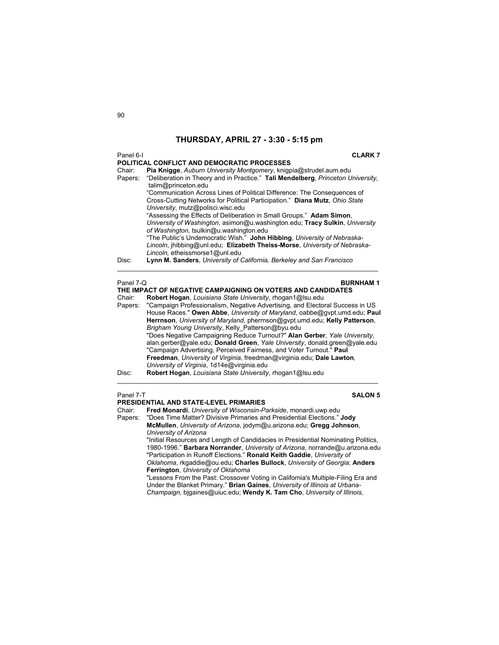## Panel 6-I **CLARK 7 POLITICAL CONFLICT AND DEMOCRATIC PROCESSES** Chair: **Pia Knigge**, *Auburn University Montgomery*, knigpia@strudel.aum.edu Papers: "Deliberation in Theory and in Practice." **Tali Mendelberg**, *Princeton University,* talim@princeton.edu "Communication Across Lines of Political Difference: The Consequences of Cross-Cutting Networks for Political Participation." **Diana Mutz**, *Ohio State University*, mutz@polisci.wisc.edu "Assessing the Effects of Deliberation in Small Groups." **Adam Simon**, *University of Washington*, asimon@u.washington.edu; **Tracy Sulkin**, *University of Washington,* tsulkin@u.washington.edu "The Public's Undemocratic Wish." **John Hibbing**, *University of Nebraska-Lincoln*, jhibbing@unl.edu; **Elizabeth Theiss-Morse**, *University of Nebraska-Lincoln,* etheissmorse1@unl.edu Disc: **Lynn M. Sanders**, *University of California, Berkeley and San Francisco*  $\mathcal{L}_\mathcal{L} = \{ \mathcal{L}_\mathcal{L} = \{ \mathcal{L}_\mathcal{L} = \{ \mathcal{L}_\mathcal{L} = \{ \mathcal{L}_\mathcal{L} = \{ \mathcal{L}_\mathcal{L} = \{ \mathcal{L}_\mathcal{L} = \{ \mathcal{L}_\mathcal{L} = \{ \mathcal{L}_\mathcal{L} = \{ \mathcal{L}_\mathcal{L} = \{ \mathcal{L}_\mathcal{L} = \{ \mathcal{L}_\mathcal{L} = \{ \mathcal{L}_\mathcal{L} = \{ \mathcal{L}_\mathcal{L} = \{ \mathcal{L}_\mathcal{$ Panel 7-Q **BURNHAM 1 THE IMPACT OF NEGATIVE CAMPAIGNING ON VOTERS AND CANDIDATES**

Chair: **Robert Hogan**, *Louisiana State University*, rhogan1@lsu.edu Papers: "Campaign Professionalism, Negative Advertising, and Electoral Success in US House Races." **Owen Abbe**, *University of Maryland*, oabbe@gvpt.umd.edu; **Paul Herrnson**, *University of Maryland*, pherrnson@gvpt.umd.edu; **Kelly Patterson**, *Brigham Young University*, Kelly\_Patterson@byu.edu "Does Negative Campaigning Reduce Turnout?" **Alan Gerber**, *Yale University*, alan.gerber@yale.edu; **Donald Green**, *Yale University*, donald.green@yale.edu "Campaign Advertising, Perceived Fairness, and Voter Turnout." **Paul Freedman**, *University of Virginia*, freedman@virginia.edu; **Dale Lawton***, University of Virginia*, 1d14e@virginia.edu Disc: **Robert Hogan**, *Louisiana State University*, rhogan1@lsu.edu

 $\mathcal{L}_\mathcal{L} = \{ \mathcal{L}_\mathcal{L} = \{ \mathcal{L}_\mathcal{L} = \{ \mathcal{L}_\mathcal{L} = \{ \mathcal{L}_\mathcal{L} = \{ \mathcal{L}_\mathcal{L} = \{ \mathcal{L}_\mathcal{L} = \{ \mathcal{L}_\mathcal{L} = \{ \mathcal{L}_\mathcal{L} = \{ \mathcal{L}_\mathcal{L} = \{ \mathcal{L}_\mathcal{L} = \{ \mathcal{L}_\mathcal{L} = \{ \mathcal{L}_\mathcal{L} = \{ \mathcal{L}_\mathcal{L} = \{ \mathcal{L}_\mathcal{$ 

## **Panel 7-T** SALON 5

## **PRESIDENTIAL AND STATE-LEVEL PRIMARIES**

Chair: **Fred Monardi**, *University of Wisconsin-Parkside*, monardi.uwp.edu

Papers: "Does Time Matter? Divisive Primaries and Presidential Elections." **Jody McMullen**, *University of Arizona*, jodym@u.arizona.edu; **Gregg Johnson**, *University of Arizona*

"Initial Resources and Length of Candidacies in Presidential Nominating Politics, 1980-1996." **Barbara Norrander**, *University of Arizona*, norrande@u.arizona.edu "Participation in Runoff Elections." **Ronald Keith Gaddie**, *University of Oklahoma*, rkgaddie@ou.edu; **Charles Bullock**, *University of Georgia*; **Anders Ferrington**, *University of Oklahoma*

"Lessons From the Past: Crossover Voting in California's Multiple-Filing Era and Under the Blanket Primary." **Brian Gaines**, *University of Illinois at Urbana-Champaign,* bjgaines@uiuc.edu; **Wendy K. Tam Cho**, *University of Illinois*,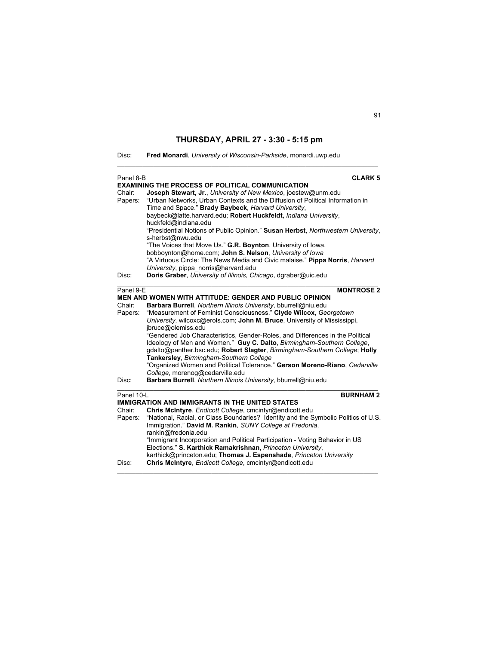$\mathcal{L}_\text{max}$  , and the set of the set of the set of the set of the set of the set of the set of the set of the set of

| Disc: |  | Fred Monardi, University of Wisconsin-Parkside, monardi.uwp.edu |  |
|-------|--|-----------------------------------------------------------------|--|
|-------|--|-----------------------------------------------------------------|--|

| Panel 8-B         | <b>CLARK 5</b><br><b>EXAMINING THE PROCESS OF POLITICAL COMMUNICATION</b>                                                                                                                                                                                                                                                                                                                                                                                                  |
|-------------------|----------------------------------------------------------------------------------------------------------------------------------------------------------------------------------------------------------------------------------------------------------------------------------------------------------------------------------------------------------------------------------------------------------------------------------------------------------------------------|
| Chair:<br>Papers: | Joseph Stewart, Jr., University of New Mexico, joestew@unm.edu<br>"Urban Networks, Urban Contexts and the Diffusion of Political Information in<br>Time and Space." Brady Baybeck, Harvard University,<br>baybeck@latte.harvard.edu; Robert Huckfeldt, Indiana University,<br>huckfeld@indiana.edu<br>"Presidential Notions of Public Opinion." Susan Herbst, Northwestern University,<br>s-herbst@nwu.edu<br>"The Voices that Move Us." G.R. Boynton, University of Iowa, |
|                   | bobboynton@home.com; John S. Nelson, University of lowa<br>"A Virtuous Circle: The News Media and Civic malaise." Pippa Norris, Harvard                                                                                                                                                                                                                                                                                                                                    |
| Disc:             | University, pippa norris@harvard.edu<br>Doris Graber, University of Illinois, Chicago, dgraber@uic.edu                                                                                                                                                                                                                                                                                                                                                                     |
| Panel 9-E         | <b>MONTROSE 2</b>                                                                                                                                                                                                                                                                                                                                                                                                                                                          |
|                   | <b>MEN AND WOMEN WITH ATTITUDE: GENDER AND PUBLIC OPINION</b>                                                                                                                                                                                                                                                                                                                                                                                                              |
| Chair:            | Barbara Burrell, Northern Illinois University, bburrell@niu.edu                                                                                                                                                                                                                                                                                                                                                                                                            |
| Papers:           | "Measurement of Feminist Consciousness." Clyde Wilcox, Georgetown                                                                                                                                                                                                                                                                                                                                                                                                          |
|                   | University, wilcoxc@erols.com; John M. Bruce, University of Mississippi,                                                                                                                                                                                                                                                                                                                                                                                                   |
|                   | jbruce@olemiss.edu                                                                                                                                                                                                                                                                                                                                                                                                                                                         |
|                   | "Gendered Job Characteristics, Gender-Roles, and Differences in the Political                                                                                                                                                                                                                                                                                                                                                                                              |
|                   | Ideology of Men and Women." Guy C. Dalto, Birmingham-Southern College,<br>gdalto@panther.bsc.edu; Robert Slagter, Birmingham-Southern College; Holly                                                                                                                                                                                                                                                                                                                       |
|                   | Tankersley, Birmingham-Southern College                                                                                                                                                                                                                                                                                                                                                                                                                                    |
|                   | "Organized Women and Political Tolerance." Gerson Moreno-Riano, Cedarville                                                                                                                                                                                                                                                                                                                                                                                                 |
|                   | College, morenog@cedarville.edu                                                                                                                                                                                                                                                                                                                                                                                                                                            |
| Disc:             | Barbara Burrell, Northern Illinois University, bburrell@niu.edu                                                                                                                                                                                                                                                                                                                                                                                                            |
| Panel 10-L        | <b>BURNHAM2</b>                                                                                                                                                                                                                                                                                                                                                                                                                                                            |
|                   | <b>IMMIGRATION AND IMMIGRANTS IN THE UNITED STATES</b>                                                                                                                                                                                                                                                                                                                                                                                                                     |
| Chair:            | Chris McIntyre, Endicott College, cmcintyr@endicott.edu                                                                                                                                                                                                                                                                                                                                                                                                                    |
| Papers:           | "National, Racial, or Class Boundaries? Identity and the Symbolic Politics of U.S.<br>Immigration." David M. Rankin, SUNY College at Fredonia,                                                                                                                                                                                                                                                                                                                             |
|                   | rankin@fredonia.edu<br>"Immigrant Incorporation and Political Participation - Voting Behavior in US                                                                                                                                                                                                                                                                                                                                                                        |
|                   | Elections." S. Karthick Ramakrishnan, Princeton University,                                                                                                                                                                                                                                                                                                                                                                                                                |
|                   | karthick@princeton.edu; Thomas J. Espenshade, Princeton University                                                                                                                                                                                                                                                                                                                                                                                                         |
| Disc:             | Chris McIntyre, Endicott College, cmcintyr@endicott.edu                                                                                                                                                                                                                                                                                                                                                                                                                    |
|                   |                                                                                                                                                                                                                                                                                                                                                                                                                                                                            |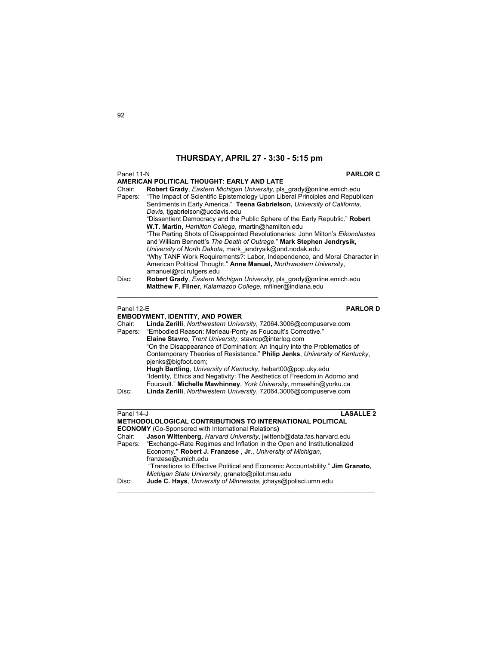| Panel 11-N<br><b>PARLOR C</b><br>AMERICAN POLITICAL THOUGHT: EARLY AND LATE |                                                                                                                                                                                                                                     |  |
|-----------------------------------------------------------------------------|-------------------------------------------------------------------------------------------------------------------------------------------------------------------------------------------------------------------------------------|--|
| Chair:<br>Papers:                                                           | Robert Grady, Eastern Michigan University, pls_grady@online.emich.edu<br>"The Impact of Scientific Epistemology Upon Liberal Principles and Republican<br>Sentiments in Early America." Teena Gabrielson, University of California, |  |
|                                                                             | Davis, tigabrielson@ucdavis.edu<br>"Dissentient Democracy and the Public Sphere of the Early Republic." Robert<br>W.T. Martin, Hamilton College, rmartin@hamilton.edu                                                               |  |
|                                                                             | "The Parting Shots of Disappointed Revolutionaries: John Milton's Eikonolastes<br>and William Bennett's The Death of Outrage." Mark Stephen Jendrysik,                                                                              |  |
|                                                                             | University of North Dakota, mark_jendrysik@und.nodak.edu<br>"Why TANF Work Requirements?: Labor, Independence, and Moral Character in<br>American Political Thought." Anne Manuel, Northwestern University,                         |  |
| Disc:                                                                       | amanuel@rci.rutgers.edu<br>Robert Grady, Eastern Michigan University, pls_grady@online.emich.edu<br>Matthew F. Filner, Kalamazoo College, mfilner@indiana.edu                                                                       |  |
| Panel 12-E                                                                  | <b>PARLORD</b>                                                                                                                                                                                                                      |  |
|                                                                             | <b>EMBODYMENT, IDENTITY, AND POWER</b>                                                                                                                                                                                              |  |
| Chair:<br>Papers:                                                           | Linda Zerilli, Northwestern University, 72064.3006@compuserve.com<br>"Embodied Reason: Merleau-Ponty as Foucault's Corrective."                                                                                                     |  |
|                                                                             | Elaine Stavro, Trent University, stavrop@interlog.com                                                                                                                                                                               |  |
|                                                                             | "On the Disappearance of Domination: An Inquiry into the Problematics of                                                                                                                                                            |  |
|                                                                             | Contemporary Theories of Resistance." Philip Jenks, University of Kentucky,<br>pjenks@bigfoot.com;                                                                                                                                  |  |
|                                                                             | Hugh Bartling, University of Kentucky, hebart00@pop.uky.edu                                                                                                                                                                         |  |
|                                                                             | "Identity, Ethics and Negativity: The Aesthetics of Freedom in Adorno and<br>Foucault." Michelle Mawhinney, York University, mmawhin@yorku.ca                                                                                       |  |
| Disc:                                                                       | Linda Zerilli, Northwestern University, 72064.3006@compuserve.com                                                                                                                                                                   |  |
|                                                                             |                                                                                                                                                                                                                                     |  |
| Panel 14-J                                                                  | <b>LASALLE 2</b>                                                                                                                                                                                                                    |  |
|                                                                             | <b>METHODOLOLOGICAL CONTRIBUTIONS TO INTERNATIONAL POLITICAL</b>                                                                                                                                                                    |  |
|                                                                             | <b>ECONOMY</b> (Co-Sponsored with International Relations)                                                                                                                                                                          |  |
| Chair:<br>Papers:                                                           | Jason Wittenberg, Harvard University, jwittenb@data.fas.harvard.edu<br>"Exchange-Rate Regimes and Inflation in the Open and Institutionalized                                                                                       |  |
|                                                                             | Economy." Robert J. Franzese, Jr., University of Michigan,                                                                                                                                                                          |  |
|                                                                             | franzese@umich.edu                                                                                                                                                                                                                  |  |
|                                                                             | "Transitions to Effective Political and Economic Accountability." Jim Granato,<br>Michigan State University, granato@pilot.msu.edu                                                                                                  |  |
| Disc:                                                                       | Jude C. Hays, University of Minnesota, jchays@polisci.umn.edu                                                                                                                                                                       |  |

\_\_\_\_\_\_\_\_\_\_\_\_\_\_\_\_\_\_\_\_\_\_\_\_\_\_\_\_\_\_\_\_\_\_\_\_\_\_\_\_\_\_\_\_\_\_\_\_\_\_\_\_\_\_\_\_\_\_\_\_\_\_\_\_\_\_\_\_\_\_\_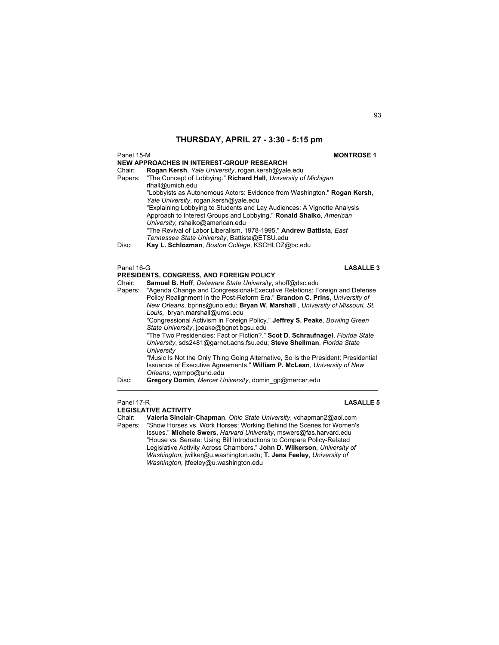## Panel 15-M **MONTROSE 1 NEW APPROACHES IN INTEREST-GROUP RESEARCH** Chair: **Rogan Kersh**, *Yale University*, rogan.kersh@yale.edu Papers: "The Concept of Lobbying." **Richard Hall**, *University of Michigan*, rlhall@umich.edu "Lobbyists as Autonomous Actors: Evidence from Washington." **Rogan Kersh**, *Yale University*, rogan.kersh@yale.edu "Explaining Lobbying to Students and Lay Audiences: A Vignette Analysis Approach to Interest Groups and Lobbying." **Ronald Shaiko**, *American University,* rshaiko@american.edu "The Revival of Labor Liberalism, 1978-1995." **Andrew Battista**, *East Tennessee State University*, Battista@ETSU.edu Disc: **Kay L. Schlozman**, *Boston College*, KSCHLOZ@bc.edu  $\mathcal{L}_\mathcal{L} = \{ \mathcal{L}_\mathcal{L} = \{ \mathcal{L}_\mathcal{L} = \{ \mathcal{L}_\mathcal{L} = \{ \mathcal{L}_\mathcal{L} = \{ \mathcal{L}_\mathcal{L} = \{ \mathcal{L}_\mathcal{L} = \{ \mathcal{L}_\mathcal{L} = \{ \mathcal{L}_\mathcal{L} = \{ \mathcal{L}_\mathcal{L} = \{ \mathcal{L}_\mathcal{L} = \{ \mathcal{L}_\mathcal{L} = \{ \mathcal{L}_\mathcal{L} = \{ \mathcal{L}_\mathcal{L} = \{ \mathcal{L}_\mathcal{$ Panel 16-G **LASALLE 3 PRESIDENTS, CONGRESS, AND FOREIGN POLICY** Chair: **Samuel B. Hoff**, *Delaware State University*, shoff@dsc.edu Papers: "Agenda Change and Congressional-Executive Relations: Foreign and Defense Policy Realignment in the Post-Reform Era." **Brandon C. Prins**, *University of New Orleans*, bprins@uno.edu; **Bryan W. Marshall** , *University of Missouri, St. Louis*, bryan.marshall@umsl.edu

 "Congressional Activism in Foreign Policy." **Jeffrey S. Peake**, *Bowling Green State University*, jpeake@bgnet.bgsu.edu "The Two Presidencies: Fact or Fiction?." **Scot D. Schraufnagel**, *Florida State University*, sds2481@garnet.acns.fsu.edu; **Steve Shellman**, *Florida State University* "Music Is Not the Only Thing Going Alternative, So Is the President: Presidential Issuance of Executive Agreements." **William P. McLean**, *University of New* 

 $\_$  , and the set of the set of the set of the set of the set of the set of the set of the set of the set of the set of the set of the set of the set of the set of the set of the set of the set of the set of the set of th

*Orleans*, wpmpo@uno.edu Disc: **Gregory Domin***, Mercer University*, domin\_gp@mercer.edu

Panel 17-R **LASALLE 5**

**LEGISLATIVE ACTIVITY**  Chair: **Valeria Sinclair-Chapman**, *Ohio State University*, vchapman2@aol.com Papers: "Show Horses vs. Work Horses: Working Behind the Scenes for Women's Issues." **Michele Swers**, *Harvard University*, mswers@fas.harvard.edu "House vs. Senate: Using Bill Introductions to Compare Policy-Related Legislative Activity Across Chambers." **John D. Wilkerson**, *University of Washington*, jwilker@u.washington.edu; **T. Jens Feeley**, *University of Washington*, jtfeeley@u.washington.edu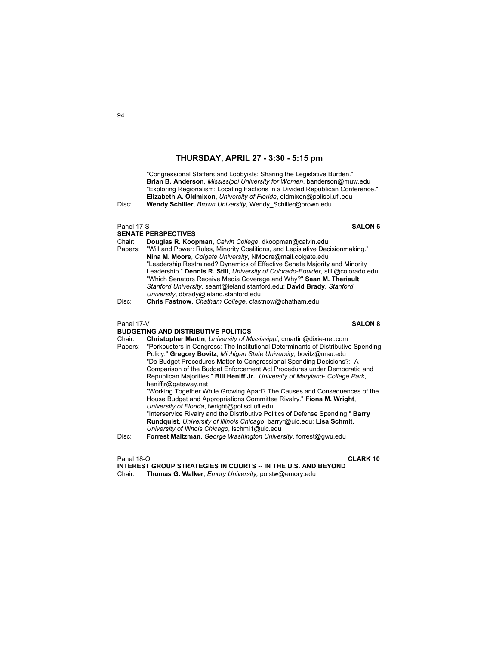$\mathcal{L}_\mathcal{L} = \{ \mathcal{L}_\mathcal{L} = \{ \mathcal{L}_\mathcal{L} = \{ \mathcal{L}_\mathcal{L} = \{ \mathcal{L}_\mathcal{L} = \{ \mathcal{L}_\mathcal{L} = \{ \mathcal{L}_\mathcal{L} = \{ \mathcal{L}_\mathcal{L} = \{ \mathcal{L}_\mathcal{L} = \{ \mathcal{L}_\mathcal{L} = \{ \mathcal{L}_\mathcal{L} = \{ \mathcal{L}_\mathcal{L} = \{ \mathcal{L}_\mathcal{L} = \{ \mathcal{L}_\mathcal{L} = \{ \mathcal{L}_\mathcal{$ 

 "Congressional Staffers and Lobbyists: Sharing the Legislative Burden."  **Brian B. Anderson**, *Mississippi University for Women*, banderson@muw.edu "Exploring Regionalism: Locating Factions in a Divided Republican Conference." **Elizabeth A. Oldmixon**, *University of Florida*, oldmixon@polisci.ufl.edu Disc: **Wendy Schiller**, *Brown University*, Wendy\_Schiller@brown.edu

## Panel 17-S **SALON 6 SENATE PERSPECTIVES**<br>Chair: **Douglas R. Koo**l Chair: **Douglas R. Koopman**, *Calvin College*, dkoopman@calvin.edu Papers: "Will and Power: Rules, Minority Coalitions, and Legislative Decisionmaking." **Nina M. Moore**, *Colgate University*, NMoore@mail.colgate.edu "Leadership Restrained? Dynamics of Effective Senate Majority and Minority Leadership." **Dennis R. Still**, *University of Colorado-Boulder*, still@colorado.edu "Which Senators Receive Media Coverage and Why?" **Sean M. Theriault**, *Stanford University*, seant@leland.stanford.edu; **David Brady**, *Stanford University*, dbrady@leland.stanford.edu Disc: **Chris Fastnow**, *Chatham College*, cfastnow@chatham.edu  $\mathcal{L}_\mathcal{L} = \{ \mathcal{L}_\mathcal{L} = \{ \mathcal{L}_\mathcal{L} = \{ \mathcal{L}_\mathcal{L} = \{ \mathcal{L}_\mathcal{L} = \{ \mathcal{L}_\mathcal{L} = \{ \mathcal{L}_\mathcal{L} = \{ \mathcal{L}_\mathcal{L} = \{ \mathcal{L}_\mathcal{L} = \{ \mathcal{L}_\mathcal{L} = \{ \mathcal{L}_\mathcal{L} = \{ \mathcal{L}_\mathcal{L} = \{ \mathcal{L}_\mathcal{L} = \{ \mathcal{L}_\mathcal{L} = \{ \mathcal{L}_\mathcal{$ Panel 17-V **SALON 8 BUDGETING AND DISTRIBUTIVE POLITICS**  Chair: **Christopher Martin**, *University of Mississippi*, cmartin@dixie-net.com Papers: "Porkbusters in Congress: The Institutional Determinants of Distributive Spending Policy." **Gregory Bovitz**, *Michigan State University*, bovitz@msu.edu "Do Budget Procedures Matter to Congressional Spending Decisions?: A Comparison of the Budget Enforcement Act Procedures under Democratic and Republican Majorities." **Bill Heniff Jr.**, *University of Maryland- College Park*, heniffjr@gateway.net "Working Together While Growing Apart? The Causes and Consequences of the House Budget and Appropriations Committee Rivalry." **Fiona M. Wright**, *University of Florida*, fwright@polisci.ufl.edu "Interservice Rivalry and the Distributive Politics of Defense Spending." **Barry**

**Rundquist**, *University of Illinois Chicago*, barryr@uic.edu; **Lisa Schmit**,

 $\mathcal{L}_\text{max}$  , and the set of the set of the set of the set of the set of the set of the set of the set of the set of

*University of Illinois Chicago*, lschmi1@uic.edu

Disc: **Forrest Maltzman**, *George Washington University*, forrest@gwu.edu

Panel 18-O **CLARK 10**

**INTEREST GROUP STRATEGIES IN COURTS -- IN THE U.S. AND BEYOND** Chair: **Thomas G. Walker**, *Emory University,* polstw@emory.edu

 $Q_{\Delta}$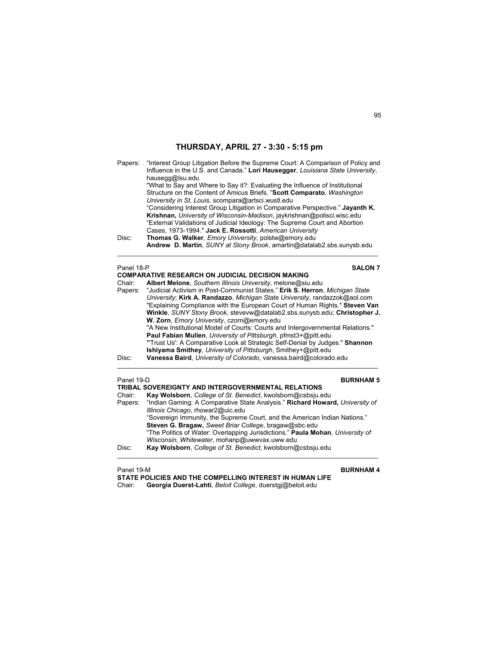| Papers:           | "Interest Group Litigation Before the Supreme Court: A Comparison of Policy and<br>Influence in the U.S. and Canada." Lori Hausegger, Louisiana State University,                                                                                                                                                                                                                                                                                                                                                                       |  |
|-------------------|-----------------------------------------------------------------------------------------------------------------------------------------------------------------------------------------------------------------------------------------------------------------------------------------------------------------------------------------------------------------------------------------------------------------------------------------------------------------------------------------------------------------------------------------|--|
|                   | hausegg@lsu.edu<br>"What to Say and Where to Say it?: Evaluating the Influence of Institutional<br>Structure on the Content of Amicus Briefs. "Scott Comparato, Washington<br>University in St. Louis, scompara@artsci.wustl.edu<br>"Considering Interest Group Litigation in Comparative Perspective." Jayanth K.<br>Krishnan, University of Wisconsin-Madison, jaykrishnan@polisci.wisc.edu<br>"External Validations of Judicial Ideology: The Supreme Court and Abortion<br>Cases, 1973-1994." Jack E. Rossotti, American University |  |
| Disc:             | Thomas G. Walker, Emory University, polstw@emory.edu                                                                                                                                                                                                                                                                                                                                                                                                                                                                                    |  |
|                   | Andrew D. Martin, SUNY at Stony Brook, amartin@datalab2.sbs.sunysb.edu                                                                                                                                                                                                                                                                                                                                                                                                                                                                  |  |
| Panel 18-P        | <b>SALON 7</b>                                                                                                                                                                                                                                                                                                                                                                                                                                                                                                                          |  |
|                   | <b>COMPARATIVE RESEARCH ON JUDICIAL DECISION MAKING</b>                                                                                                                                                                                                                                                                                                                                                                                                                                                                                 |  |
| Chair:<br>Papers: | Albert Melone, Southern Illinois University, melone@siu.edu<br>"Judicial Activism in Post-Communist States." Erik S. Herron, Michigan State                                                                                                                                                                                                                                                                                                                                                                                             |  |
|                   | University; Kirk A. Randazzo, Michigan State University, randazzok@aol.com                                                                                                                                                                                                                                                                                                                                                                                                                                                              |  |
|                   | "Explaining Compliance with the European Court of Human Rights." Steven Van                                                                                                                                                                                                                                                                                                                                                                                                                                                             |  |
|                   | Winkle, SUNY Stony Brook, stevevw@datalab2.sbs.sunysb.edu; Christopher J.<br>W. Zorn, <i>Emory University</i> , czorn@emory.edu                                                                                                                                                                                                                                                                                                                                                                                                         |  |
|                   | "A New Institutional Model of Courts: Courts and Intergovernmental Relations."<br>Paul Fabian Mullen, University of Pittsburgh, pfmst3+@pitt.edu                                                                                                                                                                                                                                                                                                                                                                                        |  |
|                   | "Trust Us': A Comparative Look at Strategic Self-Denial by Judges." Shannon                                                                                                                                                                                                                                                                                                                                                                                                                                                             |  |
|                   | Ishiyama Smithey, University of Pittsburgh, Smithey+@pitt.edu                                                                                                                                                                                                                                                                                                                                                                                                                                                                           |  |
| Disc:             | Vanessa Baird, University of Colorado, vanessa.baird@colorado.edu                                                                                                                                                                                                                                                                                                                                                                                                                                                                       |  |
|                   |                                                                                                                                                                                                                                                                                                                                                                                                                                                                                                                                         |  |
| Panel 19-D        | <b>BURNHAM 5</b>                                                                                                                                                                                                                                                                                                                                                                                                                                                                                                                        |  |

| Fallel 19-D | <b>DURNAMI</b> J                                                               |
|-------------|--------------------------------------------------------------------------------|
|             | <b>TRIBAL SOVEREIGNTY AND INTERGOVERNMENTAL RELATIONS</b>                      |
| Chair:      | Kay Wolsborn, College of St. Benedict, kwolsborn@csbsju.edu                    |
| Papers:     | "Indian Gaming: A Comparative State Analysis." Richard Howard, University of   |
|             | Illinois Chicago, rhowar2@uic.edu                                              |
|             | "Sovereign Immunity, the Supreme Court, and the American Indian Nations."      |
|             | Steven G. Bragaw, Sweet Briar College, bragaw@sbc.edu                          |
|             | "The Politics of Water: Overlapping Jurisdictions." Paula Mohan, University of |
|             | Wisconsin, Whitewater, mohanp@uwwyax.uww.edu                                   |
| Disc:       | Kay Wolsborn, College of St. Benedict, kwolsborn@csbsju.edu                    |
|             |                                                                                |

Panel 19-M **BURNHAM 4**

**STATE POLICIES AND THE COMPELLING INTEREST IN HUMAN LIFE** Chair: **Georgia Duerst-Lahti**, *Beloit College*, duerstgj@beloit.edu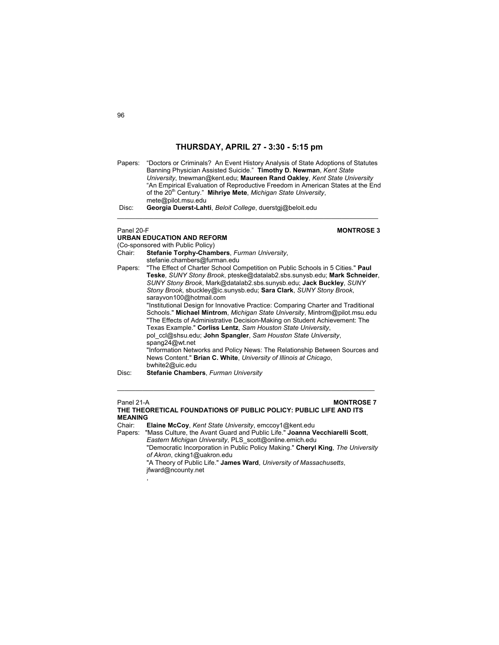Papers: "Doctors or Criminals? An Event History Analysis of State Adoptions of Statutes Banning Physician Assisted Suicide." **Timothy D. Newman**, *Kent State University*, tnewman@kent.edu; **Maureen Rand Oakley**, *Kent State University*  "An Empirical Evaluation of Reproductive Freedom in American States at the End of the 20<sup>th</sup> Century." Mihriye Mete, Michigan State University, mete@pilot.msu.edu Disc: **Georgia Duerst-Lahti**, *Beloit College*, duerstgj@beloit.edu

 $\mathcal{L}_\text{max}$  , and the set of the set of the set of the set of the set of the set of the set of the set of the set of

# **URBAN EDUCATION AND REFORM**

,

## Panel 20-F **MONTROSE 3**

(Co-sponsored with Public Policy) Chair: **Stefanie Torphy-Chambers**, *Furman University*, stefanie.chambers@furman.edu Papers: "The Effect of Charter School Competition on Public Schools in 5 Cities." **Paul Teske**, *SUNY Stony Brook*, pteske@datalab2.sbs.sunysb.edu; **Mark Schneider**, *SUNY Stony Brook*, Mark@datalab2.sbs.sunysb.edu; **Jack Buckley**, *SUNY Stony Brook*, sbuckley@ic.sunysb.edu; **Sara Clark**, *SUNY Stony Brook*, sarayvon100@hotmail.com "Institutional Design for Innovative Practice: Comparing Charter and Traditional Schools." **Michael Mintrom**, *Michigan State University*, Mintrom@pilot.msu.edu "The Effects of Administrative Decision-Making on Student Achievement: The Texas Example." **Corliss Lentz**, *Sam Houston State University*, pol\_ccl@shsu.edu; **John Spangler**, *Sam Houston State University*, spang24@wt.net "Information Networks and Policy News: The Relationship Between Sources and News Content." **Brian C. White**, *University of Illinois at Chicago*, bwhite2@uic.edu Disc: **Stefanie Chambers**, *Furman University* 

## Panel 21-A **MONTROSE 7 THE THEORETICAL FOUNDATIONS OF PUBLIC POLICY: PUBLIC LIFE AND ITS MEANING**

 $\mathcal{L}_\mathcal{L} = \{ \mathcal{L}_\mathcal{L} = \{ \mathcal{L}_\mathcal{L} = \{ \mathcal{L}_\mathcal{L} = \{ \mathcal{L}_\mathcal{L} = \{ \mathcal{L}_\mathcal{L} = \{ \mathcal{L}_\mathcal{L} = \{ \mathcal{L}_\mathcal{L} = \{ \mathcal{L}_\mathcal{L} = \{ \mathcal{L}_\mathcal{L} = \{ \mathcal{L}_\mathcal{L} = \{ \mathcal{L}_\mathcal{L} = \{ \mathcal{L}_\mathcal{L} = \{ \mathcal{L}_\mathcal{L} = \{ \mathcal{L}_\mathcal{$ 

Chair: **Elaine McCoy**, *Kent State University*, emccoy1@kent.edu

Papers: "Mass Culture, the Avant Guard and Public Life." **Joanna Vecchiarelli Scott**, *Eastern Michigan University*, PLS\_scott@online.emich.edu

 "Democratic Incorporation in Public Policy Making." **Cheryl King**, *The University of Akron*, cking1@uakron.edu

 "A Theory of Public Life." **James Ward**, *University of Massachusetts*, jfward@ncounty.net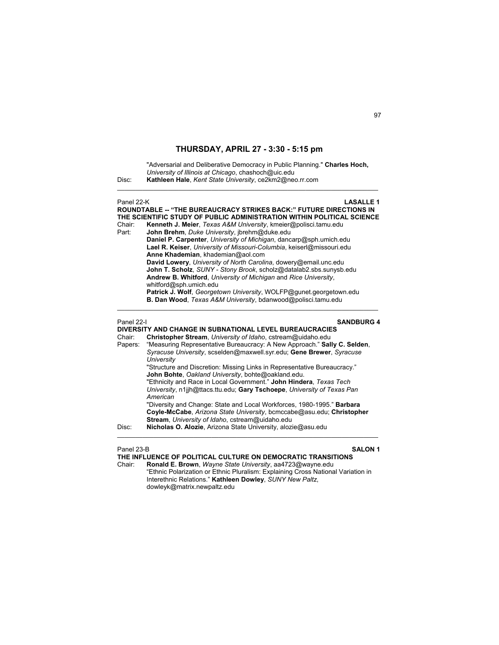"Adversarial and Deliberative Democracy in Public Planning." **Charles Hoch,** *University of Illinois at Chicago*, chashoch@uic.edu Disc: **Kathleen Hale**, *Kent State University*, ce2km2@neo.rr.com  $\mathcal{L}_\text{max}$  , and the set of the set of the set of the set of the set of the set of the set of the set of the set of Panel 22-K **LASALLE 1 ROUNDTABLE -- "THE BUREAUCRACY STRIKES BACK:" FUTURE DIRECTIONS IN THE SCIENTIFIC STUDY OF PUBLIC ADMINISTRATION WITHIN POLITICAL SCIENCE** Chair: **Kenneth J. Meier**, *Texas A&M University*, kmeier@polisci.tamu.edu John Brehm, Duke University, jbrehm@duke.edu **Daniel P. Carpenter**, *University of Michigan*, dancarp@sph.umich.edu **Lael R. Keiser**, *University of Missouri-Columbia*, keiserl@missouri.edu **Anne Khademian**, khademian@aol.com **David Lowery**, *University of North Carolina*, dowery@email.unc.edu **John T. Scholz**, *SUNY - Stony Brook*, scholz@datalab2.sbs.sunysb.edu **Andrew B. Whitford**, *University of Michigan* and *Rice University*, whitford@sph.umich.edu **Patrick J. Wolf**, *Georgetown University*, WOLFP@gunet.georgetown.edu **B. Dan Wood**, *Texas A&M University*, bdanwood@polisci.tamu.edu  $\mathcal{L}_\mathcal{L} = \{ \mathcal{L}_\mathcal{L} = \{ \mathcal{L}_\mathcal{L} = \{ \mathcal{L}_\mathcal{L} = \{ \mathcal{L}_\mathcal{L} = \{ \mathcal{L}_\mathcal{L} = \{ \mathcal{L}_\mathcal{L} = \{ \mathcal{L}_\mathcal{L} = \{ \mathcal{L}_\mathcal{L} = \{ \mathcal{L}_\mathcal{L} = \{ \mathcal{L}_\mathcal{L} = \{ \mathcal{L}_\mathcal{L} = \{ \mathcal{L}_\mathcal{L} = \{ \mathcal{L}_\mathcal{L} = \{ \mathcal{L}_\mathcal{$ Panel 22-I **SANDBURG 4 DIVERSITY AND CHANGE IN SUBNATIONAL LEVEL BUREAUCRACIES**  Chair: **Christopher Stream**, *University of Idaho*, cstream@uidaho.edu

| Chair:  | <b>Christopher Stream</b> , <i>University of Idaho</i> , cstream@uidaho.edu |
|---------|-----------------------------------------------------------------------------|
| Papers: | "Measuring Representative Bureaucracy: A New Approach." Sally C. Selden,    |
|         | Syracuse University, scselden@maxwell.syr.edu; Gene Brewer, Syracuse        |
|         | University                                                                  |
|         | "Structure and Discretion: Missing Links in Representative Bureaucracy."    |
|         | John Bohte, Oakland University, bohte@oakland.edu.                          |
|         | "Ethnicity and Race in Local Government." John Hindera, Texas Tech          |
|         | University, n1jjh@ttacs.ttu.edu; Gary Tschoepe, University of Texas Pan     |
|         | American                                                                    |
|         | "Diversity and Change: State and Local Workforces, 1980-1995." Barbara      |
|         | Coyle-McCabe, Arizona State University, bcmccabe@asu.edu; Christopher       |
|         | <b>Stream, University of Idaho, cstream@uidaho.edu</b>                      |
| Disc:   | Nicholas O. Alozie, Arizona State University, alozie@asu.edu                |
|         |                                                                             |

Panel 23-B **SALON 1**

**THE INFLUENCE OF POLITICAL CULTURE ON DEMOCRATIC TRANSITIONS** 

Chair: **Ronald E. Brown**, *Wayne State University*, aa4723@wayne.edu "Ethnic Polarization or Ethnic Pluralism: Explaining Cross National Variation in Interethnic Relations." **Kathleen Dowley**, *SUNY New Paltz*, dowleyk@matrix.newpaltz.edu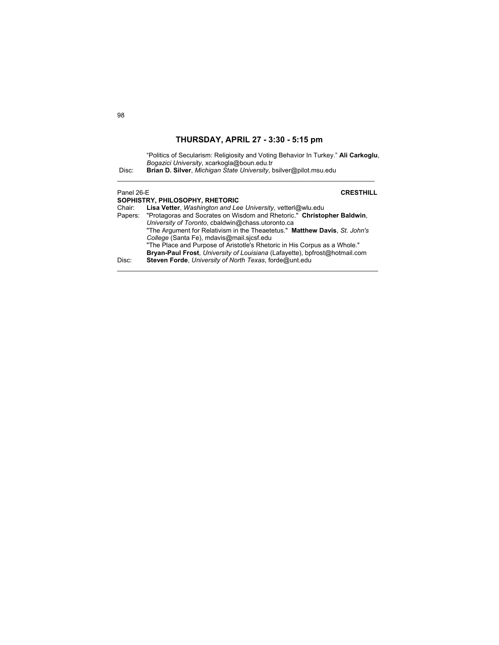| Disc:      | "Politics of Secularism: Religiosity and Voting Behavior In Turkey." Ali Carkoglu.<br>Bogazici University, xcarkogla@boun.edu.tr<br>Brian D. Silver, Michigan State University, bsilver@pilot.msu.edu |                  |
|------------|-------------------------------------------------------------------------------------------------------------------------------------------------------------------------------------------------------|------------------|
| Panel 26-E | SOPHISTRY, PHILOSOPHY, RHETORIC                                                                                                                                                                       | <b>CRESTHILL</b> |
| Chair:     | Lisa Vetter, Washington and Lee University, vetterl@wlu.edu<br>Papers: "Protagoras and Socrates on Wisdom and Rhetoric." Christopher Baldwin,<br>University of Toronto, cbaldwin@chass.utoronto.ca    |                  |

| .     | $\sim$ . The state of the condition of the condition of the condition of the condition of $\sim$ |
|-------|--------------------------------------------------------------------------------------------------|
|       | University of Toronto, cbaldwin@chass.utoronto.ca                                                |
|       | "The Argument for Relativism in the Theaetetus." Matthew Davis, St. John's                       |
|       | College (Santa Fe), mdavis@mail.sicsf.edu                                                        |
|       | "The Place and Purpose of Aristotle's Rhetoric in His Corpus as a Whole."                        |
|       | <b>Bryan-Paul Frost</b> , University of Louisiana (Lafayette), bpfrost@hotmail.com               |
| Disc: | Steven Forde, University of North Texas, forde@unt.edu                                           |
|       |                                                                                                  |

 $\mathcal{L}_\mathcal{L} = \{ \mathcal{L}_\mathcal{L} = \{ \mathcal{L}_\mathcal{L} = \{ \mathcal{L}_\mathcal{L} = \{ \mathcal{L}_\mathcal{L} = \{ \mathcal{L}_\mathcal{L} = \{ \mathcal{L}_\mathcal{L} = \{ \mathcal{L}_\mathcal{L} = \{ \mathcal{L}_\mathcal{L} = \{ \mathcal{L}_\mathcal{L} = \{ \mathcal{L}_\mathcal{L} = \{ \mathcal{L}_\mathcal{L} = \{ \mathcal{L}_\mathcal{L} = \{ \mathcal{L}_\mathcal{L} = \{ \mathcal{L}_\mathcal{$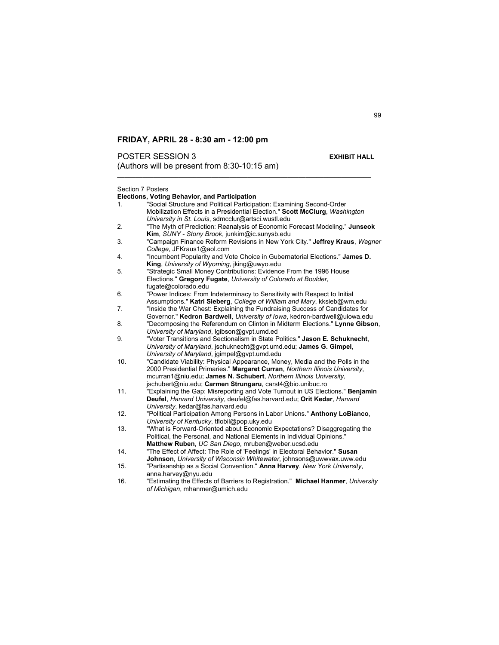**POSTER SESSION 3** EXHIBIT HALL

(Authors will be present from  $8:30-10:15$  am)

| Section 7 Posters |                                                                                  |  |
|-------------------|----------------------------------------------------------------------------------|--|
|                   | <b>Elections, Voting Behavior, and Participation</b>                             |  |
| 1.                | "Social Structure and Political Participation: Examining Second-Order            |  |
|                   | Mobilization Effects in a Presidential Election." Scott McClurg, Washington      |  |
|                   | University in St. Louis, sdmcclur@artsci.wustl.edu                               |  |
| 2.                | "The Myth of Prediction: Reanalysis of Economic Forecast Modeling." Junseok      |  |
|                   | Kim, SUNY - Stony Brook, junkim@ic.sunysb.edu                                    |  |
| 3.                | "Campaign Finance Reform Revisions in New York City." Jeffrey Kraus, Wagner      |  |
|                   | College, JFKraus1@aol.com                                                        |  |
| 4.                | "Incumbent Popularity and Vote Choice in Gubernatorial Elections." James D.      |  |
|                   | King, University of Wyoming, jking@uwyo.edu                                      |  |
| 5.                | "Strategic Small Money Contributions: Evidence From the 1996 House               |  |
|                   | Elections." Gregory Fugate, University of Colorado at Boulder,                   |  |
|                   | fugate@colorado.edu                                                              |  |
| 6.                | "Power Indices: From Indeterminacy to Sensitivity with Respect to Initial        |  |
|                   | Assumptions." Katri Sieberg, College of William and Mary, kksieb@wm.edu          |  |
| 7.                | "Inside the War Chest: Explaining the Fundraising Success of Candidates for      |  |
|                   |                                                                                  |  |
|                   | Governor." Kedron Bardwell, University of Iowa, kedron-bardwell@uiowa.edu        |  |
| 8.                | "Decomposing the Referendum on Clinton in Midterm Elections." Lynne Gibson,      |  |
|                   | University of Maryland, Igibson@gvpt.umd.ed                                      |  |
| 9.                | "Voter Transitions and Sectionalism in State Politics." Jason E. Schuknecht.     |  |
|                   | University of Maryland, jschuknecht@gvpt.umd.edu; James G. Gimpel,               |  |
|                   | University of Maryland, jgimpel@gvpt.umd.edu                                     |  |
| 10.               | "Candidate Viability: Physical Appearance, Money, Media and the Polls in the     |  |
|                   | 2000 Presidential Primaries." Margaret Curran, Northern Illinois University,     |  |
|                   | mcurran1@niu.edu; James N. Schubert, Northern Illinois University,               |  |
|                   | jschubert@niu.edu; Carmen Strungaru, carst4@bio.unibuc.ro                        |  |
| 11.               | "Explaining the Gap: Misreporting and Vote Turnout in US Elections." Benjamin    |  |
|                   | Deufel, Harvard University, deufel@fas.harvard.edu; Orit Kedar, Harvard          |  |
|                   | University, kedar@fas.harvard.edu                                                |  |
| 12.               | "Political Participation Among Persons in Labor Unions." Anthony LoBianco,       |  |
|                   | University of Kentucky, tflobil@pop.uky.edu                                      |  |
| 13.               | "What is Forward-Oriented about Economic Expectations? Disaggregating the        |  |
|                   | Political, the Personal, and National Elements in Individual Opinions."          |  |
|                   | Matthew Ruben, UC San Diego, mruben@weber.ucsd.edu                               |  |
| 14.               | "The Effect of Affect: The Role of 'Feelings' in Electoral Behavior." Susan      |  |
|                   | Johnson, University of Wisconsin Whitewater, johnsons@uwwvax.uww.edu             |  |
| 15.               | "Partisanship as a Social Convention." Anna Harvey, New York University,         |  |
|                   | anna.harvey@nyu.edu                                                              |  |
| 16.               | "Estimating the Effects of Barriers to Registration." Michael Hanmer, University |  |
|                   | of Michigan, mhanmer@umich.edu                                                   |  |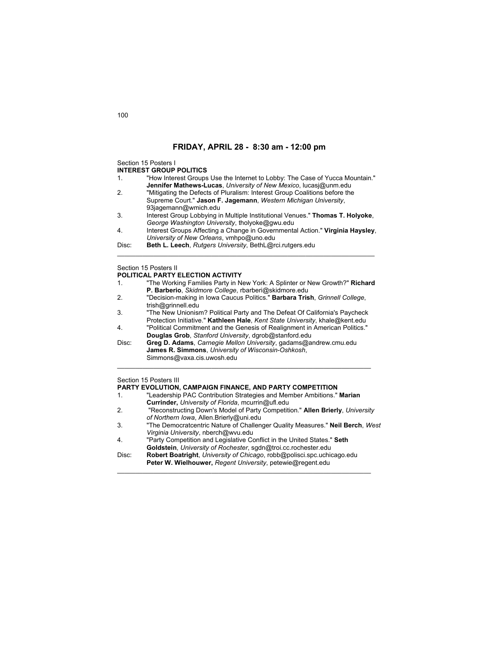Section 15 Posters I

### **INTEREST GROUP POLITICS**

- 1. "How Interest Groups Use the Internet to Lobby: The Case of Yucca Mountain." **Jennifer Mathews-Lucas**, *University of New Mexico*, lucasj@unm.edu
- 2. "Mitigating the Defects of Pluralism: Interest Group Coalitions before the Supreme Court." **Jason F. Jagemann**, *Western Michigan University*, 93jagemann@wmich.edu
- 3. Interest Group Lobbying in Multiple Institutional Venues." **Thomas T. Holyoke**,  *George Washington University*, tholyoke@gwu.edu
- 4. Interest Groups Affecting a Change in Governmental Action." **Virginia Haysley**, *University of New Orleans*, vmhpo@uno.edu

\_\_\_\_\_\_\_\_\_\_\_\_\_\_\_\_\_\_\_\_\_\_\_\_\_\_\_\_\_\_\_\_\_\_\_\_\_\_\_\_\_\_\_\_\_\_\_\_\_\_\_\_\_\_\_\_\_\_\_\_\_\_\_\_\_\_\_\_\_\_\_

Disc: **Beth L. Leech**, *Rutgers University*, BethL@rci.rutgers.edu

## Section 15 Posters II

### **POLITICAL PARTY ELECTION ACTIVITY**

- 1. "The Working Families Party in New York: A Splinter or New Growth?" **Richard P. Barberio**, *Skidmore College*, rbarberi@skidmore.edu
- 2. "Decision-making in Iowa Caucus Politics." **Barbara Trish**, *Grinnell College*, trish@grinnell.edu
- 3. "The New Unionism? Political Party and The Defeat Of California's Paycheck Protection Initiative." **Kathleen Hale**, *Kent State University*, khale@kent.edu
- 4. "Political Commitment and the Genesis of Realignment in American Politics." **Douglas Grob**, *Stanford University*, dgrob@stanford.edu

 $\mathcal{L}_\mathcal{L} = \{ \mathcal{L}_\mathcal{L} = \{ \mathcal{L}_\mathcal{L} = \{ \mathcal{L}_\mathcal{L} = \{ \mathcal{L}_\mathcal{L} = \{ \mathcal{L}_\mathcal{L} = \{ \mathcal{L}_\mathcal{L} = \{ \mathcal{L}_\mathcal{L} = \{ \mathcal{L}_\mathcal{L} = \{ \mathcal{L}_\mathcal{L} = \{ \mathcal{L}_\mathcal{L} = \{ \mathcal{L}_\mathcal{L} = \{ \mathcal{L}_\mathcal{L} = \{ \mathcal{L}_\mathcal{L} = \{ \mathcal{L}_\mathcal{$ 

Disc: **Greg D. Adams**, *Carnegie Mellon University*, gadams@andrew.cmu.edu **James R. Simmons**, *University of Wisconsin-Oshkosh*, Simmons@vaxa.cis.uwosh.edu

## Section 15 Posters III

## **PARTY EVOLUTION, CAMPAIGN FINANCE, AND PARTY COMPETITION**

- 1. "Leadership PAC Contribution Strategies and Member Ambitions." **Marian Currinder,** *University of Florida*, mcurrin@ufl.edu
- 2. "Reconstructing Down's Model of Party Competition." **Allen Brierly**, *University of Northern Iowa*, Allen.Brierly@uni.edu
- 3. "The Democratcentric Nature of Challenger Quality Measures." **Neil Berch**, *West Virginia University*, nberch@wvu.edu
- 4. "Party Competition and Legislative Conflict in the United States." **Seth Goldstein**, *University of Rochester*, sgdn@troi.cc.rochester.edu
- Disc: **Robert Boatright**, *University of Chicago*, robb@polisci.spc.uchicago.edu **Peter W. Wielhouwer,** *Regent University*, petewie@regent.edu

 $\mathcal{L}_\text{max}$  , and the set of the set of the set of the set of the set of the set of the set of the set of the set of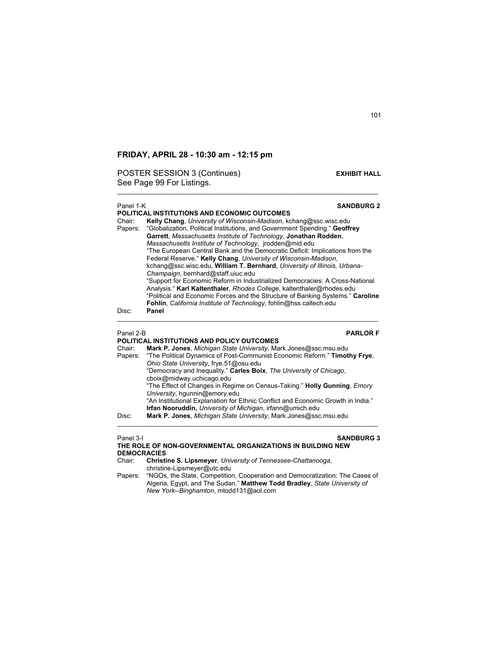POSTER SESSION 3 (Continues) **EXHIBIT HALL** See Page 99 For Listings.

## Panel 1-K **SANDBURG 2**

**POLITICAL INSTITUTIONS AND ECONOMIC OUTCOMES**  Chair: **Kelly Chang**, *University of Wisconsin-Madison*, kchang@ssc.wisc.edu "Globalization, Political Institutions, and Government Spending." Geoffrey **Garrett**, *Massachusetts Institute of Technology*, **Jonathan Rodden**, *Massachusetts Institute of Technology*, jrodden@mid.edu "The European Central Bank and the Democratic Deficit: Implications from the Federal Reserve." **Kelly Chang**, *University of Wisconsin-Madison*, kchang@ssc.wisc.edu, **William T. Bernhard**, *University of Illinois, Urbana-Champaign*, bernhard@staff.uiuc.edu "Support for Economic Reform in Industrialized Democracies: A Cross-National Analysis." **Karl Kaltenthaler**, *Rhodes College*, kaltenthaler@rhodes.edu "Political and Economic Forces and the Structure of Banking Systems." **Caroline Fohlin**, *California Institute of Technology*, fohlin@hss.caltech.edu Disc: **Panel** 

\_\_\_\_\_\_\_\_\_\_\_\_\_\_\_\_\_\_\_\_\_\_\_\_\_\_\_\_\_\_\_\_\_\_\_\_\_\_\_\_\_\_\_\_\_\_\_\_\_\_\_\_\_\_\_\_\_\_\_\_\_\_\_\_\_\_\_\_\_\_\_\_

 $\mathcal{L}_\text{max}$  , and the set of the set of the set of the set of the set of the set of the set of the set of the set of

# **POLITICAL INSTITUTIONS AND POLICY OUTCOMES**

Panel 2-B **PARLOR F**

| Mark P. Jones, Michigan State University, Mark Jones@ssc.msu.edu                 |
|----------------------------------------------------------------------------------|
| "The Political Dynamics of Post-Communist Economic Reform." Timothy Frye.        |
| Ohio State University, frye.51@osu.edu                                           |
| "Democracy and Inequality." Carles Boix, The University of Chicago,              |
| cboix@midway.uchicago.edu                                                        |
| "The Effect of Changes in Regime on Census-Taking." Holly Gunning, <i>Emory</i>  |
| University, hqunnin@emory.edu                                                    |
| "An Institutional Explanation for Ethnic Conflict and Economic Growth in India." |
| Irfan Nooruddin, University of Michigan, irfann@umich.edu                        |
| Mark P. Jones, Michigan State University, Mark Jones@ssc.msu.edu                 |
|                                                                                  |

## Panel 3-I **SANDBURG 3 THE ROLE OF NON-GOVERNMENTAL ORGANIZATIONS IN BUILDING NEW**

## **DEMOCRACIES**

Chair: **Christine S. Lipsmeyer**, *University of Tennessee-Chattanooga*, christine-Lipsmeyer@utc.edu Papers: "NGOs, the State, Competition, Cooperation and Democratization: The Cases of

Algeria, Egypt, and The Sudan." **Matthew Todd Bradley**, *State University of New York--Binghamton*, mtodd131@aol.com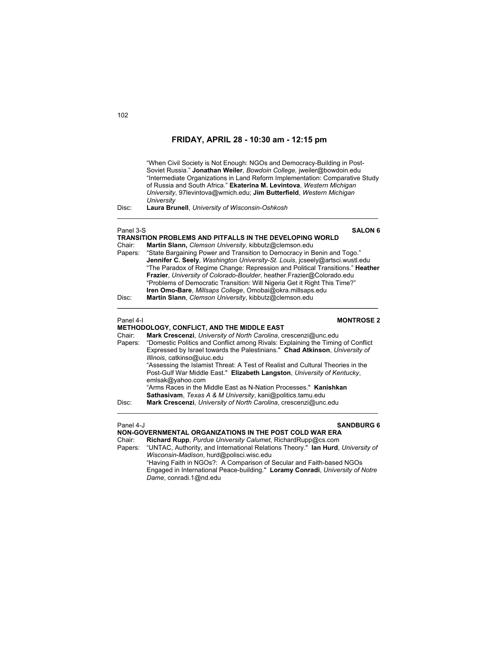"When Civil Society is Not Enough: NGOs and Democracy-Building in Post-Soviet Russia." **Jonathan Weiler**, *Bowdoin College,* jweiler@bowdoin.edu "Intermediate Organizations in Land Reform Implementation: Comparative Study of Russia and South Africa." **Ekaterina M. Levintova**, *Western Michigan University*, 97levintova@wmich.edu; **Jim Butterfield**, *Western Michigan University*

Disc: **Laura Brunell**, *University of Wisconsin-Oshkosh*

Panel 3-S **SALON 6** 

| <b>TRANSITION PROBLEMS AND PITFALLS IN THE DEVELOPING WORLD</b> |                                                                                 |  |
|-----------------------------------------------------------------|---------------------------------------------------------------------------------|--|
| Chair:                                                          | Martin Slann, Clemson University, kibbutz@clemson.edu                           |  |
|                                                                 | Papers: "State Bargaining Power and Transition to Democracy in Benin and Togo." |  |
|                                                                 | Jennifer C. Seely, Washington University-St. Louis, icseely@artsci.wustl.edu    |  |
|                                                                 | "The Paradox of Regime Change: Repression and Political Transitions." Heather   |  |
|                                                                 | Frazier, University of Colorado-Boulder, heather Frazier@Colorado.edu           |  |
|                                                                 | "Problems of Democratic Transition: Will Nigeria Get it Right This Time?"       |  |
|                                                                 | Iren Omo-Bare, Millsaps College, Omobai@okra.millsaps.edu                       |  |
| Disc:                                                           | Martin Slann, Clemson University, kibbutz@clemson.edu                           |  |

**\_\_\_\_\_\_\_\_\_\_\_\_\_\_\_\_\_\_\_\_\_\_\_\_\_\_\_\_\_\_\_\_\_\_\_\_\_\_\_\_\_\_\_\_\_\_\_\_\_\_\_\_\_\_\_\_\_\_\_\_\_\_\_\_\_\_\_\_\_\_\_\_** 

 $\_$  , and the set of the set of the set of the set of the set of the set of the set of the set of the set of the set of the set of the set of the set of the set of the set of the set of the set of the set of the set of th

## Panel 4-I **MONTROSE 2**

## **METHODOLOGY, CONFLICT, AND THE MIDDLE EAST**

| Chair:  | Mark Crescenzi, University of North Carolina, crescenzi@unc.edu                 |
|---------|---------------------------------------------------------------------------------|
| Papers: | "Domestic Politics and Conflict among Rivals: Explaining the Timing of Conflict |
|         | Expressed by Israel towards the Palestinians." Chad Atkinson, University of     |
|         | Illinois, catkinso@uiuc.edu                                                     |
|         | "Assessing the Islamist Threat: A Test of Realist and Cultural Theories in the  |
|         | Post-Gulf War Middle East." Elizabeth Langston, University of Kentucky,         |
|         | emlsak@yahoo.com                                                                |
|         | "Arms Races in the Middle East as N-Nation Processes." Kanishkan                |
|         | <b>Sathasivam.</b> Texas A & M University, kani@politics.tamu.edu               |
| Disc:   | Mark Crescenzi, University of North Carolina, crescenzi@unc.edu                 |

### Panel 4-J **SANDBURG 6**

## **NON-GOVERNMENTAL ORGANIZATIONS IN THE POST COLD WAR ERA**

Chair: **Richard Rupp**, *Purdue University Calumet*, RichardRupp@cs.com Papers: "UNTAC, Authority, and International Relations Theory." **Ian Hurd**, *University of Wisconsin-Madison*, hurd@polisci.wisc.edu "Having Faith in NGOs?: A Comparison of Secular and Faith-based NGOs Engaged in International Peace-building." **Loramy Conradi**, *University of Notre Dame*, conradi.1@nd.edu

 $\mathcal{L}_\text{max}$  , and the set of the set of the set of the set of the set of the set of the set of the set of the set of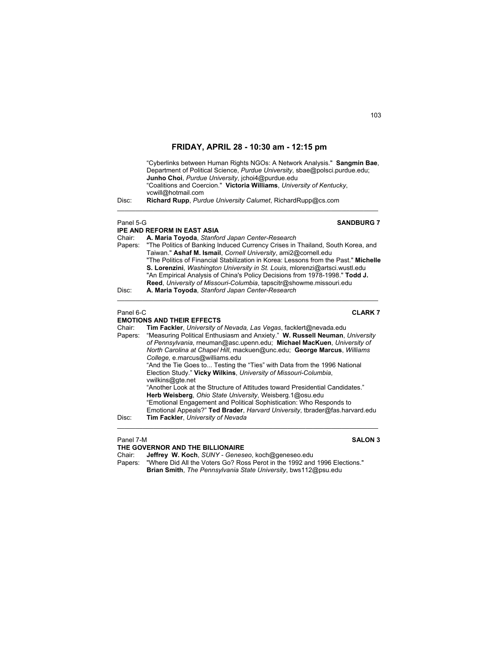"Cyberlinks between Human Rights NGOs: A Network Analysis." **Sangmin Bae**, Department of Political Science, *Purdue University*, sbae@polsci.purdue.edu; **Junho Choi**, *Purdue University*, jchoi4@purdue.edu "Coalitions and Coercion." **Victoria Williams**, *University of Kentucky*, vcwill@hotmail.com Disc: **Richard Rupp**, *Purdue University Calumet*, RichardRupp@cs.com \_\_\_\_\_\_\_\_\_\_\_\_\_\_\_\_\_\_\_\_\_\_\_\_\_\_\_\_\_\_\_\_\_\_\_\_\_\_\_\_\_\_\_\_\_\_\_\_\_\_\_\_\_\_\_\_\_\_\_\_\_\_\_\_\_\_\_\_\_\_\_\_ **Panel 5-G SANDBURG 7 IPE AND REFORM IN EAST ASIA** Chair: **A. Maria Toyoda**, *Stanford Japan Center-Research* "The Politics of Banking Induced Currency Crises in Thailand, South Korea, and Taiwan." **Ashaf M. Ismail**, *Cornell University*, ami2@cornell.edu "The Politics of Financial Stabilization in Korea: Lessons from the Past." **Michelle S. Lorenzini**, *Washington University in St. Louis*, mlorenzi@artsci.wustl.edu "An Empirical Analysis of China's Policy Decisions from 1978-1998." **Todd J. Reed**, *University of Missouri-Columbia*, tapscitr@showme.missouri.edu Disc: **A. Maria Toyoda**, *Stanford Japan Center-Research*  $\mathcal{L}_\text{max}$  , and the set of the set of the set of the set of the set of the set of the set of the set of the set of Panel 6-C **CLARK 7 EMOTIONS AND THEIR EFFECTS**<br>Chair: **Tim Fackler** *University of* Tim Fackler, *University of Nevada, Las Vegas*, facklert@nevada.edu Papers: "Measuring Political Enthusiasm and Anxiety." **W. Russell Neuman**, *University of Pennsylvania*, rneuman@asc.upenn.edu; **Michael MacKuen**, *University of North Carolina at Chapel Hill*, mackuen@unc.edu; **George Marcus**, *Williams College,* e.marcus@williams.edu "And the Tie Goes to... Testing the "Ties" with Data from the 1996 National Election Study." **Vicky Wilkins**, *University of Missouri-Columbia*, vwilkins@gte.net "Another Look at the Structure of Attitudes toward Presidential Candidates." **Herb Weisberg**, *Ohio State University*, Weisberg.1@osu.edu

 "Emotional Engagement and Political Sophistication: Who Responds to Emotional Appeals?" **Ted Brader**, *Harvard University*, tbrader@fas.harvard.edu

### Panel 7-M **SALON 3**

## **THE GOVERNOR AND THE BILLIONAIRE**

Chair: **Jeffrey W. Koch**, *SUNY - Geneseo*, koch@geneseo.edu Papers: "Where Did All the Voters Go? Ross Perot in the 1992 and 1996 Elections." **Brian Smith**, *The Pennsylvania State University*, bws112@psu.edu

103

# $\mathcal{L}_\text{max}$  , and the set of the set of the set of the set of the set of the set of the set of the set of the set of

## Disc: **Tim Fackler**, *University of Nevada*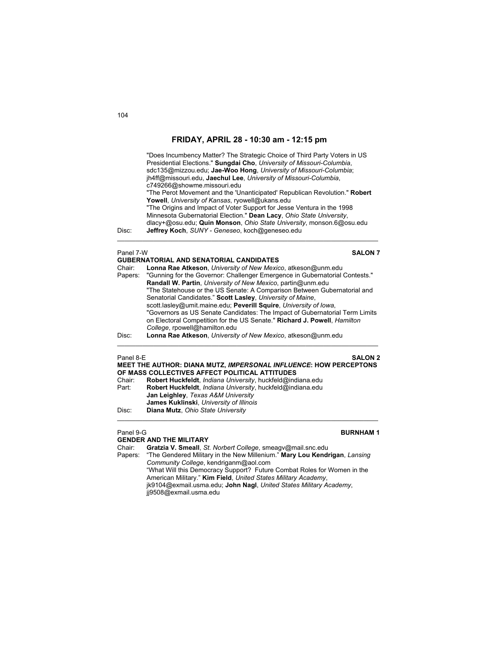| Disc:     | "Does Incumbency Matter? The Strategic Choice of Third Party Voters in US<br>Presidential Elections." Sungdai Cho, University of Missouri-Columbia,<br>sdc135@mizzou.edu; Jae-Woo Hong, University of Missouri-Columbia;<br>jh4ff@missouri.edu, Jaechul Lee, University of Missouri-Columbia,<br>c749266@showme.missouri.edu<br>"The Perot Movement and the 'Unanticipated' Republican Revolution." Robert<br>Yowell, University of Kansas, ryowell@ukans.edu<br>"The Origins and Impact of Voter Support for Jesse Ventura in the 1998<br>Minnesota Gubernatorial Election." Dean Lacy, Ohio State University,<br>dlacy+@osu.edu; Quin Monson, Ohio State University, monson.6@osu.edu<br>Jeffrey Koch, SUNY - Geneseo, koch@geneseo.edu |
|-----------|-------------------------------------------------------------------------------------------------------------------------------------------------------------------------------------------------------------------------------------------------------------------------------------------------------------------------------------------------------------------------------------------------------------------------------------------------------------------------------------------------------------------------------------------------------------------------------------------------------------------------------------------------------------------------------------------------------------------------------------------|
| Panel 7-W | <b>SALON 7</b>                                                                                                                                                                                                                                                                                                                                                                                                                                                                                                                                                                                                                                                                                                                            |
|           | <b>GUBERNATORIAL AND SENATORIAL CANDIDATES</b>                                                                                                                                                                                                                                                                                                                                                                                                                                                                                                                                                                                                                                                                                            |
| Chair:    | Lonna Rae Atkeson, University of New Mexico, atkeson@unm.edu                                                                                                                                                                                                                                                                                                                                                                                                                                                                                                                                                                                                                                                                              |
| Papers:   | "Gunning for the Governor: Challenger Emergence in Gubernatorial Contests."<br>Randall W. Partin, University of New Mexico, partin@unm.edu                                                                                                                                                                                                                                                                                                                                                                                                                                                                                                                                                                                                |
|           | "The Statehouse or the US Senate: A Comparison Between Gubernatorial and                                                                                                                                                                                                                                                                                                                                                                                                                                                                                                                                                                                                                                                                  |
|           | Senatorial Candidates." Scott Lasley, University of Maine,                                                                                                                                                                                                                                                                                                                                                                                                                                                                                                                                                                                                                                                                                |
|           | scott.lasley@umit.maine.edu; Peverill Squire, University of Iowa,                                                                                                                                                                                                                                                                                                                                                                                                                                                                                                                                                                                                                                                                         |
|           | "Governors as US Senate Candidates: The Impact of Gubernatorial Term Limits                                                                                                                                                                                                                                                                                                                                                                                                                                                                                                                                                                                                                                                               |
|           | on Electoral Competition for the US Senate." Richard J. Powell, Hamilton<br>College, rpowell@hamilton.edu                                                                                                                                                                                                                                                                                                                                                                                                                                                                                                                                                                                                                                 |
| Disc:     | Lonna Rae Atkeson, University of New Mexico, atkeson@unm.edu                                                                                                                                                                                                                                                                                                                                                                                                                                                                                                                                                                                                                                                                              |
| Panel 8-E | <b>SALON 2</b>                                                                                                                                                                                                                                                                                                                                                                                                                                                                                                                                                                                                                                                                                                                            |
|           | MEET THE AUTHOR: DIANA MUTZ, IMPERSONAL INFLUENCE: HOW PERCEPTONS<br>OF MASS COLLECTIVES AFFECT POLITICAL ATTITUDES                                                                                                                                                                                                                                                                                                                                                                                                                                                                                                                                                                                                                       |
| Chair:    | Robert Huckfeldt, Indiana University, huckfeld@indiana.edu                                                                                                                                                                                                                                                                                                                                                                                                                                                                                                                                                                                                                                                                                |
| Part:     | Robert Huckfeldt, Indiana University, huckfeld@indiana.edu                                                                                                                                                                                                                                                                                                                                                                                                                                                                                                                                                                                                                                                                                |
|           | Jan Leighley, Texas A&M University                                                                                                                                                                                                                                                                                                                                                                                                                                                                                                                                                                                                                                                                                                        |
|           | James Kuklinski, University of Illinois                                                                                                                                                                                                                                                                                                                                                                                                                                                                                                                                                                                                                                                                                                   |
| Disc:     | Diana Mutz, Ohio State University                                                                                                                                                                                                                                                                                                                                                                                                                                                                                                                                                                                                                                                                                                         |
| Panel 9-G | <b>BURNHAM1</b>                                                                                                                                                                                                                                                                                                                                                                                                                                                                                                                                                                                                                                                                                                                           |

**GENDER AND THE MILITARY**

Chair: **Gratzia V. Smeall**, *St. Norbert College*, smeagv@mail.snc.edu Papers: "The Gendered Military in the New Millenium." **Mary Lou Kendrigan**, *Lansing Community College*, kendriganm@aol.com "What Will this Democracy Support? Future Combat Roles for Women in the American Military." **Kim Field**, *United States Military Academy*, jk9104@exmail.usma.edu; **John Nagl**, *United States Military Academy*, jj9508@exmail.usma.edu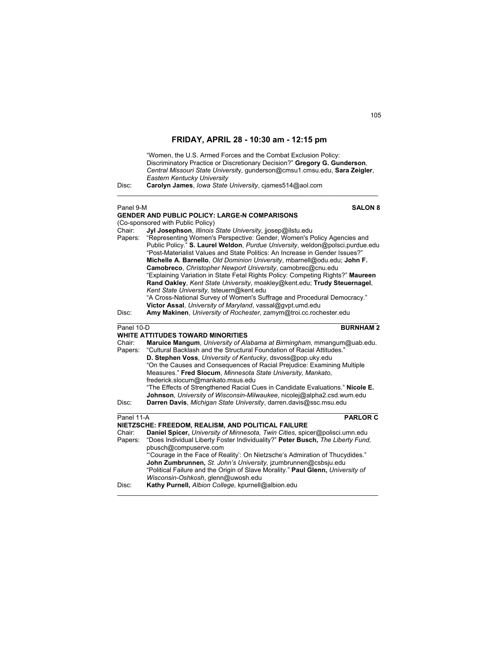"Women, the U.S. Armed Forces and the Combat Exclusion Policy: Discriminatory Practice or Discretionary Decision?" **Gregory G. Gunderson***, Central Missouri State Universit*y, gunderson@cmsu1.cmsu.edu, **Sara Zeigler**, *Eastern Kentucky University*

\_\_\_\_\_\_\_\_\_\_\_\_\_\_\_\_\_\_\_\_\_\_\_\_\_\_\_\_\_\_\_\_\_\_\_\_\_\_\_\_\_\_\_\_\_\_\_\_\_\_\_\_\_\_\_\_\_\_\_\_\_\_\_\_\_\_\_\_\_\_\_\_

Disc: **Carolyn James**, *Iowa State University*, cjames514@aol.com

## Panel 9-M **SALON 8 GENDER AND PUBLIC POLICY: LARGE-N COMPARISONS** (Co-sponsored with Public Policy)<br>Chair: **Jvl Josephson**, Illinois Chair: **Jyl Josephson**, *Illinois State University*, jjosep@ilstu.edu Papers: "Representing Women's Perspective: Gender, Women's Policy Agencies and Public Policy." **S. Laurel Weldon**, *Purdue University*, weldon@polsci.purdue.edu "Post-Materialist Values and State Politics: An Increase in Gender Issues?" **Michelle A. Barnello**, *Old Dominion University*, mbarnell@odu.edu; **John F. Camobreco**, *Christopher Newport University*, camobrec@cnu.edu "Explaining Variation in State Fetal Rights Policy: Competing Rights?" **Maureen Rand Oakley**, *Kent State University*, moakley@kent.edu; **Trudy Steuernagel**, *Kent State University,* tsteuern@kent.edu "A Cross-National Survey of Women's Suffrage and Procedural Democracy." **Victor Assal**, *University of Maryland*, vassal@gvpt.umd.edu Disc: **Amy Makinen**, *University of Rochester*, zamym@troi.cc.rochester.edu \_\_\_\_\_\_\_\_\_\_\_\_\_\_\_\_\_\_\_\_\_\_\_\_\_\_\_\_\_\_\_\_\_\_\_\_\_\_\_\_\_\_\_\_\_\_\_\_\_\_\_\_\_\_\_\_\_\_\_\_\_\_\_\_\_\_\_\_\_\_\_\_ **Panel 10-D <b>BURNHAM 2 WHITE ATTITUDES TOWARD MINORITIES**  Chair: **Maruice Mangum**, *University of Alabama at Birmingham*, mmangum@uab.edu. Papers: "Cultural Backlash and the Structural Foundation of Racial Attitudes." **D. Stephen Voss**, *University of Kentucky*, dsvoss@pop.uky.edu "On the Causes and Consequences of Racial Prejudice: Examining Multiple Measures." **Fred Slocum**, *Minnesota State University, Mankato*, frederick.slocum@mankato.msus.edu "The Effects of Strengthened Racial Cues in Candidate Evaluations." **Nicole E. Johnson**, *University of Wisconsin-Milwaukee*, nicolej@alpha2.csd.wum.edu Disc: **Darren Davis**, *Michigan State University*, darren.davis@ssc.msu.edu  $\mathcal{L}_\text{max}$  , and the set of the set of the set of the set of the set of the set of the set of the set of the set of **Panel 11-A PARLOR C NIETZSCHE: FREEDOM, REALISM, AND POLITICAL FAILURE** Chair: **Daniel Spicer,** *University of Minnesota, Twin Cities*, spicer@polisci.umn.edu Papers: "Does Individual Liberty Foster Individuality?" **Peter Busch,** *The Liberty Fund,* pbusch@compuserve.com "'Courage in the Face of Reality': On Nietzsche's Admiration of Thucydides."  **John Zumbrunnen,** *St. John's University,* jzumbrunnen@csbsju.edu "Political Failure and the Origin of Slave Morality." **Paul Glenn,** *University of Wisconsin-Oshkosh*, glenn@uwosh.edu Disc: **Kathy Purnell,** *Albion College,* kpurnell@albion.edu  $\mathcal{L}_\mathcal{L} = \{ \mathcal{L}_\mathcal{L} = \{ \mathcal{L}_\mathcal{L} = \{ \mathcal{L}_\mathcal{L} = \{ \mathcal{L}_\mathcal{L} = \{ \mathcal{L}_\mathcal{L} = \{ \mathcal{L}_\mathcal{L} = \{ \mathcal{L}_\mathcal{L} = \{ \mathcal{L}_\mathcal{L} = \{ \mathcal{L}_\mathcal{L} = \{ \mathcal{L}_\mathcal{L} = \{ \mathcal{L}_\mathcal{L} = \{ \mathcal{L}_\mathcal{L} = \{ \mathcal{L}_\mathcal{L} = \{ \mathcal{L}_\mathcal{$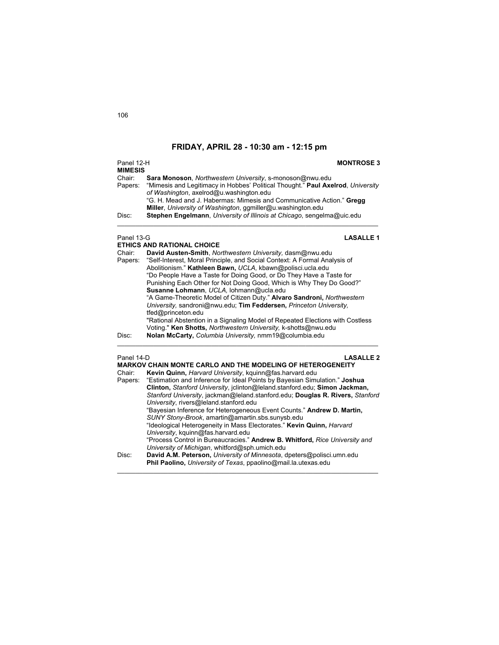| Panel 12-H<br><b>MIMESIS</b> | <b>MONTROSE 3</b>                                                                                                          |
|------------------------------|----------------------------------------------------------------------------------------------------------------------------|
| Chair:                       | Sara Monoson, Northwestern University, s-monoson@nwu.edu                                                                   |
| Papers:                      | "Mimesis and Legitimacy in Hobbes' Political Thought." Paul Axelrod, University<br>of Washington, axelrod@u.washington.edu |
|                              | "G. H. Mead and J. Habermas: Mimesis and Communicative Action." Gregg                                                      |
|                              | Miller, University of Washington, ggmiller@u.washington.edu                                                                |
| Disc:                        | Stephen Engelmann, University of Illinois at Chicago, sengelma@uic.edu                                                     |
|                              |                                                                                                                            |

### Panel 13-G **LASALLE 1**

|            | <b>ETHICS AND RATIONAL CHOICE</b>                                             |
|------------|-------------------------------------------------------------------------------|
| Chair:     | David Austen-Smith, Northwestern University, dasm@nwu.edu                     |
| Papers:    | "Self-Interest, Moral Principle, and Social Context: A Formal Analysis of     |
|            | Abolitionism." Kathleen Bawn, UCLA, kbawn@polisci.ucla.edu                    |
|            | "Do People Have a Taste for Doing Good, or Do They Have a Taste for           |
|            | Punishing Each Other for Not Doing Good, Which is Why They Do Good?"          |
|            | Susanne Lohmann, UCLA, lohmann@ucla.edu                                       |
|            | "A Game-Theoretic Model of Citizen Duty." Alvaro Sandroni, Northwestern       |
|            | University, sandroni@nwu.edu; Tim Feddersen, Princeton University,            |
|            | tfed@princeton.edu                                                            |
|            | "Rational Abstention in a Signaling Model of Repeated Elections with Costless |
|            | Voting." Ken Shotts, Northwestern University, k-shotts@nwu.edu                |
| Disc:      | Nolan McCarty, Columbia University, nmm19@columbia.edu                        |
| Panel 14-D | <b>LASALLE 2</b>                                                              |
|            | <b>MARKOV CHAIN MONTE CARLO AND THE MODELING OF HETEROGENEITY</b>             |
| Chair:     | Kevin Quinn, Harvard University, kguinn@fas.harvard.edu                       |
| Donoro:    | "Estimation and Informace for Ideal Dointe by Dovesian Cimulation." Leebus    |

| Chair:<br>Papers: | Kevin Quinn, Harvard University, kguinn@fas.harvard.edu<br>"Estimation and Inference for Ideal Points by Bayesian Simulation." Joshua<br>Clinton, Stanford University, jclinton@leland.stanford.edu; Simon Jackman,<br>Stanford University, jackman@leland.stanford.edu; Douglas R. Rivers, Stanford<br>University, rivers@leland.stanford.edu |
|-------------------|------------------------------------------------------------------------------------------------------------------------------------------------------------------------------------------------------------------------------------------------------------------------------------------------------------------------------------------------|
|                   | "Bayesian Inference for Heterogeneous Event Counts." Andrew D. Martin,<br>SUNY Stony-Brook, amartin@amartin.sbs.sunysb.edu<br>"Ideological Heterogeneity in Mass Electorates." Kevin Quinn, Harvard<br>University, kguinn@fas.harvard.edu                                                                                                      |
|                   | "Process Control in Bureaucracies." Andrew B. Whitford, Rice University and<br>University of Michigan, whitford@sph.umich.edu                                                                                                                                                                                                                  |
| Disc:             | David A.M. Peterson, University of Minnesota, dpeters@polisci.umn.edu<br>Phil Paolino, University of Texas, ppaolino@mail.la.utexas.edu                                                                                                                                                                                                        |

 $\mathcal{L}_\text{max}$  , and the set of the set of the set of the set of the set of the set of the set of the set of the set of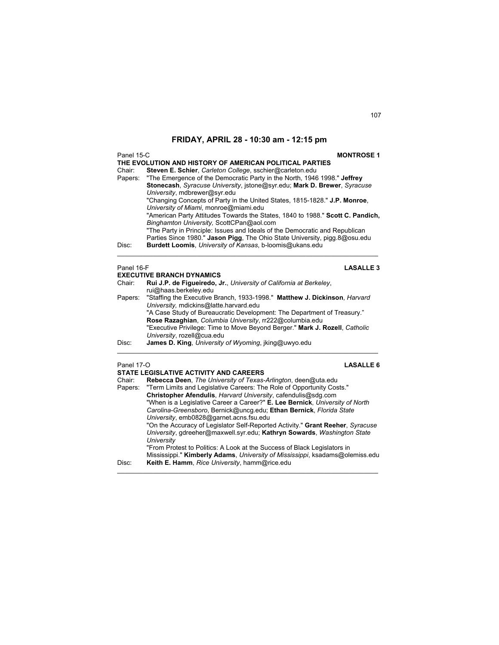| Panel 15-C | <b>MONTROSE 1</b>                                                              |
|------------|--------------------------------------------------------------------------------|
|            | THE EVOLUTION AND HISTORY OF AMERICAN POLITICAL PARTIES                        |
| Chair:     | Steven E. Schier, Carleton College, sschier@carleton.edu                       |
| Papers:    | "The Emergence of the Democratic Party in the North, 1946 1998." Jeffrey       |
|            | Stonecash, Syracuse University, jstone@syr.edu; Mark D. Brewer, Syracuse       |
|            | University, mdbrewer@syr.edu                                                   |
|            | "Changing Concepts of Party in the United States, 1815-1828." J.P. Monroe,     |
|            | University of Miami, monroe@miami.edu                                          |
|            | "American Party Attitudes Towards the States, 1840 to 1988." Scott C. Pandich, |
|            | Binghamton University, ScottCPan@aol.com                                       |
|            | "The Party in Principle: Issues and Ideals of the Democratic and Republican    |
|            | Parties Since 1980." Jason Pigg, The Ohio State University, pigg.8@osu.edu     |
| Disc:      | Burdett Loomis, University of Kansas, b-loomis@ukans.edu                       |
|            |                                                                                |
|            |                                                                                |

### Panel 16-F **LASALLE 3**

|         | <b>EXECUTIVE BRANCH DYNAMICS</b>                                            |  |  |
|---------|-----------------------------------------------------------------------------|--|--|
| Chair:  | Rui J.P. de Figueiredo, Jr., University of California at Berkeley,          |  |  |
|         | rui@haas.berkeley.edu                                                       |  |  |
| Papers: | "Staffing the Executive Branch, 1933-1998." Matthew J. Dickinson, Harvard   |  |  |
|         | University, mdickins@latte.harvard.edu                                      |  |  |
|         | "A Case Study of Bureaucratic Development: The Department of Treasury."     |  |  |
|         | Rose Razaghian, Columbia University, rr222@columbia.edu                     |  |  |
|         | "Executive Privilege: Time to Move Beyond Berger." Mark J. Rozell, Catholic |  |  |
|         | University, rozell@cua.edu                                                  |  |  |
| Disc:   | James D. King, University of Wyoming, jking@uwyo.edu                        |  |  |
|         |                                                                             |  |  |

### Panel 17-O **LASALLE 6**

### **STATE LEGISLATIVE ACTIVITY AND CAREERS**

| Chair:  | Rebecca Deen, The University of Texas-Arlington, deen@uta.edu                  |
|---------|--------------------------------------------------------------------------------|
| Papers: | "Term Limits and Legislative Careers: The Role of Opportunity Costs."          |
|         | Christopher Afendulis, Harvard University, cafendulis@sdq.com                  |
|         | "When is a Legislative Career a Career?" E. Lee Bernick, University of North   |
|         | Carolina-Greensboro, Bernick@uncq.edu; Ethan Bernick, Florida State            |
|         | University, emb0828@garnet.acns.fsu.edu                                        |
|         | "On the Accuracy of Legislator Self-Reported Activity." Grant Reeher, Syracuse |
|         | University, gdreeher@maxwell.syr.edu; Kathryn Sowards, Washington State        |
|         | University                                                                     |
|         | "From Protest to Politics: A Look at the Success of Black Legislators in       |
|         | Mississippi." Kimberly Adams, University of Mississippi, ksadams@olemiss.edu   |
| Disc:   | Keith E. Hamm, Rice University, hamm@rice.edu                                  |
|         |                                                                                |

 $\mathcal{L}_\text{max}$  , and the set of the set of the set of the set of the set of the set of the set of the set of the set of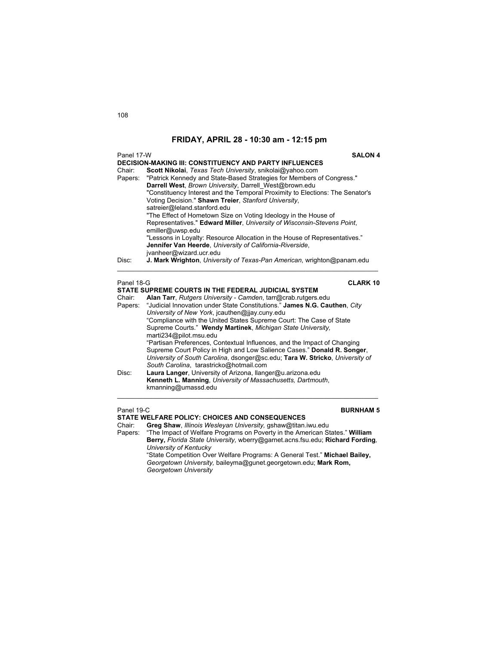| Panel 17-W        |                                                                                                                                                                                                                                                                                                                                                                                                                                       |  |
|-------------------|---------------------------------------------------------------------------------------------------------------------------------------------------------------------------------------------------------------------------------------------------------------------------------------------------------------------------------------------------------------------------------------------------------------------------------------|--|
| Chair:<br>Papers: | <b>DECISION-MAKING III: CONSTITUENCY AND PARTY INFLUENCES</b><br>Scott Nikolai, Texas Tech University, snikolai@yahoo.com<br>"Patrick Kennedy and State-Based Strategies for Members of Congress."<br>Darrell West, Brown University, Darrell West@brown.edu<br>"Constituency Interest and the Temporal Proximity to Elections: The Senator's<br>Voting Decision." Shawn Treier, Stanford University,<br>satreier@leland.stanford.edu |  |
| Disc:             | "The Effect of Hometown Size on Voting Ideology in the House of<br>Representatives." Edward Miller, University of Wisconsin-Stevens Point,<br>emiller@uwsp.edu<br>"Lessons in Loyalty: Resource Allocation in the House of Representatives."<br>Jennifer Van Heerde, University of California-Riverside,<br>jvanheer@wizard.ucr.edu<br><b>J. Mark Wrighton</b> , University of Texas-Pan American, wrighton@panam.edu                 |  |
|                   |                                                                                                                                                                                                                                                                                                                                                                                                                                       |  |
| Panel 18-G        | <b>CLARK 10</b>                                                                                                                                                                                                                                                                                                                                                                                                                       |  |
|                   | STATE SUPREME COURTS IN THE FEDERAL JUDICIAL SYSTEM                                                                                                                                                                                                                                                                                                                                                                                   |  |
| Chair:<br>Papers: | Alan Tarr, Rutgers University - Camden, tarr@crab.rutgers.edu<br>"Judicial Innovation under State Constitutions." James N.G. Cauthen, City<br>University of New York, jcauthen@jjay.cuny.edu<br>"Compliance with the United States Supreme Court: The Case of State<br>Supramo Courte " Wandy Martinok Michigan State University                                                                                                      |  |

 Supreme Courts." **Wendy Martinek**, *Michigan State University,*  marti234@pilot.msu.edu "Partisan Preferences, Contextual Influences, and the Impact of Changing Supreme Court Policy in High and Low Salience Cases." **Donald R. Songer**, *University of South Carolina*, dsonger@sc.edu; **Tara W. Stricko**, *University of South Carolina*, tarastricko@hotmail.com Disc: **Laura Langer**, University of Arizona, llanger@u.arizona.edu **Kenneth L. Manning**, *University of Massachusetts, Dartmouth*,

kmanning@umassd.edu

### Panel 19-C **BURNHAM 5**

**STATE WELFARE POLICY: CHOICES AND CONSEQUENCES**

Chair: **Greg Shaw**, *Illinois Wesleyan University,* gshaw@titan.iwu.edu

Papers: "The Impact of Welfare Programs on Poverty in the American States." **William Berry,** *Florida State University,* wberry@garnet.acns.fsu.edu; **Richard Fording***, University of Kentucky*

 $\mathcal{L}_\text{max}$  , and the set of the set of the set of the set of the set of the set of the set of the set of the set of

 "State Competition Over Welfare Programs: A General Test." **Michael Bailey,**  *Georgetown University,* baileyma@gunet.georgetown.edu; **Mark Rom,** *Georgetown University*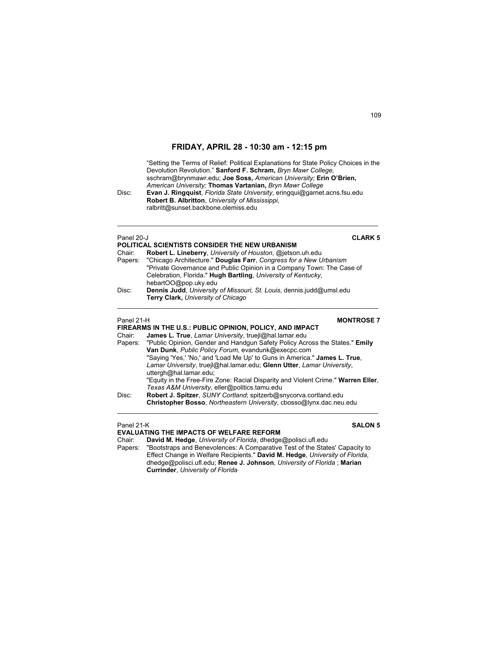"Setting the Terms of Relief: Political Explanations for State Policy Choices in the Devolution Revolution." **Sanford F. Schram,** *Bryn Mawr College,* sschram@brynmawr.edu; **Joe Soss,** *American University;* **Erin O'Brien,**  *American University;* **Thomas Vartanian,** *Bryn Mawr College* 

Disc: **Evan J. Ringquist**, *Florida State University*, eringqui@garnet.acns.fsu.edu **Robert B. Albritton**, *University of Mississippi*, ralbritt@sunset.backbone.olemiss.edu

| Panel 20-J<br>POLITICAL SCIENTISTS CONSIDER THE NEW URBANISM |                                                                             | <b>CLARK 5</b> |
|--------------------------------------------------------------|-----------------------------------------------------------------------------|----------------|
| Chair:                                                       | Robert L. Lineberry, University of Houston, @jetson.uh.edu                  |                |
| Papers:                                                      | "Chicago Architecture." Douglas Farr, Congress for a New Urbanism           |                |
|                                                              | "Private Governance and Public Opinion in a Company Town: The Case of       |                |
|                                                              | Celebration, Florida." Hugh Bartling, University of Kentucky,               |                |
|                                                              | hebartOO@pop.uky.edu                                                        |                |
| Disc:                                                        | Dennis Judd, University of Missouri, St. Louis, dennis.judd@umsl.edu        |                |
|                                                              | Terry Clark, University of Chicago                                          |                |
| Panel 21-H                                                   | <b>MONTROSE 7</b>                                                           |                |
|                                                              | FIREARMS IN THE U.S.: PUBLIC OPINION, POLICY, AND IMPACT                    |                |
| Chair:                                                       | James L. True, Lamar University, truejl@hal.lamar.edu                       |                |
| Papers:                                                      | "Public Opinion, Gender and Handgun Safety Policy Across the States." Emily |                |
|                                                              | Van Dunk, Public Policy Forum, evandunk@execpc.com                          |                |
|                                                              | "Saying 'Yes,' 'No,' and 'Load Me Up' to Guns in America." James L. True.   |                |
|                                                              | Lamar University, truejl@hal.lamar.edu; Glenn Utter, Lamar University,      |                |

 $\mathcal{L}_\mathcal{L} = \{ \mathcal{L}_\mathcal{L} = \{ \mathcal{L}_\mathcal{L} = \{ \mathcal{L}_\mathcal{L} = \{ \mathcal{L}_\mathcal{L} = \{ \mathcal{L}_\mathcal{L} = \{ \mathcal{L}_\mathcal{L} = \{ \mathcal{L}_\mathcal{L} = \{ \mathcal{L}_\mathcal{L} = \{ \mathcal{L}_\mathcal{L} = \{ \mathcal{L}_\mathcal{L} = \{ \mathcal{L}_\mathcal{L} = \{ \mathcal{L}_\mathcal{L} = \{ \mathcal{L}_\mathcal{L} = \{ \mathcal{L}_\mathcal{$ 

uttergh@hal.lamar.edu; "Equity in the Free-Fire Zone: Racial Disparity and Violent Crime." **Warren Eller**, *Texas A&M University*, eller@politics.tamu.edu Disc: **Robert J. Spitzer**, *SUNY Cortland*; spitzerb@snycorva.cortland.edu

**Christopher Bosso**, *Northeastern University*, cbosso@lynx.dac.neu.edu  $\mathcal{L}_\text{max}$  , and the set of the set of the set of the set of the set of the set of the set of the set of the set of

## Panel 21-K **SALON 5**

## **EVALUATING THE IMPACTS OF WELFARE REFORM**

Chair: **David M. Hedge**, *University of Florida*, dhedge@polisci.ufl.edu

"Bootstraps and Benevolences: A Comparative Test of the States' Capacity to Effect Change in Welfare Recipients." **David M. Hedge**, *University of Florida,* dhedge@polisci.ufl.edu; **Renee J. Johnson**, *University of Florida* ; **Marian Currinder**, *University of Florida*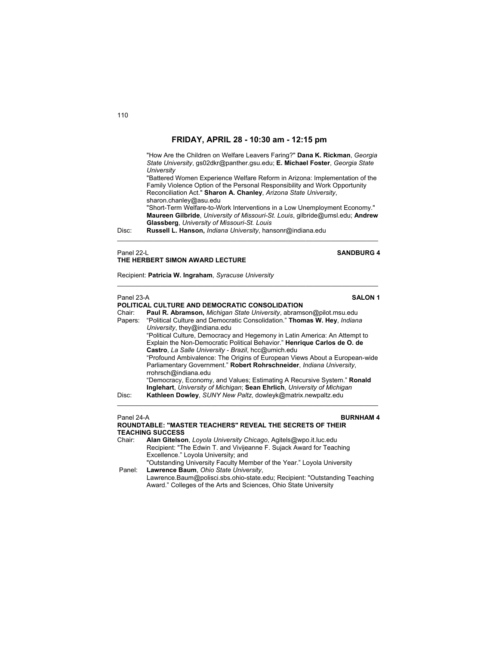"How Are the Children on Welfare Leavers Faring?" **Dana K. Rickman**, *Georgia State University*, gs02dkr@panther.gsu.edu; **E. Michael Foster**, *Georgia State University* "Battered Women Experience Welfare Reform in Arizona: Implementation of the Family Violence Option of the Personal Responsibility and Work Opportunity Reconciliation Act." **Sharon A. Chanley**, *Arizona State University*, sharon.chanley@asu.edu "Short-Term Welfare-to-Work Interventions in a Low Unemployment Economy." **Maureen Gilbride**, *University of Missouri-St. Louis*, gilbride@umsl.edu; **Andrew Glassberg**, *University of Missouri-St. Louis*  Disc: **Russell L. Hanson,** *Indiana University*, hansonr@indiana.edu

 $\mathcal{L}_\mathcal{L} = \{ \mathcal{L}_\mathcal{L} = \{ \mathcal{L}_\mathcal{L} = \{ \mathcal{L}_\mathcal{L} = \{ \mathcal{L}_\mathcal{L} = \{ \mathcal{L}_\mathcal{L} = \{ \mathcal{L}_\mathcal{L} = \{ \mathcal{L}_\mathcal{L} = \{ \mathcal{L}_\mathcal{L} = \{ \mathcal{L}_\mathcal{L} = \{ \mathcal{L}_\mathcal{L} = \{ \mathcal{L}_\mathcal{L} = \{ \mathcal{L}_\mathcal{L} = \{ \mathcal{L}_\mathcal{L} = \{ \mathcal{L}_\mathcal{$ 

 $\mathcal{L}_\text{max}$  , and the set of the set of the set of the set of the set of the set of the set of the set of the set of

## Panel 22-L **SANDBURG 4 THE HERBERT SIMON AWARD LECTURE**

Recipient: **Patricia W. Ingraham**, *Syracuse University* 

|         | Panel 23-A<br><b>SALON 1</b><br>POLITICAL CULTURE AND DEMOCRATIC CONSOLIDATION                           |  |
|---------|----------------------------------------------------------------------------------------------------------|--|
| Chair:  | <b>Paul R. Abramson, Michigan State University, abramson@pilot.msu.edu</b>                               |  |
| Papers: | "Political Culture and Democratic Consolidation." Thomas W. Hey, Indiana<br>University, they@indiana.edu |  |
|         | "Political Culture, Democracy and Hegemony in Latin America: An Attempt to                               |  |
|         | Explain the Non-Democratic Political Behavior." Henrique Carlos de O. de                                 |  |
|         | Castro, La Salle University - Brazil, hcc@umich.edu                                                      |  |
|         | "Profound Ambivalence: The Origins of European Views About a European-wide                               |  |
|         | Parliamentary Government." Robert Rohrschneider, Indiana University,<br>rrohrsch@indiana.edu             |  |
|         | "Democracy, Economy, and Values; Estimating A Recursive System." <b>Ronald</b>                           |  |
|         | Inglehart, University of Michigan; Sean Ehrlich, University of Michigan                                  |  |
| Disc:   | Kathleen Dowley, SUNY New Paltz, dowleyk@matrix.newpaltz.edu                                             |  |
|         |                                                                                                          |  |
|         |                                                                                                          |  |

### Panel 24-A **BURNHAM 4 ROUNDTABLE: "MASTER TEACHERS" REVEAL THE SECRETS OF THEIR TEACHING SUCCESS**

Chair: **Alan Gitelson**, *Loyola University Chicago*, Agitels@wpo.it.luc.edu Recipient: "The Edwin T. and Vivijeanne F. Sujack Award for Teaching Excellence." Loyola University; and "Outstanding University Faculty Member of the Year." Loyola University<br>Panel: Lawrence Baum, Ohio State University. Lawrence Baum, Ohio State University, Lawrence.Baum@polisci.sbs.ohio-state.edu; Recipient: "Outstanding Teaching Award." Colleges of the Arts and Sciences, Ohio State University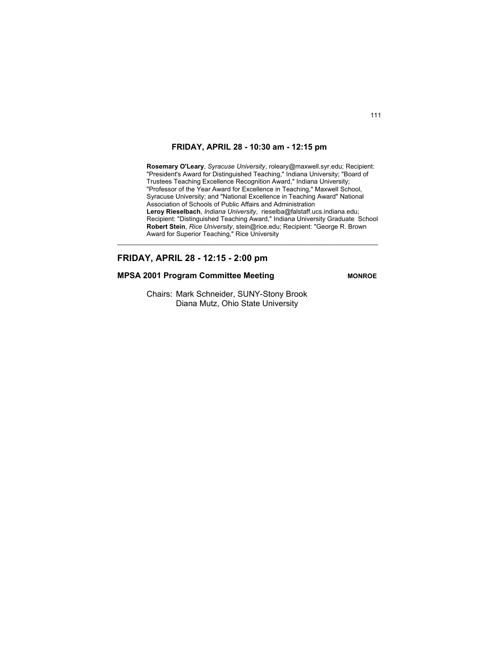$\mathcal{L}_\text{max}$  , and the set of the set of the set of the set of the set of the set of the set of the set of the set of

 **Rosemary O'Leary**, *Syracuse University*, roleary@maxwell.syr.edu; Recipient: "President's Award for Distinguished Teaching," Indiana University; "Board of Trustees Teaching Excellence Recognition Award," Indiana University; "Professor of the Year Award for Excellence in Teaching," Maxwell School, Syracuse University; and "National Excellence in Teaching Award" National Association of Schools of Public Affairs and Administration **Leroy Rieselbach**, *Indiana University*, rieselba@falstaff.ucs.indiana.edu; Recipient: "Distinguished Teaching Award," Indiana University Graduate School **Robert Stein**, *Rice University*, stein@rice.edu; Recipient: "George R. Brown Award for Superior Teaching," Rice University

## **FRIDAY, APRIL 28 - 12:15 - 2:00 pm**

## **MPSA 2001 Program Committee Meeting MONROE**

 Chairs: Mark Schneider, SUNY-Stony Brook Diana Mutz, Ohio State University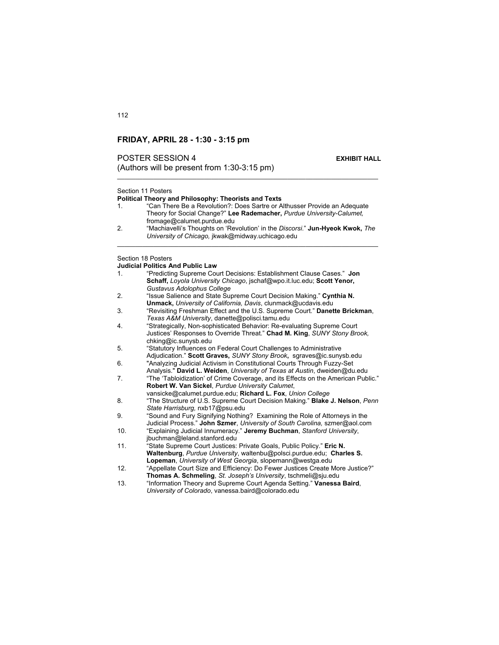## **POSTER SESSION 4 EXHIBIT HALL**

(Authors will be present from  $1:30-3:15$  pm)

## Section 11 Posters

112

### **Political Theory and Philosophy: Theorists and Texts**

- 1. "Can There Be a Revolution?: Does Sartre or Althusser Provide an Adequate Theory for Social Change?" **Lee Rademacher,** *Purdue University-Calumet,* fromage@calumet.purdue.edu
- 2. "Machiavelli's Thoughts on 'Revolution' in the *Discorsi*." **Jun-Hyeok Kwok,** *The University of Chicago,* jkwak@midway.uchicago.edu  $\mathcal{L}_\text{max}$  , and the set of the set of the set of the set of the set of the set of the set of the set of the set of

Section 18 Posters

## **Judicial Politics And Public Law**

| 1.  | "Predicting Supreme Court Decisions: Establishment Clause Cases." Jon                                                        |
|-----|------------------------------------------------------------------------------------------------------------------------------|
|     | Schaff, Loyola University Chicago, jschaf@wpo.it.luc.edu; Scott Yenor,                                                       |
|     | Gustavus Adolophus College                                                                                                   |
| 2.  | "Issue Salience and State Supreme Court Decision Making." Cynthia N.                                                         |
|     | <b>Unmack, University of California, Davis, clunmack@ucdavis.edu</b>                                                         |
| 3.  | "Revisiting Freshman Effect and the U.S. Supreme Court." Danette Brickman,<br>Texas A&M University, danette@polisci.tamu.edu |
| 4.  | "Strategically, Non-sophisticated Behavior: Re-evaluating Supreme Court                                                      |
|     | Justices' Responses to Override Threat." Chad M. King, SUNY Stony Brook,                                                     |
|     | chking@ic.sunysb.edu                                                                                                         |
| 5.  | "Statutory Influences on Federal Court Challenges to Administrative                                                          |
|     | Adjudication." Scott Graves, SUNY Stony Brook, sgraves@ic.sunysb.edu                                                         |
| 6.  | "Analyzing Judicial Activism in Constitutional Courts Through Fuzzy-Set                                                      |
|     | Analysis." David L. Weiden, University of Texas at Austin, dweiden@du.edu                                                    |
| 7.  | "The 'Tabloidization' of Crime Coverage, and its Effects on the American Public."                                            |
|     | Robert W. Van Sickel, Purdue University Calumet,                                                                             |
|     | vansicke@calumet.purdue.edu; Richard L. Fox, Union College                                                                   |
| 8.  | "The Structure of U.S. Supreme Court Decision Making." <b>Blake J. Nelson</b> , Penn                                         |
|     | State Harrisburg, nxb17@psu.edu                                                                                              |
| 9.  | "Sound and Fury Signifying Nothing? Examining the Role of Attorneys in the                                                   |
|     | Judicial Process." John Szmer, University of South Carolina, szmer@aol.com                                                   |
| 10. | "Explaining Judicial Innumeracy." Jeremy Buchman, Stanford University,                                                       |
|     | jbuchman@leland.stanford.edu                                                                                                 |
| 11. | "State Supreme Court Justices: Private Goals, Public Policy." Eric N.                                                        |
|     | Waltenburg, Purdue University, waltenbu@polsci.purdue.edu: Charles S.                                                        |
|     | Lopeman, University of West Georgia, slopemann@westga.edu                                                                    |
| 12. | "Appellate Court Size and Efficiency: Do Fewer Justices Create More Justice?"                                                |
|     | Thomas A. Schmeling, St. Joseph's University, tschmeli@sju.edu                                                               |
| 13. | "Information Theory and Supreme Court Agenda Setting." Vanessa Baird,                                                        |
|     | University of Colorado, vanessa.baird@colorado.edu                                                                           |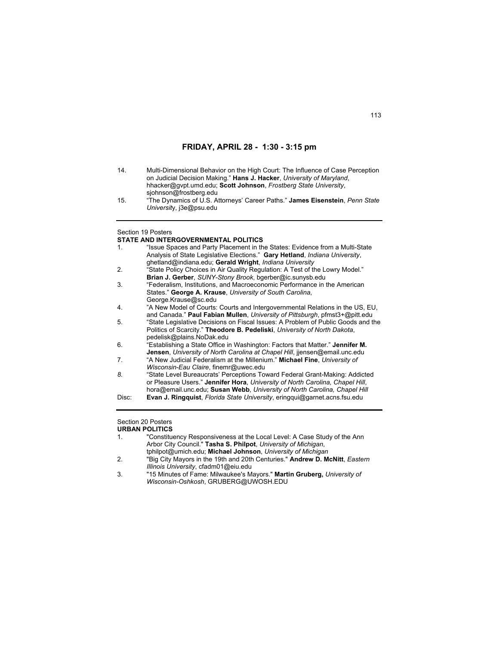| 14. | Multi-Dimensional Behavior on the High Court: The Influence of Case Perception |
|-----|--------------------------------------------------------------------------------|
|     | on Judicial Decision Making." Hans J. Hacker, University of Maryland.          |
|     | hhacker@qvpt.umd.edu: Scott Johnson, Frostberg State University,               |
|     | sjohnson@frostberg.edu                                                         |
| 4E  | "The Dynamics of LLC, Attornove' Caroor Dathe," James Eigenstein, Penn State   |

15. "The Dynamics of U.S. Attorneys' Career Paths." **James Eisenstein**, *Penn State Universit*y, j3e@psu.edu

### Section 19 Posters

## **STATE AND INTERGOVERNMENTAL POLITICS**

| 1 <sub>1</sub> | "Issue Spaces and Party Placement in the States: Evidence from a Multi-State        |
|----------------|-------------------------------------------------------------------------------------|
|                | Analysis of State Legislative Elections." Gary Hetland, Indiana University,         |
|                | ghetland@indiana.edu; Gerald Wright, Indiana University                             |
| 2.             | "State Policy Choices in Air Quality Regulation: A Test of the Lowry Model."        |
|                | Brian J. Gerber, SUNY-Stony Brook, bgerber@ic.sunysb.edu                            |
| 3.             | "Federalism, Institutions, and Macroeconomic Performance in the American            |
|                | States." George A. Krause, University of South Carolina,                            |
|                | George Krause@sc.edu                                                                |
| 4.             | "A New Model of Courts: Courts and Intergovernmental Relations in the US, EU,       |
|                | and Canada." <b>Paul Fabian Mullen</b> , University of Pittsburgh, pfmst3+@pitt.edu |
| 5.             | "State Legislative Decisions on Fiscal Issues: A Problem of Public Goods and the    |
|                | Politics of Scarcity." Theodore B. Pedeliski, University of North Dakota,           |
|                | pedelisk@plains.NoDak.edu                                                           |
| 6.             | "Establishing a State Office in Washington: Factors that Matter." Jennifer M.       |
|                | Jensen, University of North Carolina at Chapel Hill, jjensen@email.unc.edu          |
| 7.             | "A New Judicial Federalism at the Millenium." Michael Fine, University of           |
|                | Wisconsin-Eau Claire, finemr@uwec.edu                                               |
| 8.             | "State Level Bureaucrats' Perceptions Toward Federal Grant-Making: Addicted         |
|                | or Pleasure Users." Jennifer Hora, University of North Carolina, Chapel Hill,       |
|                | hora@email.unc.edu; Susan Webb, University of North Carolina, Chapel Hill           |
| Disc:          | Evan J. Ringquist, Florida State University, eringqui@garnet.acns.fsu.edu           |
|                |                                                                                     |
|                |                                                                                     |
|                | 0.1111.000011.                                                                      |

## Section 20 Posters

## **URBAN POLITICS**

| $\mathbf{1}$ . | "Constituency Responsiveness at the Local Level: A Case Study of the Ann |
|----------------|--------------------------------------------------------------------------|
|                | Arbor City Council." Tasha S. Philpot, University of Michigan,           |
|                | tphilpot@umich.edu; Michael Johnson, University of Michigan              |

<sup>2. &</sup>quot;Big City Mayors in the 19th and 20th Centuries." **Andrew D. McNitt**, *Eastern Illinois University*, cfadm01@eiu.edu

<sup>3. &</sup>quot;15 Minutes of Fame: Milwaukee's Mayors." **Martin Gruberg,** *University of Wisconsin-Oshkosh*, GRUBERG@UWOSH.EDU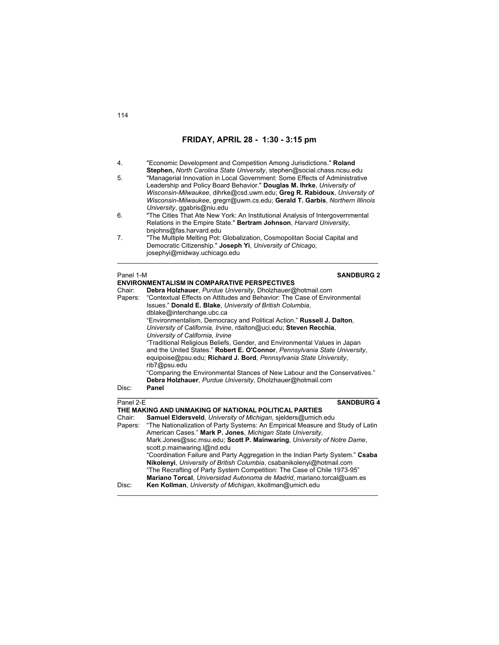| 4.                                                                                                                                                                                                                                                                                                                                                                                                                              | "Economic Development and Competition Among Jurisdictions." Roland                                                                                                                                                                            |
|---------------------------------------------------------------------------------------------------------------------------------------------------------------------------------------------------------------------------------------------------------------------------------------------------------------------------------------------------------------------------------------------------------------------------------|-----------------------------------------------------------------------------------------------------------------------------------------------------------------------------------------------------------------------------------------------|
| Stephen, North Carolina State University, stephen@social.chass.ncsu.edu<br>"Managerial Innovation in Local Government: Some Effects of Administrative<br>5.<br>Leadership and Policy Board Behavior." Douglas M. Ihrke, University of<br>Wisconsin-Milwaukee, dihrke@csd.uwm.edu; Greg R. Rabidoux, University of<br>Wisconsin-Milwaukee, gregrr@uwm.cs.edu, Gerald T. Garbis, Northern Illinois<br>University, ggabris@niu.edu |                                                                                                                                                                                                                                               |
| 6.                                                                                                                                                                                                                                                                                                                                                                                                                              | "The Cities That Ate New York: An Institutional Analysis of Intergovernmental<br>Relations in the Empire State." Bertram Johnson, Harvard University,                                                                                         |
| 7.                                                                                                                                                                                                                                                                                                                                                                                                                              | bnjohns@fas.harvard.edu<br>"The Multiple Melting Pot: Globalization, Cosmopolitan Social Capital and<br>Democratic Citizenship." Joseph Yi, University of Chicago,<br>josephyi@midway.uchicago.edu                                            |
| Panel 1-M                                                                                                                                                                                                                                                                                                                                                                                                                       | <b>SANDBURG 2</b>                                                                                                                                                                                                                             |
|                                                                                                                                                                                                                                                                                                                                                                                                                                 | <b>ENVIRONMENTALISM IN COMPARATIVE PERSPECTIVES</b>                                                                                                                                                                                           |
| Chair:                                                                                                                                                                                                                                                                                                                                                                                                                          | Debra Holzhauer, Purdue University, Dholzhauer@hotmail.com                                                                                                                                                                                    |
| Papers:                                                                                                                                                                                                                                                                                                                                                                                                                         | "Contextual Effects on Attitudes and Behavior: The Case of Environmental<br>Issues." Donald E. Blake, University of British Columbia,                                                                                                         |
|                                                                                                                                                                                                                                                                                                                                                                                                                                 | dblake@interchange.ubc.ca<br>"Environmentalism, Democracy and Political Action." Russell J. Dalton,<br>University of California, Irvine, rdalton@uci.edu; Steven Recchia,<br>University of California. Irvine                                 |
|                                                                                                                                                                                                                                                                                                                                                                                                                                 | "Traditional Religious Beliefs, Gender, and Environmental Values in Japan<br>and the United States." Robert E. O'Connor, Pennsylvania State University,<br>equipoise@psu.edu; Richard J. Bord, Pennsylvania State University,<br>rib7@psu.edu |
|                                                                                                                                                                                                                                                                                                                                                                                                                                 | "Comparing the Environmental Stances of New Labour and the Conservatives."<br>Debra Holzhauer, Purdue University, Dholzhauer@hotmail.com                                                                                                      |
| Disc:                                                                                                                                                                                                                                                                                                                                                                                                                           | Panel                                                                                                                                                                                                                                         |
| Panel 2-E                                                                                                                                                                                                                                                                                                                                                                                                                       | <b>SANDBURG 4</b>                                                                                                                                                                                                                             |
|                                                                                                                                                                                                                                                                                                                                                                                                                                 | THE MAKING AND UNMAKING OF NATIONAL POLITICAL PARTIES                                                                                                                                                                                         |
| Chair:                                                                                                                                                                                                                                                                                                                                                                                                                          | Samuel Eldersveld, University of Michigan, sjelders@umich.edu                                                                                                                                                                                 |
| Papers:                                                                                                                                                                                                                                                                                                                                                                                                                         | "The Nationalization of Party Systems: An Empirical Measure and Study of Latin                                                                                                                                                                |
|                                                                                                                                                                                                                                                                                                                                                                                                                                 | American Cases." Mark P. Jones, Michigan State University,                                                                                                                                                                                    |
|                                                                                                                                                                                                                                                                                                                                                                                                                                 | Mark.Jones@ssc.msu.edu; Scott P. Mainwaring, University of Notre Dame,<br>scott.p.mainwaring.l@nd.edu                                                                                                                                         |
|                                                                                                                                                                                                                                                                                                                                                                                                                                 | "Coordination Failure and Party Aggregation in the Indian Party System." Csaba                                                                                                                                                                |

**Nikolenyi**, *University of British Columbia*, csabanikolenyi@hotmail.com "The Recrafting of Party System Competition: The Case of Chile 1973-95"

\_\_\_\_\_\_\_\_\_\_\_\_\_\_\_\_\_\_\_\_\_\_\_\_\_\_\_\_\_\_\_\_\_\_\_\_\_\_\_\_\_\_\_\_\_\_\_\_\_\_\_\_\_\_\_\_\_\_\_\_\_\_\_\_\_\_\_\_\_\_\_\_

Disc: **Ken Kollman**, *University of Michigan*, kkollman@umich.edu

**Mariano Torcal**, *Universidad Autonoma de Madrid*, mariano.torcal@uam.es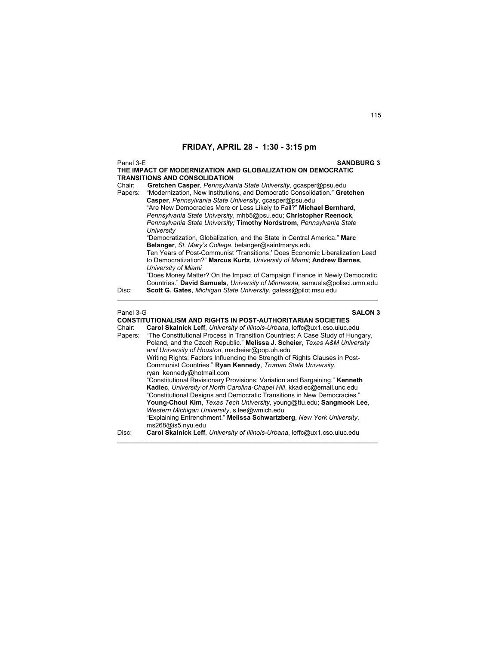Panel 3-E **SANDBURG 3 THE IMPACT OF MODERNIZATION AND GLOBALIZATION ON DEMOCRATIC TRANSITIONS AND CONSOLIDATION**<br>Chair: **Gretchen Casper**, Pennsylval Chair: **Gretchen Casper**, *Pennsylvania State University*, gcasper@psu.edu Papers: "Modernization, New Institutions, and Democratic Consolidation." **Gretchen Casper**, *Pennsylvania State University*, gcasper@psu.edu "Are New Democracies More or Less Likely to Fail?" **Michael Bernhard**, *Pennsylvania State University*, mhb5@psu.edu; **Christopher Reenock**, *Pennsylvania State University;* **Timothy Nordstrom**, *Pennsylvania State University* "Democratization, Globalization, and the State in Central America." **Marc Belanger**, *St. Mary's College*, belanger@saintmarys.edu Ten Years of Post-Communist 'Transitions:' Does Economic Liberalization Lead to Democratization?" **Marcus Kurtz**, *University of Miami*; **Andrew Barnes**, *University of Miami*  "Does Money Matter? On the Impact of Campaign Finance in Newly Democratic Countries." **David Samuels**, *University of Minnesota*, samuels@polisci.umn.edu Disc: **Scott G. Gates**, *Michigan State University*, gatess@pilot.msu.edu  $\mathcal{L}_\text{max}$  , and the set of the set of the set of the set of the set of the set of the set of the set of the set of Panel 3-G **SALON 3 CONSTITUTIONALISM AND RIGHTS IN POST-AUTHORITARIAN SOCIETIES**<br>Chair: Carol Skalnick Leff *University of Illinois-Urbana* leffc@ux1.cso.ujuc.e Chair: **Carol Skalnick Leff**, *University of Illinois-Urbana*, leffc@ux1.cso.uiuc.edu Papers: "The Constitutional Process in Transition Countries: A Case Study of Hungary, Poland, and the Czech Republic." **Melissa J. Scheier**, *Texas A&M University and University of Houston*, mscheier@pop.uh.edu Writing Rights: Factors Influencing the Strength of Rights Clauses in Post-Communist Countries." **Ryan Kennedy**, *Truman State University*, ryan\_kennedy@hotmail.com "Constitutional Revisionary Provisions: Variation and Bargaining." **Kenneth Kadlec**, *University of North Carolina-Chapel Hill*, kkadlec@email.unc.edu

> "Constitutional Designs and Democratic Transitions in New Democracies." **Young-Choul Kim**, *Texas Tech University*, young@ttu.edu; **Sangmook Lee**,

"Explaining Entrenchment." **Melissa Schwartzberg**, *New York University*,

Disc: **Carol Skalnick Leff**, *University of Illinois-Urbana*, leffc@ux1.cso.uiuc.edu **\_\_\_\_\_\_\_\_\_\_\_\_\_\_\_\_\_\_\_\_\_\_\_\_\_\_\_\_\_\_\_\_\_\_\_\_\_\_\_\_\_\_\_\_\_\_\_\_\_\_\_\_\_\_\_\_\_\_\_\_\_\_\_\_\_\_\_\_\_\_\_\_** 

*Western Michigan University*, s.lee@wmich.edu

ms268@is5.nyu.edu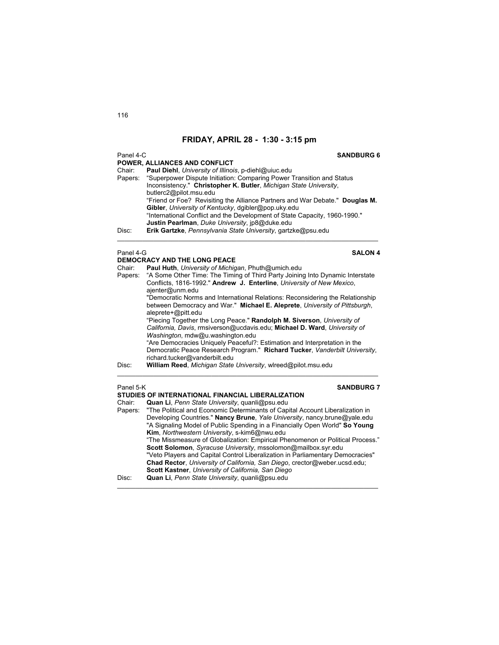## Panel 4-C **SANDBURG 6**

| POWER, ALLIANCES AND CONFLICT |                                                                              |  |
|-------------------------------|------------------------------------------------------------------------------|--|
| Chair:                        | Paul Diehl, University of Illinois, p-diehl@uiuc.edu                         |  |
| Papers:                       | "Superpower Dispute Initiation: Comparing Power Transition and Status        |  |
|                               | Inconsistency." Christopher K. Butler, Michigan State University,            |  |
|                               | butlerc2@pilot.msu.edu                                                       |  |
|                               | "Friend or Foe? Revisiting the Alliance Partners and War Debate." Douglas M. |  |
|                               | Gibler, University of Kentucky, dgibler@pop.uky.edu                          |  |
|                               | "International Conflict and the Development of State Capacity, 1960-1990."   |  |
|                               | Justin Pearlman, Duke University, jp8@duke.edu                               |  |
| Disc:                         | Erik Gartzke, Pennsylvania State University, gartzke@psu.edu                 |  |

\_\_\_\_\_\_\_\_\_\_\_\_\_\_\_\_\_\_\_\_\_\_\_\_\_\_\_\_\_\_\_\_\_\_\_\_\_\_\_\_\_\_\_\_\_\_\_\_\_\_\_\_\_\_\_\_\_\_\_\_\_\_\_\_\_\_\_\_\_\_\_\_

## Panel 4-G **SALON 4**

|           | <b>DEMOCRACY AND THE LONG PEACE</b>                                                      |
|-----------|------------------------------------------------------------------------------------------|
| Chair:    | Paul Huth, University of Michigan, Phuth@umich.edu                                       |
| Papers:   | "A Some Other Time: The Timing of Third Party Joining Into Dynamic Interstate            |
|           | Conflicts, 1816-1992." Andrew J. Enterline, University of New Mexico,<br>ajenter@unm.edu |
|           | "Democratic Norms and International Relations: Reconsidering the Relationship            |
|           | between Democracy and War." Michael E. Aleprete, University of Pittsburgh,               |
|           | aleprete+@pitt.edu                                                                       |
|           | "Piecing Together the Long Peace." Randolph M. Siverson, University of                   |
|           | California, Davis, rmsiverson@ucdavis.edu; Michael D. Ward, University of                |
|           | Washington, mdw@u.washington.edu                                                         |
|           | "Are Democracies Uniquely Peaceful?: Estimation and Interpretation in the                |
|           | Democratic Peace Research Program." Richard Tucker, Vanderbilt University,               |
|           | richard.tucker@vanderbilt.edu                                                            |
| Disc:     | William Reed, Michigan State University, wlreed@pilot.msu.edu                            |
|           |                                                                                          |
| Panel 5-K | <b>SANDBURG 7</b>                                                                        |
|           |                                                                                          |

# **STUDIES OF INTERNATIONAL FINANCIAL LIBERALIZATION**<br>Chair: Quan Li, Penn State University, quanli@psu.edu

Chair: **Quan Li**, *Penn State University*, quanli@psu.edu Papers: "The Political and Economic Determinants of Capital Account Liberalization in Developing Countries." **Nancy Brune**, *Yale University*, nancy.brune@yale.edu "A Signaling Model of Public Spending in a Financially Open World" **So Young Kim**, *Northwestern University*, s-kim6@nwu.edu "The Missmeasure of Globalization: Empirical Phenomenon or Political Process." **Scott Solomon**, *Syracuse University*, mssolomon@mailbox.syr.edu "Veto Players and Capital Control Liberalization in Parliamentary Democracies" **Chad Rector**, *University of California, San Diego*, crector@weber.ucsd.edu; **Scott Kastner**, *University of California, San Diego* Disc: **Quan Li**, *Penn State University*, quanli@psu.edu \_\_\_\_\_\_\_\_\_\_\_\_\_\_\_\_\_\_\_\_\_\_\_\_\_\_\_\_\_\_\_\_\_\_\_\_\_\_\_\_\_\_\_\_\_\_\_\_\_\_\_\_\_\_\_\_\_\_\_\_\_\_\_\_\_\_\_\_\_\_\_\_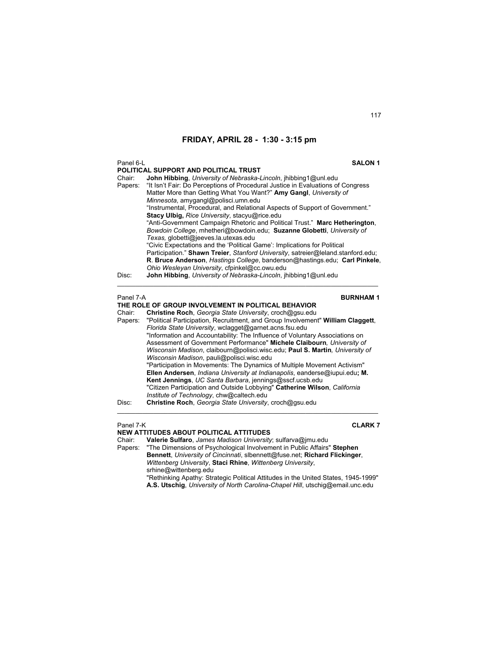| Panel 6-L          | <b>SALON 1</b>                                                                                                                                                                                                                                                                                                                                                                                                                                                                        |
|--------------------|---------------------------------------------------------------------------------------------------------------------------------------------------------------------------------------------------------------------------------------------------------------------------------------------------------------------------------------------------------------------------------------------------------------------------------------------------------------------------------------|
|                    | POLITICAL SUPPORT AND POLITICAL TRUST                                                                                                                                                                                                                                                                                                                                                                                                                                                 |
| Chair:<br>Papers:  | John Hibbing, University of Nebraska-Lincoln, ihibbing1@unl.edu<br>"It Isn't Fair: Do Perceptions of Procedural Justice in Evaluations of Congress<br>Matter More than Getting What You Want?" Amy Gangl, University of<br>Minnesota, amygangl@polisci.umn.edu<br>"Instrumental, Procedural, and Relational Aspects of Support of Government."<br><b>Stacy Ulbig, Rice University, stacyu@rice.edu</b><br>"Anti-Government Campaign Rhetoric and Political Trust." Marc Hetherington, |
|                    | Bowdoin College, mhetheri@bowdoin.edu; Suzanne Globetti, University of<br>Texas, globetti@jeeves.la.utexas.edu<br>"Civic Expectations and the 'Political Game': Implications for Political<br>Participation." Shawn Treier, Stanford University, satreier@leland.stanford.edu;<br>R. Bruce Anderson, Hastings College, banderson@hastings.edu; Carl Pinkele,<br>Ohio Wesleyan University, cfpinkel@cc.owu.edu                                                                         |
| Disc:<br>Panel 7-A | <b>John Hibbing, University of Nebraska-Lincoln, jhibbing1@unl.edu</b><br><b>BURNHAM1</b>                                                                                                                                                                                                                                                                                                                                                                                             |
|                    | THE ROLE OF GROUP INVOLVEMENT IN POLITICAL BEHAVIOR                                                                                                                                                                                                                                                                                                                                                                                                                                   |
| Chair:             | Christine Roch, Georgia State University, croch@gsu.edu                                                                                                                                                                                                                                                                                                                                                                                                                               |
| Papers:            | "Political Participation, Recruitment, and Group Involvement" William Claggett,                                                                                                                                                                                                                                                                                                                                                                                                       |

*Florida State University*, wclagget@garnet.acns.fsu.edu "Information and Accountability: The Influence of Voluntary Associations on Assessment of Government Performance" **Michele Claibourn***, University of Wisconsin Madison*, claibourn@polisci.wisc.edu; **Paul S. Martin***, University of Wisconsin Madison*, pauli@polisci.wisc.edu "Participation in Movements: The Dynamics of Multiple Movement Activism" **Ellen Andersen**, *Indiana University at Indianapolis*, eanderse@iupui.edu**; M. Kent Jennings**, *UC Santa Barbara*, jennings@sscf.ucsb.edu "Citizen Participation and Outside Lobbying" **Catherine Wilson**, *California Institute of Technology*, chw@caltech.edu

 $\mathcal{L}_\text{max}$  , and the set of the set of the set of the set of the set of the set of the set of the set of the set of

Disc: **Christine Roch**, *Georgia State University*, croch@gsu.edu

## Panel 7-K **CLARK 7**

## **NEW ATTITUDES ABOUT POLITICAL ATTITUDES**

Chair: **Valerie Sulfaro**, *James Madison University*; sulfarva@jmu.edu

"The Dimensions of Psychological Involvement in Public Affairs" Stephen **Bennett**, *University of Cincinnati*, slbennett@fuse.net; **Richard Flickinger**, *Wittenberg University*, **Staci Rhine**, *Wittenberg University*, srhine@wittenberg.edu "Rethinking Apathy: Strategic Political Attitudes in the United States, 1945-1999"

**A.S. Utschig**, *University of North Carolina-Chapel Hill*, utschig@email.unc.edu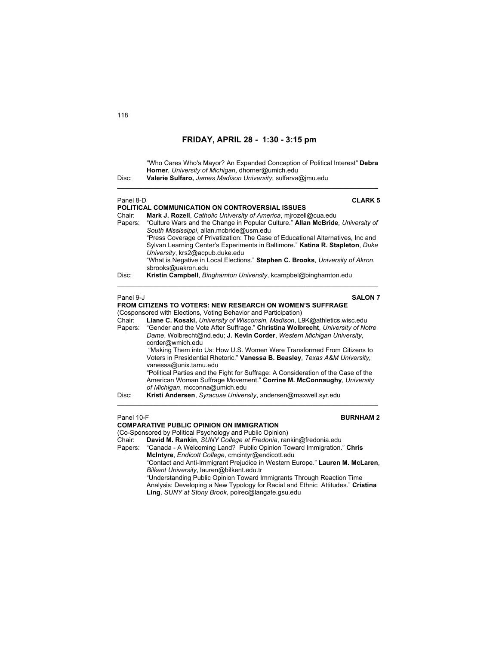| Disc:             | "Who Cares Who's Mayor? An Expanded Conception of Political Interest" Debra<br>Horner, University of Michigan, dhorner@umich.edu<br>Valerie Sulfaro, James Madison University; sulfarva@imu.edu |
|-------------------|-------------------------------------------------------------------------------------------------------------------------------------------------------------------------------------------------|
| Panel 8-D         | <b>CLARK 5</b>                                                                                                                                                                                  |
|                   | POLITICAL COMMUNICATION ON CONTROVERSIAL ISSUES                                                                                                                                                 |
| Chair:<br>Papers: | Mark J. Rozell, Catholic University of America, mirozell@cua.edu<br>"Culture Wars and the Change in Popular Culture." Allan McBride, University of                                              |
|                   | South Mississippi, allan.mcbride@usm.edu                                                                                                                                                        |
|                   | "Press Coverage of Privatization: The Case of Educational Alternatives, Inc and                                                                                                                 |
|                   | Sylvan Learning Center's Experiments in Baltimore." Katina R. Stapleton, Duke                                                                                                                   |
|                   | University, krs2@acpub.duke.edu                                                                                                                                                                 |
|                   | "What is Negative in Local Elections." Stephen C. Brooks, University of Akron,<br>sbrooks@uakron.edu                                                                                            |
| Disc:             | Kristin Campbell, Binghamton University, kcampbel@binghamton.edu                                                                                                                                |
|                   |                                                                                                                                                                                                 |
| Panel 9-J         | <b>SALON 7</b>                                                                                                                                                                                  |
|                   | <b>FROM CITIZENS TO VOTERS: NEW RESEARCH ON WOMEN'S SUFFRAGE</b>                                                                                                                                |
| Chair:            | (Cosponsored with Elections, Voting Behavior and Participation)<br>Liane C. Kosaki, University of Wisconsin, Madison, L9K@athletics.wisc.edu                                                    |
| Papers:           | "Gender and the Vote After Suffrage." Christina Wolbrecht, University of Notre                                                                                                                  |
|                   | Dame, Wolbrecht@nd.edu; J. Kevin Corder, Western Michigan University,<br>corder@wmich.edu                                                                                                       |
|                   | "Making Them into Us: How U.S. Women Were Transformed From Citizens to                                                                                                                          |
|                   | Voters in Presidential Rhetoric." Vanessa B. Beasley, Texas A&M University,<br>vanessa@unix.tamu.edu                                                                                            |
|                   | "Political Parties and the Fight for Suffrage: A Consideration of the Case of the                                                                                                               |
|                   | American Woman Suffrage Movement." Corrine M. McConnaughy, University                                                                                                                           |
| Disc:             | of Michigan, mcconna@umich.edu<br>Kristi Andersen, Syracuse University, andersen@maxwell.syr.edu                                                                                                |
|                   |                                                                                                                                                                                                 |

| Panel 10-F | <b>BURNHAM2</b>                                                                |
|------------|--------------------------------------------------------------------------------|
|            | <b>COMPARATIVE PUBLIC OPINION ON IMMIGRATION</b>                               |
|            | (Co-Sponsored by Political Psychology and Public Opinion)                      |
| Chair:     | David M. Rankin, SUNY College at Fredonia, rankin@fredonia.edu                 |
|            | Papers: "Canada - A Welcoming Land? Public Opinion Toward Immigration." Chris  |
|            | McIntyre, Endicott College, cmcintyr@endicott.edu                              |
|            | "Contact and Anti-Immigrant Prejudice in Western Europe." Lauren M. McLaren,   |
|            | Bilkent University, lauren@bilkent.edu.tr                                      |
|            | "Understanding Public Opinion Toward Immigrants Through Reaction Time          |
|            | Analysis: Developing a New Typology for Racial and Ethnic Attitudes." Cristina |
|            | Ling, SUNY at Stony Brook, polrec@langate.gsu.edu                              |
|            |                                                                                |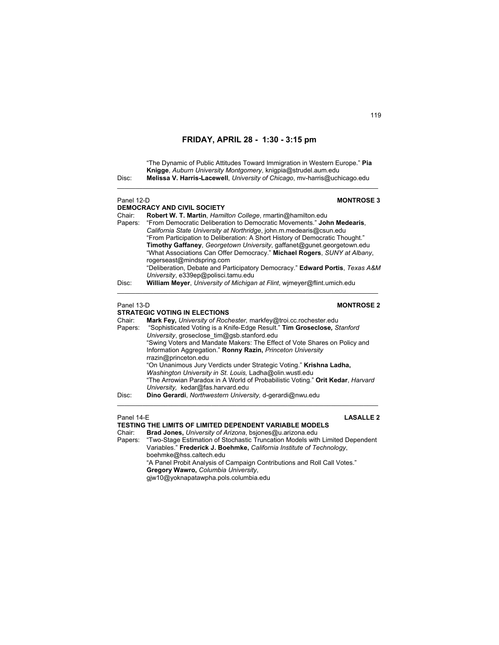"The Dynamic of Public Attitudes Toward Immigration in Western Europe." **Pia Knigge**, *Auburn University Montgomery*, knigpia@strudel.aum.edu Disc: **Melissa V. Harris-Lacewell**, *University of Chicago*, mv-harris@uchicago.edu  $\mathcal{L}_\text{max}$  , and the set of the set of the set of the set of the set of the set of the set of the set of the set of Panel 12-D **MONTROSE 3 DEMOCRACY AND CIVIL SOCIETY**<br>Chair: **Robert W T Martin Hami** Chair: **Robert W. T. Martin**, *Hamilton College*, rmartin@hamilton.edu Papers: "From Democratic Deliberation to Democratic Movements." **John Medearis**, *California State University at Northridge*, john.m.medearis@csun.edu "From Participation to Deliberation: A Short History of Democratic Thought." **Timothy Gaffaney**, *Georgetown University*, gaffanet@gunet.georgetown.edu "What Associations Can Offer Democracy." **Michael Rogers**, *SUNY at Albany*, rogerseast@mindspring.com "Deliberation, Debate and Participatory Democracy." **Edward Portis**, *Texas A&M University*, e339ep@polisci.tamu.edu Disc: **William Meyer**, *University of Michigan at Flint*, wjmeyer@flint.umich.edu \_\_\_\_\_\_\_\_\_\_\_\_\_\_\_\_\_\_\_\_\_\_\_\_\_\_\_\_\_\_\_\_\_\_\_\_\_\_\_\_\_\_\_\_\_\_\_\_\_\_\_\_\_\_\_\_\_\_\_\_\_\_\_\_\_\_\_\_\_\_\_\_ Panel 13-D **MONTROSE 2 STRATEGIC VOTING IN ELECTIONS**  Chair: **Mark Fey,** *University of Rochester,* markfey@troi.cc.rochester.edu Papers: "Sophisticated Voting is a Knife-Edge Result." **Tim Groseclose***, Stanford University*, groseclose\_tim@gsb.stanford.edu "Swing Voters and Mandate Makers: The Effect of Vote Shares on Policy and Information Aggregation." **Ronny Razin,** *Princeton University*  rrazin@princeton.edu "On Unanimous Jury Verdicts under Strategic Voting." **Krishna Ladha,**  *Washington University in St. Louis,* Ladha@olin.wustl.edu "The Arrowian Paradox in A World of Probabilistic Voting." **Orit Kedar**, *Harvard University,* kedar@fas.harvard.edu Disc: **Dino Gerardi**, *Northwestern University,* d-gerardi@nwu.edu \_\_\_\_\_\_\_\_\_\_\_\_\_\_\_\_\_\_\_\_\_\_\_\_\_\_\_\_\_\_\_\_\_\_\_\_\_\_\_\_\_\_\_\_\_\_\_\_\_\_\_\_\_\_\_\_\_\_\_\_\_\_\_\_\_\_\_\_\_\_\_\_ Panel 14-E **LASALLE 2 TESTING THE LIMITS OF LIMITED DEPENDENT VARIABLE MODELS** Chair: **Brad Jones,** *University of Arizona*, bsjones@u.arizona.edu Papers: "Two-Stage Estimation of Stochastic Truncation Models with Limited Dependent Variables." **Frederick J. Boehmke,** *California Institute of Technology*, boehmke@hss.caltech.edu

 "A Panel Probit Analysis of Campaign Contributions and Roll Call Votes." **Gregory Wawro,** *Columbia University*,

gjw10@yoknapatawpha.pols.columbia.edu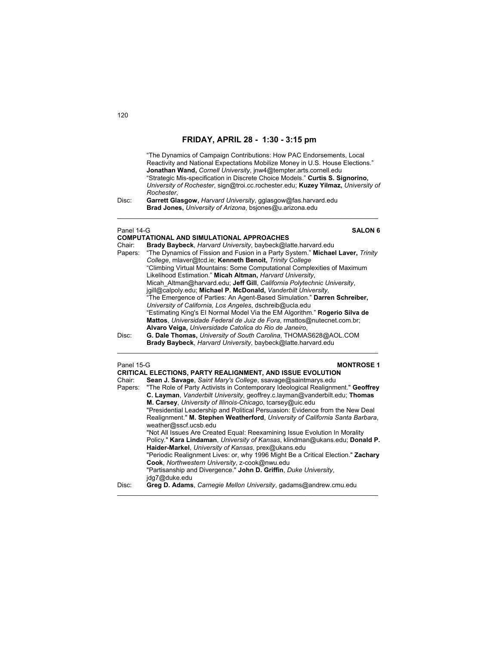| Disc:                                    | "The Dynamics of Campaign Contributions: How PAC Endorsements, Local<br>Reactivity and National Expectations Mobilize Money in U.S. House Elections."<br>Jonathan Wand, Cornell University, jnw4@tempter.arts.cornell.edu<br>"Strategic Mis-specification in Discrete Choice Models." Curtis S. Signorino,<br>University of Rochester, sign@troi.cc.rochester.edu; Kuzey Yilmaz, University of<br>Rochester,<br>Garrett Glasgow, Harvard University, gglasgow@fas.harvard.edu<br>Brad Jones, University of Arizona, bsjones@u.arizona.edu                                                                                                                                                                                                                                                                                                                                                                                                                                                                                                                  |
|------------------------------------------|------------------------------------------------------------------------------------------------------------------------------------------------------------------------------------------------------------------------------------------------------------------------------------------------------------------------------------------------------------------------------------------------------------------------------------------------------------------------------------------------------------------------------------------------------------------------------------------------------------------------------------------------------------------------------------------------------------------------------------------------------------------------------------------------------------------------------------------------------------------------------------------------------------------------------------------------------------------------------------------------------------------------------------------------------------|
| Panel 14-G<br>Chair:<br>Papers:<br>Disc: | <b>SALON 6</b><br>COMPUTATIONAL AND SIMULATIONAL APPROACHES<br>Brady Baybeck, Harvard University, baybeck@latte.harvard.edu<br>"The Dynamics of Fission and Fusion in a Party System." Michael Laver, Trinity<br>College, mlaver@tcd.ie; Kenneth Benoit, Trinity College<br>"Climbing Virtual Mountains: Some Computational Complexities of Maximum<br>Likelihood Estimation." Micah Altman, Harvard University,<br>Micah Altman@harvard.edu; Jeff Gill, California Polytechnic University,<br>igill@calpoly.edu; Michael P. McDonald, Vanderbilt University,<br>"The Emergence of Parties: An Agent-Based Simulation." Darren Schreiber,<br>University of California, Los Angeles, dschreib@ucla.edu<br>"Estimating King's El Normal Model Via the EM Algorithm." Rogerio Silva de<br>Mattos, Universidade Federal de Juiz de Fora, rmattos@nutecnet.com.br;<br>Alvaro Veiga, Universidade Catolica do Rio de Janeiro,<br>G. Dale Thomas, University of South Carolina, THOMAS628@AOL.COM<br>Brady Baybeck, Harvard University, baybeck@latte.harvard.edu |
| Panel 15-G<br>Chair:<br>Papers:          | <b>MONTROSE 1</b><br>CRITICAL ELECTIONS, PARTY REALIGNMENT, AND ISSUE EVOLUTION<br>Sean J. Savage, Saint Mary's College, ssavage@saintmarys.edu<br>"The Role of Party Activists in Contemporary Ideological Realignment." Geoffrey<br>C. Layman, Vanderbilt University, geoffrey c.layman@vanderbilt.edu; Thomas<br>M. Carsey, University of Illinois-Chicago, tcarsey@uic.edu<br>"Presidential Leadership and Political Persuasion: Evidence from the New Deal<br>Realignment." M. Stephen Weatherford, University of California Santa Barbara,<br>weather@sscf.ucsb.edu<br>"Not All Issues Are Created Equal: Reexamining Issue Evolution In Morality<br>Policy " Kara Lindaman <i>University of Kansas klindman@ukans edu:</i> Donald P                                                                                                                                                                                                                                                                                                                 |

Policy." **Kara Lindaman**, *University of Kansas*, klindman@ukans.edu; **Donald P. Haider-Markel**, *University of Kansas*, prex@ukans.edu "Periodic Realignment Lives: or, why 1996 Might Be a Critical Election." **Zachary Cook**, *Northwestern University*, z-cook@nwu.edu "Partisanship and Divergence." **John D. Griffin**, *Duke University*,

 $\mathcal{L}_\mathcal{L} = \{ \mathcal{L}_\mathcal{L} = \{ \mathcal{L}_\mathcal{L} = \{ \mathcal{L}_\mathcal{L} = \{ \mathcal{L}_\mathcal{L} = \{ \mathcal{L}_\mathcal{L} = \{ \mathcal{L}_\mathcal{L} = \{ \mathcal{L}_\mathcal{L} = \{ \mathcal{L}_\mathcal{L} = \{ \mathcal{L}_\mathcal{L} = \{ \mathcal{L}_\mathcal{L} = \{ \mathcal{L}_\mathcal{L} = \{ \mathcal{L}_\mathcal{L} = \{ \mathcal{L}_\mathcal{L} = \{ \mathcal{L}_\mathcal{$ 

jdg7@duke.edu

Disc: **Greg D. Adams**, *Carnegie Mellon University*, gadams@andrew.cmu.edu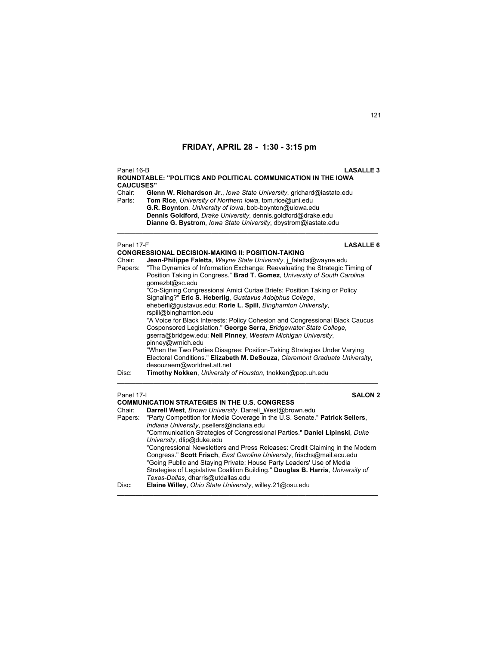Panel 16-B **LASALLE 3 ROUNDTABLE: "POLITICS AND POLITICAL COMMUNICATION IN THE IOWA CAUCUSES"**  Chair: **Glenn W. Richardson Jr**., *Iowa State University*, grichard@iastate.edu **Tom Rice**, *University of Northern Iowa*, tom.rice@uni.edu **G.R. Boynton**, *University of Iowa*, bob-boynton@uiowa.edu  **Dennis Goldford**, *Drake University*, dennis.goldford@drake.edu  **Dianne G. Bystrom**, *Iowa State University*, dbystrom@iastate.edu  $\mathcal{L}_\text{max}$  , and the set of the set of the set of the set of the set of the set of the set of the set of the set of Panel 17-F **LASALLE 6 CONGRESSIONAL DECISION-MAKING II: POSITION-TAKING**  Chair: **Jean-Philippe Faletta**, *Wayne State University*, *j\_faletta@wayne.edu*<br>Papers: "The Dynamics of Information Exchange: Reevaluating the Strategic T "The Dynamics of Information Exchange: Reevaluating the Strategic Timing of Position Taking in Congress." **Brad T. Gomez**, *University of South Carolina*, gomezbt@sc.edu "Co-Signing Congressional Amici Curiae Briefs: Position Taking or Policy Signaling?" **Eric S. Heberlig**, *Gustavus Adolphus College*,

rspill@binghamton.edu "A Voice for Black Interests: Policy Cohesion and Congressional Black Caucus Cosponsored Legislation." **George Serra**, *Bridgewater State College*, gserra@bridgew.edu; **Neil Pinney**, *Western Michigan University*, pinney@wmich.edu "When the Two Parties Disagree: Position-Taking Strategies Under Varying Electoral Conditions." **Elizabeth M. DeSouza**, *Claremont Graduate University*, desouzaem@worldnet.att.net Disc: **Timothy Nokken**, *University of Houston*, tnokken@pop.uh.edu  $\mathcal{L}_\mathcal{L} = \{ \mathcal{L}_\mathcal{L} = \{ \mathcal{L}_\mathcal{L} = \{ \mathcal{L}_\mathcal{L} = \{ \mathcal{L}_\mathcal{L} = \{ \mathcal{L}_\mathcal{L} = \{ \mathcal{L}_\mathcal{L} = \{ \mathcal{L}_\mathcal{L} = \{ \mathcal{L}_\mathcal{L} = \{ \mathcal{L}_\mathcal{L} = \{ \mathcal{L}_\mathcal{L} = \{ \mathcal{L}_\mathcal{L} = \{ \mathcal{L}_\mathcal{L} = \{ \mathcal{L}_\mathcal{L} = \{ \mathcal{L}_\mathcal{$ 

eheberli@gustavus.edu; **Rorie L. Spill**, *Binghamton University*,

## Panel 17-I **SALON 2**

|        | COMMUNICATION STRATEGIES IN THE U.S. CONGRESS                                                                                                           |  |
|--------|---------------------------------------------------------------------------------------------------------------------------------------------------------|--|
| Chair: | Darrell West. Brown University, Darrell West@brown.edu                                                                                                  |  |
|        | Papers: "Party Competition for Media Coverage in the U.S. Senate." Patrick Sellers,<br>Indiana University, psellers@indiana.edu                         |  |
|        | "Communication Strategies of Congressional Parties." Daniel Lipinski, Duke<br>University, dlip@duke.edu                                                 |  |
|        | "Congressional Newsletters and Press Releases: Credit Claiming in the Modern<br>Congress." Scott Frisch, East Carolina University, frischs@mail.ecu.edu |  |
|        | "Going Public and Staying Private: House Party Leaders' Use of Media                                                                                    |  |
|        | Strategies of Legislative Coalition Building." Douglas B. Harris, University of                                                                         |  |
|        | Texas-Dallas, dharris@utdallas.edu                                                                                                                      |  |
| Disc:  | Elaine Willey, Ohio State University, willey.21@osu.edu                                                                                                 |  |

\_\_\_\_\_\_\_\_\_\_\_\_\_\_\_\_\_\_\_\_\_\_\_\_\_\_\_\_\_\_\_\_\_\_\_\_\_\_\_\_\_\_\_\_\_\_\_\_\_\_\_\_\_\_\_\_\_\_\_\_\_\_\_\_\_\_\_\_\_\_\_\_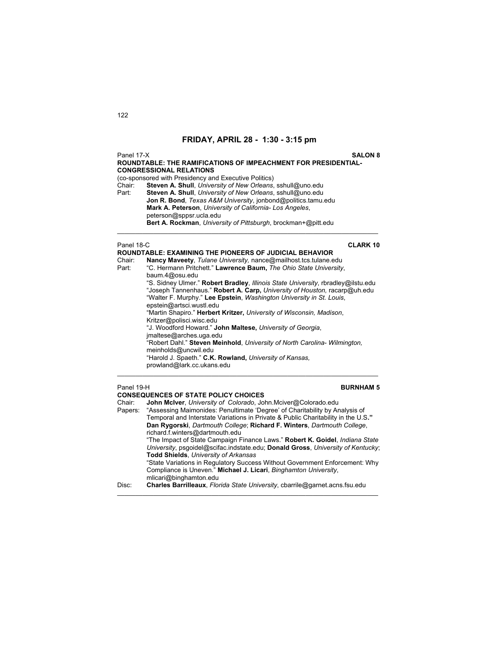Panel 17-X **SALON 8 ROUNDTABLE: THE RAMIFICATIONS OF IMPEACHMENT FOR PRESIDENTIAL-CONGRESSIONAL RELATIONS** (co-sponsored with Presidency and Executive Politics) Chair: **Steven A. Shull**, *University of New Orleans*, sshull@uno.edu Part: **Steven A. Shull**, *University of New Orleans*, sshull@uno.edu  **Jon R. Bond**, *Texas A&M University*, jonbond@politics.tamu.edu  **Mark A. Peterson**, *University of California- Los Angeles*, peterson@sppsr.ucla.edu  **Bert A. Rockman**, *University of Pittsburgh*, brockman+@pitt.edu  $\mathcal{L}_\mathcal{L} = \mathcal{L}_\mathcal{L} = \mathcal{L}_\mathcal{L} = \mathcal{L}_\mathcal{L} = \mathcal{L}_\mathcal{L} = \mathcal{L}_\mathcal{L} = \mathcal{L}_\mathcal{L} = \mathcal{L}_\mathcal{L} = \mathcal{L}_\mathcal{L} = \mathcal{L}_\mathcal{L} = \mathcal{L}_\mathcal{L} = \mathcal{L}_\mathcal{L} = \mathcal{L}_\mathcal{L} = \mathcal{L}_\mathcal{L} = \mathcal{L}_\mathcal{L} = \mathcal{L}_\mathcal{L} = \mathcal{L}_\mathcal{L}$ 

Panel 18-C **CLARK 10**

|        | ROUNDTABLE: EXAMINING THE PIONEERS OF JUDICIAL BEHAVIOR                                  |
|--------|------------------------------------------------------------------------------------------|
| Chair: | Nancy Maveety, Tulane University, nance@mailhost.tcs.tulane.edu                          |
| Part:  | "C. Hermann Pritchett." Lawrence Baum, The Ohio State University,                        |
|        | baum.4@osu.edu                                                                           |
|        | "S. Sidney Ulmer." <b>Robert Bradley</b> , Illinois State University, rbradley@ilstu.edu |
|        | "Joseph Tannenhaus." Robert A. Carp, University of Houston, racarp@uh.edu                |
|        | "Walter F. Murphy." Lee Epstein, Washington University in St. Louis.                     |
|        | epstein@artsci.wustl.edu                                                                 |
|        | "Martin Shapiro." <b>Herbert Kritzer,</b> University of Wisconsin, Madison,              |
|        | Kritzer@polisci.wisc.edu                                                                 |
|        | "J. Woodford Howard." John Maltese, University of Georgia,                               |
|        | imaltese@arches.uga.edu                                                                  |
|        | "Robert Dahl." Steven Meinhold, University of North Carolina- Wilmington,                |
|        | meinholds@uncwil.edu                                                                     |
|        | "Harold J. Spaeth." C.K. Rowland, University of Kansas,                                  |
|        | prowland@lark.cc.ukans.edu                                                               |
|        |                                                                                          |
|        |                                                                                          |

## Panel 19-H **BURNHAM 5**

|         | <b>CONSEQUENCES OF STATE POLICY CHOICES</b>                                                                                                                     |
|---------|-----------------------------------------------------------------------------------------------------------------------------------------------------------------|
| Chair:  | John McIver, University of Colorado, John Mciver@Colorado.edu                                                                                                   |
| Papers: | "Assessing Maimonides: Penultimate 'Degree' of Charitability by Analysis of                                                                                     |
|         | Temporal and Interstate Variations in Private & Public Charitability in the U.S."                                                                               |
|         | Dan Rygorski, Dartmouth College; Richard F. Winters, Dartmouth College,<br>richard.f.winters@dartmouth.edu                                                      |
|         | "The Impact of State Campaign Finance Laws." Robert K. Goidel, Indiana State<br>University, psgoidel@scifac.indstate.edu; Donald Gross, University of Kentucky; |
|         | <b>Todd Shields, University of Arkansas</b>                                                                                                                     |
|         | "State Variations in Regulatory Success Without Government Enforcement: Why                                                                                     |
|         | Compliance is Uneven." Michael J. Licari, Binghamton University,<br>mlicari@binghamton.edu                                                                      |
| Disc:   | <b>Charles Barrilleaux</b> , <i>Florida State University</i> , cbarrile@garnet.acns.fsu.edu                                                                     |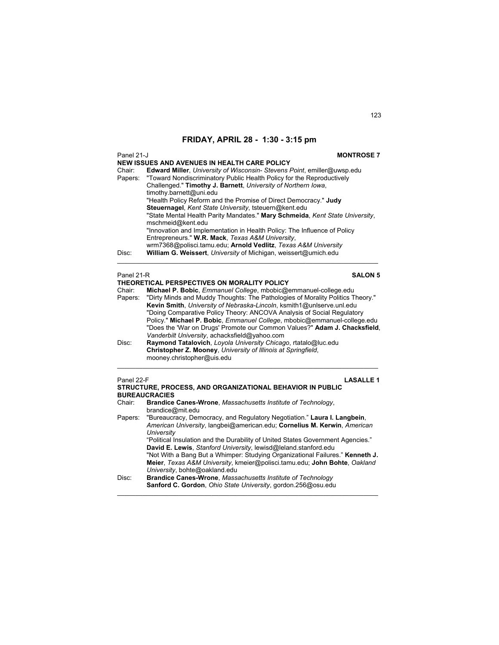| Panel 21-J        | <b>MONTROSE 7</b>                                                                                                                                                                                                                                                                                                                                            |  |
|-------------------|--------------------------------------------------------------------------------------------------------------------------------------------------------------------------------------------------------------------------------------------------------------------------------------------------------------------------------------------------------------|--|
|                   | NEW ISSUES AND AVENUES IN HEALTH CARE POLICY                                                                                                                                                                                                                                                                                                                 |  |
| Chair:<br>Papers: | <b>Edward Miller, University of Wisconsin- Stevens Point, emiller@uwsp.edu</b><br>"Toward Nondiscriminatory Public Health Policy for the Reproductively<br>Challenged." Timothy J. Barnett, University of Northern Iowa,<br>timothy.barnett@uni.edu<br>"Health Policy Reform and the Promise of Direct Democracy." Judy                                      |  |
|                   | Steuernagel, Kent State University, tsteuern@kent.edu<br>"State Mental Health Parity Mandates." Mary Schmeida, Kent State University,<br>mschmeid@kent.edu<br>"Innovation and Implementation in Health Policy: The Influence of Policy<br>Entrepreneurs." W.R. Mack, Texas A&M University,<br>wrm7368@polisci.tamu.edu; Arnold Vedlitz, Texas A&M University |  |
| Disc:             | William G. Weissert, University of Michigan, weissert@umich.edu                                                                                                                                                                                                                                                                                              |  |
| Panel 21-R        | <b>SALON 5</b>                                                                                                                                                                                                                                                                                                                                               |  |
|                   | THEORETICAL PERSPECTIVES ON MORALITY POLICY                                                                                                                                                                                                                                                                                                                  |  |
| Chair:            | Michael P. Bobic, <i>Emmanuel College</i> , mbobic@emmanuel-college.edu                                                                                                                                                                                                                                                                                      |  |

| Chair:  | <b>Michael P. Bobic</b> , <i>Emmanuel College</i> , mbobic@emmanuel-college.edu |
|---------|---------------------------------------------------------------------------------|
| Papers: | "Dirty Minds and Muddy Thoughts: The Pathologies of Morality Politics Theory."  |
|         | Kevin Smith, University of Nebraska-Lincoln, ksmith1@unlserve.unl.edu           |
|         | "Doing Comparative Policy Theory: ANCOVA Analysis of Social Regulatory          |
|         | Policy." Michael P. Bobic, Emmanuel College, mbobic@emmanuel-college.edu        |
|         | "Does the 'War on Drugs' Promote our Common Values?" Adam J. Chacksfield,       |
|         | Vanderbilt University, achacksfield@yahoo.com                                   |
| Disc:   | Raymond Tatalovich, Loyola University Chicago, rtatalo@luc.edu                  |
|         | Christopher Z. Mooney, University of Illinois at Springfield,                   |

 $\mathcal{L}_\mathcal{L} = \{ \mathcal{L}_\mathcal{L} = \{ \mathcal{L}_\mathcal{L} = \{ \mathcal{L}_\mathcal{L} = \{ \mathcal{L}_\mathcal{L} = \{ \mathcal{L}_\mathcal{L} = \{ \mathcal{L}_\mathcal{L} = \{ \mathcal{L}_\mathcal{L} = \{ \mathcal{L}_\mathcal{L} = \{ \mathcal{L}_\mathcal{L} = \{ \mathcal{L}_\mathcal{L} = \{ \mathcal{L}_\mathcal{L} = \{ \mathcal{L}_\mathcal{L} = \{ \mathcal{L}_\mathcal{L} = \{ \mathcal{L}_\mathcal{$ 

mooney.christopher@uis.edu

| Panel 22-F<br><b>LASALLE1</b><br><b>STRUCTURE, PROCESS, AND ORGANIZATIONAL BEHAVIOR IN PUBLIC</b><br><b>BUREAUCRACIES</b> |                                                                                                                                                                            |
|---------------------------------------------------------------------------------------------------------------------------|----------------------------------------------------------------------------------------------------------------------------------------------------------------------------|
| Chair:                                                                                                                    | Brandice Canes-Wrone, Massachusetts Institute of Technology,<br>brandice@mit.edu                                                                                           |
|                                                                                                                           | Papers: "Bureaucracy, Democracy, and Regulatory Negotiation." Laura I. Langbein,<br>American University, langbei@american.edu; Cornelius M. Kerwin, American<br>University |
|                                                                                                                           | "Political Insulation and the Durability of United States Government Agencies."<br>David E. Lewis, Stanford University, lewisd@leland.stanford.edu                         |
|                                                                                                                           | "Not With a Bang But a Whimper: Studying Organizational Failures." Kenneth J.<br>Meier, Texas A&M University, kmeier@polisci.tamu.edu; John Bohte, Oakland                 |
|                                                                                                                           | University, bohte@oakland.edu                                                                                                                                              |
| Disc:                                                                                                                     | Brandice Canes-Wrone, Massachusetts Institute of Technology                                                                                                                |
|                                                                                                                           | Sanford C. Gordon, Ohio State University, gordon.256@osu.edu                                                                                                               |

 $\mathcal{L}_\mathcal{L} = \{ \mathcal{L}_\mathcal{L} = \{ \mathcal{L}_\mathcal{L} = \{ \mathcal{L}_\mathcal{L} = \{ \mathcal{L}_\mathcal{L} = \{ \mathcal{L}_\mathcal{L} = \{ \mathcal{L}_\mathcal{L} = \{ \mathcal{L}_\mathcal{L} = \{ \mathcal{L}_\mathcal{L} = \{ \mathcal{L}_\mathcal{L} = \{ \mathcal{L}_\mathcal{L} = \{ \mathcal{L}_\mathcal{L} = \{ \mathcal{L}_\mathcal{L} = \{ \mathcal{L}_\mathcal{L} = \{ \mathcal{L}_\mathcal{$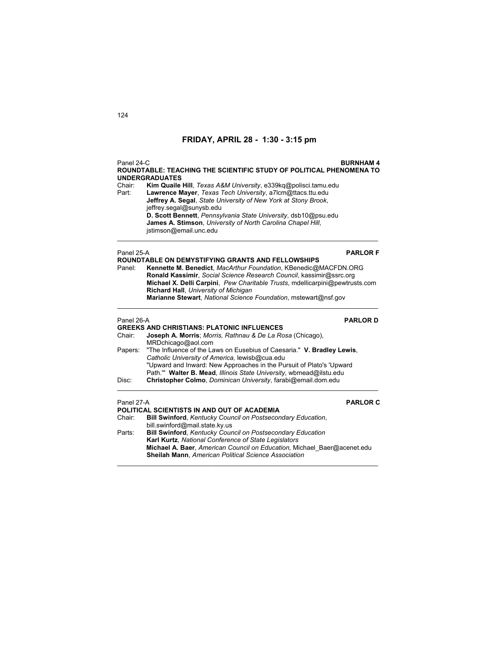| Panel 24-C<br><b>BURNHAM4</b><br>ROUNDTABLE: TEACHING THE SCIENTIFIC STUDY OF POLITICAL PHENOMENA TO<br><b>UNDERGRADUATES</b> |                                                                                                                                                                                                                                                                                                                                                                                               |  |
|-------------------------------------------------------------------------------------------------------------------------------|-----------------------------------------------------------------------------------------------------------------------------------------------------------------------------------------------------------------------------------------------------------------------------------------------------------------------------------------------------------------------------------------------|--|
| Chair:<br>Part:                                                                                                               | Kim Quaile Hill, Texas A&M University, e339kq@polisci.tamu.edu<br>Lawrence Mayer, Texas Tech University, a7lcm@ttacs.ttu.edu<br>Jeffrey A. Segal, State University of New York at Stony Brook,                                                                                                                                                                                                |  |
|                                                                                                                               | jeffrey.segal@sunysb.edu<br>D. Scott Bennett, Pennsylvania State University, dsb10@psu.edu<br>James A. Stimson, University of North Carolina Chapel Hill,<br>jstimson@email.unc.edu                                                                                                                                                                                                           |  |
| Panel 25-A                                                                                                                    | <b>PARLOR F</b>                                                                                                                                                                                                                                                                                                                                                                               |  |
| Panel:                                                                                                                        | <b>ROUNDTABLE ON DEMYSTIFYING GRANTS AND FELLOWSHIPS</b><br>Kennette M. Benedict, MacArthur Foundation, KBenedic@MACFDN.ORG<br>Ronald Kassimir, Social Science Research Council, kassimir@ssrc.org<br>Michael X. Delli Carpini, Pew Charitable Trusts, mdellicarpini@pewtrusts.com<br>Richard Hall, University of Michigan<br>Marianne Stewart, National Science Foundation, mstewart@nsf.gov |  |
| Panel 26-A                                                                                                                    | <b>PARLOR D</b>                                                                                                                                                                                                                                                                                                                                                                               |  |
| Chair:                                                                                                                        | <b>GREEKS AND CHRISTIANS: PLATONIC INFLUENCES</b><br>Joseph A. Morris; Morris, Rathnau & De La Rosa (Chicago),<br>MRDchicago@aol.com                                                                                                                                                                                                                                                          |  |
| Papers:                                                                                                                       | "The Influence of the Laws on Eusebius of Caesaria." V. Bradley Lewis,<br>Catholic University of America, lewisb@cua.edu<br>"Upward and Inward: New Approaches in the Pursuit of Plato's 'Upward<br>Path."" Walter B. Mead, Illinois State University, wbmead@ilstu.edu                                                                                                                       |  |
| Disc:                                                                                                                         | Christopher Colmo, Dominican University, farabi@email.dom.edu                                                                                                                                                                                                                                                                                                                                 |  |
| Panel 27-A                                                                                                                    | <b>PARLOR C</b>                                                                                                                                                                                                                                                                                                                                                                               |  |
|                                                                                                                               | POLITICAL SCIENTISTS IN AND OUT OF ACADEMIA                                                                                                                                                                                                                                                                                                                                                   |  |
| Chair:                                                                                                                        | <b>Bill Swinford, Kentucky Council on Postsecondary Education,</b>                                                                                                                                                                                                                                                                                                                            |  |
| Parts:                                                                                                                        | bill.swinford@mail.state.ky.us<br><b>Bill Swinford, Kentucky Council on Postsecondary Education</b>                                                                                                                                                                                                                                                                                           |  |
|                                                                                                                               | Karl Kurtz, National Conference of State Legislators                                                                                                                                                                                                                                                                                                                                          |  |
|                                                                                                                               | Michael A. Baer, American Council on Education, Michael Baer@acenet.edu<br>Sheilah Mann, American Political Science Association                                                                                                                                                                                                                                                               |  |

 $\mathcal{L}_\mathcal{L} = \{ \mathcal{L}_\mathcal{L} = \{ \mathcal{L}_\mathcal{L} = \{ \mathcal{L}_\mathcal{L} = \{ \mathcal{L}_\mathcal{L} = \{ \mathcal{L}_\mathcal{L} = \{ \mathcal{L}_\mathcal{L} = \{ \mathcal{L}_\mathcal{L} = \{ \mathcal{L}_\mathcal{L} = \{ \mathcal{L}_\mathcal{L} = \{ \mathcal{L}_\mathcal{L} = \{ \mathcal{L}_\mathcal{L} = \{ \mathcal{L}_\mathcal{L} = \{ \mathcal{L}_\mathcal{L} = \{ \mathcal{L}_\mathcal{$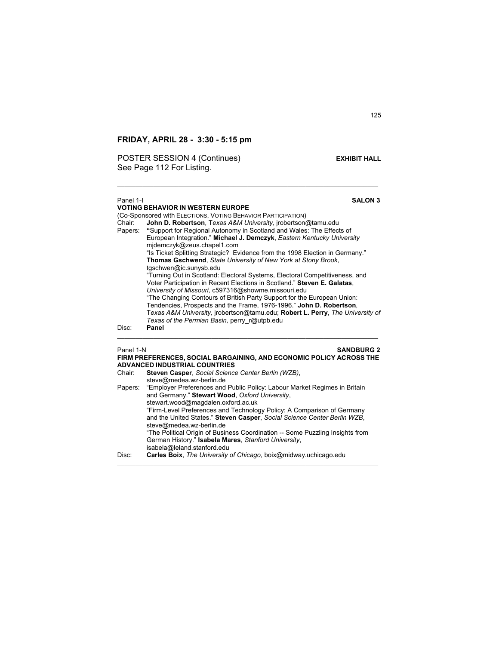POSTER SESSION 4 (Continues) **EXHIBIT HALL** See Page 112 For Listing.

## Panel 1-I **SALON 3 VOTING BEHAVIOR IN WESTERN EUROPE**  (Co-Sponsored with ELECTIONS, VOTING BEHAVIOR PARTICIPATION) Chair: **John D. Robertson**, T*exas A&M University,* jrobertson@tamu.edu Papers: **"**Support for Regional Autonomy in Scotland and Wales: The Effects of European Integration." **Michael J. Demczyk**, *Eastern Kentucky University*  mjdemczyk@zeus.chapel1.com "Is Ticket Splitting Strategic? Evidence from the 1998 Election in Germany." **Thomas Gschwend**, *State University of New York at Stony Brook*, tgschwen@ic.sunysb.edu "Turning Out in Scotland: Electoral Systems, Electoral Competitiveness, and Voter Participation in Recent Elections in Scotland." **Steven E. Galatas**, *University of Missouri*, c597316@showme.missouri.edu "The Changing Contours of British Party Support for the European Union: Tendencies, Prospects and the Frame, 1976-1996." **John D. Robertson**, T*exas A&M University,* jrobertson@tamu.edu; **Robert L. Perry**, *The University of Texas of the Permian Basin,* perry\_r@utpb.edu Disc: **Panel**  \_\_\_\_\_\_\_\_\_\_\_\_\_\_\_\_\_\_\_\_\_\_\_\_\_\_\_\_\_\_\_\_\_\_\_\_\_\_\_\_\_\_\_\_\_\_\_\_\_\_\_\_\_\_\_\_\_\_\_\_\_\_\_\_\_\_\_\_\_\_\_\_

 $\mathcal{L}_\mathcal{L} = \{ \mathcal{L}_\mathcal{L} = \{ \mathcal{L}_\mathcal{L} = \{ \mathcal{L}_\mathcal{L} = \{ \mathcal{L}_\mathcal{L} = \{ \mathcal{L}_\mathcal{L} = \{ \mathcal{L}_\mathcal{L} = \{ \mathcal{L}_\mathcal{L} = \{ \mathcal{L}_\mathcal{L} = \{ \mathcal{L}_\mathcal{L} = \{ \mathcal{L}_\mathcal{L} = \{ \mathcal{L}_\mathcal{L} = \{ \mathcal{L}_\mathcal{L} = \{ \mathcal{L}_\mathcal{L} = \{ \mathcal{L}_\mathcal{$ 

## **Panel 1-N SANDBURG 2 FIRM PREFERENCES, SOCIAL BARGAINING, AND ECONOMIC POLICY ACROSS THE ADVANCED INDUSTRIAL COUNTRIES** Chair: **Steven Casper**, *Social Science Center Berlin (WZB)*, steve@medea.wz-berlin.de Papers: "Employer Preferences and Public Policy: Labour Market Regimes in Britain and Germany." **Stewart Wood**, *Oxford University*, stewart.wood@magdalen.oxford.ac.uk "Firm-Level Preferences and Technology Policy: A Comparison of Germany and the United States." **Steven Casper**, *Social Science Center Berlin WZB*, steve@medea.wz-berlin.de "The Political Origin of Business Coordination -- Some Puzzling Insights from German History." **Isabela Mares**, *Stanford University*, isabela@leland.stanford.edu Disc: **Carles Boix**, *The University of Chicago*, boix@midway.uchicago.edu \_\_\_\_\_\_\_\_\_\_\_\_\_\_\_\_\_\_\_\_\_\_\_\_\_\_\_\_\_\_\_\_\_\_\_\_\_\_\_\_\_\_\_\_\_\_\_\_\_\_\_\_\_\_\_\_\_\_\_\_\_\_\_\_\_\_\_\_\_\_\_\_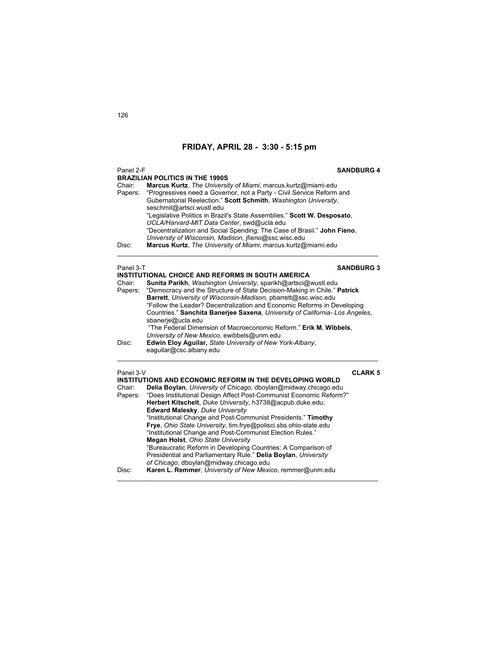| Panel 2-F |                                                                              | <b>SANDBURG 4</b> |
|-----------|------------------------------------------------------------------------------|-------------------|
|           | <b>BRAZILIAN POLITICS IN THE 1990S</b>                                       |                   |
| Chair:    | Marcus Kurtz, The University of Miami, marcus.kurtz@miami.edu                |                   |
| Papers:   | "Progressives need a Governor, not a Party - Civil Service Reform and        |                   |
|           | Gubernatorial Reelection." Scott Schmith, Washington University,             |                   |
|           | seschmit@artsci.wustl.edu                                                    |                   |
|           | "Legislative Politics in Brazil's State Assemblies." Scott W. Desposato,     |                   |
|           | UCLA/Harvard-MIT Data Center, swd@ucla.edu                                   |                   |
|           | "Decentralization and Social Spending: The Case of Brasil." John Fieno,      |                   |
|           | University of Wisconsin, Madison, jfieno@ssc.wisc.edu                        |                   |
| Disc:     | Marcus Kurtz, The University of Miami, marcus.kurtz@miami.edu                |                   |
| Panel 3-T |                                                                              | <b>SANDBURG 3</b> |
|           | <b>INSTITUTIONAL CHOICE AND REFORMS IN SOUTH AMERICA</b>                     |                   |
| Chair:    | Sunita Parikh, Washington University, sparikh@artsci@wustl.edu               |                   |
| Papers:   | "Democracy and the Structure of State Decision-Making in Chile." Patrick     |                   |
|           | Barrett, University of Wisconsin-Madison, pbarrett@ssc.wisc.edu              |                   |
|           | "Follow the Leader? Decentralization and Economic Reforms in Developing      |                   |
|           | Countries." Sanchita Banerjee Saxena, University of California- Los Angeles, |                   |
|           | sbanerje@ucla.edu                                                            |                   |
|           | "The Federal Dimension of Macroeconomic Reform." Erik M. Wibbels,            |                   |
|           | University of New Mexico, ewibbels@unm.edu                                   |                   |
| Disc:     | Edwin Eloy Aguilar, State University of New York-Albany,                     |                   |
|           | eaguilar@csc.albany.edu                                                      |                   |
|           |                                                                              |                   |
| Panel 3-V | INSTITUTIONS AND ECONOMIC REFORM IN THE DEVELOPING WORLD                     | <b>CLARK 5</b>    |
| Chair:    | Delia Boylan, University of Chicago, dboylan@midway.chicago.edu              |                   |
|           | "Does Institutional Design Affect Post-Communist Economic Reform?"           |                   |
| Papers:   | Herbert Kitschelt, Duke University, h3738@acpub.duke.edu;                    |                   |
|           | Edward Malesky, Duke University                                              |                   |
|           | "Institutional Change and Post-Communist Presidents." Timothy                |                   |
|           | Frye, Ohio State University, tim.frye@polisci.sbs.ohio-state.edu             |                   |
|           | "Institutional Change and Post-Communist Election Rules."                    |                   |
|           | <b>Megan Holst, Ohio State University</b>                                    |                   |
|           | "Bureaucratic Reform in Developing Countries: A Comparison of                |                   |
|           | Presidential and Parliamentary Rule." Delia Boylan, University               |                   |
|           | of Chicago, dboylan@midway.chicago.edu                                       |                   |
| Disc:     | Karen L. Remmer, University of New Mexico, remmer@unm.edu                    |                   |
|           |                                                                              |                   |

 $\mathcal{L}_\mathcal{L} = \{ \mathcal{L}_\mathcal{L} = \{ \mathcal{L}_\mathcal{L} = \{ \mathcal{L}_\mathcal{L} = \{ \mathcal{L}_\mathcal{L} = \{ \mathcal{L}_\mathcal{L} = \{ \mathcal{L}_\mathcal{L} = \{ \mathcal{L}_\mathcal{L} = \{ \mathcal{L}_\mathcal{L} = \{ \mathcal{L}_\mathcal{L} = \{ \mathcal{L}_\mathcal{L} = \{ \mathcal{L}_\mathcal{L} = \{ \mathcal{L}_\mathcal{L} = \{ \mathcal{L}_\mathcal{L} = \{ \mathcal{L}_\mathcal{$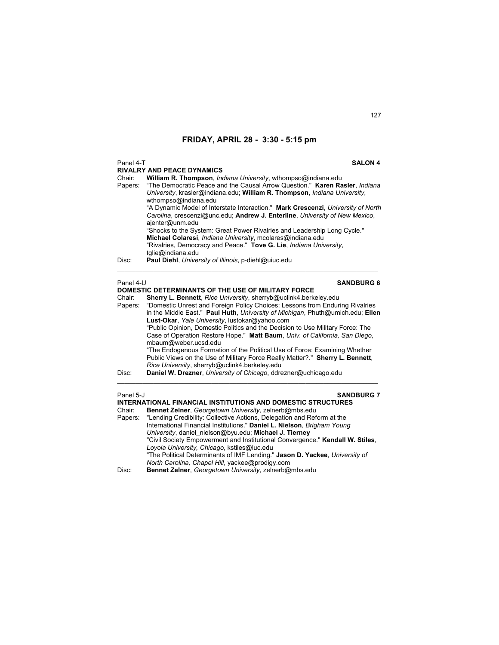### Panel 4-T **SALON 4**

|           | <b>RIVALRY AND PEACE DYNAMICS</b>                                                                                                                                                |
|-----------|----------------------------------------------------------------------------------------------------------------------------------------------------------------------------------|
| Chair:    | William R. Thompson, <i>Indiana University</i> , wthompso@indiana.edu                                                                                                            |
| Papers:   | "The Democratic Peace and the Causal Arrow Question." Karen Rasler, Indiana<br>University, krasler@indiana.edu; William R. Thompson, Indiana University,<br>wthompso@indiana.edu |
|           | "A Dynamic Model of Interstate Interaction." Mark Crescenzi, University of North                                                                                                 |
|           | Carolina, crescenzi@unc.edu; Andrew J. Enterline, University of New Mexico,<br>ajenter@unm.edu                                                                                   |
|           | "Shocks to the System: Great Power Rivalries and Leadership Long Cycle."<br>Michael Colaresi, <i>Indiana University</i> , mcolares@indiana.edu                                   |
|           | "Rivalries, Democracy and Peace." Tove G. Lie, Indiana University,<br>tglie@indiana.edu                                                                                          |
| Disc:     | Paul Diehl, University of Illinois, p-diehl@uiuc.edu                                                                                                                             |
| Panel 4-U | <b>SANDBURG 6</b>                                                                                                                                                                |
|           |                                                                                                                                                                                  |

### **DOMESTIC DETERMINANTS OF THE USE OF MILITARY FORCE**<br>Chair: **Sherry L. Bennett**. *Rice University*, sherryb@uclink4.berk Chair: **Sherry L. Bennett**, *Rice University*, sherryb@uclink4.berkeley.edu Papers: "Domestic Unrest and Foreign Policy Choices: Lessons from Enduring Rivalries in the Middle East." **Paul Huth**, *University of Michigan*, Phuth@umich.edu; **Ellen Lust-Okar**, *Yale University*, lustokar@yahoo.com "Public Opinion, Domestic Politics and the Decision to Use Military Force: The Case of Operation Restore Hope." **Matt Baum**, *Univ. of California, San Diego*, mbaum@weber.ucsd.edu "The Endogenous Formation of the Political Use of Force: Examining Whether Public Views on the Use of Military Force Really Matter?." **Sherry L. Bennett**, *Rice University*, sherryb@uclink4.berkeley.edu Disc: **Daniel W. Drezner**, *University of Chicago*, ddrezner@uchicago.edu  $\mathcal{L}_\mathcal{L} = \{ \mathcal{L}_\mathcal{L} = \{ \mathcal{L}_\mathcal{L} = \{ \mathcal{L}_\mathcal{L} = \{ \mathcal{L}_\mathcal{L} = \{ \mathcal{L}_\mathcal{L} = \{ \mathcal{L}_\mathcal{L} = \{ \mathcal{L}_\mathcal{L} = \{ \mathcal{L}_\mathcal{L} = \{ \mathcal{L}_\mathcal{L} = \{ \mathcal{L}_\mathcal{L} = \{ \mathcal{L}_\mathcal{L} = \{ \mathcal{L}_\mathcal{L} = \{ \mathcal{L}_\mathcal{L} = \{ \mathcal{L}_\mathcal{$

## Panel 5-J **SANDBURG 7**

| <b>INTERNATIONAL FINANCIAL INSTITUTIONS AND DOMESTIC STRUCTURES</b>            |
|--------------------------------------------------------------------------------|
| Bennet Zelner, Georgetown University, zelnerb@mbs.edu                          |
| Papers: "Lending Credibility: Collective Actions, Delegation and Reform at the |
| International Financial Institutions." Daniel L. Nielson, Brigham Young        |
| University, daniel nielson@byu.edu; Michael J. Tierney                         |
| "Civil Society Empowerment and Institutional Convergence." Kendall W. Stiles.  |
| Loyola University, Chicago, kstiles@luc.edu                                    |
| "The Political Determinants of IMF Lending." Jason D. Yackee, University of    |
| North Carolina, Chapel Hill, yackee@prodigy.com                                |
| Bennet Zelner, Georgetown University, zelnerb@mbs.edu                          |
|                                                                                |

 $\mathcal{L}_\mathcal{L} = \{ \mathcal{L}_\mathcal{L} = \{ \mathcal{L}_\mathcal{L} = \{ \mathcal{L}_\mathcal{L} = \{ \mathcal{L}_\mathcal{L} = \{ \mathcal{L}_\mathcal{L} = \{ \mathcal{L}_\mathcal{L} = \{ \mathcal{L}_\mathcal{L} = \{ \mathcal{L}_\mathcal{L} = \{ \mathcal{L}_\mathcal{L} = \{ \mathcal{L}_\mathcal{L} = \{ \mathcal{L}_\mathcal{L} = \{ \mathcal{L}_\mathcal{L} = \{ \mathcal{L}_\mathcal{L} = \{ \mathcal{L}_\mathcal{$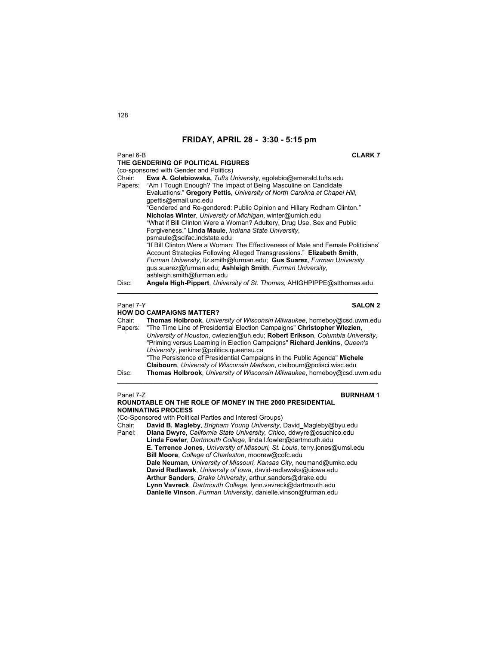Panel 6-B **CLARK 7**

|                                 | THE GENDERING OF POLITICAL FIGURES                                               |  |
|---------------------------------|----------------------------------------------------------------------------------|--|
|                                 | (co-sponsored with Gender and Politics)                                          |  |
| Chair:                          | Ewa A. Golebiowska, Tufts University, egolebio@emerald.tufts.edu                 |  |
|                                 | Papers: "Am I Tough Enough? The Impact of Being Masculine on Candidate           |  |
|                                 | Evaluations." Gregory Pettis, University of North Carolina at Chapel Hill,       |  |
|                                 | qpettis@email.unc.edu                                                            |  |
|                                 | "Gendered and Re-gendered: Public Opinion and Hillary Rodham Clinton."           |  |
|                                 | Nicholas Winter, University of Michigan, winter@umich.edu                        |  |
|                                 | "What if Bill Clinton Were a Woman? Adultery, Drug Use, Sex and Public           |  |
|                                 | Forgiveness." Linda Maule, Indiana State University,                             |  |
|                                 | psmaule@scifac.indstate.edu                                                      |  |
|                                 | "If Bill Clinton Were a Woman: The Effectiveness of Male and Female Politicians" |  |
|                                 | Account Strategies Following Alleged Transgressions." Elizabeth Smith,           |  |
|                                 | Furman University, liz.smith@furman.edu: Gus Suarez, Furman University,          |  |
|                                 | gus.suarez@furman.edu; Ashleigh Smith, Furman University,                        |  |
|                                 | ashleigh.smith@furman.edu                                                        |  |
| Disc:                           | Angela High-Pippert, University of St. Thomas, AHIGHPIPPE@stthomas.edu           |  |
|                                 |                                                                                  |  |
|                                 |                                                                                  |  |
| Panel 7-Y                       | <b>SALON 2</b>                                                                   |  |
| <b>HOW DO CAMPAIGNS MATTER?</b> |                                                                                  |  |

Chair: **Thomas Holbrook**, *University of Wisconsin Milwaukee*, homeboy@csd.uwm.edu "The Time Line of Presidential Election Campaigns" Christopher Wlezien, *University of Houston*, cwlezien@uh.edu; **Robert Erikson**, *Columbia University*, "Priming versus Learning in Election Campaigns" **Richard Jenkins**, *Queen's University*, jenkinsr@politics.queensu.ca "The Persistence of Presidential Campaigns in the Public Agenda" **Michele Claibourn**, *University of Wisconsin Madison*, claibourn@polisci.wisc.edu Disc: **Thomas Holbrook**, *University of Wisconsin Milwaukee*, homeboy@csd.uwm.edu  $\mathcal{L}_\mathcal{L} = \{ \mathcal{L}_\mathcal{L} = \{ \mathcal{L}_\mathcal{L} = \{ \mathcal{L}_\mathcal{L} = \{ \mathcal{L}_\mathcal{L} = \{ \mathcal{L}_\mathcal{L} = \{ \mathcal{L}_\mathcal{L} = \{ \mathcal{L}_\mathcal{L} = \{ \mathcal{L}_\mathcal{L} = \{ \mathcal{L}_\mathcal{L} = \{ \mathcal{L}_\mathcal{L} = \{ \mathcal{L}_\mathcal{L} = \{ \mathcal{L}_\mathcal{L} = \{ \mathcal{L}_\mathcal{L} = \{ \mathcal{L}_\mathcal{$ 

Panel 7-Z **BURNHAM 1 ROUNDTABLE ON THE ROLE OF MONEY IN THE 2000 PRESIDENTIAL NOMINATING PROCESS**  (Co-Sponsored with Political Parties and Interest Groups) Chair: **David B. Magleby**, *Brigham Young University*, David\_Magleby@byu.edu Panel: **Diana Dwyre**, *California State University, Chico*, ddwyre@csuchico.edu **Linda Fowler**, *Dartmouth College*, linda.l.fowler@dartmouth.edu **E. Terrence Jones**, *University of Missouri, St. Louis*, terry.jones@umsl.edu **Bill Moore**, *College of Charleston*, moorew@cofc.edu **Dale Neuman**, *University of Missouri, Kansas City*, neumand@umkc.edu **David Redlawsk**, *University of Iowa*, david-redlawsks@uiowa.edu **Arthur Sanders**, *Drake University*, arthur.sanders@drake.edu **Lynn Vavreck**, *Dartmouth College*, lynn.vavreck@dartmouth.edu **Danielle Vinson**, *Furman University*, danielle.vinson@furman.edu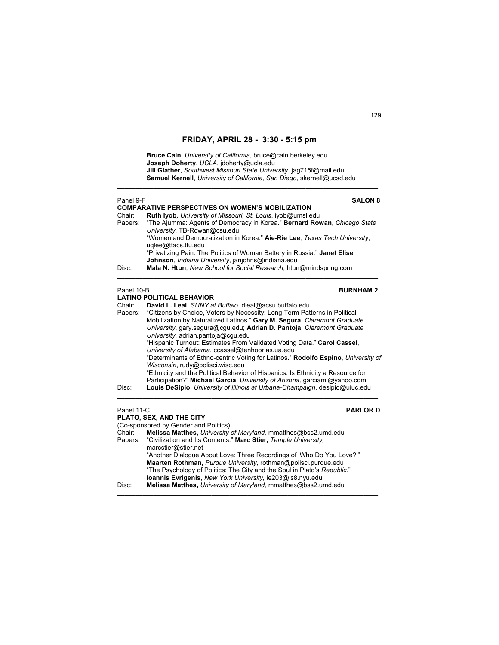**Bruce Cain,** *University of California*, bruce@cain.berkeley.edu **Joseph Doherty**, *UCLA*, jdoherty@ucla.edu **Jill Glather**, *Southwest Missouri State University*, jag715f@mail.edu **Samuel Kernell**, *University of California, San Diego*, skernell@ucsd.edu

 $\mathcal{L}_\text{max}$  , and the set of the set of the set of the set of the set of the set of the set of the set of the set of

| Panel 9-F           | <b>SALON 8</b>                                                                                                                                                                                                                                                                                                                                                                                                                                                                                                                                                                                                                                                                                                                                          |
|---------------------|---------------------------------------------------------------------------------------------------------------------------------------------------------------------------------------------------------------------------------------------------------------------------------------------------------------------------------------------------------------------------------------------------------------------------------------------------------------------------------------------------------------------------------------------------------------------------------------------------------------------------------------------------------------------------------------------------------------------------------------------------------|
| Chair:<br>Papers:   | <b>COMPARATIVE PERSPECTIVES ON WOMEN'S MOBILIZATION</b><br>Ruth Iyob, University of Missouri, St. Louis, iyob@umsl.edu<br>"The Ajumma: Agents of Democracy in Korea." Bernard Rowan, Chicago State<br>University, TB-Rowan@csu.edu<br>"Women and Democratization in Korea." Aie-Rie Lee, Texas Tech University,<br>uglee@ttacs.ttu.edu<br>"Privatizing Pain: The Politics of Woman Battery in Russia." Janet Elise                                                                                                                                                                                                                                                                                                                                      |
| Disc:               | Johnson, Indiana University, janjohns@indiana.edu<br>Mala N. Htun, New School for Social Research, htun@mindspring.com                                                                                                                                                                                                                                                                                                                                                                                                                                                                                                                                                                                                                                  |
| Panel 10-B          | <b>BURNHAM2</b>                                                                                                                                                                                                                                                                                                                                                                                                                                                                                                                                                                                                                                                                                                                                         |
|                     | <b>LATINO POLITICAL BEHAVIOR</b>                                                                                                                                                                                                                                                                                                                                                                                                                                                                                                                                                                                                                                                                                                                        |
| Chair:<br>Papers:   | David L. Leal, SUNY at Buffalo, dleal@acsu.buffalo.edu<br>"Citizens by Choice, Voters by Necessity: Long Term Patterns in Political<br>Mobilization by Naturalized Latinos." Gary M. Segura, Claremont Graduate<br>University, gary.segura@cgu.edu; Adrian D. Pantoja, Claremont Graduate<br>University, adrian.pantoja@cgu.edu<br>"Hispanic Turnout: Estimates From Validated Voting Data." Carol Cassel,<br>University of Alabama, ccassel@tenhoor.as.ua.edu<br>"Determinants of Ethno-centric Voting for Latinos." Rodolfo Espino, University of<br>Wisconsin, rudy@polisci.wisc.edu<br>"Ethnicity and the Political Behavior of Hispanics: Is Ethnicity a Resource for<br>Participation?" Michael Garcia, University of Arizona, garciami@yahoo.com |
| Disc:<br>Panel 11-C | Louis DeSipio, University of Illinois at Urbana-Champaign, desipio@uiuc.edu<br><b>PARLORD</b>                                                                                                                                                                                                                                                                                                                                                                                                                                                                                                                                                                                                                                                           |
|                     | PLATO, SEX, AND THE CITY                                                                                                                                                                                                                                                                                                                                                                                                                                                                                                                                                                                                                                                                                                                                |
|                     | (Co-sponsored by Gender and Politics)                                                                                                                                                                                                                                                                                                                                                                                                                                                                                                                                                                                                                                                                                                                   |
| Chair:<br>Papers:   | Melissa Matthes, University of Maryland, mmatthes@bss2.umd.edu<br>"Civilization and Its Contents." Marc Stier, Temple University,<br>marcstier@stier.net                                                                                                                                                                                                                                                                                                                                                                                                                                                                                                                                                                                                |
|                     | "Another Dialoque About Love: Three Recordings of 'Who Do You Love?"<br>Maarten Rothman, Purdue University, rothman@polisci.purdue.edu                                                                                                                                                                                                                                                                                                                                                                                                                                                                                                                                                                                                                  |

"The Psychology of Politics: The City and the Soul in Plato's *Republic*." **Ioannis Evrigenis**, *New York University,* ie203@is8.nyu.edu Disc: **Melissa Matthes,** *University of Maryland,* mmatthes@bss2.umd.edu

 $\mathcal{L}_\mathcal{L} = \{ \mathcal{L}_\mathcal{L} = \{ \mathcal{L}_\mathcal{L} = \{ \mathcal{L}_\mathcal{L} = \{ \mathcal{L}_\mathcal{L} = \{ \mathcal{L}_\mathcal{L} = \{ \mathcal{L}_\mathcal{L} = \{ \mathcal{L}_\mathcal{L} = \{ \mathcal{L}_\mathcal{L} = \{ \mathcal{L}_\mathcal{L} = \{ \mathcal{L}_\mathcal{L} = \{ \mathcal{L}_\mathcal{L} = \{ \mathcal{L}_\mathcal{L} = \{ \mathcal{L}_\mathcal{L} = \{ \mathcal{L}_\mathcal{$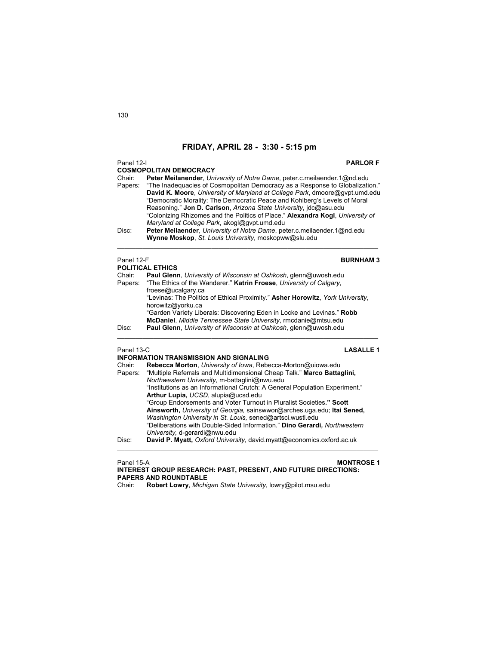## Panel 12-I **PARLOR F**

**COSMOPOLITAN DEMOCRACY**  Chair: **Peter Meilanender**, *University of Notre Dame*, peter.c.meilaender.1@nd.edu "The Inadequacies of Cosmopolitan Democracy as a Response to Globalization." **David K. Moore**, *University of Maryland at College Park*, dmoore@gvpt.umd.edu "Democratic Morality: The Democratic Peace and Kohlberg's Levels of Moral Reasoning." **Jon D. Carlson**, *Arizona State University*, jdc@asu.edu "Colonizing Rhizomes and the Politics of Place." **Alexandra Kogl**, *University of Maryland at College Park*, akogl@gvpt.umd.edu Disc: **Peter Meilaender**, *University of Notre Dame*, peter.c.meilaender.1@nd.edu

 $\mathcal{L}_\text{max}$  , and the set of the set of the set of the set of the set of the set of the set of the set of the set of

**Wynne Moskop**, *St. Louis University*, moskopww@slu.edu

### Panel 12-F **BURNHAM 3**

| <b>POLITICAL ETHICS</b> |                                                                                |  |
|-------------------------|--------------------------------------------------------------------------------|--|
| Chair:                  | <b>Paul Glenn</b> , University of Wisconsin at Oshkosh, glenn@uwosh.edu        |  |
| Papers:                 | "The Ethics of the Wanderer." Katrin Froese, University of Calgary,            |  |
|                         | froese@ucalgary.ca                                                             |  |
|                         | "Levinas: The Politics of Ethical Proximity." Asher Horowitz, York University, |  |
|                         | horowitz@yorku.ca                                                              |  |
|                         | "Garden Variety Liberals: Discovering Eden in Locke and Levinas." Robb         |  |
|                         | McDaniel, Middle Tennessee State University, rmcdanie@mtsu.edu                 |  |
| Disc:                   | Paul Glenn, University of Wisconsin at Oshkosh, glenn@uwosh.edu                |  |
|                         |                                                                                |  |

### Panel 13-C **LASALLE 1**

|         | INFORMATION TRANSMISSION AND SIGNALING                                      |
|---------|-----------------------------------------------------------------------------|
| Chair:  | Rebecca Morton, University of Iowa, Rebecca-Morton@uiowa.edu                |
| Papers: | "Multiple Referrals and Multidimensional Cheap Talk." Marco Battaglini,     |
|         | Northwestern University, m-battaglini@nwu.edu                               |
|         | "Institutions as an Informational Crutch: A General Population Experiment." |
|         | Arthur Lupia, UCSD, alupia@ucsd.edu                                         |
|         | "Group Endorsements and Voter Turnout in Pluralist Societies." Scott        |
|         | Ainsworth, University of Georgia, sainswwor@arches.uga.edu; Ital Sened,     |
|         | Washington University in St. Louis, sened@artsci.wustl.edu                  |
|         | "Deliberations with Double-Sided Information." Dino Gerardi, Northwestern   |
|         | University, d-gerardi@nwu.edu                                               |
| Disc:   | David P. Myatt, Oxford University, david.myatt@economics.oxford.ac.uk       |
|         |                                                                             |

## Panel 15-A **MONTROSE 1 INTEREST GROUP RESEARCH: PAST, PRESENT, AND FUTURE DIRECTIONS: PAPERS AND ROUNDTABLE**

Chair: **Robert Lowry**, *Michigan State University*, lowry@pilot.msu.edu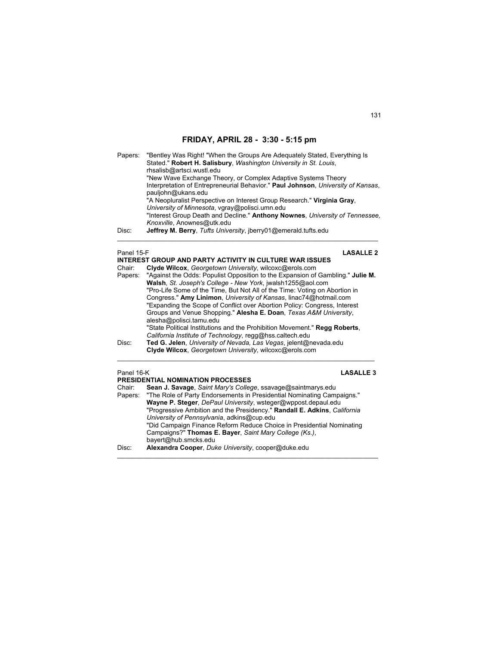| Papers: | "Bentley Was Right! "When the Groups Are Adequately Stated, Everything Is        |
|---------|----------------------------------------------------------------------------------|
|         | Stated." Robert H. Salisbury, Washington University in St. Louis,                |
|         | rhsalisb@artsci.wustl.edu                                                        |
|         | "New Wave Exchange Theory, or Complex Adaptive Systems Theory                    |
|         | Interpretation of Entrepreneurial Behavior." Paul Johnson, University of Kansas, |
|         | pauljohn@ukans.edu                                                               |
|         | "A Neopluralist Perspective on Interest Group Research." Virginia Gray,          |
|         | University of Minnesota, vgray@polisci.umn.edu                                   |
|         | "Interest Group Death and Decline." Anthony Nownes, University of Tennessee.     |
|         | Knoxville, Anownes@utk.edu                                                       |
| Disc:   | Jeffrey M. Berry, Tufts University, jberry01@emerald.tufts.edu                   |
|         |                                                                                  |
|         |                                                                                  |

### Panel 15-F **LASALLE 2**

|            | INTEREST GROUP AND PARTY ACTIVITY IN CULTURE WAR ISSUES                        |
|------------|--------------------------------------------------------------------------------|
| Chair:     | Clyde Wilcox, Georgetown University, wilcoxc@erols.com                         |
| Papers:    | "Against the Odds: Populist Opposition to the Expansion of Gambling." Julie M. |
|            | Walsh, St. Joseph's College - New York, jwalsh1255@aol.com                     |
|            | "Pro-Life Some of the Time, But Not All of the Time: Voting on Abortion in     |
|            | Congress." Amy Linimon, University of Kansas, linac74@hotmail.com              |
|            | "Expanding the Scope of Conflict over Abortion Policy: Congress, Interest      |
|            | Groups and Venue Shopping." Alesha E. Doan, Texas A&M University,              |
|            | alesha@polisci.tamu.edu                                                        |
|            | "State Political Institutions and the Prohibition Movement." Regg Roberts,     |
|            | California Institute of Technology, regg@hss.caltech.edu                       |
| Disc:      | Ted G. Jelen, University of Nevada, Las Vegas, jelent@nevada.edu               |
|            | Clyde Wilcox, Georgetown University, wilcoxc@erols.com                         |
| Panel 16-K | <b>LASALLE 3</b>                                                               |
|            | <b>PRESIDENTIAL NOMINATION PROCESSES</b>                                       |

| Chair:  | Sean J. Savage, Saint Mary's College, ssavage@saintmarys.edu             |
|---------|--------------------------------------------------------------------------|
| Papers: | "The Role of Party Endorsements in Presidential Nominating Campaigns."   |
|         | Wayne P. Steger, DePaul University, wsteger@wppost.depaul.edu            |
|         | "Progressive Ambition and the Presidency." Randall E. Adkins, California |
|         | University of Pennsylvania, adkins@cup.edu                               |
|         | "Did Campaign Finance Reform Reduce Choice in Presidential Nominating    |
|         | Campaigns?" Thomas E. Bayer, Saint Mary College (Ks.),                   |
|         | bayert@hub.smcks.edu                                                     |
| Disc:   | Alexandra Cooper, Duke University, cooper@duke.edu                       |
|         |                                                                          |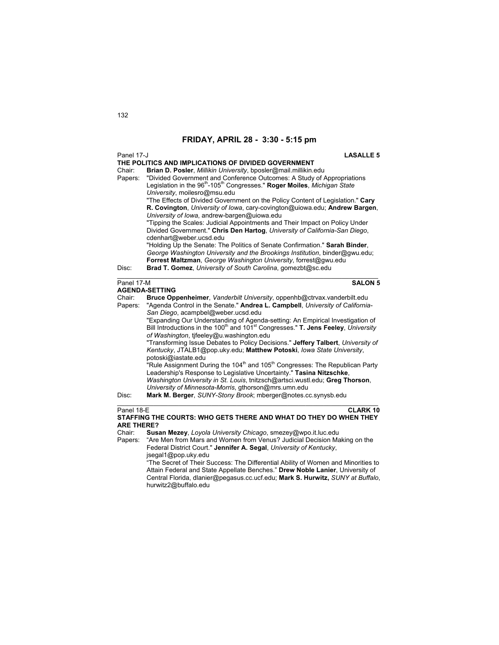| Panel 17-J                                | <b>LASALLE 5</b>                                                                                                                                                                                                                                                                                                                                                                                                                                                                                                                                                                                                                                                                                                                                                                                                                                                                                                                                                                                                                     |
|-------------------------------------------|--------------------------------------------------------------------------------------------------------------------------------------------------------------------------------------------------------------------------------------------------------------------------------------------------------------------------------------------------------------------------------------------------------------------------------------------------------------------------------------------------------------------------------------------------------------------------------------------------------------------------------------------------------------------------------------------------------------------------------------------------------------------------------------------------------------------------------------------------------------------------------------------------------------------------------------------------------------------------------------------------------------------------------------|
| Chair:<br>Papers:                         | THE POLITICS AND IMPLICATIONS OF DIVIDED GOVERNMENT<br>Brian D. Posler, Millikin University, bposler@mail.millikin.edu<br>"Divided Government and Conference Outcomes: A Study of Appropriations<br>Legislation in the 96 <sup>th</sup> -105 <sup>th</sup> Congresses." Roger Moiles, Michigan State<br>University, moilesro@msu.edu<br>"The Effects of Divided Government on the Policy Content of Legislation." Cary<br>R. Covington, University of Iowa, cary-covington@uiowa.edu; Andrew Bargen,<br>University of Iowa, andrew-bargen@uiowa.edu                                                                                                                                                                                                                                                                                                                                                                                                                                                                                  |
| Disc:                                     | "Tipping the Scales: Judicial Appointments and Their Impact on Policy Under<br>Divided Government." Chris Den Hartog, University of California-San Diego,<br>cdenhart@weber.ucsd.edu<br>"Holding Up the Senate: The Politics of Senate Confirmation." Sarah Binder,<br>George Washington University and the Brookings Institution, binder@gwu.edu;<br>Forrest Maltzman, George Washington University, forrest@gwu.edu<br>Brad T. Gomez, University of South Carolina, gomezbt@sc.edu                                                                                                                                                                                                                                                                                                                                                                                                                                                                                                                                                 |
| Panel 17-M                                | <b>SALON 5</b><br><b>AGENDA-SETTING</b>                                                                                                                                                                                                                                                                                                                                                                                                                                                                                                                                                                                                                                                                                                                                                                                                                                                                                                                                                                                              |
| Chair:<br>Papers:<br>Disc:                | Bruce Oppenheimer, Vanderbilt University, oppenhb@ctrvax.vanderbilt.edu<br>"Agenda Control in the Senate." Andrea L. Campbell, University of California-<br>San Diego, acampbel@weber.ucsd.edu<br>"Expanding Our Understanding of Agenda-setting: An Empirical Investigation of<br>Bill Introductions in the 100 <sup>th</sup> and 101 <sup>st</sup> Congresses." <b>T. Jens Feeley</b> , <i>University</i><br>of Washington, tifeeley@u.washington.edu<br>"Transforming Issue Debates to Policy Decisions." Jeffery Talbert, University of<br>Kentucky, JTALB1@pop.uky.edu; Matthew Potoski, Iowa State University,<br>potoski@iastate.edu<br>"Rule Assignment During the 104 <sup>th</sup> and 105 <sup>th</sup> Congresses: The Republican Party<br>Leadership's Response to Legislative Uncertainty." Tasina Nitzschke,<br>Washington University in St. Louis, tnitzsch@artsci.wustl.edu; Greg Thorson,<br>University of Minnesota-Morris, gthorson@mrs.umn.edu<br>Mark M. Berger, SUNY-Stony Brook; mberger@notes.cc.synysb.edu |
| Panel 18-E<br><b>ARE THERE?</b><br>Chair: | <b>CLARK 10</b><br>STAFFING THE COURTS: WHO GETS THERE AND WHAT DO THEY DO WHEN THEY<br>Susan Mezey, Loyola University Chicago, smezey@wpo.it.luc.edu                                                                                                                                                                                                                                                                                                                                                                                                                                                                                                                                                                                                                                                                                                                                                                                                                                                                                |
|                                           |                                                                                                                                                                                                                                                                                                                                                                                                                                                                                                                                                                                                                                                                                                                                                                                                                                                                                                                                                                                                                                      |

Papers: "Are Men from Mars and Women from Venus? Judicial Decision Making on the Federal District Court." **Jennifer A. Segal**, *University of Kentucky*, jsegal1@pop.uky.edu

 "The Secret of Their Success: The Differential Ability of Women and Minorities to Attain Federal and State Appellate Benches." **Drew Noble Lanier**, University of Central Florida, dlanier@pegasus.cc.ucf.edu; **Mark S. Hurwitz,** *SUNY at Buffalo*, hurwitz2@buffalo.edu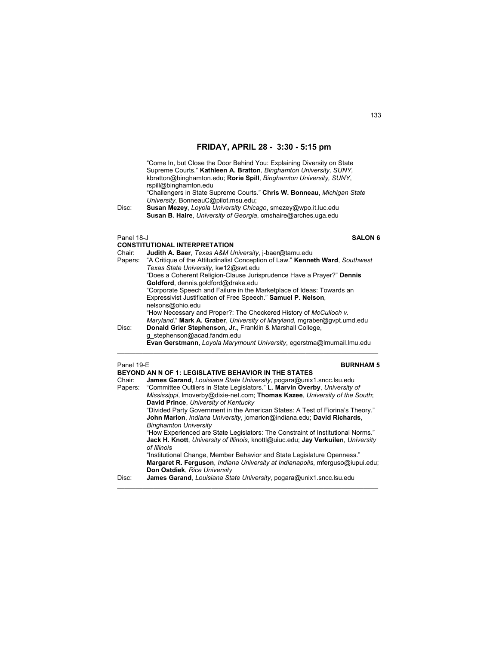"Come In, but Close the Door Behind You: Explaining Diversity on State Supreme Courts." **Kathleen A. Bratton**, *Binghamton University, SUNY,* kbratton@binghamton.edu; **Rorie Spill**, *Binghamton University, SUNY*, rspill@binghamton.edu "Challengers in State Supreme Courts." **Chris W. Bonneau**, *Michigan State University*, BonneauC@pilot.msu.edu; Disc: **Susan Mezey**, *Loyola University Chicago*, smezey@wpo.it.luc.edu **Susan B. Haire**, *University of Georgia*, cmshaire@arches.uga.edu

 $\mathcal{L}_\mathcal{L} = \{ \mathcal{L}_\mathcal{L} = \{ \mathcal{L}_\mathcal{L} = \{ \mathcal{L}_\mathcal{L} = \{ \mathcal{L}_\mathcal{L} = \{ \mathcal{L}_\mathcal{L} = \{ \mathcal{L}_\mathcal{L} = \{ \mathcal{L}_\mathcal{L} = \{ \mathcal{L}_\mathcal{L} = \{ \mathcal{L}_\mathcal{L} = \{ \mathcal{L}_\mathcal{L} = \{ \mathcal{L}_\mathcal{L} = \{ \mathcal{L}_\mathcal{L} = \{ \mathcal{L}_\mathcal{L} = \{ \mathcal{L}_\mathcal{$ 

### Panel 18-J **SALON 6**

|         | <b>CONSTITUTIONAL INTERPRETATION</b>                                                                                                         |
|---------|----------------------------------------------------------------------------------------------------------------------------------------------|
| Chair:  | Judith A. Baer, Texas A&M University, j-baer@tamu.edu                                                                                        |
| Papers: | "A Critique of the Attitudinalist Conception of Law." Kenneth Ward, Southwest<br>Texas State University, kw12@swt.edu                        |
|         | "Does a Coherent Religion-Clause Jurisprudence Have a Prayer?" Dennis<br>Goldford, dennis.goldford@drake.edu                                 |
|         | "Corporate Speech and Failure in the Marketplace of Ideas: Towards an                                                                        |
|         | Expressivist Justification of Free Speech." Samuel P. Nelson,                                                                                |
|         | nelsons@ohio.edu                                                                                                                             |
|         | "How Necessary and Proper?: The Checkered History of McCulloch v.<br>Maryland." Mark A. Graber, University of Maryland, mgraber@gypt.umd.edu |
| Disc:   | Donald Grier Stephenson, Jr., Franklin & Marshall College,<br>g stephenson@acad.fandm.edu                                                    |
|         | Evan Gerstmann, Loyola Marymount University, egerstma@Imumail.Imu.edu                                                                        |
|         |                                                                                                                                              |

## Panel 19-E **BURNHAM 5**

|         | <b>BEYOND AN N OF 1: LEGISLATIVE BEHAVIOR IN THE STATES</b>                       |
|---------|-----------------------------------------------------------------------------------|
| Chair:  | James Garand, Louisiana State University, pogara@unix1.sncc.lsu.edu               |
| Papers: | "Committee Outliers in State Legislators." L. Marvin Overby, University of        |
|         | Mississippi, Imoverby@dixie-net.com; Thomas Kazee, University of the South;       |
|         | David Prince, University of Kentucky                                              |
|         | "Divided Party Government in the American States: A Test of Fiorina's Theory."    |
|         | John Marion, Indiana University, jomarion@indiana.edu; David Richards,            |
|         | <b>Binghamton University</b>                                                      |
|         | "How Experienced are State Legislators: The Constraint of Institutional Norms."   |
|         | Jack H. Knott, University of Illinois, knottl@uiuc.edu; Jay Verkuilen, University |
|         | of Illinois                                                                       |
|         | "Institutional Change, Member Behavior and State Legislature Openness."           |
|         | Margaret R. Ferguson, Indiana University at Indianapolis, mferguso@iupui.edu;     |
|         | Don Ostdiek, Rice University                                                      |
| Disc:   | James Garand, Louisiana State University, pogara@unix1.sncc.lsu.edu               |
|         |                                                                                   |

\_\_\_\_\_\_\_\_\_\_\_\_\_\_\_\_\_\_\_\_\_\_\_\_\_\_\_\_\_\_\_\_\_\_\_\_\_\_\_\_\_\_\_\_\_\_\_\_\_\_\_\_\_\_\_\_\_\_\_\_\_\_\_\_\_\_\_\_\_\_\_\_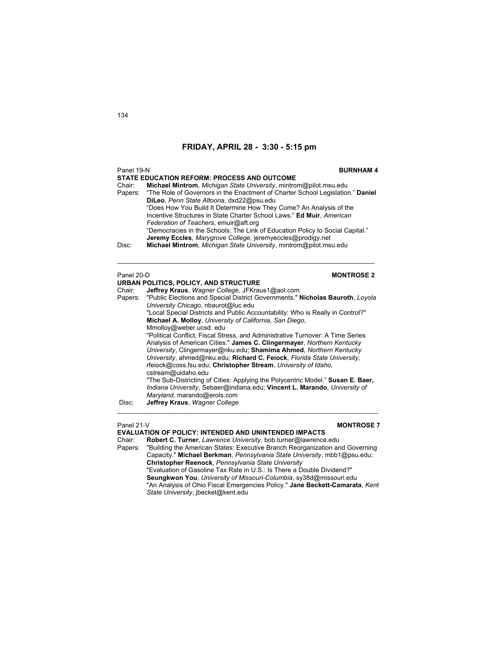| Panel 19-N        | <b>BURNHAM4</b>                                                                                                                                                                                                                                                                                                                                                                                                                                                          |
|-------------------|--------------------------------------------------------------------------------------------------------------------------------------------------------------------------------------------------------------------------------------------------------------------------------------------------------------------------------------------------------------------------------------------------------------------------------------------------------------------------|
|                   | <b>STATE EDUCATION REFORM: PROCESS AND OUTCOME</b>                                                                                                                                                                                                                                                                                                                                                                                                                       |
| Chair:<br>Papers: | Michael Mintrom, Michigan State University, mintrom@pilot.msu.edu<br>"The Role of Governors in the Enactment of Charter School Legislation." Daniel<br>DiLeo, Penn State Altoona, dxd22@psu.edu<br>"Does How You Build It Determine How They Come? An Analysis of the<br>Incentive Structures in State Charter School Laws." Ed Muir, American<br>Federation of Teachers, emuir@aft.org<br>"Democracies in the Schools: The Link of Education Policy to Social Capital." |
| Disc:             | Jeremy Eccles, Marygrove College, jeremyeccles@prodigy.net<br>Michael Mintrom, Michigan State University, mintrom@pilot.msu.edu                                                                                                                                                                                                                                                                                                                                          |
| Panel 20-D        | <b>MONTROSE 2</b>                                                                                                                                                                                                                                                                                                                                                                                                                                                        |
|                   | URBAN POLITICS, POLICY, AND STRUCTURE                                                                                                                                                                                                                                                                                                                                                                                                                                    |
| Chair:<br>Papers: | Jeffrey Kraus, Wagner College, JFKraus1@aol.com<br>"Public Elections and Special District Governments." Nicholas Bauroth, Loyola<br>University Chicago, nbaurot@luc.edu<br>"Local Special Districts and Public Accountability: Who is Really in Control?"<br>Michael A. Molloy, University of California, San Diego,<br>Mmolloy@weber.ucsd.edu                                                                                                                           |
|                   | "Political Conflict, Fiscal Stress, and Administrative Turnover: A Time Series<br>Analysis of American Cities." James C. Clingermayer, Northern Kentucky<br>University, Clingermayer@nku.edu; Shamima Ahmed, Northern Kentucky<br>University, ahmed@nku.edu; Richard C. Feiock, Florida State University,<br>rfeiock@coss.fsu.edu; Christopher Stream, University of Idaho,                                                                                              |
| Disc:             | cstream@uidaho.edu<br>"The Sub-Districting of Cities: Applying the Polycentric Model." Susan E. Baer,<br>Indiana University, Sebaer@indiana.edu; Vincent L. Marando, University of<br>Maryland, marando@erols.com<br>Jeffrey Kraus, Wagner College                                                                                                                                                                                                                       |
|                   |                                                                                                                                                                                                                                                                                                                                                                                                                                                                          |

## Panel 21-V **MONTROSE 7**

# **EVALUATION OF POLICY: INTENDED AND UNINTENDED IMPACTS**<br>Chair: Robert C. Turner, *Lawrence University*, bob.turner@lawrence.

Robert C. Turner, *Lawrence University*, bob.turner@lawrence.edu

Papers: "Building the American States: Executive Branch Reorganization and Governing Capacity." **Michael Berkman**, *Pennsylvania State University*, mbb1@psu.edu; **Christopher Reenock**, *Pennsylvania State University* "Evaluation of Gasoline Tax Rate in U.S.: Is There a Double Dividend?" **Seungkwon You**, *University of Missouri-Columbia*, sy38d@missouri.edu "An Analysis of Ohio Fiscal Emergencies Policy." **Jane Beckett-Camarata**, *Kent State University*, jbecket@kent.edu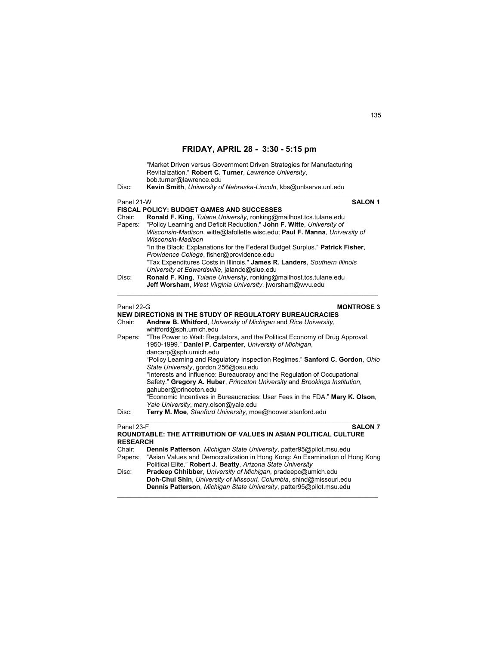|                 | "Market Driven versus Government Driven Strategies for Manufacturing<br>Revitalization." Robert C. Turner, Lawrence University,<br>bob.turner@lawrence.edu |  |
|-----------------|------------------------------------------------------------------------------------------------------------------------------------------------------------|--|
| Disc:           | Kevin Smith, University of Nebraska-Lincoln, kbs@unlserve.unl.edu                                                                                          |  |
| Panel 21-W      | <b>SALON 1</b>                                                                                                                                             |  |
|                 | <b>FISCAL POLICY: BUDGET GAMES AND SUCCESSES</b>                                                                                                           |  |
| Chair:          | Ronald F. King, Tulane University, ronking@mailhost.tcs.tulane.edu                                                                                         |  |
| Papers:         | "Policy Learning and Deficit Reduction." John F. Witte, University of                                                                                      |  |
|                 | Wisconsin-Madison, witte@lafollette.wisc.edu; Paul F. Manna, University of<br>Wisconsin-Madison                                                            |  |
|                 | "In the Black: Explanations for the Federal Budget Surplus." Patrick Fisher,                                                                               |  |
|                 | Providence College, fisher@providence.edu                                                                                                                  |  |
|                 | "Tax Expenditures Costs in Illinois." James R. Landers, Southern Illinois                                                                                  |  |
|                 | University at Edwardsville, jalande@siue.edu                                                                                                               |  |
| Disc:           | Ronald F. King, Tulane University, ronking@mailhost.tcs.tulane.edu                                                                                         |  |
|                 | Jeff Worsham, West Virginia University, jworsham@wvu.edu                                                                                                   |  |
| Panel 22-G      | <b>MONTROSE 3</b>                                                                                                                                          |  |
|                 | NEW DIRECTIONS IN THE STUDY OF REGULATORY BUREAUCRACIES                                                                                                    |  |
| Chair:          | Andrew B. Whitford, University of Michigan and Rice University,                                                                                            |  |
|                 | whitford@sph.umich.edu                                                                                                                                     |  |
| Papers:         | "The Power to Wait: Regulators, and the Political Economy of Drug Approval,                                                                                |  |
|                 | 1950-1999." Daniel P. Carpenter, University of Michigan,                                                                                                   |  |
|                 | dancarp@sph.umich.edu                                                                                                                                      |  |
|                 | "Policy Learning and Regulatory Inspection Regimes." Sanford C. Gordon, Ohio                                                                               |  |
|                 | State University, gordon.256@osu.edu<br>"Interests and Influence: Bureaucracy and the Regulation of Occupational                                           |  |
|                 | Safety." Gregory A. Huber, Princeton University and Brookings Institution,                                                                                 |  |
|                 | gahuber@princeton.edu                                                                                                                                      |  |
|                 | "Economic Incentives in Bureaucracies: User Fees in the FDA." Mary K. Olson,                                                                               |  |
|                 | Yale University, mary olson@yale.edu                                                                                                                       |  |
| Disc:           | Terry M. Moe, Stanford University, moe@hoover.stanford.edu                                                                                                 |  |
| Panel 23-F      | <b>SALON 7</b>                                                                                                                                             |  |
| <b>RESEARCH</b> | ROUNDTABLE: THE ATTRIBUTION OF VALUES IN ASIAN POLITICAL CULTURE                                                                                           |  |
| Chair:          | Dennis Patterson, Michigan State University, patter95@pilot.msu.edu                                                                                        |  |
| Papers:         | "Asian Values and Democratization in Hong Kong: An Examination of Hong Kong                                                                                |  |
|                 | Political Elite." Robert J. Beatty, Arizona State University                                                                                               |  |
| Disc:           | Pradeep Chhibber, University of Michigan, pradeepc@umich.edu                                                                                               |  |
|                 | Doh-Chul Shin, University of Missouri, Columbia, shind@missouri.edu                                                                                        |  |
|                 | Dennis Patterson, Michigan State University, patter95@pilot.msu.edu                                                                                        |  |

 $\mathcal{L}_\text{max}$  , and the set of the set of the set of the set of the set of the set of the set of the set of the set of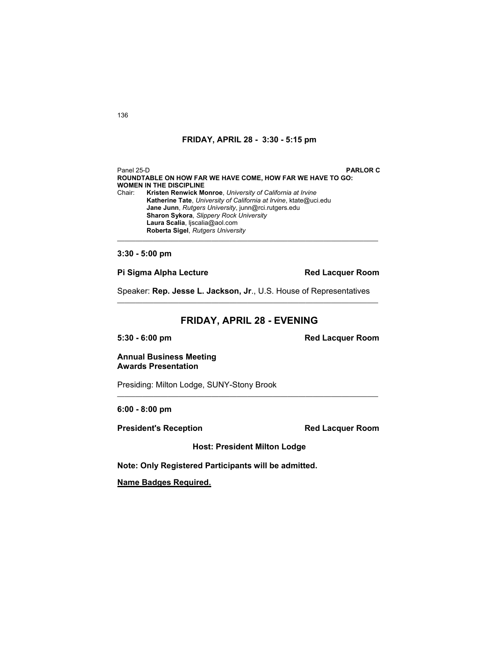Panel 25-D **PARLOR C ROUNDTABLE ON HOW FAR WE HAVE COME, HOW FAR WE HAVE TO GO: WOMEN IN THE DISCIPLINE** Chair: **Kristen Renwick Monroe**, *University of California at Irvine* **Katherine Tate**, *University of California at Irvine*, ktate@uci.edu **Jane Junn**, *Rutgers University*, junn@rci.rutgers.edu **Sharon Sykora**, *Slippery Rock University* **Laura Scalia**, ljscalia@aol.com **Roberta Sigel**, *Rutgers University*  $\mathcal{L}_\mathcal{L} = \{ \mathcal{L}_\mathcal{L} = \{ \mathcal{L}_\mathcal{L} = \{ \mathcal{L}_\mathcal{L} = \{ \mathcal{L}_\mathcal{L} = \{ \mathcal{L}_\mathcal{L} = \{ \mathcal{L}_\mathcal{L} = \{ \mathcal{L}_\mathcal{L} = \{ \mathcal{L}_\mathcal{L} = \{ \mathcal{L}_\mathcal{L} = \{ \mathcal{L}_\mathcal{L} = \{ \mathcal{L}_\mathcal{L} = \{ \mathcal{L}_\mathcal{L} = \{ \mathcal{L}_\mathcal{L} = \{ \mathcal{L}_\mathcal{$ 

**3:30 - 5:00 pm** 

**Pi Sigma Alpha Lecture Community Red Lacquer Room** 

Speaker: Rep. Jesse L. Jackson, Jr., U.S. House of Representatives

## **FRIDAY, APRIL 28 - EVENING**

**5:30 - 6:00 pm Red Lacquer Room** 

**Annual Business Meeting Awards Presentation** 

Presiding: Milton Lodge, SUNY-Stony Brook

**6:00 - 8:00 pm** 

**President's Reception Red Lacquer Room** 

**Host: President Milton Lodge** 

 $\mathcal{L}_\mathcal{L} = \{ \mathcal{L}_\mathcal{L} = \{ \mathcal{L}_\mathcal{L} = \{ \mathcal{L}_\mathcal{L} = \{ \mathcal{L}_\mathcal{L} = \{ \mathcal{L}_\mathcal{L} = \{ \mathcal{L}_\mathcal{L} = \{ \mathcal{L}_\mathcal{L} = \{ \mathcal{L}_\mathcal{L} = \{ \mathcal{L}_\mathcal{L} = \{ \mathcal{L}_\mathcal{L} = \{ \mathcal{L}_\mathcal{L} = \{ \mathcal{L}_\mathcal{L} = \{ \mathcal{L}_\mathcal{L} = \{ \mathcal{L}_\mathcal{$ 

**Note: Only Registered Participants will be admitted.** 

**Name Badges Required.**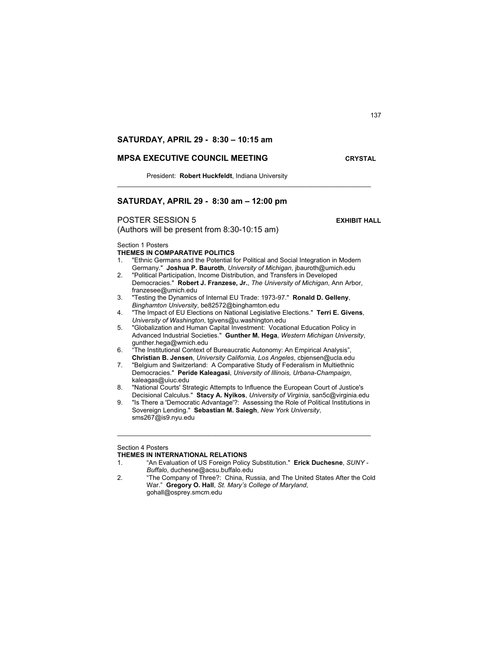## **SATURDAY, APRIL 29 - 8:30 – 10:15 am**

## **MPSA EXECUTIVE COUNCIL MEETING CRYSTAL**

President: **Robert Huckfeldt**, Indiana University

## **SATURDAY, APRIL 29 - 8:30 am – 12:00 pm**

## **POSTER SESSION 5 EXHIBIT HALL**

(Authors will be present from 8:30-10:15 am)

Section 1 Posters

## **THEMES IN COMPARATIVE POLITICS**

1. "Ethnic Germans and the Potential for Political and Social Integration in Modern Germany." **Joshua P. Bauroth**, *University of Michigan*, jbauroth@umich.edu

 $\mathcal{L}_\mathcal{L} = \{ \mathcal{L}_\mathcal{L} = \{ \mathcal{L}_\mathcal{L} = \{ \mathcal{L}_\mathcal{L} = \{ \mathcal{L}_\mathcal{L} = \{ \mathcal{L}_\mathcal{L} = \{ \mathcal{L}_\mathcal{L} = \{ \mathcal{L}_\mathcal{L} = \{ \mathcal{L}_\mathcal{L} = \{ \mathcal{L}_\mathcal{L} = \{ \mathcal{L}_\mathcal{L} = \{ \mathcal{L}_\mathcal{L} = \{ \mathcal{L}_\mathcal{L} = \{ \mathcal{L}_\mathcal{L} = \{ \mathcal{L}_\mathcal{$ 

- 2. "Political Participation, Income Distribution, and Transfers in Developed Democracies." **Robert J. Franzese, Jr.**, *The University of Michigan*, Ann Arbor, franzesee@umich.edu
- 3. "Testing the Dynamics of Internal EU Trade: 1973-97." **Ronald D. Gelleny**, *Binghamton University*, be82572@binghamton.edu
- 4. "The Impact of EU Elections on National Legislative Elections." **Terri E. Givens**, *University of Washington*, tgivens@u.washington.edu
- 5. "Globalization and Human Capital Investment: Vocational Education Policy in Advanced Industrial Societies." **Gunther M. Hega**, *Western Michigan University*, gunther.hega@wmich.edu
- 6. "The Institutional Context of Bureaucratic Autonomy: An Empirical Analysis", **Christian B. Jensen**, *University California, Los Angeles*, cbjensen@ucla.edu
- 7. "Belgium and Switzerland: A Comparative Study of Federalism in Multiethnic Democracies." **Peride Kaleagasi**, *University of Illinois, Urbana-Champaign*, kaleagas@uiuc.edu
- 8. "National Courts' Strategic Attempts to Influence the European Court of Justice's Decisional Calculus." **Stacy A. Nyikos**, *University of Virginia*, san5c@virginia.edu
- 9. "Is There a 'Democratic Advantage'?: Assessing the Role of Political Institutions in Sovereign Lending." **Sebastian M. Saiegh**, *New York University*, sms267@is9.nyu.edu

\_\_\_\_\_\_\_\_\_\_\_\_\_\_\_\_\_\_\_\_\_\_\_\_\_\_\_\_\_\_\_\_\_\_\_\_\_\_\_\_\_\_\_\_\_\_\_\_\_\_\_\_\_\_\_\_\_\_\_\_\_\_\_\_\_\_\_\_\_\_

### Section 4 Posters

### **THEMES IN INTERNATIONAL RELATIONS**

- 1. "An Evaluation of US Foreign Policy Substitution." **Erick Duchesne**, *SUNY Buffalo*, duchesne@acsu.buffalo.edu
- 2. "The Company of Three?: China, Russia, and The United States After the Cold War." **Gregory O. Hall**, *St. Mary's College of Maryland*, gohall@osprey.smcm.edu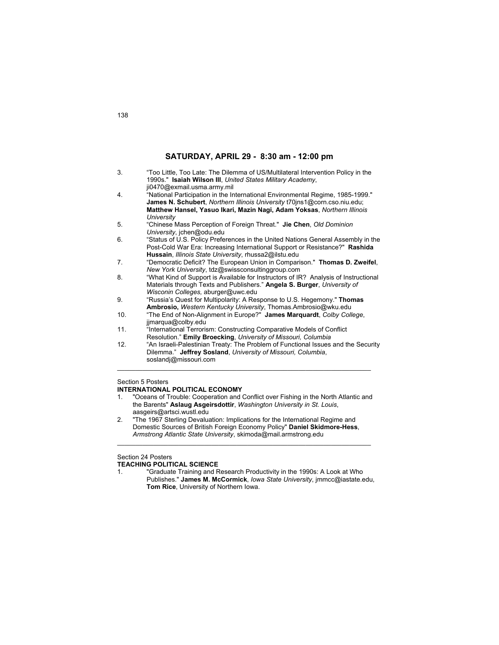| 3. | "Too Little, Too Late: The Dilemma of US/Multilateral Intervention Policy in the |
|----|----------------------------------------------------------------------------------|
|    | 1990s." Isaiah Wilson III, United States Military Academy,                       |
|    | ji0470@exmail.usma.army.mil                                                      |
| 4. | "National Participation in the International Environmental Regime, 1985-1999."   |
|    | James N. Schubert, Northern Illinois University t70jns1@corn.cso.niu.edu;        |
|    | Matthew Hansel, Yasuo Ikari, Mazin Nagi, Adam Yoksas, Northern Illinois          |
|    | University                                                                       |
| 5. | "Chinese Mass Perception of Foreign Threat." Jie Chen, Old Dominion              |
|    | University, jchen@odu.edu                                                        |

- 6. "Status of U.S. Policy Preferences in the United Nations General Assembly in the Post-Cold War Era: Increasing International Support or Resistance?" **Rashida Hussain**, *Illinois State University*, rhussa2@ilstu.edu
- 7. "Democratic Deficit? The European Union in Comparison." **Thomas D. Zweifel**, *New York University*, tdz@swissconsultinggroup.com
- 8. "What Kind of Support is Available for Instructors of IR? Analysis of Instructional Materials through Texts and Publishers." **Angela S. Burger**, *University of Wisconin Colleges,* aburger@uwc.edu
- 9. "Russia's Quest for Multipolarity: A Response to U.S. Hegemony." **Thomas Ambrosio,** *Western Kentucky University*, Thomas.Ambrosio@wku.edu
- 10. "The End of Non-Alignment in Europe?" **James Marquardt**, *Colby College*, jjmarqua@colby.edu
- 11. "International Terrorism: Constructing Comparative Models of Conflict Resolution." **Emily Broecking**, *University of Missouri, Columbia*
- 12. "An Israeli-Palestinian Treaty: The Problem of Functional Issues and the Security Dilemma." **Jeffrey Sosland**, *University of Missouri, Columbia*, soslandj@missouri.com

 $\mathcal{L}_\text{max}$  , and the set of the set of the set of the set of the set of the set of the set of the set of the set of

### Section 5 Posters

### **INTERNATIONAL POLITICAL ECONOMY**

1. "Oceans of Trouble: Cooperation and Conflict over Fishing in the North Atlantic and the Barents" **Aslaug Asgeirsdottir**, *Washington University in St. Louis*, aasgeirs@artsci.wustl.edu

 $\mathcal{L}_\text{max}$  , and the set of the set of the set of the set of the set of the set of the set of the set of the set of

2. "The 1967 Sterling Devaluation: Implications for the International Regime and Domestic Sources of British Foreign Economy Policy" **Daniel Skidmore-Hess**, *Armstrong Atlantic State University*, skimoda@mail.armstrong.edu

## Section 24 Posters

### **TEACHING POLITICAL SCIENCE**

1. "Graduate Training and Research Productivity in the 1990s: A Look at Who Publishes." **James M. McCormick**, *Iowa State University*, jmmcc@iastate.edu, **Tom Rice**, University of Northern Iowa.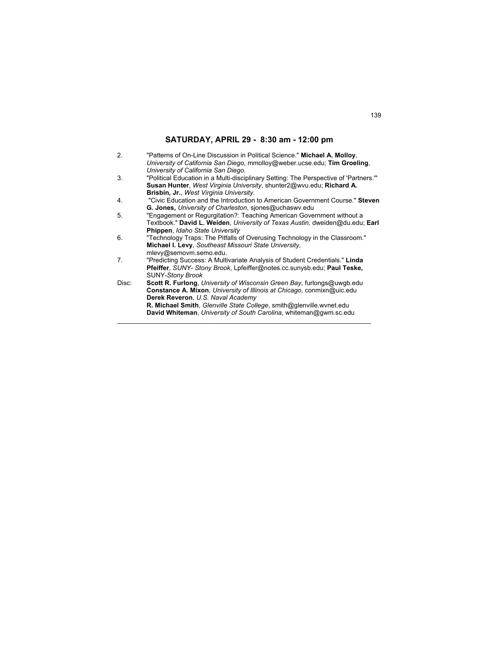| 2.    | "Patterns of On-Line Discussion in Political Science." Michael A. Molloy,<br>University of California San Diego, mmolloy@weber.ucse.edu; Tim Groeling, |
|-------|--------------------------------------------------------------------------------------------------------------------------------------------------------|
|       | University of California San Diego.                                                                                                                    |
| 3.    | "Political Education in a Multi-disciplinary Setting: The Perspective of 'Partners.""                                                                  |
|       | Susan Hunter, West Virginia University, shunter2@wvu.edu; Richard A.                                                                                   |
|       | <b>Brisbin, Jr., West Virginia University.</b>                                                                                                         |
| 4.    | "Civic Education and the Introduction to American Government Course." Steven                                                                           |
|       | <b>G. Jones, University of Charleston, siones@uchaswy.edu</b>                                                                                          |
| 5.    | "Engagement or Regurgitation?: Teaching American Government without a                                                                                  |
|       | Textbook." David L. Weiden, <i>University of Texas Austin</i> , dweiden@du.edu; Earl                                                                   |
|       | Phippen, Idaho State University                                                                                                                        |
| 6.    | "Technology Traps: The Pitfalls of Overusing Technology in the Classroom."                                                                             |
|       | Michael I. Levy, Southeast Missouri State University,                                                                                                  |
|       | mlevy@semovm.semo.edu.                                                                                                                                 |
| 7.    | "Predicting Success: A Multivariate Analysis of Student Credentials." Linda                                                                            |
|       | Pfeiffer, SUNY- Stony Brook, Lpfeiffer@notes.cc.sunysb.edu; Paul Teske,                                                                                |
|       | <b>SUNY-Stony Brook</b>                                                                                                                                |
| Disc: | <b>Scott R. Furlong</b> , University of Wisconsin Green Bay, furlongs@uwgb.edu                                                                         |
|       | Constance A. Mixon, University of Illinois at Chicago, conmixn@uic.edu                                                                                 |
|       | Derek Reveron, U.S. Naval Academy                                                                                                                      |
|       | R. Michael Smith, Glenville State College, smith@glenville.wvnet.edu                                                                                   |
|       | David Whiteman, University of South Carolina, whiteman@gwm.sc.edu                                                                                      |

\_\_\_\_\_\_\_\_\_\_\_\_\_\_\_\_\_\_\_\_\_\_\_\_\_\_\_\_\_\_\_\_\_\_\_\_\_\_\_\_\_\_\_\_\_\_\_\_\_\_\_\_\_\_\_\_\_\_\_\_\_\_\_\_\_\_\_\_\_\_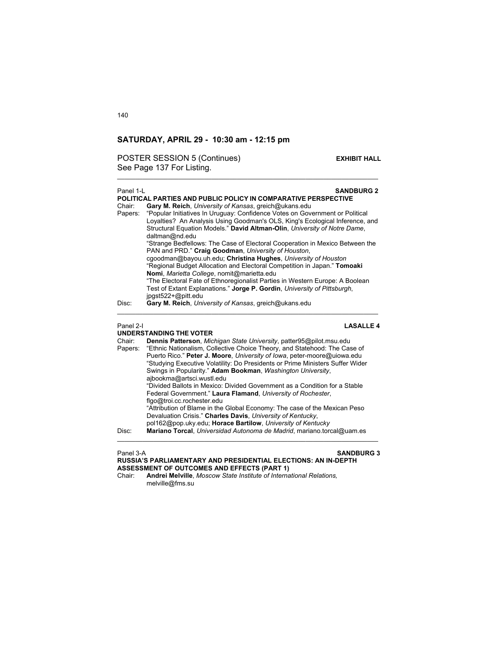## POSTER SESSION 5 (Continues) **EXHIBIT HALL** See Page 137 For Listing.

| Panel 1-I | <b>SANDBURG 2</b><br>POLITICAL PARTIES AND PUBLIC POLICY IN COMPARATIVE PERSPECTIVE                                                                                                                                                                         |
|-----------|-------------------------------------------------------------------------------------------------------------------------------------------------------------------------------------------------------------------------------------------------------------|
| Chair:    | <b>Gary M. Reich, University of Kansas, greich@ukans.edu</b>                                                                                                                                                                                                |
| Papers:   | "Popular Initiatives In Uruguay: Confidence Votes on Government or Political<br>Loyalties? An Analysis Using Goodman's OLS, King's Ecological Inference, and<br>Structural Equation Models." David Altman-Olin, University of Notre Dame,<br>daltman@nd.edu |
|           | "Strange Bedfellows: The Case of Electoral Cooperation in Mexico Between the<br>PAN and PRD." Craig Goodman, University of Houston,                                                                                                                         |
|           | cgoodman@bayou.uh.edu; Christina Hughes, University of Houston<br>"Regional Budget Allocation and Electoral Competition in Japan." Tomoaki                                                                                                                  |
|           | Nomi, Marietta College, nomit@marietta.edu<br>"The Electoral Fate of Ethnoregionalist Parties in Western Europe: A Boolean<br>Test of Extant Explanations." Jorge P. Gordin, University of Pittsburgh,<br>jpgst522+@pitt.edu                                |
| Disc:     | Gary M. Reich, University of Kansas, greich@ukans.edu                                                                                                                                                                                                       |
| Panel 2-I | LASALLE 4<br><b>IINDERSTANDING THE VOTER</b>                                                                                                                                                                                                                |

### **UNDERSTANDING THE VOTER**

|                   | UNDERJIANDING IIIE VOIER                                                                                                                                                                                                    |
|-------------------|-----------------------------------------------------------------------------------------------------------------------------------------------------------------------------------------------------------------------------|
| Chair:<br>Papers: | Dennis Patterson, Michigan State University, patter95@pilot.msu.edu<br>"Ethnic Nationalism, Collective Choice Theory, and Statehood: The Case of<br>Puerto Rico." Peter J. Moore, University of Iowa, peter-moore@uiowa.edu |
|                   | "Studying Executive Volatility: Do Presidents or Prime Ministers Suffer Wider                                                                                                                                               |
|                   | Swings in Popularity." Adam Bookman, Washington University,<br>ajbookma@artsci.wustl.edu                                                                                                                                    |
|                   | "Divided Ballots in Mexico: Divided Government as a Condition for a Stable<br>Federal Government." Laura Flamand, University of Rochester,                                                                                  |
|                   | flgo@troi.cc.rochester.edu                                                                                                                                                                                                  |
|                   | "Attribution of Blame in the Global Economy: The case of the Mexican Peso<br>Devaluation Crisis." Charles Davis, University of Kentucky,                                                                                    |
|                   | pol162@pop.uky.edu; Horace Bartilow, University of Kentucky                                                                                                                                                                 |
| Disc:             | Mariano Torcal, Universidad Autonoma de Madrid, mariano.torcal@uam.es                                                                                                                                                       |

### Panel 3-A **SANDBURG 3 RUSSIA'S PARLIAMENTARY AND PRESIDENTIAL ELECTIONS: AN IN-DEPTH ASSESSMENT OF OUTCOMES AND EFFECTS (PART 1)**

Chair: **Andrei Melville**, *Moscow State Institute of International Relations,*  melville@fms.su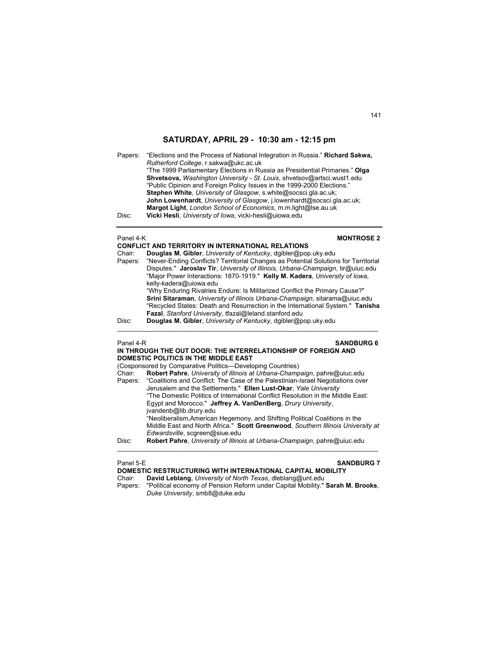Papers: "Elections and the Process of National Integration in Russia." **Richard Sakwa,** *Rutherford College*, r.sakwa@ukc.ac.uk "The 1999 Parliamentary Elections in Russia as Presidential Primaries." **Olga Shvetsova,** *Washington University - St. Louis*, shvetsov@artsci.wust1.edu "Public Opinion and Foreign Policy Issues in the 1999-2000 Elections."  **Stephen White**, *University of Glasgow*, s.white@socsci.gla.ac.uk; **John Lowenhardt**, *University of Glasgow*, j.lowenhardt@socsci.gla.ac.uk; **Margot Light**, *London School of Economics*, m.m.light@lse.au.uk Disc: **Vicki Hesli**, *University of Iowa*, vicki-hesli@uiowa.edu

## **Panel 4-K MONTROSE 2**

|         | <b>CONFLICT AND TERRITORY IN INTERNATIONAL RELATIONS</b>                            |
|---------|-------------------------------------------------------------------------------------|
| Chair:  | Douglas M. Gibler, University of Kentucky, dgibler@pop.uky.edu                      |
| Papers: | "Never-Ending Conflicts? Territorial Changes as Potential Solutions for Territorial |
|         | Disputes." Jaroslav Tir, University of Illinois, Urbana-Champaign, tir@uiuc.edu     |
|         | "Major Power Interactions: 1870-1919." Kelly M. Kadera, University of Iowa,         |
|         | kelly-kadera@uiowa.edu                                                              |
|         | "Why Enduring Rivalries Endure: Is Militarized Conflict the Primary Cause?"         |
|         | Srini Sitaraman, University of Illinois Urbana-Champaign, sitarama@uiuc.edu         |
|         | "Recycled States: Death and Resurrection in the International System." Tanisha      |
|         | Fazal, Stanford University, tfazal@leland.stanford.edu                              |
| Disc:   | Douglas M. Gibler, University of Kentucky, dgibler@pop.uky.edu                      |
|         |                                                                                     |

### Panel 4-R **SANDBURG 6 IN THROUGH THE OUT DOOR: THE INTERRELATIONSHIP OF FOREIGN AND**

|        | <b>DOMESTIC POLITICS IN THE MIDDLE EAST</b><br>(Cosponsored by Comparative Politics—Developing Countries)         |
|--------|-------------------------------------------------------------------------------------------------------------------|
| Chair: | Robert Pahre, University of Illinois at Urbana-Champaign, pahre@uiuc.edu                                          |
|        | Papers: "Coalitions and Conflict: The Case of the Palestinian-Israel Negotiations over                            |
|        | Jerusalem and the Settlements." Ellen Lust-Okar, Yale University                                                  |
|        | "The Domestic Politics of International Conflict Resolution in the Middle East:                                   |
|        | Egypt and Morocco." Jeffrey A. VanDenBerg, Drury University,                                                      |
|        | jvandenb@lib.drury.edu                                                                                            |
|        | "Neoliberalism, American Hegemony, and Shifting Political Coalitions in the                                       |
|        | Middle East and North Africa." Scott Greenwood, Southern Illinois University at<br>Edwardsville, scgreen@siue.edu |
| Disc:  | Robert Pahre, University of Illinois at Urbana-Champaign, pahre@uiuc.edu                                          |

## Panel 5-E **SANDBURG 7**

|        | DOMESTIC RESTRUCTURING WITH INTERNATIONAL CAPITAL MOBILITY        |  |
|--------|-------------------------------------------------------------------|--|
| Chair: | <b>David Leblang, University of North Texas, dleblang@unt.edu</b> |  |

Papers: "Political economy of Pension Reform under Capital Mobility." **Sarah M. Brooks**, *Duke University*, smb8@duke.edu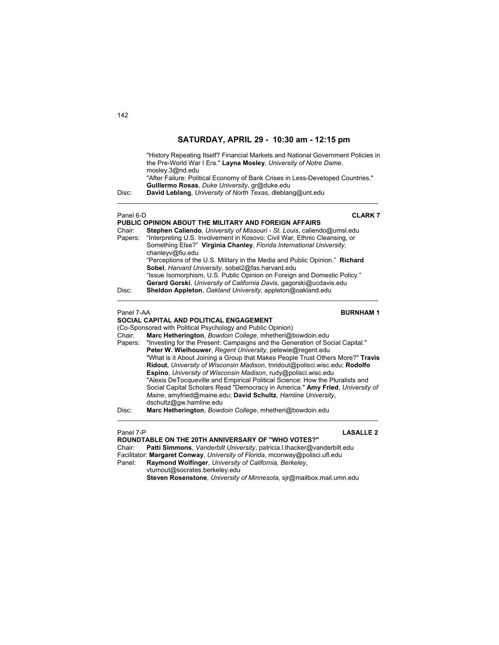| Disc:             | "History Repeating Itself? Financial Markets and National Government Policies in<br>the Pre-World War I Era." Layna Mosley, University of Notre Dame,<br>mosley.3@nd.edu<br>"After Failure: Political Economy of Bank Crises in Less-Developed Countries."<br>Guillermo Rosas, Duke University, gr@duke.edu<br>David Leblang, University of North Texas, dleblang@unt.edu |
|-------------------|---------------------------------------------------------------------------------------------------------------------------------------------------------------------------------------------------------------------------------------------------------------------------------------------------------------------------------------------------------------------------|
| Panel 6-D         | <b>CLARK 7</b>                                                                                                                                                                                                                                                                                                                                                            |
|                   | PUBLIC OPINION ABOUT THE MILITARY AND FOREIGN AFFAIRS                                                                                                                                                                                                                                                                                                                     |
| Chair:<br>Papers: | Stephen Caliendo, University of Missouri - St. Louis, caliendo@umsl.edu<br>"Interpreting U.S. Involvement in Kosovo: Civil War, Ethnic Cleansing, or<br>Something Else?" Virginia Chanley, Florida International University,<br>chanleyv@fiu.edu                                                                                                                          |
|                   | "Perceptions of the U.S. Military in the Media and Public Opinion." Richard<br>Sobel, Harvard University, sobel2@fas.harvard.edu                                                                                                                                                                                                                                          |
|                   | "Issue Isomorphism, U.S. Public Opinion on Foreign and Domestic Policy."<br>Gerard Gorski, University of California Davis, gagorski@ucdavis.edu                                                                                                                                                                                                                           |
| Disc:             | Sheldon Appleton, Oakland University, appleton@oakland.edu                                                                                                                                                                                                                                                                                                                |
| Panel 7-AA        | <b>BURNHAM1</b>                                                                                                                                                                                                                                                                                                                                                           |

# **SOCIAL CAPITAL AND POLITICAL ENGAGEMENT**

(Co-Sponsored with Political Psychology and Public Opinion)<br>Chair: **Marc Hetherington**, *Bowdoin College*, mhetheri@b Marc Hetherington, *Bowdoin College*, mhetheri@bowdoin.edu Papers: "Investing for the Present: Campaigns and the Generation of Social Capital." **Peter W. Wielhouwer**, *Regent University*, petewie@regent.edu "What is it About Joining a Group that Makes People Trust Others More?" **Travis Ridout**, *University of Wisconsin Madison*, tnridout@polisci.wisc.edu; **Rodolfo Espino**, *University of Wisconsin Madison*, rudy@polisci.wisc.edu "Alexis DeTocqueville and Empirical Political Science: How the Pluralists and Social Capital Scholars Read "Democracy in America." **Amy Fried**, *University of Maine*, amyfried@maine.edu; **David Schultz**, *Hamline University*, dschultz@gw.hamline.edu Disc: **Marc Hetherington**, *Bowdoin College*, mhetheri@bowdoin.edu

\_\_\_\_\_\_\_\_\_\_\_\_\_\_\_\_\_\_\_\_\_\_\_\_\_\_\_\_\_\_\_\_\_\_\_\_\_\_\_\_\_\_\_\_\_\_\_\_\_\_\_\_\_\_\_\_\_\_\_\_\_\_\_\_\_\_\_\_\_\_\_\_

### Panel 7-P **LASALLE 2**

**ROUNDTABLE ON THE 20TH ANNIVERSARY OF "WHO VOTES?"**  Chair: **Patti Simmons**, *Vanderbilt University*, patricia.l.thacker@vanderbilt.edu Facilitator: **Margaret Conway**, *University of Florida*, mconway@polisci.ufl.edu Panel: **Raymond Wolfinger**, *University of California, Berkeley*, vturnout@socrates.berkeley.edu

**Steven Rosenstone**, *University of Minnesota*, sjr@mailbox.mail.umn.edu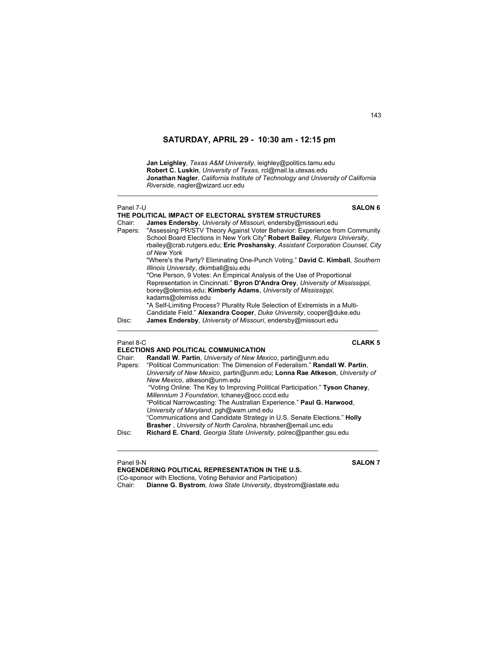\_\_\_\_\_\_\_\_\_\_\_\_\_\_\_\_\_\_\_\_\_\_\_\_\_\_\_\_\_\_\_\_\_\_\_\_\_\_\_\_\_\_\_\_\_\_\_\_\_\_\_\_\_\_\_\_\_\_\_\_\_\_\_\_\_\_\_\_\_\_\_\_

**Jan Leighley**, *Texas A&M University*, leighley@politics.tamu.edu **Robert C. Luskin**, *University of Texas*, rcl@mail.la.utexas.edu **Jonathan Nagler**, *California Institute of Technology and University of California Riverside*, nagler@wizard.ucr.edu

| Panel 7-U | <b>SALON 6</b>                                                                                                                                                                                                                              |
|-----------|---------------------------------------------------------------------------------------------------------------------------------------------------------------------------------------------------------------------------------------------|
|           | THE POLITICAL IMPACT OF ELECTORAL SYSTEM STRUCTURES                                                                                                                                                                                         |
| Chair:    | James Endersby, University of Missouri, endersby@missouri.edu                                                                                                                                                                               |
| Papers:   | "Assessing PR/STV Theory Against Voter Behavior: Experience from Community<br>School Board Elections in New York City" Robert Bailey, Rutgers University,<br>rbailey@crab.rutgers.edu; Eric Proshansky, Assistant Corporation Counsel, City |
|           | of New York                                                                                                                                                                                                                                 |
|           | "Where's the Party? Eliminating One-Punch Voting." David C. Kimball, Southern<br>Illinois University, dkimball@siu.edu                                                                                                                      |
|           | "One Person, 9 Votes: An Empirical Analysis of the Use of Proportional                                                                                                                                                                      |
|           | Representation in Cincinnati." Byron D'Andra Orey, University of Mississippi,<br>borey@olemiss.edu; Kimberly Adams, University of Mississippi,<br>kadams@olemiss.edu                                                                        |
|           | "A Self-Limiting Process? Plurality Rule Selection of Extremists in a Multi-                                                                                                                                                                |
|           | Candidate Field." Alexandra Cooper, Duke University, cooper@duke.edu                                                                                                                                                                        |
| Disc:     | James Endersby, University of Missouri, endersby@missouri.edu                                                                                                                                                                               |

Panel 8-C **CLARK 5**

|        | ELECTIONS AND POLITICAL COMMUNICATION                                              |
|--------|------------------------------------------------------------------------------------|
| Chair: | Randall W. Partin, University of New Mexico, partin@unm.edu                        |
|        | Papers: "Political Communication: The Dimension of Federalism." Randall W. Partin, |
|        | University of New Mexico, partin@unm.edu; Lonna Rae Atkeson, University of         |
|        | New Mexico, atkeson@unm.edu                                                        |
|        | "Voting Online: The Key to Improving Political Participation." Tyson Chaney,       |
|        | Millennium 3 Foundation, tchaney@occ.cccd.edu                                      |
|        | "Political Narrowcasting: The Australian Experience." Paul G. Harwood,             |
|        | University of Maryland, pgh@wam.umd.edu                                            |
|        | "Communications and Candidate Strategy in U.S. Senate Elections." Holly            |
|        | Brasher, University of North Carolina, hbrasher@email.unc.edu                      |
| Disc:  | Richard E. Chard, Georgia State University, polrec@panther.gsu.edu                 |
|        |                                                                                    |

\_\_\_\_\_\_\_\_\_\_\_\_\_\_\_\_\_\_\_\_\_\_\_\_\_\_\_\_\_\_\_\_\_\_\_\_\_\_\_\_\_\_\_\_\_\_\_\_\_\_\_\_\_\_\_\_\_\_\_\_\_\_\_\_\_\_\_\_\_\_\_\_

Panel 9-N **SALON 7 ENGENDERING POLITICAL REPRESENTATION IN THE U.S.** (Co-sponsor with Elections, Voting Behavior and Participation) Chair: **Dianne G. Bystrom**, *Iowa State University*, dbystrom@iastate.edu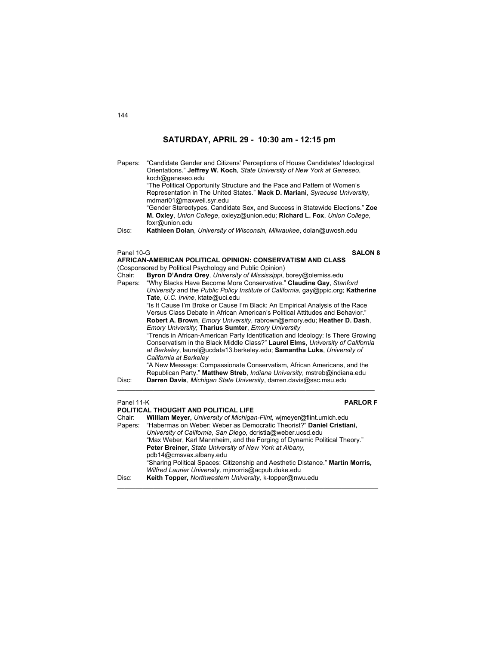| Papers:    | "Candidate Gender and Citizens' Perceptions of House Candidates' Ideological<br>Orientations." Jeffrey W. Koch, State University of New York at Geneseo,<br>koch@geneseo.edu<br>"The Political Opportunity Structure and the Pace and Pattern of Women's<br>Representation in The United States." Mack D. Mariani, Syracuse University,<br>mdmari01@maxwell.syr.edu<br>"Gender Stereotypes, Candidate Sex, and Success in Statewide Elections." Zoe<br>M. Oxley, Union College, oxleyz@union.edu; Richard L. Fox, Union College,<br>foxr@union.edu |  |
|------------|----------------------------------------------------------------------------------------------------------------------------------------------------------------------------------------------------------------------------------------------------------------------------------------------------------------------------------------------------------------------------------------------------------------------------------------------------------------------------------------------------------------------------------------------------|--|
| Disc:      | Kathleen Dolan, University of Wisconsin, Milwaukee, dolan@uwosh.edu                                                                                                                                                                                                                                                                                                                                                                                                                                                                                |  |
| Panel 10-G | <b>SALON 8</b>                                                                                                                                                                                                                                                                                                                                                                                                                                                                                                                                     |  |
|            | AFRICAN-AMERICAN POLITICAL OPINION: CONSERVATISM AND CLASS<br>(Cosponsored by Political Psychology and Public Opinion)                                                                                                                                                                                                                                                                                                                                                                                                                             |  |
| Chair:     | Byron D'Andra Orey, University of Mississippi, borey@olemiss.edu                                                                                                                                                                                                                                                                                                                                                                                                                                                                                   |  |
| Papers:    | "Why Blacks Have Become More Conservative." Claudine Gay, Stanford                                                                                                                                                                                                                                                                                                                                                                                                                                                                                 |  |
|            | University and the Public Policy Institute of California, gay@ppic.org; Katherine                                                                                                                                                                                                                                                                                                                                                                                                                                                                  |  |
|            | Tate, U.C. Irvine, ktate@uci.edu                                                                                                                                                                                                                                                                                                                                                                                                                                                                                                                   |  |
|            | "Is It Cause I'm Broke or Cause I'm Black: An Empirical Analysis of the Race<br>Versus Class Debate in African American's Political Attitudes and Behavior."                                                                                                                                                                                                                                                                                                                                                                                       |  |
|            | Robert A. Brown, <i>Emory University</i> , rabrown@emory.edu; Heather D. Dash,                                                                                                                                                                                                                                                                                                                                                                                                                                                                     |  |
|            | Emory University; Tharius Sumter, Emory University                                                                                                                                                                                                                                                                                                                                                                                                                                                                                                 |  |
|            | "Trends in African-American Party Identification and Ideology: Is There Growing                                                                                                                                                                                                                                                                                                                                                                                                                                                                    |  |
|            | Conservatism in the Black Middle Class?" Laurel Elms, University of California                                                                                                                                                                                                                                                                                                                                                                                                                                                                     |  |
|            | at Berkeley, laurel@ucdata13.berkeley.edu; Samantha Luks, University of<br>California at Berkeley                                                                                                                                                                                                                                                                                                                                                                                                                                                  |  |
|            | "A New Message: Compassionate Conservatism, African Americans, and the                                                                                                                                                                                                                                                                                                                                                                                                                                                                             |  |
|            | Republican Party." Matthew Streb, Indiana University, mstreb@indiana.edu                                                                                                                                                                                                                                                                                                                                                                                                                                                                           |  |
| Disc:      | Darren Davis, Michigan State University, darren davis@ssc.msu.edu                                                                                                                                                                                                                                                                                                                                                                                                                                                                                  |  |
|            |                                                                                                                                                                                                                                                                                                                                                                                                                                                                                                                                                    |  |
|            | Panel 11-K<br><b>PARLOR F</b><br>POLITICAL THOUGHT AND POLITICAL LIFE                                                                                                                                                                                                                                                                                                                                                                                                                                                                              |  |
| Chair:     | William Meyer, University of Michigan-Flint, wimeyer@flint.umich.edu                                                                                                                                                                                                                                                                                                                                                                                                                                                                               |  |
| Papers:    | "Habermas on Weber: Weber as Democratic Theorist?" Daniel Cristiani,                                                                                                                                                                                                                                                                                                                                                                                                                                                                               |  |
|            | University of California, San Diego, dcristia@weber.ucsd.edu                                                                                                                                                                                                                                                                                                                                                                                                                                                                                       |  |
|            | "Max Weber, Karl Mannheim, and the Forging of Dynamic Political Theory."<br>Peter Breiner, State University of New York at Albany,                                                                                                                                                                                                                                                                                                                                                                                                                 |  |

"Sharing Political Spaces: Citizenship and Aesthetic Distance." **Martin Morris,**

\_\_\_\_\_\_\_\_\_\_\_\_\_\_\_\_\_\_\_\_\_\_\_\_\_\_\_\_\_\_\_\_\_\_\_\_\_\_\_\_\_\_\_\_\_\_\_\_\_\_\_\_\_\_\_\_\_\_\_\_\_\_\_\_\_\_\_\_\_\_\_\_

*Wilfred Laurier University,* mjmorris@acpub.duke.edu Disc: **Keith Topper,** *Northwestern University,* k-topper@nwu.edu

pdb14@cmsvax.albany.edu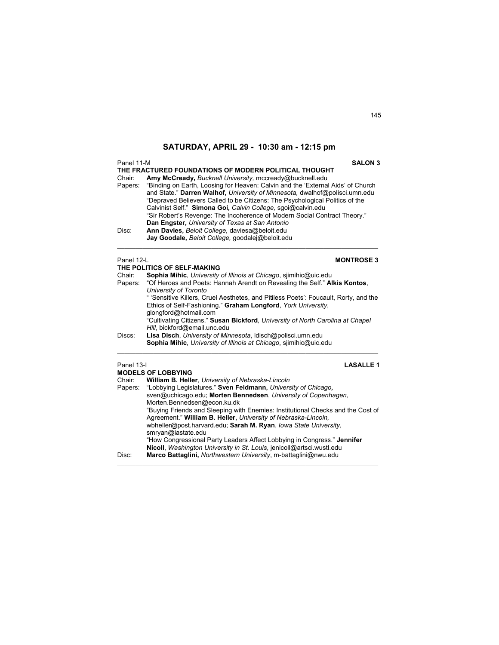| Panel 11-M                 | <b>SALON 3</b>                                                                                                                                                                                                                                                                                                                                                                                                                                                                                                                                                                                                                                                            |
|----------------------------|---------------------------------------------------------------------------------------------------------------------------------------------------------------------------------------------------------------------------------------------------------------------------------------------------------------------------------------------------------------------------------------------------------------------------------------------------------------------------------------------------------------------------------------------------------------------------------------------------------------------------------------------------------------------------|
| Chair:<br>Papers:<br>Disc: | THE FRACTURED FOUNDATIONS OF MODERN POLITICAL THOUGHT<br>Amy McCready, Bucknell University, mccready@bucknell.edu<br>"Binding on Earth, Loosing for Heaven: Calvin and the 'External Aids' of Church<br>and State." Darren Walhof, University of Minnesota, dwalhof@polisci.umn.edu<br>"Depraved Believers Called to be Citizens: The Psychological Politics of the<br>Calvinist Self." Simona Goi, Calvin College, sgoi@calvin.edu<br>"Sir Robert's Revenge: The Incoherence of Modern Social Contract Theory."<br>Dan Engster, University of Texas at San Antonio<br>Ann Davies, Beloit College, daviesa@beloit.edu<br>Jay Goodale, Beloit College, goodalej@beloit.edu |
| Panel 12-L                 | <b>MONTROSE 3</b>                                                                                                                                                                                                                                                                                                                                                                                                                                                                                                                                                                                                                                                         |
|                            | THE POLITICS OF SELF-MAKING                                                                                                                                                                                                                                                                                                                                                                                                                                                                                                                                                                                                                                               |
| Chair:<br>Papers:          | Sophia Mihic, University of Illinois at Chicago, sjimihic@uic.edu<br>"Of Heroes and Poets: Hannah Arendt on Revealing the Self." Alkis Kontos,<br>University of Toronto                                                                                                                                                                                                                                                                                                                                                                                                                                                                                                   |
|                            | " 'Sensitive Killers, Cruel Aesthetes, and Pitiless Poets': Foucault, Rorty, and the<br>Ethics of Self-Fashioning." Graham Longford, York University,<br>qlongford@hotmail.com                                                                                                                                                                                                                                                                                                                                                                                                                                                                                            |
|                            | "Cultivating Citizens." Susan Bickford, University of North Carolina at Chapel<br>Hill, bickford@email.unc.edu                                                                                                                                                                                                                                                                                                                                                                                                                                                                                                                                                            |
| Discs:                     | Lisa Disch, University of Minnesota, Idisch@polisci.umn.edu<br>Sophia Mihic, University of Illinois at Chicago, siimihic@uic.edu                                                                                                                                                                                                                                                                                                                                                                                                                                                                                                                                          |
| Panel 13-I                 | <b>LASALLE1</b><br><b>MODELS OF LOBBYING</b>                                                                                                                                                                                                                                                                                                                                                                                                                                                                                                                                                                                                                              |
| Chair:                     | William B. Heller, University of Nebraska-Lincoln                                                                                                                                                                                                                                                                                                                                                                                                                                                                                                                                                                                                                         |
| Papers:                    | "Lobbying Legislatures." Sven Feldmann, University of Chicago,                                                                                                                                                                                                                                                                                                                                                                                                                                                                                                                                                                                                            |
|                            | sven@uchicago.edu; Morten Bennedsen, University of Copenhagen,                                                                                                                                                                                                                                                                                                                                                                                                                                                                                                                                                                                                            |
|                            | Morten.Bennedsen@econ.ku.dk<br>"Buying Friends and Sleeping with Enemies: Institutional Checks and the Cost of                                                                                                                                                                                                                                                                                                                                                                                                                                                                                                                                                            |
|                            | Agreement." William B. Heller, University of Nebraska-Lincoln,                                                                                                                                                                                                                                                                                                                                                                                                                                                                                                                                                                                                            |
|                            | wbheller@post.harvard.edu; Sarah M. Ryan, lowa State University,<br>smryan@iastate.edu                                                                                                                                                                                                                                                                                                                                                                                                                                                                                                                                                                                    |

 "How Congressional Party Leaders Affect Lobbying in Congress." **Jennifer Nicoll**, *Washington University in St. Louis*, jenicoll@artsci.wustl.edu Disc: **Marco Battaglini,** *Northwestern University*, m-battaglini@nwu.edu

\_\_\_\_\_\_\_\_\_\_\_\_\_\_\_\_\_\_\_\_\_\_\_\_\_\_\_\_\_\_\_\_\_\_\_\_\_\_\_\_\_\_\_\_\_\_\_\_\_\_\_\_\_\_\_\_\_\_\_\_\_\_\_\_\_\_\_\_\_\_\_\_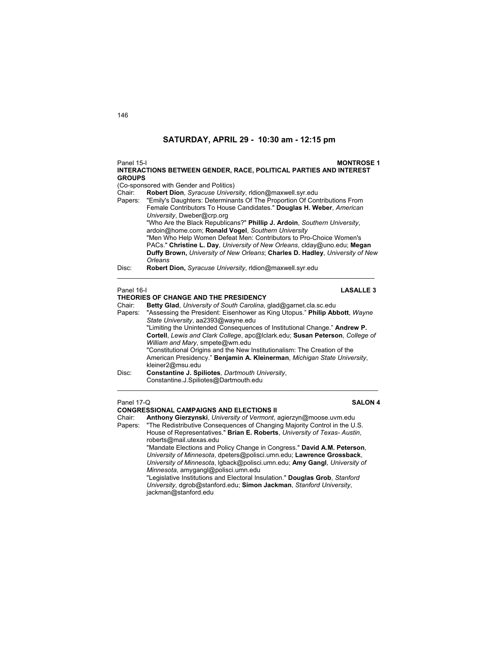| Panel 15-I<br><b>GROUPS</b> | <b>INTERACTIONS BETWEEN GENDER, RACE, POLITICAL PARTIES AND INTEREST</b>         | <b>MONTROSE 1</b> |
|-----------------------------|----------------------------------------------------------------------------------|-------------------|
|                             | (Co-sponsored with Gender and Politics)                                          |                   |
| Chair:                      | Robert Dion, Syracuse University, ridion@maxwell.syr.edu                         |                   |
|                             | Papers: "Emily's Daughters: Determinants Of The Proportion Of Contributions From |                   |
|                             | Female Contributors To House Candidates." Douglas H. Weber, American             |                   |
|                             | University, Dweber@crp.org                                                       |                   |
|                             | "Who Are the Black Republicans?" Phillip J. Ardoin, Southern University,         |                   |
|                             | ardoin@home.com; Ronald Vogel, Southern University                               |                   |
|                             | "Men Who Help Women Defeat Men: Contributors to Pro-Choice Women's               |                   |
|                             | PACs." Christine L. Day, University of New Orleans, clday@uno.edu; Megan         |                   |
|                             | Duffy Brown, University of New Orleans: Charles D. Hadley, University of New     |                   |
|                             | Orleans                                                                          |                   |
| Disc:                       | Robert Dion, Syracuse University, ridion@maxwell.syr.edu                         |                   |
| Panel 16-I                  | THEORIES OF CHANGE AND THE PRESIDENCY                                            | <b>LASALLE 3</b>  |

### **TORIES OF CHANGE**

| Betty Glad, University of South Carolina, glad@garnet.cla.sc.edu             |
|------------------------------------------------------------------------------|
| "Assessing the President: Eisenhower as King Utopus." Philip Abbott, Wayne   |
| State University, aa2393@wayne.edu                                           |
| "Limiting the Unintended Consequences of Institutional Change." Andrew P.    |
| Cortell, Lewis and Clark College, apc@lclark.edu; Susan Peterson, College of |
| William and Mary, smpete@wm.edu                                              |
| "Constitutional Origins and the New Institutionalism: The Creation of the    |
| American Presidency." Benjamin A. Kleinerman, Michigan State University,     |
| kleiner2@msu.edu                                                             |
| Constantine J. Spiliotes, Dartmouth University.                              |
| Constantine.J.Spiliotes@Dartmouth.edu                                        |
|                                                                              |

 $\mathcal{L}_\text{max}$  , and the set of the set of the set of the set of the set of the set of the set of the set of the set of

### Panel 17-Q **SALON 4**

### **CONGRESSIONAL CAMPAIGNS AND ELECTIONS II**

Chair: **Anthony Gierzynski**, *University of Vermont*, agierzyn@moose.uvm.edu Papers: "The Redistributive Consequences of Changing Majority Control in the U.S.

House of Representatives." **Brian E. Roberts**, *University of Texas- Austin*, roberts@mail.utexas.edu

 "Mandate Elections and Policy Change in Congress." **David A.M. Peterson**, *University of Minnesota*, dpeters@polisci.umn.edu; **Lawrence Grossback**, *University of Minnesota*, lgback@polisci.umn.edu; **Amy Gangl**, *University of Minnesota*, amygangl@polisci.umn.edu

 "Legislative Institutions and Electoral Insulation." **Douglas Grob**, *Stanford University*, dgrob@stanford.edu; **Simon Jackman**, *Stanford University*, jackman@stanford.edu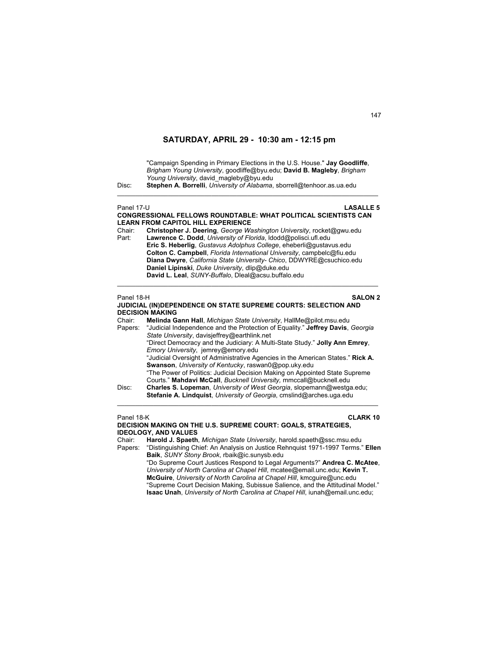"Campaign Spending in Primary Elections in the U.S. House." **Jay Goodliffe**, *Brigham Young University*, goodliffe@byu.edu; **David B. Magleby**, *Brigham Young University*, david\_magleby@byu.edu

Disc: **Stephen A. Borrelli**, *University of Alabama*, sborrell@tenhoor.as.ua.edu

## Panel 17-U **LASALLE 5**

### **CONGRESSIONAL FELLOWS ROUNDTABLE: WHAT POLITICAL SCIENTISTS CAN LEARN FROM CAPITOL HILL EXPERIENCE**  Chair: **Christopher J. Deering**, *George Washington University*, rocket@gwu.edu Part: **Lawrence C. Dodd**, *University of Florida*, ldodd@polisci.ufl.edu

\_\_\_\_\_\_\_\_\_\_\_\_\_\_\_\_\_\_\_\_\_\_\_\_\_\_\_\_\_\_\_\_\_\_\_\_\_\_\_\_\_\_\_\_\_\_\_\_\_\_\_\_\_\_\_\_\_\_\_\_\_\_\_\_\_\_\_\_\_\_\_\_

 **Eric S. Heberlig**, *Gustavus Adolphus College*, eheberli@gustavus.edu  **Colton C. Campbell**, *Florida International University*, campbelc@fiu.edu  **Diana Dwyre**, *California State University- Chico*, DDWYRE@csuchico.edu  **Daniel Lipinski**, *Duke University*, dlip@duke.edu  **David L. Leal**, *SUNY-Buffalo*, Dleal@acsu.buffalo.edu

### Panel 18-H **SALON 2**

**JUDICIAL (IN)DEPENDENCE ON STATE SUPREME COURTS: SELECTION AND DECISION MAKING**

 $\mathcal{L}_\text{max}$  , and the set of the set of the set of the set of the set of the set of the set of the set of the set of

Chair: **Melinda Gann Hall**, *Michigan State University*, HallMe@pilot.msu.edu Papers: "Judicial Independence and the Protection of Equality." **Jeffrey Davis**, *Georgia State University*, davisjeffrey@earthlink.net "Direct Democracy and the Judiciary: A Multi-State Study." **Jolly Ann Emrey**, *Emory University*, jemrey@emory.edu "Judicial Oversight of Administrative Agencies in the American States." **Rick A. Swanson**, *University of Kentucky*, raswan0@pop.uky.edu "The Power of Politics: Judicial Decision Making on Appointed State Supreme Courts." **Mahdavi McCall**, *Bucknell University,* mmccall@bucknell.edu Disc: **Charles S. Lopeman**, *University of West Georgia*, slopemann@westga.edu;

**Stefanie A. Lindquist**, *University of Georgia*, cmslind@arches.uga.edu \_\_\_\_\_\_\_\_\_\_\_\_\_\_\_\_\_\_\_\_\_\_\_\_\_\_\_\_\_\_\_\_\_\_\_\_\_\_\_\_\_\_\_\_\_\_\_\_\_\_\_\_\_\_\_\_\_\_\_\_\_\_\_\_\_\_\_\_\_\_\_\_

### Panel 18-K **CLARK 10**

**DECISION MAKING ON THE U.S. SUPREME COURT: GOALS, STRATEGIES, IDEOLOGY, AND VALUES**

Chair: **Harold J. Spaeth**, *Michigan State University*, harold.spaeth@ssc.msu.edu

Papers: "Distinguishing Chief: An Analysis on Justice Rehnquist 1971-1997 Terms." **Ellen Baik**, *SUNY Stony Brook*, rbaik@ic.sunysb.edu "Do Supreme Court Justices Respond to Legal Arguments?" **Andrea C. McAtee**,

*University of North Carolina at Chapel Hill*, mcatee@email.unc.edu; **Kevin T. McGuire**, *University of North Carolina at Chapel Hill*, kmcguire@unc.edu "Supreme Court Decision Making, Subissue Salience, and the Attitudinal Model." **Isaac Unah**, *University of North Carolina at Chapel Hill*, iunah@email.unc.edu;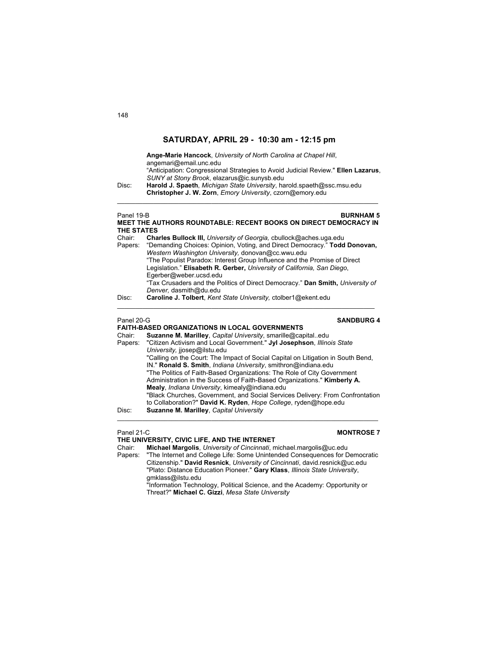**Ange-Marie Hancock**, *University of North Carolina at Chapel Hill*, angemari@email.unc.edu "Anticipation: Congressional Strategies to Avoid Judicial Review." **Ellen Lazarus**, *SUNY at Stony Brook*, elazarus@ic.sunysb.edu Disc: **Harold J. Spaeth**, *Michigan State University*, harold.spaeth@ssc.msu.edu **Christopher J. W. Zorn**, *Emory University*, czorn@emory.edu  $\mathcal{L}_\text{max}$  , and the set of the set of the set of the set of the set of the set of the set of the set of the set of Panel 19-B **BURNHAM 5 MEET THE AUTHORS ROUNDTABLE: RECENT BOOKS ON DIRECT DEMOCRACY IN THE STATES** Chair: **Charles Bullock III,** *University of Georgia,* cbullock@aches.uga.edu "Demanding Choices: Opinion, Voting, and Direct Democracy." Todd Donovan, *Western Washington University,* donovan@cc.wwu.edu

 "The Populist Paradox: Interest Group Influence and the Promise of Direct Legislation." **Elisabeth R. Gerber,** *University of California, San Diego*, Egerber@weber.ucsd.edu "Tax Crusaders and the Politics of Direct Democracy." **Dan Smith,** *University of Denver,* dasmith@du.edu

 $\mathcal{L}_\text{G} = \{ \mathcal{L}_\text{G} \mid \mathcal{L}_\text{G} \mid \mathcal{L}_\text{G} \mid \mathcal{L}_\text{G} \mid \mathcal{L}_\text{G} \mid \mathcal{L}_\text{G} \mid \mathcal{L}_\text{G} \mid \mathcal{L}_\text{G} \mid \mathcal{L}_\text{G} \mid \mathcal{L}_\text{G} \mid \mathcal{L}_\text{G} \mid \mathcal{L}_\text{G} \mid \mathcal{L}_\text{G} \mid \mathcal{L}_\text{G} \mid \mathcal{L}_\text{G} \mid \mathcal{L}_\text{G}$ 

Disc: **Caroline J. Tolbert**, *Kent State University,* ctolber1@ekent.edu

### Panel 20-G **SANDBURG 4**

### **FAITH-BASED ORGANIZATIONS IN LOCAL GOVERNMENTS**

| Chair:  | Suzanne M. Marilley, Capital University, smarille@capitaledu                     |
|---------|----------------------------------------------------------------------------------|
| Papers: | "Citizen Activism and Local Government." Jyl Josephson, Illinois State           |
|         | University, jjosep@ilstu.edu                                                     |
|         | "Calling on the Court: The Impact of Social Capital on Litigation in South Bend, |
|         | IN." Ronald S. Smith, Indiana University, smithron@indiana.edu                   |
|         | "The Politics of Faith-Based Organizations: The Role of City Government          |
|         | Administration in the Success of Faith-Based Organizations." Kimberly A.         |
|         | Mealy, <i>Indiana University</i> , kimealy@indiana.edu                           |
|         | "Black Churches, Government, and Social Services Delivery: From Confrontation    |
|         | to Collaboration?" David K. Ryden, Hope College, ryden@hope.edu                  |
| Disc:   | Suzanne M. Marilley, Capital University                                          |
|         |                                                                                  |

### Panel 21-C **MONTROSE 7**

**THE UNIVERSITY, CIVIC LIFE, AND THE INTERNET** Chair: **Michael Margolis**, *University of Cincinnati*, michael.margolis@uc.edu Papers: "The Internet and College Life: Some Unintended Consequences for Democratic Citizenship." **David Resnick**, *University of Cincinnati*, david.resnick@uc.edu "Plato: Distance Education Pioneer." **Gary Klass**, *Illinois State University*, gmklass@ilstu.edu "Information Technology, Political Science, and the Academy: Opportunity or Threat?" **Michael C. Gizzi**, *Mesa State University*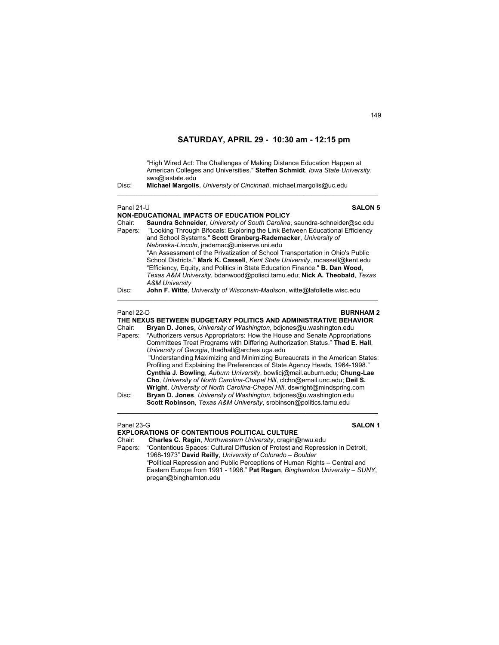"High Wired Act: The Challenges of Making Distance Education Happen at American Colleges and Universities." **Steffen Schmidt**, *Iowa State University*, sws@iastate.edu<br>Disc: **Michael Margolis** 

\_\_\_\_\_\_\_\_\_\_\_\_\_\_\_\_\_\_\_\_\_\_\_\_\_\_\_\_\_\_\_\_\_\_\_\_\_\_\_\_\_\_\_\_\_\_\_\_\_\_\_\_\_\_\_\_\_\_\_\_\_\_\_\_\_\_\_\_\_\_\_\_

Disc: **Michael Margolis**, *University of Cincinnati*, michael.margolis@uc.edu

| Panel 21-U<br><b>SALON 5</b>                                                                                                                                                                                                                                                                                                                                                                                                                                                                                                                                                                                                                                                     |                                                                                                                                                                                                                                                                                                                                                                                                                                                                                                                                                                                                                        |
|----------------------------------------------------------------------------------------------------------------------------------------------------------------------------------------------------------------------------------------------------------------------------------------------------------------------------------------------------------------------------------------------------------------------------------------------------------------------------------------------------------------------------------------------------------------------------------------------------------------------------------------------------------------------------------|------------------------------------------------------------------------------------------------------------------------------------------------------------------------------------------------------------------------------------------------------------------------------------------------------------------------------------------------------------------------------------------------------------------------------------------------------------------------------------------------------------------------------------------------------------------------------------------------------------------------|
| <b>NON-EDUCATIONAL IMPACTS OF EDUCATION POLICY</b><br>Saundra Schneider, University of South Carolina, saundra-schneider@sc.edu<br>Chair:<br>"Looking Through Bifocals: Exploring the Link Between Educational Efficiency<br>Papers:<br>and School Systems." Scott Granberg-Rademacker, University of<br>Nebraska-Lincoln, jrademac@uniserve.uni.edu<br>"An Assessment of the Privatization of School Transportation in Ohio's Public<br>School Districts." Mark K. Cassell, Kent State University, mcassell@kent.edu<br>"Efficiency, Equity, and Politics in State Education Finance." B. Dan Wood,<br>Texas A&M University, bdanwood@polisci.tamu.edu; Nick A. Theobald, Texas |                                                                                                                                                                                                                                                                                                                                                                                                                                                                                                                                                                                                                        |
| Disc:                                                                                                                                                                                                                                                                                                                                                                                                                                                                                                                                                                                                                                                                            | <b>A&amp;M University</b><br>John F. Witte, University of Wisconsin-Madison, witte@lafollette.wisc.edu                                                                                                                                                                                                                                                                                                                                                                                                                                                                                                                 |
| Panel 22-D<br>Chair:<br>Papers:                                                                                                                                                                                                                                                                                                                                                                                                                                                                                                                                                                                                                                                  | <b>BURNHAM2</b><br>THE NEXUS BETWEEN BUDGETARY POLITICS AND ADMINISTRATIVE BEHAVIOR<br>Bryan D. Jones, University of Washington, bdjones@u washington.edu<br>"Authorizers versus Appropriators: How the House and Senate Appropriations<br>Committees Treat Programs with Differing Authorization Status." Thad E. Hall,<br>University of Georgia, thadhall@arches.uga.edu<br>"Understanding Maximizing and Minimizing Bureaucrats in the American States:<br>Profiling and Explaining the Preferences of State Agency Heads, 1964-1998."<br>Cynthia J. Bowling, Auburn University, bowlicj@mail.auburn.edu; Chung-Lae |
| Disc:                                                                                                                                                                                                                                                                                                                                                                                                                                                                                                                                                                                                                                                                            | Cho, University of North Carolina-Chapel Hill, clcho@email.unc.edu; Deil S.<br>Wright, University of North Carolina-Chapel Hill, dswright@mindspring.com<br>Bryan D. Jones, University of Washington, bdjones@u.washington.edu<br>Scott Robinson, Texas A&M University, srobinson@politics.tamu.edu                                                                                                                                                                                                                                                                                                                    |
| Panel 23-G                                                                                                                                                                                                                                                                                                                                                                                                                                                                                                                                                                                                                                                                       | <b>SALON 1</b>                                                                                                                                                                                                                                                                                                                                                                                                                                                                                                                                                                                                         |

**EXPLORATIONS OF CONTENTIOUS POLITICAL CULTURE**<br>Chair: Charles C. Ragin, Northwestern University, cragin@ Chair: **Charles C. Ragin**, *Northwestern University*, cragin@nwu.edu

"Contentious Spaces: Cultural Diffusion of Protest and Repression in Detroit, 1968-1973" **David Reilly**, *University of Colorado – Boulder* "Political Repression and Public Perceptions of Human Rights – Central and Eastern Europe from 1991 - 1996." **Pat Regan**, *Binghamton University – SUNY*, pregan@binghamton.edu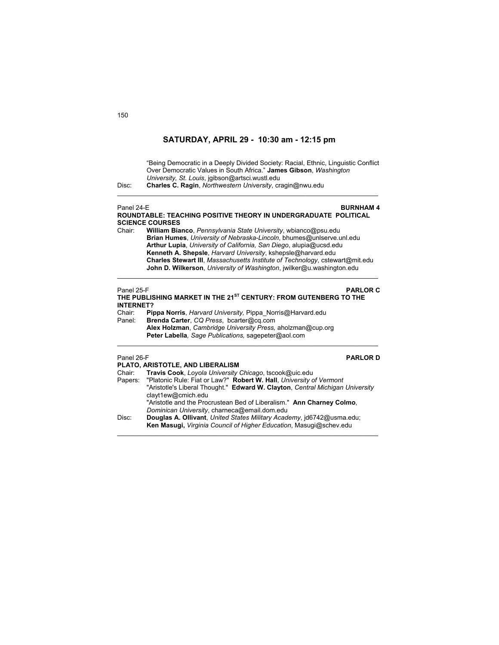"Being Democratic in a Deeply Divided Society: Racial, Ethnic, Linguistic Conflict Over Democratic Values in South Africa." **James Gibson**, *Washington University, St. Louis*, jgibson@artsci.wustl.edu

Disc: **Charles C. Ragin**, *Northwestern University*, cragin@nwu.edu

### Panel 24-E **BURNHAM 4 ROUNDTABLE: TEACHING POSITIVE THEORY IN UNDERGRADUATE POLITICAL SCIENCE COURSES**

\_\_\_\_\_\_\_\_\_\_\_\_\_\_\_\_\_\_\_\_\_\_\_\_\_\_\_\_\_\_\_\_\_\_\_\_\_\_\_\_\_\_\_\_\_\_\_\_\_\_\_\_\_\_\_\_\_\_\_\_\_\_\_\_\_\_\_\_\_\_\_\_

Chair: **William Bianco**, *Pennsylvania State University*, wbianco@psu.edu **Brian Humes**, *University of Nebraska-Lincoln*, bhumes@unlserve.unl.edu **Arthur Lupia**, *University of California, San Diego*, alupia@ucsd.edu **Kenneth A. Shepsle**, *Harvard University*, kshepsle@harvard.edu  **Charles Stewart III**, *Massachusetts Institute of Technology*, cstewart@mit.edu **John D. Wilkerson**, *University of Washington*, jwilker@u.washington.edu

 $\mathcal{L}_\text{max}$  , and the set of the set of the set of the set of the set of the set of the set of the set of the set of

## Panel 25-F **PARLOR C THE PUBLISHING MARKET IN THE 21ST CENTURY: FROM GUTENBERG TO THE INTERNET?**  Chair: **Pippa Norris**, *Harvard University,* Pippa\_Norris@Harvard.edu Panel: **Brenda Carter**, *CQ Press*, bcarter@cq.com

**Alex Holzman**, *Cambridge University Press,* aholzman@cup.org **Peter Labella***, Sage Publications,* sagepeter@aol.com  $\mathcal{L}_\text{max}$  , and the set of the set of the set of the set of the set of the set of the set of the set of the set of

## Panel 26-F **PARLOR D**

|        | PLATO, ARISTOTLE, AND LIBERALISM                                              |
|--------|-------------------------------------------------------------------------------|
| Chair: | Travis Cook, Loyola University Chicago, tscook@uic.edu                        |
|        | Papers: "Platonic Rule: Fiat or Law?" Robert W. Hall, University of Vermont   |
|        | "Aristotle's Liberal Thought." Edward W. Clayton, Central Michigan University |
|        | clayt1ew@cmich.edu                                                            |
|        | "Aristotle and the Procrustean Bed of Liberalism." Ann Charney Colmo.         |
|        | Dominican University, charneca@email.dom.edu                                  |
| Disc:  | Douglas A. Ollivant, United States Military Academy, id6742@usma.edu;         |
|        | Ken Masugi, Virginia Council of Higher Education, Masugi@schev.edu            |
|        |                                                                               |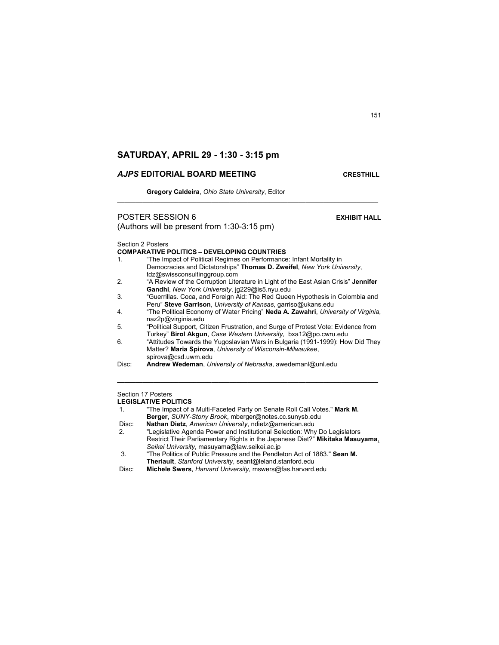## *AJPS* **EDITORIAL BOARD MEETING CRESTHILL**

**Gregory Caldeira**, *Ohio State University*, Editor

## **POSTER SESSION 6 EXHIBIT HALL**

(Authors will be present from 1:30-3:15 pm)

Section 2 Posters

### **COMPARATIVE POLITICS – DEVELOPING COUNTRIES**

- 1. "The Impact of Political Regimes on Performance: Infant Mortality in Democracies and Dictatorships" **Thomas D. Zweifel**, *New York University*, tdz@swissconsultinggroup.com 2. "A Review of the Corruption Literature in Light of the East Asian Crisis" **Jennifer**
- **Gandhi**, *New York University*, jg229@is5.nyu.edu 3. "Guerrillas. Coca, and Foreign Aid: The Red Queen Hypothesis in Colombia and

 $\_$  , and the set of the set of the set of the set of the set of the set of the set of the set of the set of the set of the set of the set of the set of the set of the set of the set of the set of the set of the set of th

- Peru" **Steve Garrison**, *University of Kansas*, garriso@ukans.edu
- 4. "The Political Economy of Water Pricing" **Neda A. Zawahri**, *University of Virginia*, naz2p@virginia.edu
- 5. "Political Support, Citizen Frustration, and Surge of Protest Vote: Evidence from Turkey" **Birol Akgun**, *Case Western University*, bxa12@po.cwru.edu
- 6. "Attitudes Towards the Yugoslavian Wars in Bulgaria (1991-1999): How Did They Matter? **Maria Spirova**, *University of Wisconsin-Milwaukee*, spirova@csd.uwm.edu

 $\mathcal{L}_\mathcal{L} = \{ \mathcal{L}_\mathcal{L} = \{ \mathcal{L}_\mathcal{L} = \{ \mathcal{L}_\mathcal{L} = \{ \mathcal{L}_\mathcal{L} = \{ \mathcal{L}_\mathcal{L} = \{ \mathcal{L}_\mathcal{L} = \{ \mathcal{L}_\mathcal{L} = \{ \mathcal{L}_\mathcal{L} = \{ \mathcal{L}_\mathcal{L} = \{ \mathcal{L}_\mathcal{L} = \{ \mathcal{L}_\mathcal{L} = \{ \mathcal{L}_\mathcal{L} = \{ \mathcal{L}_\mathcal{L} = \{ \mathcal{L}_\mathcal{$ 

Disc: **Andrew Wedeman**, *University of Nebraska*, awedemanl@unl.edu

## Section 17 Posters

**LEGISLATIVE POLITICS** 

| 1.    | "The Impact of a Multi-Faceted Party on Senate Roll Call Votes." Mark M.  |
|-------|---------------------------------------------------------------------------|
|       | <b>Berger, SUNY-Stony Brook, mberger@notes.cc.sunysb.edu</b>              |
| Disc: | <b>Nathan Dietz</b> , American University, ndietz@american.edu            |
| ົ     | "Logiclative Agenda Power and Institutional Coloction: Why Do Logiclators |

- 2. "Legislative Agenda Power and Institutional Selection: Why Do Legislators Restrict Their Parliamentary Rights in the Japanese Diet?" **Mikitaka Masuyama**, *Seikei University*, masuyama@law.seikei.ac.jp
- 3. "The Politics of Public Pressure and the Pendleton Act of 1883." **Sean M. Theriault**, *Stanford University*, seant@leland.stanford.edu
- Disc: **Michele Swers**, *Harvard University*, mswers@fas.harvard.edu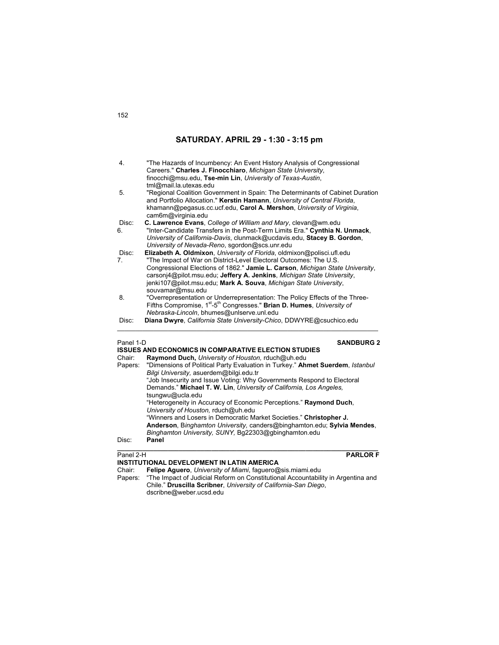| 4.    | "The Hazards of Incumbency: An Event History Analysis of Congressional<br>Careers." Charles J. Finocchiaro, Michigan State University,<br>finocchi@msu.edu, Tse-min Lin, University of Texas-Austin,<br>tml@mail.la.utexas.edu                            |
|-------|-----------------------------------------------------------------------------------------------------------------------------------------------------------------------------------------------------------------------------------------------------------|
| 5.    | "Regional Coalition Government in Spain: The Determinants of Cabinet Duration<br>and Portfolio Allocation." Kerstin Hamann, University of Central Florida.<br>khamann@pegasus.cc.ucf.edu, Carol A. Mershon, University of Virginia.<br>cam6m@virginia.edu |
| Disc: | C. Lawrence Evans, College of William and Mary, clevan@wm.edu                                                                                                                                                                                             |
| 6.    | "Inter-Candidate Transfers in the Post-Term Limits Era." Cynthia N. Unmack,                                                                                                                                                                               |
|       | University of California-Davis, clunmack@ucdavis.edu, Stacey B. Gordon,                                                                                                                                                                                   |
|       | University of Nevada-Reno, sgordon@scs.unr.edu                                                                                                                                                                                                            |
| Disc: | Elizabeth A. Oldmixon, University of Florida, oldmixon@polisci.ufl.edu                                                                                                                                                                                    |
| 7.    | "The Impact of War on District-Level Electoral Outcomes: The U.S.                                                                                                                                                                                         |
|       | Congressional Elections of 1862." Jamie L. Carson, Michigan State University,                                                                                                                                                                             |
|       | carsonj4@pilot.msu.edu; Jeffery A. Jenkins, Michigan State University,                                                                                                                                                                                    |
|       | jenki107@pilot.msu.edu; Mark A. Souva, Michigan State University,                                                                                                                                                                                         |
|       | souvamar@msu.edu                                                                                                                                                                                                                                          |
| 8.    | "Overrepresentation or Underrepresentation: The Policy Effects of the Three-                                                                                                                                                                              |
|       | Fifths Compromise, 1 <sup>st</sup> -5 <sup>th</sup> Congresses." Brian D. Humes, University of                                                                                                                                                            |
|       | Nebraska-Lincoln, bhumes@unlserve.unl.edu                                                                                                                                                                                                                 |
| Disc: | Diana Dwyre, California State University-Chico, DDWYRE@csuchico.edu                                                                                                                                                                                       |

## Panel 1-D **SANDBURG 2**

|           | ISSUES AND ECONOMICS IN COMPARATIVE ELECTION STUDIES                                                                                                                                                                                                                                                                                                                                                       |
|-----------|------------------------------------------------------------------------------------------------------------------------------------------------------------------------------------------------------------------------------------------------------------------------------------------------------------------------------------------------------------------------------------------------------------|
| Chair:    | Raymond Duch, University of Houston, rduch@uh.edu                                                                                                                                                                                                                                                                                                                                                          |
| Papers:   | "Dimensions of Political Party Evaluation in Turkey." Ahmet Suerdem, Istanbul<br>Bilgi University, asuerdem@bilgi.edu.tr<br>"Job Insecurity and Issue Voting: Why Governments Respond to Electoral<br>Demands." Michael T. W. Lin, University of California, Los Angeles,<br>tsungwu@ucla.edu<br>"Heterogeneity in Accuracy of Economic Perceptions." Raymond Duch,<br>University of Houston, rduch@uh.edu |
| Disc:     | "Winners and Losers in Democratic Market Societies." Christopher J.<br>Anderson, Binghamton University, canders@binghamton.edu; Sylvia Mendes,<br>Binghamton University, SUNY, Bq22303@qbinghamton.edu<br>Panel                                                                                                                                                                                            |
| Panel 2-H | <b>PARLOR F</b>                                                                                                                                                                                                                                                                                                                                                                                            |

### **INSTITUTIONAL DEVELOPMENT IN LATIN AMERICA**  Chair: **Felipe Aguero**, *University of Miami*, faguero@sis.miami.edu Papers: "The Impact of Judicial Reform on Constitutional Accountability in Argentina and Chile." **Druscilla Scribner**, *University of California-San Diego*, dscribne@weber.ucsd.edu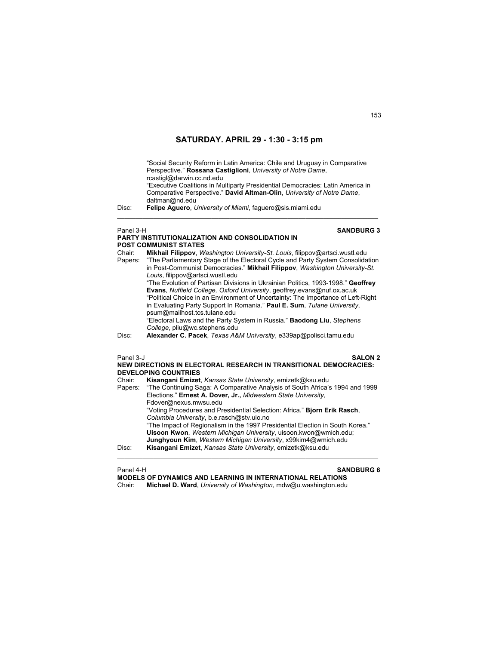"Social Security Reform in Latin America: Chile and Uruguay in Comparative Perspective." **Rossana Castiglioni**, *University of Notre Dame*, rcastigl@darwin.cc.nd.edu "Executive Coalitions in Multiparty Presidential Democracies: Latin America in Comparative Perspective." **David Altman-Olin**, *University of Notre Dame*, daltman@nd.edu

 $\mathcal{L}_\text{max}$  , and the set of the set of the set of the set of the set of the set of the set of the set of the set of

Disc: **Felipe Aguero**, *University of Miami*, faguero@sis.miami.edu

### **PARTY INSTITUTIONALIZATION AND CONSOLIDATION IN POST COMMUNIST STATES**

Panel 3-H **SANDBURG 3** 

| Chair:<br>Papers: | Mikhail Filippov, Washington University-St. Louis, filippov@artsci.wustl.edu<br>"The Parliamentary Stage of the Electoral Cycle and Party System Consolidation<br>in Post-Communist Democracies." Mikhail Filippov, Washington University-St.<br>Louis, filippov@artsci.wustl.edu<br>"The Evolution of Partisan Divisions in Ukrainian Politics, 1993-1998." Geoffrey<br><b>Evans, Nuffield College, Oxford University, geoffrey evans@nuf.ox.ac.uk</b><br>"Political Choice in an Environment of Uncertainty: The Importance of Left-Right<br>in Evaluating Party Support In Romania." Paul E. Sum, Tulane University,<br>psum@mailhost.tcs.tulane.edu<br>"Electoral Laws and the Party System in Russia." <b>Baodong Liu</b> , Stephens<br>College, pliu@wc.stephens.edu |
|-------------------|----------------------------------------------------------------------------------------------------------------------------------------------------------------------------------------------------------------------------------------------------------------------------------------------------------------------------------------------------------------------------------------------------------------------------------------------------------------------------------------------------------------------------------------------------------------------------------------------------------------------------------------------------------------------------------------------------------------------------------------------------------------------------|
| Disc:             | Alexander C. Pacek, Texas A&M University, e339ap@polisci.tamu.edu                                                                                                                                                                                                                                                                                                                                                                                                                                                                                                                                                                                                                                                                                                          |

### Panel 3-J **SALON 2 NEW DIRECTIONS IN ELECTORAL RESEARCH IN TRANSITIONAL DEMOCRACIES: DEVELOPING COUNTRIES**

| Chair:  | Kisangani Emizet, Kansas State University, emizetk@ksu.edu                    |
|---------|-------------------------------------------------------------------------------|
| Papers: | "The Continuing Saga: A Comparative Analysis of South Africa's 1994 and 1999  |
|         | Elections." Ernest A. Dover, Jr., Midwestern State University,                |
|         | Fdover@nexus.mwsu.edu                                                         |
|         | "Voting Procedures and Presidential Selection: Africa." Biorn Erik Rasch,     |
|         | Columbia University, b.e.rasch@stv.uio.no                                     |
|         | "The Impact of Regionalism in the 1997 Presidential Election in South Korea." |
|         | Uisoon Kwon, Western Michigan University, uisoon kwon@wmich.edu;              |
|         | Junghyoun Kim, Western Michigan University, x99kim4@wmich.edu                 |
| Disc:   | Kisangani Emizet, Kansas State University, emizetk@ksu.edu                    |
|         |                                                                               |

## Panel 4-H **SANDBURG 6**

**MODELS OF DYNAMICS AND LEARNING IN INTERNATIONAL RELATIONS**  Chair: **Michael D. Ward**, *University of Washington*, mdw@u.washington.edu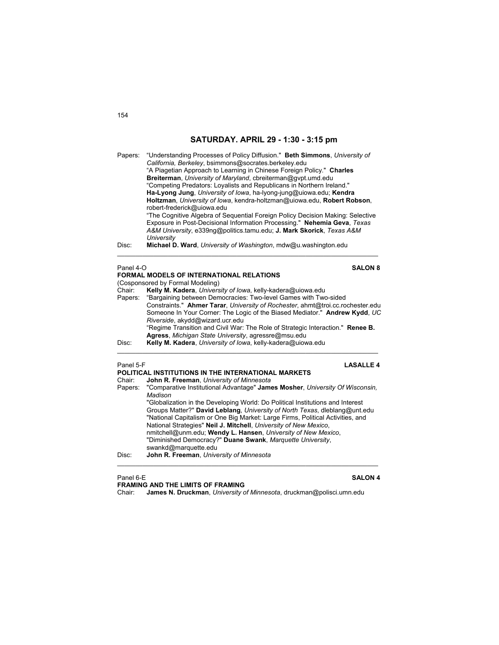| Papers:   | "Understanding Processes of Policy Diffusion." Beth Simmons, University of<br>California, Berkeley, bsimmons@socrates.berkeley.edu<br>"A Piagetian Approach to Learning in Chinese Foreign Policy." Charles                                                                                                                                               |  |  |
|-----------|-----------------------------------------------------------------------------------------------------------------------------------------------------------------------------------------------------------------------------------------------------------------------------------------------------------------------------------------------------------|--|--|
|           | Breiterman, University of Maryland, cbreiterman@gvpt.umd.edu<br>"Competing Predators: Loyalists and Republicans in Northern Ireland."<br>Ha-Lyong Jung, University of Iowa, ha-Iyong-jung@uiowa.edu; Kendra                                                                                                                                               |  |  |
|           | Holtzman, University of Iowa, kendra-holtzman@uiowa.edu, Robert Robson,<br>robert-frederick@uiowa.edu<br>"The Cognitive Algebra of Seguential Foreign Policy Decision Making: Selective<br>Exposure in Post-Decisional Information Processing." Nehemia Geva, Texas<br>A&M University, e339nq@politics.tamu.edu; J. Mark Skorick, Texas A&M<br>University |  |  |
| Disc:     | Michael D. Ward, University of Washington, mdw@u washington.edu                                                                                                                                                                                                                                                                                           |  |  |
| Panel 4-O | <b>SALON 8</b>                                                                                                                                                                                                                                                                                                                                            |  |  |
|           | FORMAL MODELS OF INTERNATIONAL RELATIONS<br>(Cosponsored by Formal Modeling)                                                                                                                                                                                                                                                                              |  |  |
| Chair:    | Kelly M. Kadera, University of Iowa, kelly-kadera@uiowa.edu                                                                                                                                                                                                                                                                                               |  |  |

Papers: "Bargaining between Democracies: Two-level Games with Two-sided Constraints." **Ahmer Tarar**, *University of Rochester*, ahmt@troi.cc.rochester.edu Someone In Your Corner: The Logic of the Biased Mediator." **Andrew Kydd**, *UC Riverside*, akydd@wizard.ucr.edu "Regime Transition and Civil War: The Role of Strategic Interaction." **Renee B. Agress**, *Michigan State University*, agressre@msu.edu Disc: **Kelly M. Kadera**, *University of Iowa*, kelly-kadera@uiowa.edu  $\mathcal{L}_\mathcal{L} = \{ \mathcal{L}_\mathcal{L} = \{ \mathcal{L}_\mathcal{L} = \{ \mathcal{L}_\mathcal{L} = \{ \mathcal{L}_\mathcal{L} = \{ \mathcal{L}_\mathcal{L} = \{ \mathcal{L}_\mathcal{L} = \{ \mathcal{L}_\mathcal{L} = \{ \mathcal{L}_\mathcal{L} = \{ \mathcal{L}_\mathcal{L} = \{ \mathcal{L}_\mathcal{L} = \{ \mathcal{L}_\mathcal{L} = \{ \mathcal{L}_\mathcal{L} = \{ \mathcal{L}_\mathcal{L} = \{ \mathcal{L}_\mathcal{$ 

### Panel 5-F **LASALLE 4 POLITICAL INSTITUTIONS IN THE INTERNATIONAL MARKETS** Chair: **John R. Freeman**, *University of Minnesota* Papers: "Comparative Institutional Advantage" **James Mosher**, *University Of Wisconsin, Madison* "Globalization in the Developing World: Do Political Institutions and Interest Groups Matter?" **David Leblang**, *University of North Texas*, dleblang@unt.edu "National Capitalism or One Big Market: Large Firms, Political Activities, and National Strategies" **Neil J. Mitchell**, *University of New Mexico*, nmitchell@unm.edu; **Wendy L. Hansen**, *University of New Mexico*, "Diminished Democracy?" **Duane Swank**, *Marquette University*, swankd@marquette.edu

Disc: **John R. Freeman**, *University of Minnesota*

**FRAMING AND THE LIMITS OF FRAMING**<br>Chair: **James N. Druckman**, University of

James N. Druckman, *University of Minnesota*, druckman@polisci.umn.edu

 $\mathcal{L}_\mathcal{L} = \{ \mathcal{L}_\mathcal{L} = \{ \mathcal{L}_\mathcal{L} = \{ \mathcal{L}_\mathcal{L} = \{ \mathcal{L}_\mathcal{L} = \{ \mathcal{L}_\mathcal{L} = \{ \mathcal{L}_\mathcal{L} = \{ \mathcal{L}_\mathcal{L} = \{ \mathcal{L}_\mathcal{L} = \{ \mathcal{L}_\mathcal{L} = \{ \mathcal{L}_\mathcal{L} = \{ \mathcal{L}_\mathcal{L} = \{ \mathcal{L}_\mathcal{L} = \{ \mathcal{L}_\mathcal{L} = \{ \mathcal{L}_\mathcal{$ 

### Panel 6-E **SALON 4**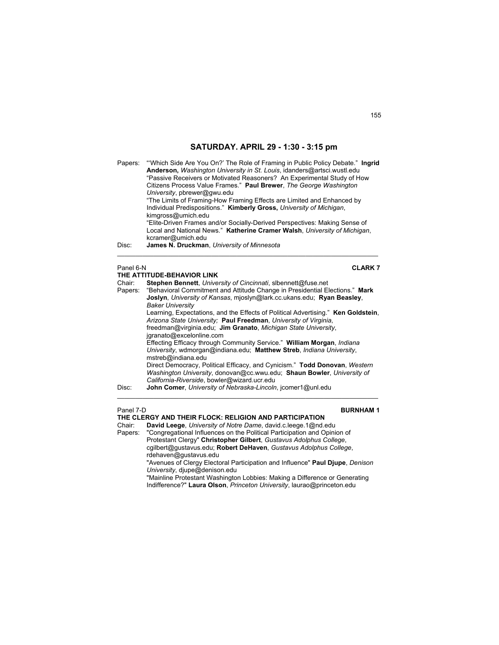Papers: "'Which Side Are You On?' The Role of Framing in Public Policy Debate." **Ingrid Anderson,** *Washington University in St. Louis*, idanders@artsci.wustl.edu "Passive Receivers or Motivated Reasoners? An Experimental Study of How Citizens Process Value Frames." **Paul Brewer**, *The George Washington University*, pbrewer@gwu.edu "The Limits of Framing-How Framing Effects are Limited and Enhanced by Individual Predispositions." **Kimberly Gross,** *University of Michigan*, kimgross@umich.edu "Elite-Driven Frames and/or Socially-Derived Perspectives: Making Sense of Local and National News." **Katherine Cramer Walsh**, *University of Michigan*, kcramer@umich.edu Disc: **James N. Druckman**, *University of Minnesota* \_\_\_\_\_\_\_\_\_\_\_\_\_\_\_\_\_\_\_\_\_\_\_\_\_\_\_\_\_\_\_\_\_\_\_\_\_\_\_\_\_\_\_\_\_\_\_\_\_\_\_\_\_\_\_\_\_\_\_\_\_\_\_\_\_\_\_\_\_\_\_\_ Panel 6-N **CLARK 7 THE ATTITUDE-BEHAVIOR LINK**

|         | THE ATTITUDE-BEHAVIOR LINK                                                        |
|---------|-----------------------------------------------------------------------------------|
| Chair:  | Stephen Bennett, University of Cincinnati, slbennett@fuse.net                     |
| Papers: | "Behavioral Commitment and Attitude Change in Presidential Elections." Mark       |
|         | Joslyn, University of Kansas, mioslyn@lark.cc.ukans.edu; Ryan Beasley,            |
|         | <b>Baker University</b>                                                           |
|         | Learning, Expectations, and the Effects of Political Advertising." Ken Goldstein, |
|         | Arizona State University: Paul Freedman, University of Virginia,                  |
|         | freedman@virginia.edu; Jim Granato, Michigan State University,                    |
|         | jgranato@excelonline.com                                                          |
|         | Effecting Efficacy through Community Service." William Morgan, <i>Indiana</i>     |
|         | University, wdmorgan@indiana.edu; Matthew Streb, Indiana University,              |
|         | mstreb@indiana.edu                                                                |
|         | Direct Democracy, Political Efficacy, and Cynicism." Todd Donovan, Western        |
|         | Washington University, donovan@cc.wwu.edu: Shaun Bowler, University of            |
|         | California-Riverside, bowler@wizard.ucr.edu                                       |
| Disc:   | John Comer, University of Nebraska-Lincoln, jcomer1@unl.edu                       |
|         |                                                                                   |

### Panel 7-D **BURNHAM 1**

**THE CLERGY AND THEIR FLOCK: RELIGION AND PARTICIPATION** 

Chair: **David Leege**, *University of Notre Dame*, david.c.leege.1@nd.edu

Papers: "Congregational Influences on the Political Participation and Opinion of Protestant Clergy" **Christopher Gilbert**, *Gustavus Adolphus College*, cgilbert@gustavus.edu; **Robert DeHaven**, *Gustavus Adolphus College*,

rdehaven@gustavus.edu "Avenues of Clergy Electoral Participation and Influence" **Paul Djupe**, *Denison University*, djupe@denison.edu

"Mainline Protestant Washington Lobbies: Making a Difference or Generating Indifference?" **Laura Olson**, *Princeton University*, laurao@princeton.edu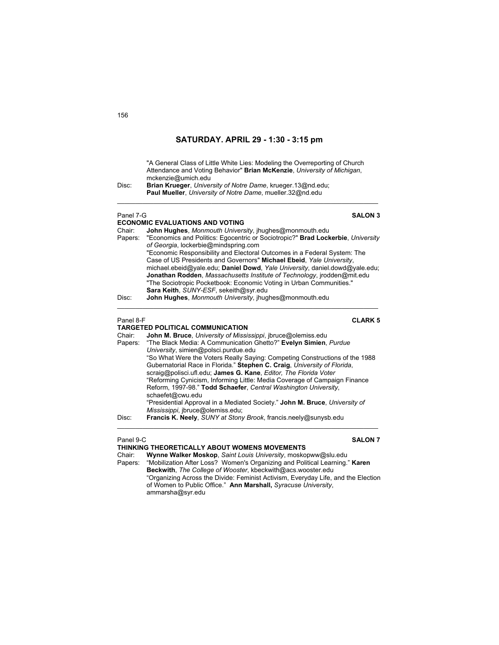"A General Class of Little White Lies: Modeling the Overreporting of Church Attendance and Voting Behavior" **Brian McKenzie**, *University of Michigan*, mckenzie@umich.edu

 $\mathcal{L}_\text{max}$  , and the set of the set of the set of the set of the set of the set of the set of the set of the set of

Disc: **Brian Krueger**, *University of Notre Dame*, krueger.13@nd.edu; **Paul Mueller**, *University of Notre Dame*, mueller.32@nd.edu

### Panel 7-G **SALON 3**

## **ECONOMIC EVALUATIONS AND VOTING**

Chair: **John Hughes**, *Monmouth University*, jhughes@monmouth.edu Papers: "Economics and Politics: Egocentric or Sociotropic?" **Brad Lockerbie**, *University of Georgia*, lockerbie@mindspring.com "Economic Responsibility and Electoral Outcomes in a Federal System: The Case of US Presidents and Governors" **Michael Ebeid**, *Yale University*, michael.ebeid@yale.edu; **Daniel Dowd**, *Yale University*, daniel.dowd@yale.edu; **Jonathan Rodden**, *Massachusetts Institute of Technology*, jrodden@mit.edu "The Sociotropic Pocketbook: Economic Voting in Urban Communities." **Sara Keith**, *SUNY-ESF*, sekeith@syr.edu

\_\_\_\_\_\_\_\_\_\_\_\_\_\_\_\_\_\_\_\_\_\_\_\_\_\_\_\_\_\_\_\_\_\_\_\_\_\_\_\_\_\_\_\_\_\_\_\_\_\_\_\_\_\_\_\_\_\_\_\_\_\_\_\_\_\_\_\_\_\_\_\_

### **TARGETED POLITICAL COMMUNICATION**

### Chair: **John M. Bruce**, *University of Mississippi*, jbruce@olemiss.edu Papers: "The Black Media: A Communication Ghetto?" **Evelyn Simien**, *Purdue University*, simien@polsci.purdue.edu "So What Were the Voters Really Saying: Competing Constructions of the 1988 Gubernatorial Race in Florida." **Stephen C. Craig**, *University of Florida*, scraig@polisci.ufl.edu; **James G. Kane**, *Editor, The Florida Voter* "Reforming Cynicism, Informing Little: Media Coverage of Campaign Finance Reform, 1997-98." **Todd Schaefer**, *Central Washington University*, schaefet@cwu.edu "Presidential Approval in a Mediated Society." **John M. Bruce**, *University of Mississippi*, jbruce@olemiss.edu; Disc: **Francis K. Neely**, *SUNY at Stony Brook*, francis.neely@sunysb.edu

 $\mathcal{L}_\text{max}$  , and the set of the set of the set of the set of the set of the set of the set of the set of the set of

### Panel 9-C **SALON 7**

## **THINKING THEORETICALLY ABOUT WOMENS MOVEMENTS**

Chair: **Wynne Walker Moskop**, *Saint Louis University*, moskopww@slu.edu Papers: "Mobilization After Loss? Women's Organizing and Political Learning." **Karen Beckwith**, *The College of Wooster*, kbeckwith@acs.wooster.edu "Organizing Across the Divide: Feminist Activism, Everyday Life, and the Election of Women to Public Office." **Ann Marshall,** *Syracuse University*, ammarsha@syr.edu

Panel 8-F **CLARK 5**

Disc: **John Hughes**, *Monmouth University*, jhughes@monmouth.edu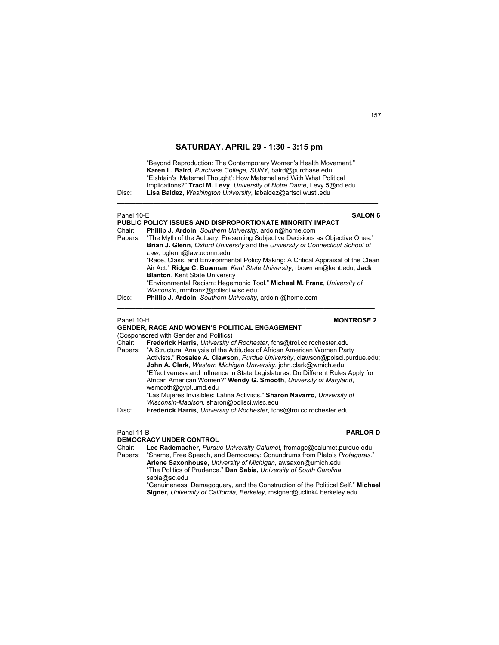"Beyond Reproduction: The Contemporary Women's Health Movement." **Karen L. Baird***, Purchase College, SUNY***,** baird@purchase.edu "Elshtain's 'Maternal Thought': How Maternal and With What Political Implications?" **Traci M. Levy**, *University of Notre Dame*, Levy.5@nd.edu Disc: **Lisa Baldez,** *Washington University*, labaldez@artsci.wustl.edu

 $\mathcal{L}_\text{max}$  , and the set of the set of the set of the set of the set of the set of the set of the set of the set of

| Panel 10-E | <b>SALON 6</b>                                                                   |
|------------|----------------------------------------------------------------------------------|
|            | PUBLIC POLICY ISSUES AND DISPROPORTIONATE MINORITY IMPACT                        |
| Chair:     | Phillip J. Ardoin, Southern University, ardoin@home.com                          |
| Papers:    | "The Myth of the Actuary: Presenting Subjective Decisions as Objective Ones."    |
|            | Brian J. Glenn, Oxford University and the University of Connecticut School of    |
|            | Law, bglenn@law.uconn.edu                                                        |
|            | "Race, Class, and Environmental Policy Making: A Critical Appraisal of the Clean |
|            | Air Act." Ridge C. Bowman, Kent State University, rbowman@kent.edu; Jack         |
|            | <b>Blanton, Kent State University</b>                                            |
|            | "Environmental Racism: Hegemonic Tool." Michael M. Franz, University of          |
|            | Wisconsin, mmfranz@polisci.wisc.edu                                              |
| Disc:      | Phillip J. Ardoin, Southern University, ardoin @home.com                         |
|            |                                                                                  |

### Panel 10-H **MONTROSE 2**

(Cosponsored with Gender and Politics)<br>Chair: Frederick Harris University of

Chair: **Frederick Harris**, *University of Rochester*, fchs@troi.cc.rochester.edu

**GENDER, RACE AND WOMEN'S POLITICAL ENGAGEMENT** 

|       | Papers: "A Structural Analysis of the Attitudes of African American Women Party  |
|-------|----------------------------------------------------------------------------------|
|       | Activists." Rosalee A. Clawson, Purdue University, clawson@polsci.purdue.edu;    |
|       | John A. Clark, Western Michigan University, john.clark@wmich.edu                 |
|       | "Effectiveness and Influence in State Legislatures: Do Different Rules Apply for |
|       | African American Women?" Wendy G. Smooth, University of Maryland,                |
|       | wsmooth@gvpt.umd.edu                                                             |
|       | "Las Mujeres Invisibles: Latina Activists." Sharon Navarro, University of        |
|       | Wisconsin-Madison, sharon@polisci.wisc.edu                                       |
| Disc: | <b>Frederick Harris</b> <i>University of Rochester</i> fchs@troi.composter.edu   |

\_\_\_\_\_\_\_\_\_\_\_\_\_\_\_\_\_\_\_\_\_\_\_\_\_\_\_\_\_\_\_\_\_\_\_\_\_\_\_\_\_\_\_\_\_\_\_\_\_\_\_\_\_\_\_\_\_\_\_\_\_\_\_\_\_\_\_\_\_\_\_\_

Disc: **Frederick Harris**, *University of Rochester*, fchs@troi.cc.rochester.edu

### Panel 11-B **PARLOR D**

**DEMOCRACY UNDER CONTROL**<br>Chair: Lee Rademacher, Purdue Lee Rademacher, Purdue University-Calumet, fromage@calumet.purdue.edu Papers: "Shame, Free Speech, and Democracy: Conundrums from Plato's *Protagoras*." **Arlene Saxonhouse,** *University of Michigan,* awsaxon@umich.edu "The Politics of Prudence." **Dan Sabia,** *University of South Carolina,* sabia@sc.edu

"Genuineness, Demagoguery, and the Construction of the Political Self." **Michael Signer,** *University of California, Berkeley,* msigner@uclink4.berkeley.edu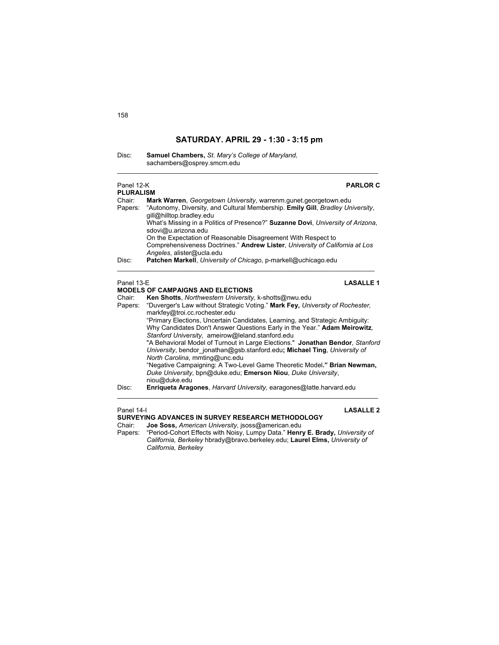$\mathcal{L}_\text{max}$  , and the set of the set of the set of the set of the set of the set of the set of the set of the set of

| Disc: | Samuel Chambers, St. Mary's College of Maryland. |
|-------|--------------------------------------------------|
|       | sachambers@osprey.smcm.edu                       |

| Panel 12-K<br><b>PARLOR C</b><br><b>PLURALISM</b> |                                                                                                                                                                                                                                                                                                                                                                                                                                                                        |
|---------------------------------------------------|------------------------------------------------------------------------------------------------------------------------------------------------------------------------------------------------------------------------------------------------------------------------------------------------------------------------------------------------------------------------------------------------------------------------------------------------------------------------|
| Chair:<br>Papers:                                 | Mark Warren, Georgetown University, warrenm.gunet.georgetown.edu<br>"Autonomy, Diversity, and Cultural Membership. Emily Gill, Bradley University,<br>gill@hilltop.bradley.edu<br>What's Missing in a Politics of Presence?" Suzanne Dovi, University of Arizona,<br>sdovi@u.arizona.edu<br>On the Expectation of Reasonable Disagreement With Respect to<br>Comprehensiveness Doctrines." Andrew Lister, University of California at Los<br>Angeles, alister@ucla.edu |
| Disc:                                             | Patchen Markell, University of Chicago, p-markell@uchicago.edu                                                                                                                                                                                                                                                                                                                                                                                                         |
| Panel 13-E                                        | <b>LASALLE 1</b><br><b>MODELS OF CAMPAIGNS AND ELECTIONS</b>                                                                                                                                                                                                                                                                                                                                                                                                           |
| Chair:                                            | Ken Shotts, Northwestern University, k-shotts@nwu.edu                                                                                                                                                                                                                                                                                                                                                                                                                  |
| Papers:                                           | "Duverger's Law without Strategic Voting." Mark Fey, University of Rochester,<br>markfey@troi.cc.rochester.edu                                                                                                                                                                                                                                                                                                                                                         |
|                                                   | "Primary Elections, Uncertain Candidates, Learning, and Strategic Ambiguity:<br>Why Candidates Don't Answer Questions Early in the Year." Adam Meirowitz,                                                                                                                                                                                                                                                                                                              |
|                                                   | Stanford University, ameirow@leland.stanford.edu<br>"A Behavioral Model of Turnout in Large Elections." Jonathan Bendor, Stanford<br>University, bendor jonathan@gsb.stanford.edu; Michael Ting, University of<br>North Carolina, mmting@unc.edu                                                                                                                                                                                                                       |
|                                                   | "Negative Campaigning: A Two-Level Game Theoretic Model." Brian Newman,<br>Duke University, bpn@duke.edu; Emerson Niou, Duke University,<br>niou@duke.edu                                                                                                                                                                                                                                                                                                              |
| Disc:                                             | <b>Enriqueta Aragones, Harvard University, earagones@latte.harvard.edu</b>                                                                                                                                                                                                                                                                                                                                                                                             |
|                                                   |                                                                                                                                                                                                                                                                                                                                                                                                                                                                        |

Panel 14-I **LASALLE 2** 

**SURVEYING ADVANCES IN SURVEY RESEARCH METHODOLOGY**

Chair: **Joe Soss,** *American University*, jsoss@american.edu

Papers: "Period-Cohort Effects with Noisy, Lumpy Data." **Henry E. Brady,** *University of California, Berkeley* hbrady@bravo.berkeley.edu; **Laurel Elms,** *University of California, Berkeley*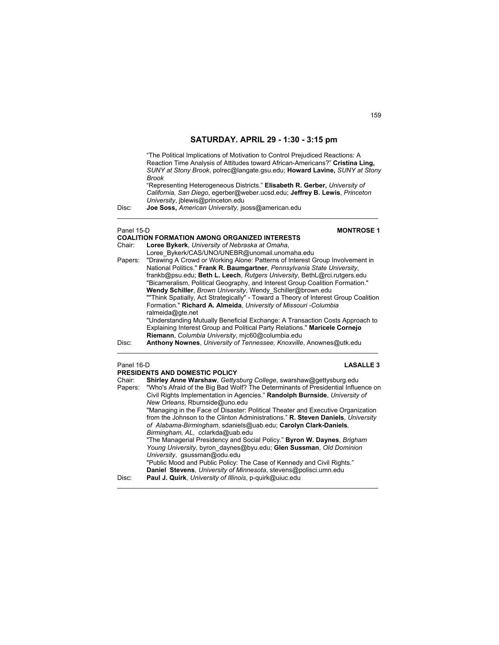"The Political Implications of Motivation to Control Prejudiced Reactions: A Reaction Time Analysis of Attitudes toward African-Americans?" **Cristina Ling,** *SUNY at Stony Brook*, polrec@langate.gsu.edu; **Howard Lavine,** *SUNY at Stony Brook* "Representing Heterogeneous Districts." **Elisabeth R. Gerber,** *University of California, San Diego*, egerber@weber.ucsd.edu; **Jeffrey B. Lewis**, *Princeton University*, jblewis@princeton.edu Disc: **Joe Soss,** *American University*, jsoss@american.edu  $\mathcal{L}_\text{max}$  , and the set of the set of the set of the set of the set of the set of the set of the set of the set of Panel 15-D **MONTROSE 1 COALITION FORMATION AMONG ORGANIZED INTERESTS**  Loree Bykerk, *University of Nebraska at Omaha*, Loree\_Bykerk/CAS/UNO/UNEBR@unomail.unomaha.edu Papers: "Drawing A Crowd or Working Alone: Patterns of Interest Group Involvement in National Politics." **Frank R. Baumgartner**, *Pennsylvania State University*, frankb@psu.edu; **Beth L. Leech**, *Rutgers University*, BethL@rci.rutgers.edu "Bicameralism, Political Geography, and Interest Group Coalition Formation." **Wendy Schiller**, *Brown University*, Wendy\_Schiller@brown.edu ""Think Spatially, Act Strategically" - Toward a Theory of Interest Group Coalition Formation." **Richard A. Almeida**, *University of Missouri -Columbia* ralmeida@gte.net "Understanding Mutually Beneficial Exchange: A Transaction Costs Approach to Explaining Interest Group and Political Party Relations." **Maricele Cornejo Riemann**, *Columbia University*, mjc60@columbia.edu

Disc: **Anthony Nownes**, *University of Tennessee, Knoxville*, Anownes@utk.edu

 $\mathcal{L}_\mathcal{L} = \{ \mathcal{L}_\mathcal{L} = \{ \mathcal{L}_\mathcal{L} = \{ \mathcal{L}_\mathcal{L} = \{ \mathcal{L}_\mathcal{L} = \{ \mathcal{L}_\mathcal{L} = \{ \mathcal{L}_\mathcal{L} = \{ \mathcal{L}_\mathcal{L} = \{ \mathcal{L}_\mathcal{L} = \{ \mathcal{L}_\mathcal{L} = \{ \mathcal{L}_\mathcal{L} = \{ \mathcal{L}_\mathcal{L} = \{ \mathcal{L}_\mathcal{L} = \{ \mathcal{L}_\mathcal{L} = \{ \mathcal{L}_\mathcal{$ 

### Panel 16-D **LASALLE 3 PRESIDENTS AND DOMESTIC POLICY**

| FRESIDENTS AND DOMESTIC FOLICT |                                                                                  |
|--------------------------------|----------------------------------------------------------------------------------|
| Chair:                         | Shirley Anne Warshaw, Gettysburg College, swarshaw@gettysburg.edu                |
| Papers:                        | "Who's Afraid of the Big Bad Wolf? The Determinants of Presidential Influence on |
|                                | Civil Rights Implementation in Agencies." Randolph Burnside, University of       |
|                                | New Orleans, Rburnside@uno.edu                                                   |
|                                | "Managing in the Face of Disaster: Political Theater and Executive Organization  |
|                                | from the Johnson to the Clinton Administrations." R. Steven Daniels, University  |
|                                | of Alabama-Birmingham, sdaniels@uab.edu; Carolyn Clark-Daniels,                  |
|                                | Birmingham, AL, cclarkda@uab.edu                                                 |
|                                | "The Managerial Presidency and Social Policy." Byron W. Daynes, Brigham          |
|                                | Young University, byron daynes@byu.edu; Glen Sussman, Old Dominion               |
|                                | University, qsussman@odu.edu                                                     |
|                                | "Public Mood and Public Policy: The Case of Kennedy and Civil Rights."           |
|                                | Daniel Stevens, University of Minnesota, stevens@polisci.umn.edu                 |
| Disc:                          | Paul J. Quirk, University of Illinois, p-quirk@uiuc.edu                          |
|                                |                                                                                  |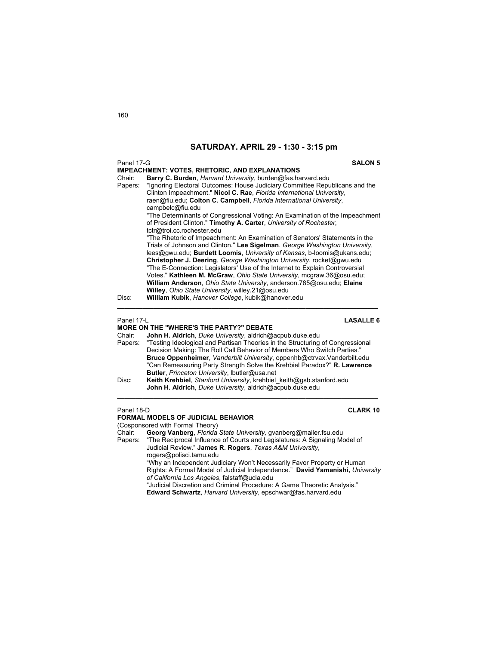| Panel 17-G                                            | <b>SALON 5</b>                                                                                                                                                                                                                                                                                                                                                                                                                                                                                                                                                                                                      |
|-------------------------------------------------------|---------------------------------------------------------------------------------------------------------------------------------------------------------------------------------------------------------------------------------------------------------------------------------------------------------------------------------------------------------------------------------------------------------------------------------------------------------------------------------------------------------------------------------------------------------------------------------------------------------------------|
| <b>IMPEACHMENT: VOTES, RHETORIC, AND EXPLANATIONS</b> |                                                                                                                                                                                                                                                                                                                                                                                                                                                                                                                                                                                                                     |
| Chair:                                                | Barry C. Burden, Harvard University, burden@fas.harvard.edu                                                                                                                                                                                                                                                                                                                                                                                                                                                                                                                                                         |
| Papers:                                               | "Ignoring Electoral Outcomes: House Judiciary Committee Republicans and the<br>Clinton Impeachment." Nicol C. Rae, Florida International University,<br>raen@fiu.edu; Colton C. Campbell, Florida International University,<br>campbelc@fiu.edu                                                                                                                                                                                                                                                                                                                                                                     |
|                                                       | "The Determinants of Congressional Voting: An Examination of the Impeachment<br>of President Clinton." Timothy A. Carter, University of Rochester,<br>tctr@troi.cc.rochester.edu                                                                                                                                                                                                                                                                                                                                                                                                                                    |
|                                                       | "The Rhetoric of Impeachment: An Examination of Senators' Statements in the<br>Trials of Johnson and Clinton." Lee Sigelman. George Washington University,<br>lees@qwu.edu; <b>Burdett Loomis</b> , <i>University of Kansas</i> , b-loomis@ukans.edu;<br>Christopher J. Deering, George Washington University, rocket@gwu.edu<br>"The E-Connection: Legislators' Use of the Internet to Explain Controversial<br>Votes." Kathleen M. McGraw, Ohio State University, mcgraw.36@osu.edu:<br>William Anderson, Ohio State University, anderson.785@osu.edu; Elaine<br>Willey, Ohio State University, willey.21@osu.edu |
| Disc:                                                 | William Kubik, Hanover College, kubik@hanover.edu                                                                                                                                                                                                                                                                                                                                                                                                                                                                                                                                                                   |

## Panel 17-L **LASALLE 6**

# **MORE ON THE "WHERE'S THE PARTY?" DEBATE**

John H. Aldrich, Duke University, aldrich@acpub.duke.edu

Papers: "Testing Ideological and Partisan Theories in the Structuring of Congressional Decision Making: The Roll Call Behavior of Members Who Switch Parties." **Bruce Oppenheimer**, *Vanderbilt University*, oppenhb@ctrvax.Vanderbilt.edu "Can Remeasuring Party Strength Solve the Krehbiel Paradox?" **R. Lawrence Butler**, *Princeton University*, lbutler@usa.net

 $\_$  , and the set of the set of the set of the set of the set of the set of the set of the set of the set of the set of the set of the set of the set of the set of the set of the set of the set of the set of the set of th

### Panel 18-D **CLARK 10**

## **FORMAL MODELS OF JUDICIAL BEHAVIOR**

(Cosponsored with Formal Theory)

Chair: **Georg Vanberg**, *Florida State University,* gvanberg@mailer.fsu.edu "The Reciprocal Influence of Courts and Legislatures: A Signaling Model of Judicial Review." **James R. Rogers**, *Texas A&M University*,

rogers@polisci.tamu.edu "Why an Independent Judiciary Won't Necessarily Favor Property or Human

Rights: A Formal Model of Judicial Independence." **David Yamanishi,** *University of California Los Angeles*, falstaff@ucla.edu "Judicial Discretion and Criminal Procedure: A Game Theoretic Analysis."

**Edward Schwartz**, *Harvard University*, epschwar@fas.harvard.edu

Disc: **Keith Krehbiel**, *Stanford University*, *krehbiel\_keith@gsb.stanford.edu*  **John H. Aldrich**, *Duke University*, aldrich@acpub.duke.edu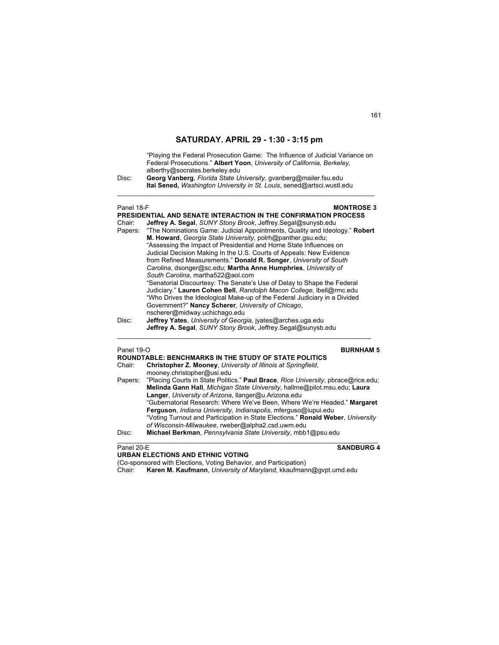"Playing the Federal Prosecution Game: The Influence of Judicial Variance on Federal Prosecutions." **Albert Yoon**, *University of California, Berkeley,* alberthy@socrates.berkeley.edu

Disc: **Georg Vanberg**, *Florida State University,* gvanberg@mailer.fsu.edu **Itai Sened,** *Washington University in St. Louis*, sened@artsci.wustl.edu

### **Panel 18-F MONTROSE 3**

**PRESIDENTIAL AND SENATE INTERACTION IN THE CONFIRMATION PROCESS**  Chair: **Jeffrey A. Segal**, *SUNY Stony Brook*, Jeffrey.Segal@sunysb.edu

\_\_\_\_\_\_\_\_\_\_\_\_\_\_\_\_\_\_\_\_\_\_\_\_\_\_\_\_\_\_\_\_\_\_\_\_\_\_\_\_\_\_\_\_\_\_\_\_\_\_\_\_\_\_\_\_\_\_\_\_\_\_\_\_\_\_\_\_\_\_\_

- Papers: "The Nominations Game: Judicial Appointments, Quality and Ideology." **Robert M. Howard**, *Georgia State University*, polrh@panther.gsu.edu; "Assessing the Impact of Presidential and Home State Influences on Judicial Decision Making In the U.S. Courts of Appeals: New Evidence from Refined Measurements." **Donald R. Songer**, *University of South Carolina*, dsonger@sc.edu; **Martha Anne Humphries**, *University of South Carolina*, martha522@aol.com "Senatorial Discourtesy: The Senate's Use of Delay to Shape the Federal Judiciary." **Lauren Cohen Bell**, *Randolph Macon College,* lbell@rmc.edu "Who Drives the Ideological Make-up of the Federal Judiciary in a Divided Government?" **Nancy Scherer**, *University of Chicago*, nscherer@midway.uchichago.edu Disc: **Jeffrey Yates**, *University of Georgia*, jyates@arches.uga.edu
- **Jeffrey A. Segal**, *SUNY Stony Brook*, Jeffrey.Segal@sunysb.edu  $\mathcal{L}_\mathcal{L} = \{ \mathcal{L}_\mathcal{L} = \{ \mathcal{L}_\mathcal{L} = \{ \mathcal{L}_\mathcal{L} = \{ \mathcal{L}_\mathcal{L} = \{ \mathcal{L}_\mathcal{L} = \{ \mathcal{L}_\mathcal{L} = \{ \mathcal{L}_\mathcal{L} = \{ \mathcal{L}_\mathcal{L} = \{ \mathcal{L}_\mathcal{L} = \{ \mathcal{L}_\mathcal{L} = \{ \mathcal{L}_\mathcal{L} = \{ \mathcal{L}_\mathcal{L} = \{ \mathcal{L}_\mathcal{L} = \{ \mathcal{L}_\mathcal{$

| Panel 19-O | <b>BURNHAM 5</b>                                                                  |
|------------|-----------------------------------------------------------------------------------|
|            | <b>ROUNDTABLE: BENCHMARKS IN THE STUDY OF STATE POLITICS</b>                      |
| Chair:     | Christopher Z. Mooney, University of Illinois at Springfield,                     |
|            | mooney.christopher@usi.edu                                                        |
| Papers:    | "Placing Courts in State Politics." Paul Brace, Rice University, pbrace@rice.edu; |
|            | Melinda Gann Hall, Michigan State University, hallme@pilot.msu.edu; Laura         |
|            | Langer, University of Arizona, Ilanger@u.Arizona.edu                              |
|            | "Gubernatorial Research: Where We've Been, Where We're Headed." Margaret          |
|            | Ferguson, Indiana University, Indianapolis, mferguso@iupui.edu                    |
|            | "Voting Turnout and Participation in State Elections." Ronald Weber, University   |
|            | of Wisconsin-Milwaukee, rweber@alpha2.csd.uwm.edu                                 |
| Disc:      | Michael Berkman, Pennsylvania State University, mbb1@psu.edu                      |
|            |                                                                                   |

**URBAN ELECTIONS AND ETHNIC VOTING**

## Panel 20-E **SANDBURG 4**

(Co-sponsored with Elections, Voting Behavior, and Participation)<br>Chair: **Karen M. Kaufmann**, University of Maryland, kkaufman Karen M. Kaufmann, *University of Maryland*, kkaufmann@gvpt.umd.edu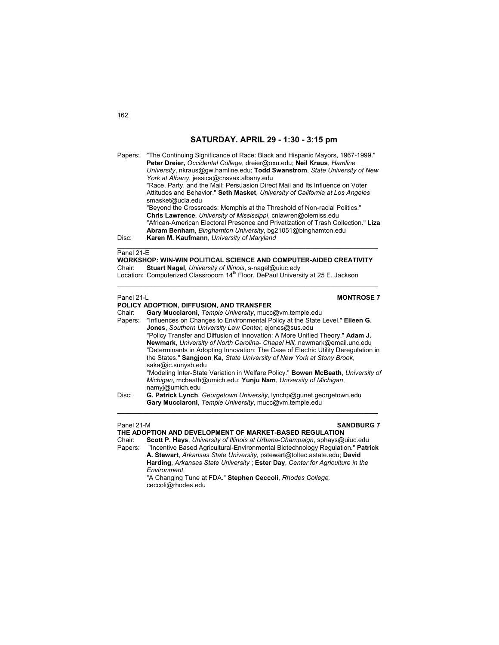Papers: "The Continuing Significance of Race: Black and Hispanic Mayors, 1967-1999." **Peter Dreier,** *Occidental College*, dreier@oxu.edu; **Neil Kraus**, *Hamline University*, nkraus@gw.hamline.edu; **Todd Swanstrom**, *State University of New York at Albany*, jessica@cnsvax.albany.edu "Race, Party, and the Mail: Persuasion Direct Mail and Its Influence on Voter Attitudes and Behavior." **Seth Masket**, *University of California at Los Angeles* smasket@ucla.edu "Beyond the Crossroads: Memphis at the Threshold of Non-racial Politics."  **Chris Lawrence**, *University of Mississippi*, cnlawren@olemiss.edu "African-American Electoral Presence and Privatization of Trash Collection." **Liza Abram Benham**, *Binghamton University*, bg21051@binghamton.edu

Disc: **Karen M. Kaufmann**, *University of Maryland*

### Panel 21-E

**WORKSHOP: WIN-WIN POLITICAL SCIENCE AND COMPUTER-AIDED CREATIVITY**<br>Chair: Stuart Nagel University of Illinois s-nagel@uiuc edv Chair: **Stuart Nagel**, *University of Illinois*, s-nagel@uiuc.edy

 $\_$  , and the set of the set of the set of the set of the set of the set of the set of the set of the set of the set of the set of the set of the set of the set of the set of the set of the set of the set of the set of th

 $\mathcal{L}_\text{max}$  , and the set of the set of the set of the set of the set of the set of the set of the set of the set of

Location: Computerized Classrooom 14<sup>th</sup> Floor, DePaul University at 25 E. Jackson

### Panel 21-L **MONTROSE 7**

- **POLICY ADOPTION, DIFFUSION, AND TRANSFER** Chair: **Gary Mucciaroni,** *Temple University*, mucc@vm.temple.edu Papers: "Influences on Changes to Environmental Policy at the State Level." **Eileen G. Jones**, *Southern University Law Center*, ejones@sus.edu "Policy Transfer and Diffusion of Innovation: A More Unified Theory." **Adam J. Newmark**, *University of North Carolina- Chapel Hill,* newmark@email.unc.edu "Determinants in Adopting Innovation: The Case of Electric Utility Deregulation in the States." **Sangjoon Ka**, *State University of New York at Stony Brook*, saka@ic.sunysb.edu "Modeling Inter-State Variation in Welfare Policy." **Bowen McBeath**, *University of Michigan*, mcbeath@umich.edu; **Yunju Nam**, *University of Michigan*, namyj@umich.edu
- Disc: **G. Patrick Lynch**, *Georgetown University*, lynchp@gunet.georgetown.edu **Gary Mucciaroni**, *Temple University*, mucc@vm.temple.edu  $\mathcal{L}_\text{max}$  , and the set of the set of the set of the set of the set of the set of the set of the set of the set of

### Panel 21-M **SANDBURG 7**

## **THE ADOPTION AND DEVELOPMENT OF MARKET-BASED REGULATION**

Chair: **Scott P. Hays**, *University of Illinois at Urbana-Champaign*, sphays@uiuc.edu Papers: "Incentive Based Agricultural-Environmental Biotechnology Regulation." **Patrick** 

**A. Stewart**, *Arkansas State University*, pstewart@toltec.astate.edu; **David Harding**, *Arkansas State University* ; **Ester Day**, *Center for Agriculture in the Environment*

 "A Changing Tune at FDA." **Stephen Ceccoli**, *Rhodes College,* ceccoli@rhodes.edu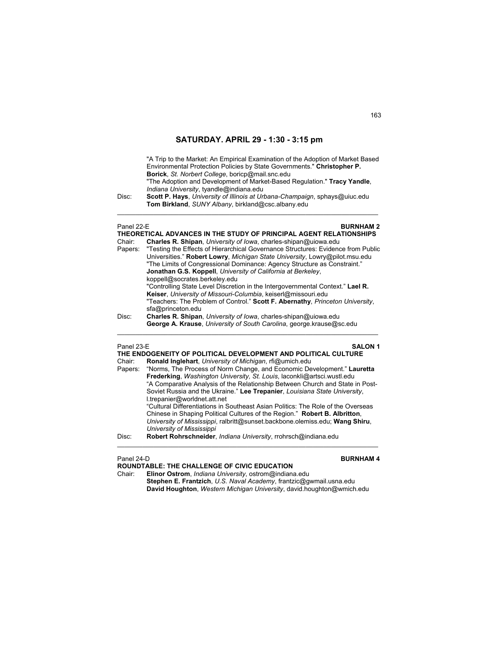"A Trip to the Market: An Empirical Examination of the Adoption of Market Based Environmental Protection Policies by State Governments." **Christopher P. Borick**, *St. Norbert College*, boricp@mail.snc.edu "The Adoption and Development of Market-Based Regulation." **Tracy Yandle**, *Indiana University*, tyandle@indiana.edu

Disc: **Scott P. Hays**, *University of Illinois at Urbana-Champaign*, sphays@uiuc.edu **Tom Birkland**, *SUNY Albany*, birkland@csc.albany.edu

\_\_\_\_\_\_\_\_\_\_\_\_\_\_\_\_\_\_\_\_\_\_\_\_\_\_\_\_\_\_\_\_\_\_\_\_\_\_\_\_\_\_\_\_\_\_\_\_\_\_\_\_\_\_\_\_\_\_\_\_\_\_\_\_\_\_\_\_\_\_\_\_

| Panel 22-F<br>Chair: | <b>BURNHAM 2</b><br>THEORETICAL ADVANCES IN THE STUDY OF PRINCIPAL AGENT RELATIONSHIPS<br>Charles R. Shipan, University of Iowa, charles-shipan@uiowa.edu<br>Papers: "Testing the Effects of Hierarchical Governance Structures: Evidence from Public<br>Universities." Robert Lowry, Michigan State University, Lowry@pilot.msu.edu<br>"The Limits of Congressional Dominance: Agency Structure as Constraint."<br>Jonathan G.S. Koppell, University of California at Berkeley,<br>koppell@socrates.berkeley.edu<br>"Controlling State Level Discretion in the Intergovernmental Context." Lael R. |
|----------------------|-----------------------------------------------------------------------------------------------------------------------------------------------------------------------------------------------------------------------------------------------------------------------------------------------------------------------------------------------------------------------------------------------------------------------------------------------------------------------------------------------------------------------------------------------------------------------------------------------------|
| Disc:                | Keiser, University of Missouri-Columbia, keiserl@missouri.edu<br>"Teachers: The Problem of Control." Scott F. Abernathy, Princeton University,<br>sfa@princeton.edu<br>Charles R. Shipan, University of Iowa, charles-shipan@uiowa.edu<br>George A. Krause, University of South Carolina, george krause@sc.edu                                                                                                                                                                                                                                                                                      |

### Panel 23-E **SALON 1**

| THE ENDOGENEITY OF POLITICAL DEVELOPMENT AND POLITICAL CULTURE |                                                                                                                                                                                                                                                                                                                                                   |
|----------------------------------------------------------------|---------------------------------------------------------------------------------------------------------------------------------------------------------------------------------------------------------------------------------------------------------------------------------------------------------------------------------------------------|
| Chair:                                                         | Ronald Inglehart, University of Michigan, rfi@umich.edu                                                                                                                                                                                                                                                                                           |
| Papers:                                                        | "Norms, The Process of Norm Change, and Economic Development." Lauretta<br>Frederking, Washington University, St. Louis, laconkli@artsci.wustl.edu<br>"A Comparative Analysis of the Relationship Between Church and State in Post-<br>Soviet Russia and the Ukraine." Lee Trepanier, Louisiana State University,<br>l.trepanier@worldnet.att.net |
| Disc:                                                          | "Cultural Differentiations in Southeast Asian Politics: The Role of the Overseas<br>Chinese in Shaping Political Cultures of the Region." Robert B. Albritton,<br>University of Mississippi, ralbritt@sunset.backbone.olemiss.edu; Wang Shiru,<br>University of Mississippi<br>Robert Rohrschneider, Indiana University, rrohrsch@indiana.edu     |

Panel 24-D **BURNHAM 4 ROUNDTABLE: THE CHALLENGE OF CIVIC EDUCATION**

Chair: **Elinor Ostrom**, *Indiana University*, ostrom@indiana.edu **Stephen E. Frantzich**, *U.S. Naval Academy*, frantzic@gwmail.usna.edu **David Houghton**, *Western Michigan University*, david.houghton@wmich.edu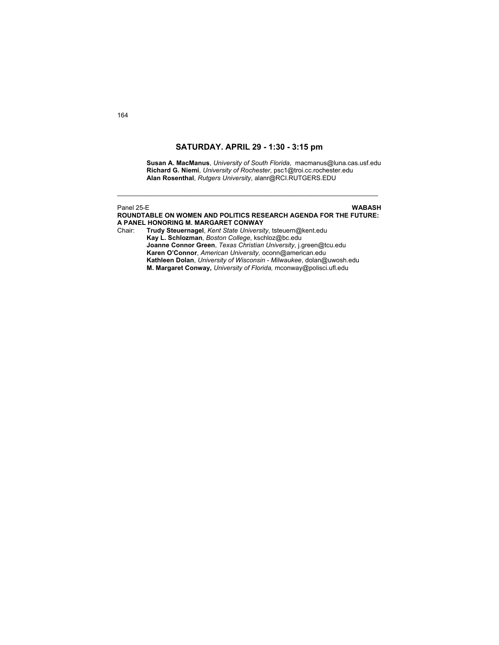**Susan A. MacManus**, *University of South Florida*, macmanus@luna.cas.usf.edu **Richard G. Niemi**, *University of Rochester*, psc1@troi.cc.rochester.edu **Alan Rosenthal**, *Rutgers University*, alanr@RCI.RUTGERS.EDU

## Panel 25-E **WABASH**

**ROUNDTABLE ON WOMEN AND POLITICS RESEARCH AGENDA FOR THE FUTURE: A PANEL HONORING M. MARGARET CONWAY**  Chair: **Trudy Steuernagel**, *Kent State University*, tsteuern@kent.edu  **Kay L. Schlozman**, *Boston College*, kschloz@bc.edu

\_\_\_\_\_\_\_\_\_\_\_\_\_\_\_\_\_\_\_\_\_\_\_\_\_\_\_\_\_\_\_\_\_\_\_\_\_\_\_\_\_\_\_\_\_\_\_\_\_\_\_\_\_\_\_\_\_\_\_\_\_\_\_\_\_\_\_\_\_\_\_\_

**Joanne Connor Green**, *Texas Christian University*, j.green@tcu.edu **Karen O'Connor**, *American University,* oconn@american.edu  **Kathleen Dolan**, *University of Wisconsin - Milwaukee*, dolan@uwosh.edu  **M. Margaret Conway,** *University of Florida,* mconway@polisci.ufl.edu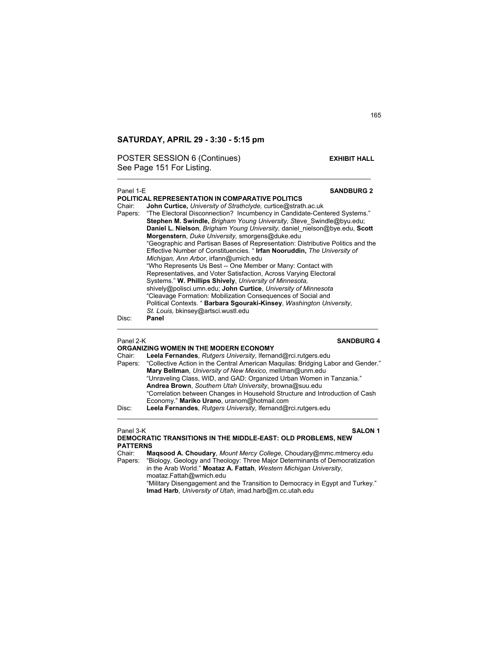POSTER SESSION 6 (Continues) **EXHIBIT HALL** See Page 151 For Listing.

### Panel 1-E **SANDBURG 2**

**POLITICAL REPRESENTATION IN COMPARATIVE POLITICS**  Chair: **John Curtice,** *University of Strathclyde,* curtice@strath.ac.uk "The Electoral Disconnection? Incumbency in Candidate-Centered Systems." **Stephen M. Swindle,** *Brigham Young University, S*teve\_Swindle@byu.edu; **Daniel L. Nielson**, *Brigham Young University,* daniel\_nielson@bye.edu, **Scott Morgenstern**, *Duke University,* smorgens@duke.edu "Geographic and Partisan Bases of Representation: Distributive Politics and the Effective Number of Constituencies. " **Irfan Nooruddin,** *The University of Michigan, Ann Arbor*, irfann@umich.edu "Who Represents Us Best -- One Member or Many: Contact with Representatives, and Voter Satisfaction, Across Varying Electoral Systems." **W. Phillips Shively**, *University of Minnesota,*  shively@polisci.umn.edu; **John Curtice**, *University of Minnesota* "Cleavage Formation: Mobilization Consequences of Social and Political Contexts. " **Barbara Sgouraki-Kinsey**, *Washington University, St. Louis,* bkinsey@artsci.wustl.edu Disc: **Panel** 

\_\_\_\_\_\_\_\_\_\_\_\_\_\_\_\_\_\_\_\_\_\_\_\_\_\_\_\_\_\_\_\_\_\_\_\_\_\_\_\_\_\_\_\_\_\_\_\_\_\_\_\_\_\_\_\_\_\_\_\_\_\_\_\_\_\_\_\_\_\_

## Panel 2-K **SANDBURG 4**

|        | ORGANIZING WOMEN IN THE MODERN ECONOMY                                                   |
|--------|------------------------------------------------------------------------------------------|
| Chair: | Leela Fernandes, Rutgers University, Ifernand@rci.rutgers.edu                            |
|        | Papers: "Collective Action in the Central American Maguilas: Bridging Labor and Gender." |
|        | Mary Bellman, University of New Mexico, mellman@unm.edu                                  |
|        | "Unraveling Class, WID, and GAD: Organized Urban Women in Tanzania."                     |
|        | Andrea Brown, Southern Utah University, browna@suu.edu                                   |
|        | "Correlation between Changes in Household Structure and Introduction of Cash             |
|        | Economy." Mariko Urano, uranom@hotmail.com                                               |
| Disc:  | Leela Fernandes, Rutgers University, Ifernand@rci.rutgers.edu                            |
|        |                                                                                          |

 $\mathcal{L}_\text{max}$  , and the set of the set of the set of the set of the set of the set of the set of the set of the set of

Panel 3-K **SALON 1 DEMOCRATIC TRANSITIONS IN THE MIDDLE-EAST: OLD PROBLEMS, NEW PATTERNS** 

 $\mathcal{L}_\text{max}$  , and the set of the set of the set of the set of the set of the set of the set of the set of the set of

Chair: **Maqsood A. Choudary**, *Mount Mercy College*, Choudary@mmc.mtmercy.edu "Biology, Geology and Theology: Three Major Determinants of Democratization in the Arab World." **Moataz A. Fattah**, *Western Michigan University*, moataz.Fattah@wmich.edu

"Military Disengagement and the Transition to Democracy in Egypt and Turkey." **Imad Harb**, *University of Utah*, imad.harb@m.cc.utah.edu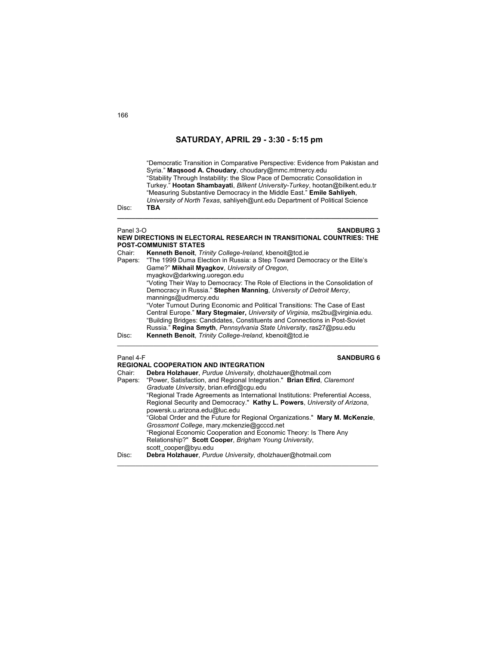"Democratic Transition in Comparative Perspective: Evidence from Pakistan and Syria." **Maqsood A. Choudary**, choudary@mmc.mtmercy.edu "Stability Through Instability: the Slow Pace of Democratic Consolidation in Turkey." **Hootan Shambayati**, *Bilkent University-Turkey*, hootan@bilkent.edu.tr "Measuring Substantive Democracy in the Middle East." **Emile Sahliyeh**, *University of North Texas*, sahliyeh@unt.edu Department of Political Science

Disc: **TBA** 

### Panel 3-O **SANDBURG 3 NEW DIRECTIONS IN ELECTORAL RESEARCH IN TRANSITIONAL COUNTRIES: THE POST-COMMUNIST STATES**

**\_\_\_\_\_\_\_\_\_\_\_\_\_\_\_\_\_\_\_\_\_\_\_\_\_\_\_\_\_\_\_\_\_\_\_\_\_\_\_\_\_\_\_\_\_\_\_\_\_\_\_\_\_\_\_\_\_\_\_\_\_\_\_\_\_\_\_\_\_\_\_\_** 

| Chair:  | Kenneth Benoit, Trinity College-Ireland, kbenoit@tcd.ie                       |
|---------|-------------------------------------------------------------------------------|
| Papers: | "The 1999 Duma Election in Russia: a Step Toward Democracy or the Elite's     |
|         | Game?" Mikhail Myagkov, University of Oregon,                                 |
|         | myaqkov@darkwing.uoregon.edu                                                  |
|         | "Voting Their Way to Democracy: The Role of Elections in the Consolidation of |
|         | Democracy in Russia." Stephen Manning, University of Detroit Mercy,           |
|         | mannings@udmercy.edu                                                          |
|         | "Voter Turnout During Economic and Political Transitions: The Case of East    |
|         | Central Europe." Mary Stegmaier, University of Virginia, ms2bu@virginia.edu.  |
|         | "Building Bridges: Candidates, Constituents and Connections in Post-Soviet    |
|         | Russia." Regina Smyth, Pennsylvania State University, ras27@psu.edu           |
| Disc:   | Kenneth Benoit, Trinity College-Ireland, kbenoit@tcd.ie                       |
|         |                                                                               |

### Panel 4-F **SANDBURG 6**

| Chair:  | <b>REGIONAL COOPERATION AND INTEGRATION</b><br>Debra Holzhauer, Purdue University, dholzhauer@hotmail.com                 |
|---------|---------------------------------------------------------------------------------------------------------------------------|
| Papers: | "Power, Satisfaction, and Regional Integration." Brian Efird, Claremont<br>Graduate University, brian.efird@cqu.edu       |
|         | "Regional Trade Agreements as International Institutions: Preferential Access,                                            |
|         | Regional Security and Democracy." Kathy L. Powers, University of Arizona,<br>powersk.u.arizona.edu@luc.edu                |
|         | "Global Order and the Future for Regional Organizations." Mary M. McKenzie,<br>Grossmont College, mary mckenzie@gcccd.net |
|         | "Regional Economic Cooperation and Economic Theory: Is There Any                                                          |
|         | Relationship?" Scott Cooper, Brigham Young University,<br>scott cooper@byu.edu                                            |
| Disc:   | Debra Holzhauer, Purdue University, dholzhauer@hotmail.com                                                                |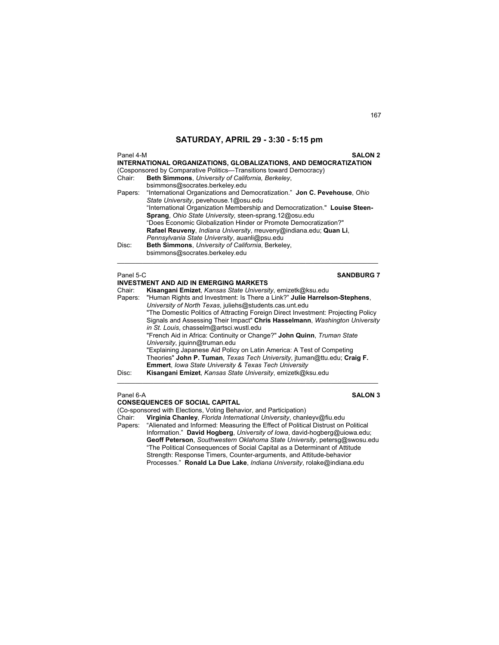| Panel 4-M<br>Chair:<br>Papers: | <b>SALON 2</b><br>INTERNATIONAL ORGANIZATIONS, GLOBALIZATIONS, AND DEMOCRATIZATION<br>(Cosponsored by Comparative Politics—Transitions toward Democracy)<br>Beth Simmons, University of California, Berkeley,<br>bsimmons@socrates.berkeley.edu<br>"International Organizations and Democratization." Jon C. Pevehouse, Ohio<br>State University, pevehouse.1@osu.edu<br>"International Organization Membership and Democratization." Louise Steen-<br>Sprang, Ohio State University, steen-sprang.12@osu.edu<br>"Does Economic Globalization Hinder or Promote Democratization?"<br>Rafael Reuveny, <i>Indiana University</i> , rreuveny@indiana.edu; Quan Li,<br>Pennsylvania State University, auanli@psu.edu |
|--------------------------------|------------------------------------------------------------------------------------------------------------------------------------------------------------------------------------------------------------------------------------------------------------------------------------------------------------------------------------------------------------------------------------------------------------------------------------------------------------------------------------------------------------------------------------------------------------------------------------------------------------------------------------------------------------------------------------------------------------------|
| Disc:                          | Beth Simmons, University of California, Berkeley,<br>bsimmons@socrates.berkeley.edu                                                                                                                                                                                                                                                                                                                                                                                                                                                                                                                                                                                                                              |
| Panel 5-C                      | <b>SANDBURG 7</b>                                                                                                                                                                                                                                                                                                                                                                                                                                                                                                                                                                                                                                                                                                |
|                                | <b>INVESTMENT AND AID IN EMERGING MARKETS</b>                                                                                                                                                                                                                                                                                                                                                                                                                                                                                                                                                                                                                                                                    |
| Chair:                         | Kisangani Emizet, Kansas State University, emizetk@ksu.edu                                                                                                                                                                                                                                                                                                                                                                                                                                                                                                                                                                                                                                                       |
| Papers:                        | "Human Rights and Investment: Is There a Link?" Julie Harrelson-Stephens,<br>University of North Texas, juliehs@students.cas.unt.edu                                                                                                                                                                                                                                                                                                                                                                                                                                                                                                                                                                             |
|                                | "The Domestic Politics of Attracting Foreign Direct Investment: Projecting Policy<br>Signals and Assessing Their Impact" Chris Hasselmann, Washington University<br>in St. Louis, chasselm@artsci.wustl.edu<br>"French Aid in Africa: Continuity or Change?" John Quinn, Truman State<br>University, jquinn@truman.edu                                                                                                                                                                                                                                                                                                                                                                                           |

 "Explaining Japanese Aid Policy on Latin America: A Test of Competing Theories" **John P. Tuman**, *Texas Tech University*, jtuman@ttu.edu; **Craig F. Emmert**, *Iowa State University & Texas Tech University* Disc: **Kisangani Emizet**, *Kansas State University*, emizetk@ksu.edu

\_\_\_\_\_\_\_\_\_\_\_\_\_\_\_\_\_\_\_\_\_\_\_\_\_\_\_\_\_\_\_\_\_\_\_\_\_\_\_\_\_\_\_\_\_\_\_\_\_\_\_\_\_\_\_\_\_\_\_\_\_\_\_\_\_\_\_\_\_\_\_\_

Panel 6-A **SALON 3**

**CONSEQUENCES OF SOCIAL CAPITAL**  (Co-sponsored with Elections, Voting Behavior, and Participation)<br>Chair: Virginia Chanley, Florida International University, chan Chair: **Virginia Chanley**, *Florida International University*, chanleyv@fiu.edu Papers: "Alienated and Informed: Measuring the Effect of Political Distrust on Political Information." **David Hogberg**, *University of Iowa*, david-hogberg@uiowa.edu; **Geoff Peterson**, *Southwestern Oklahoma State University*, petersg@swosu.edu "The Political Consequences of Social Capital as a Determinant of Attitude Strength: Response Timers, Counter-arguments, and Attitude-behavior Processes." **Ronald La Due Lake**, *Indiana University*, rolake@indiana.edu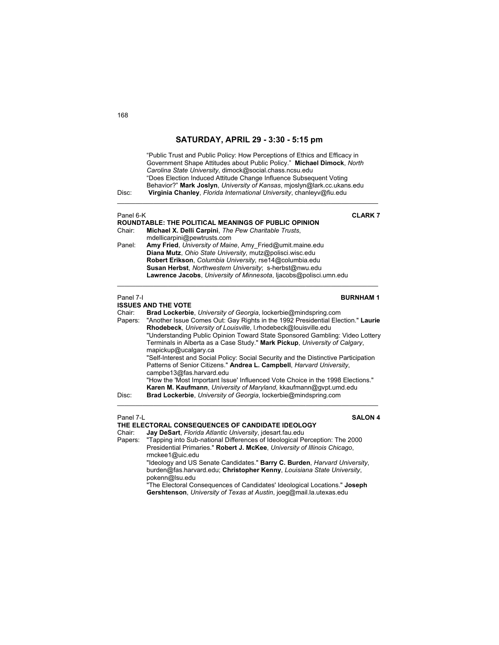| Disc:     | "Public Trust and Public Policy: How Perceptions of Ethics and Efficacy in<br>Government Shape Attitudes about Public Policy." Michael Dimock, North<br>Carolina State University, dimock@social.chass.ncsu.edu<br>"Does Election Induced Attitude Change Influence Subsequent Voting<br>Behavior?" Mark Joslyn, University of Kansas, mjoslyn@lark.cc.ukans.edu<br>Virginia Chanley, Florida International University, chanleyv@fiu.edu                                                                                                                                                                                                                                                    |
|-----------|---------------------------------------------------------------------------------------------------------------------------------------------------------------------------------------------------------------------------------------------------------------------------------------------------------------------------------------------------------------------------------------------------------------------------------------------------------------------------------------------------------------------------------------------------------------------------------------------------------------------------------------------------------------------------------------------|
| Panel 6-K | <b>CLARK7</b>                                                                                                                                                                                                                                                                                                                                                                                                                                                                                                                                                                                                                                                                               |
| Chair:    | <b>ROUNDTABLE: THE POLITICAL MEANINGS OF PUBLIC OPINION</b><br>Michael X. Delli Carpini, The Pew Charitable Trusts,                                                                                                                                                                                                                                                                                                                                                                                                                                                                                                                                                                         |
|           | mdellicarpini@pewtrusts.com                                                                                                                                                                                                                                                                                                                                                                                                                                                                                                                                                                                                                                                                 |
| Panel:    | Amy Fried, University of Maine, Amy_Fried@umit.maine.edu                                                                                                                                                                                                                                                                                                                                                                                                                                                                                                                                                                                                                                    |
|           | Diana Mutz, Ohio State University, mutz@polisci.wisc.edu                                                                                                                                                                                                                                                                                                                                                                                                                                                                                                                                                                                                                                    |
|           | Robert Erikson, Columbia University, rse14@columbia.edu<br>Susan Herbst, Northwestern University; s-herbst@nwu.edu                                                                                                                                                                                                                                                                                                                                                                                                                                                                                                                                                                          |
|           | Lawrence Jacobs, University of Minnesota, Ijacobs@polisci.umn.edu                                                                                                                                                                                                                                                                                                                                                                                                                                                                                                                                                                                                                           |
|           |                                                                                                                                                                                                                                                                                                                                                                                                                                                                                                                                                                                                                                                                                             |
| Panel 7-I | <b>BURNHAM1</b><br><b>ISSUES AND THE VOTE</b>                                                                                                                                                                                                                                                                                                                                                                                                                                                                                                                                                                                                                                               |
| Chair:    | Brad Lockerbie, University of Georgia, lockerbie@mindspring.com                                                                                                                                                                                                                                                                                                                                                                                                                                                                                                                                                                                                                             |
| Papers:   | "Another Issue Comes Out: Gay Rights in the 1992 Presidential Election." Laurie<br>Rhodebeck, University of Louisville, I.rhodebeck@louisville.edu<br>"Understanding Public Opinion Toward State Sponsored Gambling: Video Lottery<br>Terminals in Alberta as a Case Study." Mark Pickup, University of Calgary,<br>mapickup@ucalgary.ca<br>"Self-Interest and Social Policy: Social Security and the Distinctive Participation<br>Patterns of Senior Citizens." Andrea L. Campbell, Harvard University,<br>campbe13@fas.harvard.edu<br>"How the 'Most Important Issue' Influenced Vote Choice in the 1998 Elections."<br>Karen M. Kaufmann, University of Maryland, kkaufmann@gvpt.umd.edu |
| Disc:     | Brad Lockerbie, University of Georgia, lockerbie@mindspring.com                                                                                                                                                                                                                                                                                                                                                                                                                                                                                                                                                                                                                             |
| Panel 7-L | <b>SALON 4</b><br>THE ELECTORAL CONSEQUENCES OF CANDIDATE IDEOLOGY                                                                                                                                                                                                                                                                                                                                                                                                                                                                                                                                                                                                                          |
| Chair:    | Jay DeSart, Florida Atlantic University, jdesart.fau.edu                                                                                                                                                                                                                                                                                                                                                                                                                                                                                                                                                                                                                                    |
| Papers:   | "Tapping into Sub-national Differences of Ideological Perception: The 2000<br>Presidential Primaries." Robert J. McKee, University of Illinois Chicago,<br>rmckee1@uic.edu                                                                                                                                                                                                                                                                                                                                                                                                                                                                                                                  |
|           | "Ideology and US Senate Candidates." Barry C. Burden, Harvard University,<br>burden@fas.harvard.edu; Christopher Kenny, Louisiana State University,<br>pokenn@lsu.edu                                                                                                                                                                                                                                                                                                                                                                                                                                                                                                                       |

"The Electoral Consequences of Candidates' Ideological Locations." **Joseph Gershtenson**, *University of Texas at Austin*, joeg@mail.la.utexas.edu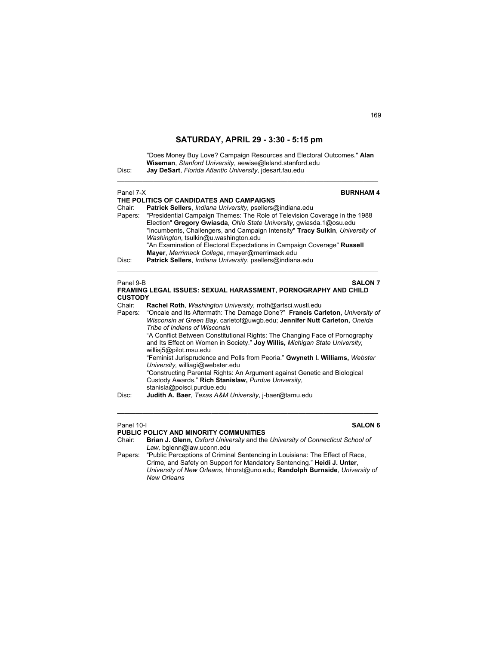"Does Money Buy Love? Campaign Resources and Electoral Outcomes." **Alan Wiseman**, *Stanford University*, aewise@leland.stanford.edu Disc: **Jay DeSart**, *Florida Atlantic University*, jdesart.fau.edu \_\_\_\_\_\_\_\_\_\_\_\_\_\_\_\_\_\_\_\_\_\_\_\_\_\_\_\_\_\_\_\_\_\_\_\_\_\_\_\_\_\_\_\_\_\_\_\_\_\_\_\_\_\_\_\_\_\_\_\_\_\_\_\_\_\_\_\_\_\_\_\_

| Panel 7-X<br>Chair:<br>Papers:<br>Disc:          | <b>BURNHAM4</b><br>THE POLITICS OF CANDIDATES AND CAMPAIGNS<br>Patrick Sellers, Indiana University, psellers@indiana.edu<br>"Presidential Campaign Themes: The Role of Television Coverage in the 1988<br>Election" Gregory Gwiasda, Ohio State University, gwiasda.1@osu.edu<br>"Incumbents, Challengers, and Campaign Intensity" Tracy Sulkin, University of<br>Washington, tsulkin@u.washington.edu<br>"An Examination of Electoral Expectations in Campaign Coverage" Russell<br>Mayer, Merrimack College, rmayer@merrimack.edu<br>Patrick Sellers, Indiana University, psellers@indiana.edu                                                                                                                                                                                                                           |
|--------------------------------------------------|----------------------------------------------------------------------------------------------------------------------------------------------------------------------------------------------------------------------------------------------------------------------------------------------------------------------------------------------------------------------------------------------------------------------------------------------------------------------------------------------------------------------------------------------------------------------------------------------------------------------------------------------------------------------------------------------------------------------------------------------------------------------------------------------------------------------------|
| Panel 9-B<br><b>CUSTODY</b><br>Chair:<br>Papers: | <b>SALON 7</b><br>FRAMING LEGAL ISSUES: SEXUAL HARASSMENT, PORNOGRAPHY AND CHILD<br>Rachel Roth, Washington University, rroth@artsci.wustl.edu<br>"Oncale and Its Aftermath: The Damage Done?" Francis Carleton, University of<br>Wisconsin at Green Bay, carletof@uwgb.edu; Jennifer Nutt Carleton, Oneida<br>Tribe of Indians of Wisconsin<br>"A Conflict Between Constitutional Rights: The Changing Face of Pornography<br>and Its Effect on Women in Society." Joy Willis, Michigan State University,<br>willisj5@pilot.msu.edu<br>"Feminist Jurisprudence and Polls from Peoria." Gwyneth I. Williams, Webster<br>University, williagi@webster.edu<br>"Constructing Parental Rights: An Argument against Genetic and Biological<br>Custody Awards." Rich Stanislaw, Purdue University,<br>stanisla@polsci.purdue.edu |

Disc: **Judith A. Baer**, *Texas A&M University*, j-baer@tamu.edu

### Panel 10-I **SALON 6**

**PUBLIC POLICY AND MINORITY COMMUNITIES**<br>Chair: **Brian J. Glenn,** Oxford University and the Brian J. Glenn, Oxford University and the University of Connecticut School of *Law,* bglenn@law.uconn.edu

 $\mathcal{L}_\text{max}$  , and the set of the set of the set of the set of the set of the set of the set of the set of the set of

Papers: "Public Perceptions of Criminal Sentencing in Louisiana: The Effect of Race, Crime, and Safety on Support for Mandatory Sentencing." **Heidi J. Unter**, *University of New Orleans*, hhorst@uno.edu; **Randolph Burnside**, *University of New Orleans*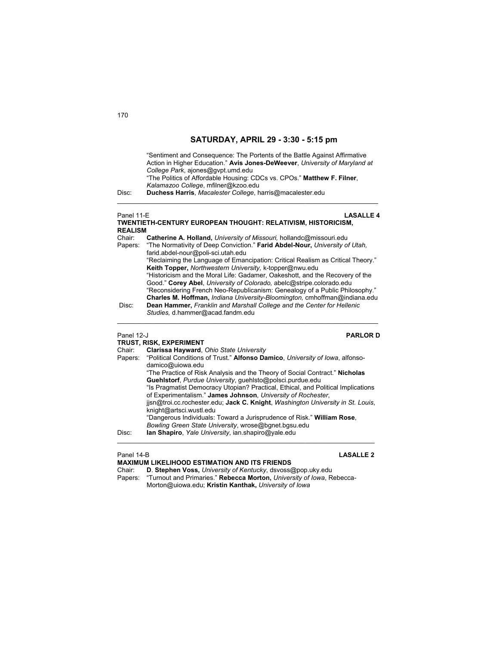| Disc:                    | "Sentiment and Consequence: The Portents of the Battle Against Affirmative<br>Action in Higher Education." Avis Jones-DeWeever, University of Maryland at<br>College Park, ajones@gvpt.umd.edu<br>"The Politics of Affordable Housing: CDCs vs. CPOs." Matthew F. Filner.<br>Kalamazoo College, mfilner@kzoo.edu<br>Duchess Harris, Macalester College, harris@macalester.edu |
|--------------------------|-------------------------------------------------------------------------------------------------------------------------------------------------------------------------------------------------------------------------------------------------------------------------------------------------------------------------------------------------------------------------------|
| Panel 11-F               | <b>LASALLE4</b><br>TWENTIETH-CENTURY EUROPEAN THOUGHT: RELATIVISM, HISTORICISM,                                                                                                                                                                                                                                                                                               |
| <b>REALISM</b><br>Chair: | Catherine A. Holland, University of Missouri, hollandc@missouri.edu                                                                                                                                                                                                                                                                                                           |
| Papers:                  | "The Normativity of Deep Conviction." Farid Abdel-Nour, University of Utah,<br>farid.abdel-nour@poli-sci.utah.edu                                                                                                                                                                                                                                                             |
|                          | "Reclaiming the Language of Emancipation: Critical Realism as Critical Theory."                                                                                                                                                                                                                                                                                               |
|                          | Keith Topper, Northwestern University, k-topper@nwu.edu<br>"Historicism and the Moral Life: Gadamer, Oakeshott, and the Recovery of the<br>Good." Corey Abel, University of Colorado, abelc@stripe.colorado.edu<br>"Reconsidering French Neo-Republicanism: Genealogy of a Public Philosophy."                                                                                |
| Disc:                    | Charles M. Hoffman, Indiana University-Bloomington, cmhoffman@indiana.edu<br>Dean Hammer, Franklin and Marshall College and the Center for Hellenic<br>Studies, d.hammer@acad.fandm.edu                                                                                                                                                                                       |

### Panel 12-J **PARLOR D**

|         | TRUST, RISK, EXPERIMENT                                                                                                                          |
|---------|--------------------------------------------------------------------------------------------------------------------------------------------------|
| Chair:  | Clarissa Hayward, Ohio State University                                                                                                          |
| Papers: | "Political Conditions of Trust." Alfonso Damico, University of Iowa, alfonso-<br>damico@uiowa.edu                                                |
|         | "The Practice of Risk Analysis and the Theory of Social Contract." Nicholas<br>Guehlstorf, Purdue University, guehlsto@polsci.purdue.edu         |
|         | "Is Pragmatist Democracy Utopian? Practical, Ethical, and Political Implications<br>of Experimentalism." James Johnson, University of Rochester, |
|         | jisn@troi.cc.rochester.edu; Jack C. Knight, Washington University in St. Louis,<br>knight@artsci.wustl.edu                                       |
|         | "Dangerous Individuals: Toward a Jurisprudence of Risk." William Rose,                                                                           |
|         | Bowling Green State University, wrose@bgnet.bgsu.edu                                                                                             |
| Disc:   | lan Shapiro, Yale University, ian.shapiro@yale.edu                                                                                               |

| Panel 14-B | <b>LASALLE 2</b><br><b>MAXIMUM LIKELIHOOD ESTIMATION AND ITS FRIENDS</b> |
|------------|--------------------------------------------------------------------------|
| Chair:     | D. Stephen Voss, University of Kentucky, dsvoss@pop.uky.edu              |
| Papers:    | "Turnout and Primaries." Rebecca Morton. University of lowa. Rebecca-    |
|            | Morton@uiowa.edu; Kristin Kanthak, University of Iowa                    |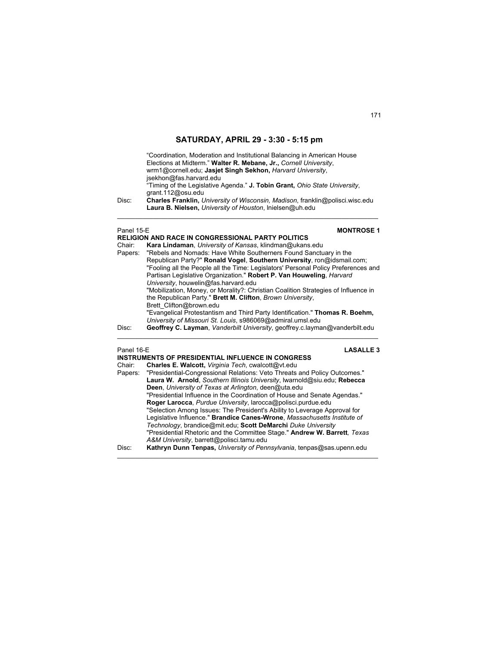|                      | "Coordination, Moderation and Institutional Balancing in American House<br>Elections at Midterm." Walter R. Mebane, Jr., Cornell University,<br>wrm1@cornell.edu; Jasiet Singh Sekhon, Harvard University,<br>jsekhon@fas.harvard.edu                      |                   |
|----------------------|------------------------------------------------------------------------------------------------------------------------------------------------------------------------------------------------------------------------------------------------------------|-------------------|
| Disc:                | "Timing of the Legislative Agenda." <b>J. Tobin Grant,</b> Ohio State University,<br>grant.112@osu.edu<br><b>Charles Franklin, University of Wisconsin, Madison, franklin@polisci.wisc.edu</b><br>Laura B. Nielsen, University of Houston, Inielsen@uh.edu |                   |
| Panel 15-E<br>Chair: | RELIGION AND RACE IN CONGRESSIONAL PARTY POLITICS<br>Kara Lindaman, University of Kansas, klindman@ukans.edu                                                                                                                                               | <b>MONTROSE 1</b> |

| Chair:  | Kara Lindaman, University of Kansas, klindman@ukans.edu                            |
|---------|------------------------------------------------------------------------------------|
| Papers: | "Rebels and Nomads: Have White Southerners Found Sanctuary in the                  |
|         | Republican Party?" Ronald Vogel, Southern University, ron@idsmail.com;             |
|         | "Fooling all the People all the Time: Legislators' Personal Policy Preferences and |
|         | Partisan Legislative Organization." Robert P. Van Houweling, Harvard               |
|         | University, houwelin@fas.harvard.edu                                               |
|         | "Mobilization, Money, or Morality?: Christian Coalition Strategies of Influence in |
|         | the Republican Party." Brett M. Clifton, Brown University,                         |
|         | Brett Clifton@brown.edu                                                            |
|         | "Evangelical Protestantism and Third Party Identification." Thomas R. Boehm,       |
|         | University of Missouri St. Louis, s986069@admiral.umsl.edu                         |
| Disc:   | Geoffrey C. Layman, Vanderbilt University, geoffrey.c.layman@vanderbilt.edu        |

 $\mathcal{L}_\mathcal{L} = \{ \mathcal{L}_\mathcal{L} = \{ \mathcal{L}_\mathcal{L} = \{ \mathcal{L}_\mathcal{L} = \{ \mathcal{L}_\mathcal{L} = \{ \mathcal{L}_\mathcal{L} = \{ \mathcal{L}_\mathcal{L} = \{ \mathcal{L}_\mathcal{L} = \{ \mathcal{L}_\mathcal{L} = \{ \mathcal{L}_\mathcal{L} = \{ \mathcal{L}_\mathcal{L} = \{ \mathcal{L}_\mathcal{L} = \{ \mathcal{L}_\mathcal{L} = \{ \mathcal{L}_\mathcal{L} = \{ \mathcal{L}_\mathcal{$ 

| <b>LASALLE 3</b><br>Panel 16-E                                                    |
|-----------------------------------------------------------------------------------|
| INSTRUMENTS OF PRESIDENTIAL INFLUENCE IN CONGRESS                                 |
| Charles E. Walcott, Virginia Tech, cwalcott@vt.edu                                |
| Papers: "Presidential-Congressional Relations: Veto Threats and Policy Outcomes." |
| Laura W. Arnold, Southern Illinois University, Iwarnold@siu.edu; Rebecca          |
| <b>Deen</b> , University of Texas at Arlington, deen@uta.edu                      |
| "Presidential Influence in the Coordination of House and Senate Agendas."         |
| Roger Larocca, Purdue University, larocca@polisci.purdue.edu                      |
| "Selection Among Issues: The President's Ability to Leverage Approval for         |
| Legislative Influence." Brandice Canes-Wrone, Massachusetts Institute of          |
| Technology, brandice@mit.edu; Scott DeMarchi Duke University                      |
| "Presidential Rhetoric and the Committee Stage." Andrew W. Barrett, Texas         |
| A&M University, barrett@polisci.tamu.edu                                          |
| Kathryn Dunn Tenpas, University of Pennsylvania, tenpas@sas.upenn.edu             |
|                                                                                   |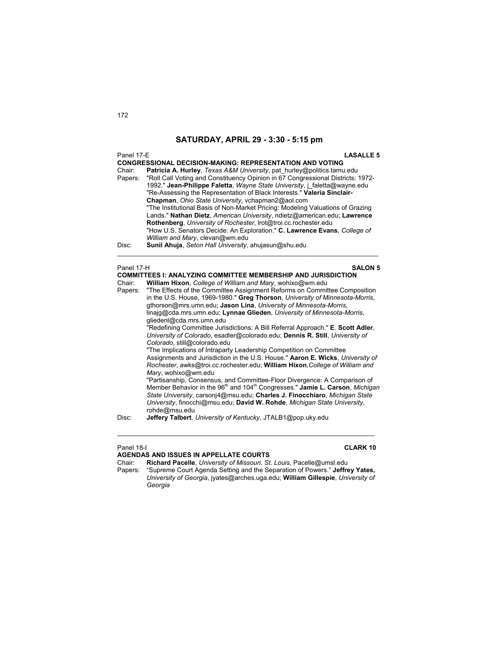| Panel 17-E<br>Chair:<br>Papers:<br>Disc: | <b>LASALLE 5</b><br><b>CONGRESSIONAL DECISION-MAKING: REPRESENTATION AND VOTING</b><br>Patricia A. Hurley, Texas A&M University, pat hurley@politics.tamu.edu<br>"Roll Call Voting and Constituency Opinion in 67 Congressional Districts: 1972-<br>1992." Jean-Philippe Faletta, Wayne State University, j faletta@wayne.edu<br>"Re-Assessing the Representation of Black Interests." Valeria Sinclair-<br>Chapman, Ohio State University, vchapman2@aol.com<br>"The Institutional Basis of Non-Market Pricing: Modeling Valuations of Grazing<br>Lands." Nathan Dietz, American University, ndietz@american.edu; Lawrence<br>Rothenberg, University of Rochester, Irot@troi.cc.rochester.edu<br>"How U.S. Senators Decide: An Exploration." C. Lawrence Evans, College of<br>William and Mary, clevan@wm.edu<br>Sunil Ahuja, Seton Hall University, ahujasun@shu.edu                                                                                                                                                                                                                                                                                                                                                                                                                                                                                                                                 |
|------------------------------------------|--------------------------------------------------------------------------------------------------------------------------------------------------------------------------------------------------------------------------------------------------------------------------------------------------------------------------------------------------------------------------------------------------------------------------------------------------------------------------------------------------------------------------------------------------------------------------------------------------------------------------------------------------------------------------------------------------------------------------------------------------------------------------------------------------------------------------------------------------------------------------------------------------------------------------------------------------------------------------------------------------------------------------------------------------------------------------------------------------------------------------------------------------------------------------------------------------------------------------------------------------------------------------------------------------------------------------------------------------------------------------------------------------------|
| Panel 17-H<br>Chair:<br>Papers:<br>Disc: | <b>SALON 5</b><br><b>COMMITTEES I: ANALYZING COMMITTEE MEMBERSHIP AND JURISDICTION</b><br>William Hixon, College of William and Mary, wohixo@wm.edu<br>"The Effects of the Committee Assignment Reforms on Committee Composition<br>in the U.S. House, 1969-1980." Greg Thorson, University of Minnesota-Morris,<br>gthorson@mrs.umn.edu; Jason Lina, University of Minnesota-Morris,<br>linajg@cda.mrs.umn.edu; Lynnae Glieden, University of Minnesota-Morris,<br>gliedenl@cda.mrs.umn.edu<br>"Redefining Committee Jurisdictions: A Bill Referral Approach." E. Scott Adler,<br>University of Colorado, esadler@colorado.edu; Dennis R. Still, University of<br>Colorado, still@colorado.edu<br>"The Implications of Intraparty Leadership Competition on Committee<br>Assignments and Jurisdiction in the U.S. House." Aaron E. Wicks, University of<br>Rochester, awks@troi.cc.rochester.edu; William Hixon, College of William and<br>Mary, wohixo@wm.edu<br>"Partisanship, Consensus, and Committee-Floor Divergence: A Comparison of<br>Member Behavior in the 96 <sup>th</sup> and 104 <sup>th</sup> Congresses." Jamie L. Carson, Michigan<br>State University, carsonj4@msu.edu; Charles J. Finocchiaro, Michigan State<br>University, finocchi@msu.edu; David W. Rohde, Michigan State University,<br>rohde@msu.edu<br><b>Jeffery Talbert</b> , University of Kentucky, JTALB1@pop.uky.edu |
|                                          |                                                                                                                                                                                                                                                                                                                                                                                                                                                                                                                                                                                                                                                                                                                                                                                                                                                                                                                                                                                                                                                                                                                                                                                                                                                                                                                                                                                                        |
|                                          |                                                                                                                                                                                                                                                                                                                                                                                                                                                                                                                                                                                                                                                                                                                                                                                                                                                                                                                                                                                                                                                                                                                                                                                                                                                                                                                                                                                                        |

Panel 18-I **CLARK 10**

**AGENDAS AND ISSUES IN APPELLATE COURTS** Chair: **Richard Pacelle**, *University of Missouri, St. Louis,* Pacelle@umsl.edu Papers: "Supreme Court Agenda Setting and the Separation of Powers." **Jeffrey Yates,**  *University of Georgia*, jyates@arches.uga.edu; **William Gillespie**, *University of Georgia* 

 $\mathcal{L}_\text{G} = \{ \mathcal{L}_\text{G} \mid \mathcal{L}_\text{G} \mid \mathcal{L}_\text{G} \mid \mathcal{L}_\text{G} \mid \mathcal{L}_\text{G} \mid \mathcal{L}_\text{G} \mid \mathcal{L}_\text{G} \mid \mathcal{L}_\text{G} \mid \mathcal{L}_\text{G} \mid \mathcal{L}_\text{G} \mid \mathcal{L}_\text{G} \mid \mathcal{L}_\text{G} \mid \mathcal{L}_\text{G} \mid \mathcal{L}_\text{G} \mid \mathcal{L}_\text{G} \mid \mathcal{L}_\text{G}$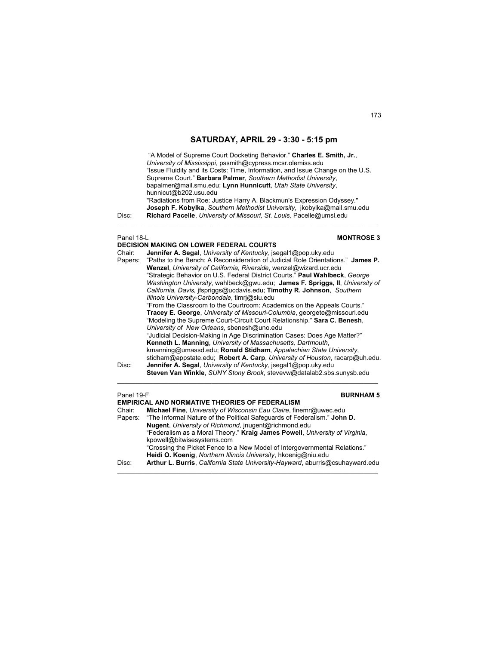"A Model of Supreme Court Docketing Behavior." **Charles E. Smith, Jr.**, *University of Mississippi*, pssmith@cypress.mcsr.olemiss.edu "Issue Fluidity and its Costs: Time, Information, and Issue Change on the U.S. Supreme Court." **Barbara Palmer**, *Southern Methodist University*, bapalmer@mail.smu.edu; **Lynn Hunnicutt**, *Utah State University*, hunnicut@b202.usu.edu "Radiations from Roe: Justice Harry A. Blackmun's Expression Odyssey." **Joseph F. Kobylka**, *Southern Methodist University*, jkobylka@mail.smu.edu Disc: **Richard Pacelle**, *University of Missouri, St. Louis,* Pacelle@umsl.edu  $\mathcal{L}_\mathcal{L} = \{ \mathcal{L}_\mathcal{L} = \{ \mathcal{L}_\mathcal{L} = \{ \mathcal{L}_\mathcal{L} = \{ \mathcal{L}_\mathcal{L} = \{ \mathcal{L}_\mathcal{L} = \{ \mathcal{L}_\mathcal{L} = \{ \mathcal{L}_\mathcal{L} = \{ \mathcal{L}_\mathcal{L} = \{ \mathcal{L}_\mathcal{L} = \{ \mathcal{L}_\mathcal{L} = \{ \mathcal{L}_\mathcal{L} = \{ \mathcal{L}_\mathcal{L} = \{ \mathcal{L}_\mathcal{L} = \{ \mathcal{L}_\mathcal{$ 

### Panel 18-L **MONTROSE 3**

|         | <b>DECISION MAKING ON LOWER FEDERAL COURTS</b>                                  |
|---------|---------------------------------------------------------------------------------|
| Chair:  | <b>Jennifer A. Segal, University of Kentucky, jsegal1@pop.uky.edu</b>           |
| Papers: | "Paths to the Bench: A Reconsideration of Judicial Role Orientations." James P. |
|         | Wenzel, University of California, Riverside, wenzel@wizard.ucr.edu              |
|         | "Strategic Behavior on U.S. Federal District Courts." Paul Wahlbeck, George     |
|         | Washington University, wahlbeck@gwu.edu; James F. Spriggs, II, University of    |
|         | California, Davis, jfspriggs@ucdavis.edu; Timothy R. Johnson, Southern          |
|         | Illinois University-Carbondale, timri@siu.edu                                   |
|         | "From the Classroom to the Courtroom: Academics on the Appeals Courts."         |
|         | Tracey E. George, University of Missouri-Columbia, georgete@missouri.edu        |
|         | "Modeling the Supreme Court-Circuit Court Relationship." Sara C. Benesh,        |
|         | University of New Orleans, sbenesh@uno.edu                                      |
|         | "Judicial Decision-Making in Age Discrimination Cases: Does Age Matter?"        |
|         | Kenneth L. Manning, University of Massachusetts, Dartmouth,                     |
|         | kmanning@umassd.edu; Ronald Stidham, Appalachian State University,              |
|         | stidham@appstate.edu; Robert A. Carp, University of Houston, racarp@uh.edu.     |
| Disc:   | Jennifer A. Segal, University of Kentucky, jsegal1@pop.uky.edu                  |
|         | Steven Van Winkle, SUNY Stony Brook, steveyw@datalab2.sbs.sunysb.edu            |
|         |                                                                                 |

### Panel 19-F **BURNHAM 5**

|        | <b>EMPIRICAL AND NORMATIVE THEORIES OF FEDERALISM</b>                            |
|--------|----------------------------------------------------------------------------------|
| Chair: | Michael Fine, University of Wisconsin Eau Claire, finemr@uwec.edu                |
|        | Papers: "The Informal Nature of the Political Safeguards of Federalism." John D. |
|        | <b>Nugent</b> , University of Richmond, inugent@richmond.edu                     |
|        | "Federalism as a Moral Theory." Kraig James Powell, University of Virginia,      |
|        | kpowell@bitwisesystems.com                                                       |
|        | "Crossing the Picket Fence to a New Model of Intergovernmental Relations."       |
|        | Heidi O. Koenig, Northern Illinois University, hkoenig@niu.edu                   |
| Disc:  | Arthur L. Burris, California State University-Hayward, aburris@csuhayward.edu    |

 $\mathcal{L}_\text{max}$  , and the set of the set of the set of the set of the set of the set of the set of the set of the set of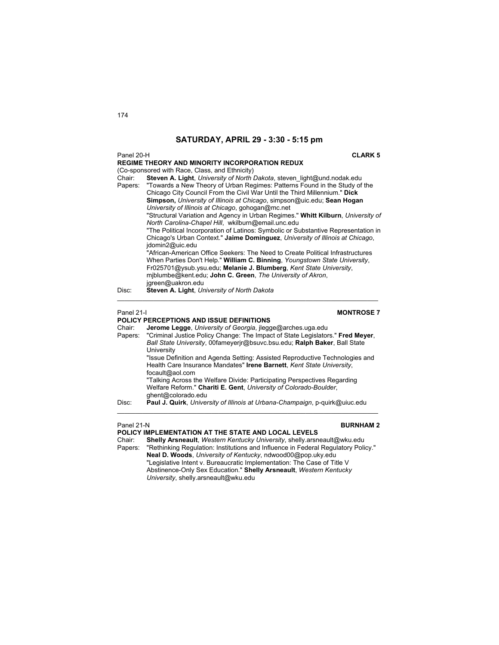### Panel 20-H **CLARK 5**

|            | <b>REGIME THEORY AND MINORITY INCORPORATION REDUX</b>                                                                                                                                                                              |
|------------|------------------------------------------------------------------------------------------------------------------------------------------------------------------------------------------------------------------------------------|
|            | (Co-sponsored with Race, Class, and Ethnicity)                                                                                                                                                                                     |
| Chair:     | Steven A. Light, University of North Dakota, steven light@und.nodak.edu                                                                                                                                                            |
| Papers:    | "Towards a New Theory of Urban Regimes: Patterns Found in the Study of the<br>Chicago City Council From the Civil War Until the Third Millennium." Dick<br>Simpson, University of Illinois at Chicago, simpson@uic.edu; Sean Hogan |
|            | University of Illinois at Chicago, gohogan@mc.net                                                                                                                                                                                  |
|            | "Structural Variation and Agency in Urban Regimes." Whitt Kilburn, University of<br>North Carolina-Chapel Hill, wkilburn@email.unc.edu                                                                                             |
|            | "The Political Incorporation of Latinos: Symbolic or Substantive Representation in                                                                                                                                                 |
|            | Chicago's Urban Context." Jaime Dominguez, University of Illinois at Chicago,<br>idomin2@uic.edu                                                                                                                                   |
|            | "African-American Office Seekers: The Need to Create Political Infrastructures                                                                                                                                                     |
|            | When Parties Don't Help." William C. Binning, Youngstown State University.                                                                                                                                                         |
|            | Fr025701@ysub.ysu.edu; Melanie J. Blumberg, Kent State University,                                                                                                                                                                 |
|            | miblumbe@kent.edu; John C. Green, The University of Akron,                                                                                                                                                                         |
|            | jgreen@uakron.edu                                                                                                                                                                                                                  |
| Disc:      | Steven A. Light, University of North Dakota                                                                                                                                                                                        |
|            |                                                                                                                                                                                                                                    |
| Panel 21-I | <b>MONTROSE 7</b>                                                                                                                                                                                                                  |
|            | <b>POLICY PERCEPTIONS AND ISSUE DEFINITIONS</b>                                                                                                                                                                                    |

|         | <b>POLICY PERCEPTIONS AND ISSUE DEFINITIONS</b>                                |
|---------|--------------------------------------------------------------------------------|
| Chair:  | Jerome Legge, University of Georgia, ilegge@arches.uga.edu                     |
| Papers: | "Criminal Justice Policy Change: The Impact of State Legislators." Fred Meyer, |
|         | Ball State University, 00fameyerir@bsuvc.bsu.edu; Ralph Baker, Ball State      |
|         | University                                                                     |
|         | "Issue Definition and Agenda Setting: Assisted Reproductive Technologies and   |
|         | Health Care Insurance Mandates" Irene Barnett, Kent State University,          |
|         | focault@aol.com                                                                |
|         | "Talking Across the Welfare Divide: Participating Perspectives Regarding       |
|         | Welfare Reform." Chariti E. Gent, University of Colorado-Boulder,              |
|         | ghent@colorado.edu                                                             |
| Disc:   | Paul J. Quirk, University of Illinois at Urbana-Champaign, p-quirk@uiuc.edu    |

### Panel 21-N **BURNHAM 2**

### **POLICY IMPLEMENTATION AT THE STATE AND LOCAL LEVELS**

Chair: **Shelly Arsneault**, *Western Kentucky University*, shelly.arsneault@wku.edu Papers: "Rethinking Regulation: Institutions and Influence in Federal Regulatory Policy." **Neal D. Woods**, *University of Kentucky*, ndwood00@pop.uky.edu

 $\mathcal{L}_\mathcal{L} = \mathcal{L}_\mathcal{L} = \mathcal{L}_\mathcal{L} = \mathcal{L}_\mathcal{L} = \mathcal{L}_\mathcal{L} = \mathcal{L}_\mathcal{L} = \mathcal{L}_\mathcal{L} = \mathcal{L}_\mathcal{L} = \mathcal{L}_\mathcal{L} = \mathcal{L}_\mathcal{L} = \mathcal{L}_\mathcal{L} = \mathcal{L}_\mathcal{L} = \mathcal{L}_\mathcal{L} = \mathcal{L}_\mathcal{L} = \mathcal{L}_\mathcal{L} = \mathcal{L}_\mathcal{L} = \mathcal{L}_\mathcal{L}$ 

 "Legislative Intent v. Bureaucratic Implementation: The Case of Title V Abstinence-Only Sex Education." **Shelly Arsneault**, *Western Kentucky University*, shelly.arsneault@wku.edu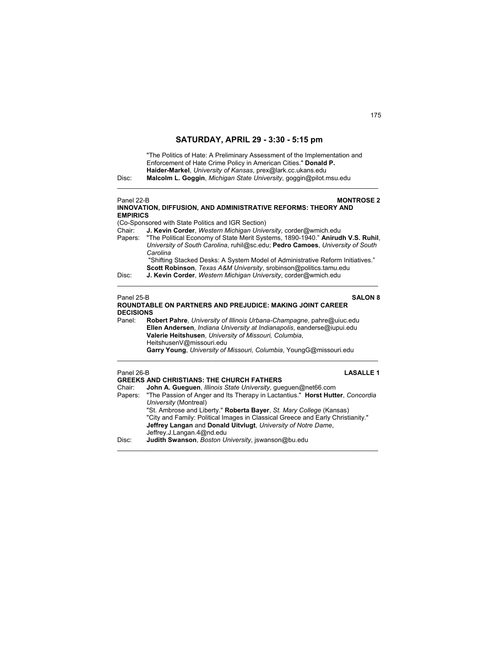| Disc:                                    | "The Politics of Hate: A Preliminary Assessment of the Implementation and<br>Enforcement of Hate Crime Policy in American Cities." Donald P.<br>Haider-Markel, University of Kansas, prex@lark.cc.ukans.edu<br>Malcolm L. Goggin, Michigan State University, goggin@pilot.msu.edu                                                                                                                                                                                                                       |
|------------------------------------------|---------------------------------------------------------------------------------------------------------------------------------------------------------------------------------------------------------------------------------------------------------------------------------------------------------------------------------------------------------------------------------------------------------------------------------------------------------------------------------------------------------|
| Panel 22-B<br><b>EMPIRICS</b>            | <b>MONTROSE 2</b><br>INNOVATION, DIFFUSION, AND ADMINISTRATIVE REFORMS: THEORY AND                                                                                                                                                                                                                                                                                                                                                                                                                      |
|                                          | (Co-Sponsored with State Politics and IGR Section)                                                                                                                                                                                                                                                                                                                                                                                                                                                      |
| Chair:<br>Papers:                        | J. Kevin Corder, Western Michigan University, corder@wmich.edu<br>"The Political Economy of State Merit Systems, 1890-1940." Anirudh V.S. Ruhil,<br>University of South Carolina, ruhil@sc.edu; Pedro Camoes, University of South<br>Carolina<br>"Shifting Stacked Desks: A System Model of Administrative Reform Initiatives."<br>Scott Robinson, Texas A&M University, srobinson@politics.tamu.edu                                                                                                    |
| Disc:                                    | J. Kevin Corder, Western Michigan University, corder@wmich.edu                                                                                                                                                                                                                                                                                                                                                                                                                                          |
| Panel 25-B<br><b>DECISIONS</b><br>Panel: | <b>SALON 8</b><br>ROUNDTABLE ON PARTNERS AND PREJUDICE: MAKING JOINT CAREER<br>Robert Pahre, University of Illinois Urbana-Champagne, pahre@uiuc.edu<br>Ellen Andersen, Indiana University at Indianapolis, eanderse@iupui.edu<br>Valerie Heitshusen, University of Missouri, Columbia,<br>HeitshusenV@missouri.edu<br>Garry Young, University of Missouri, Columbia, YoungG@missouri.edu                                                                                                               |
| Panel 26-B<br>Chair:<br>Papers:          | <b>LASALLE 1</b><br><b>GREEKS AND CHRISTIANS: THE CHURCH FATHERS</b><br>John A. Gueguen, Illinois State University, gueguen@net66.com<br>"The Passion of Anger and Its Therapy in Lactantius." Horst Hutter, Concordia<br>University (Montreal)<br>"St. Ambrose and Liberty." Roberta Bayer, St. Mary College (Kansas)<br>"City and Family: Political Images in Classical Greece and Early Christianity."<br>Jeffrey Langan and Donald Uitvlugt, University of Notre Dame,<br>Jeffrey.J.Langan.4@nd.edu |

 $\mathcal{L}_\mathcal{L} = \{ \mathcal{L}_\mathcal{L} = \{ \mathcal{L}_\mathcal{L} = \{ \mathcal{L}_\mathcal{L} = \{ \mathcal{L}_\mathcal{L} = \{ \mathcal{L}_\mathcal{L} = \{ \mathcal{L}_\mathcal{L} = \{ \mathcal{L}_\mathcal{L} = \{ \mathcal{L}_\mathcal{L} = \{ \mathcal{L}_\mathcal{L} = \{ \mathcal{L}_\mathcal{L} = \{ \mathcal{L}_\mathcal{L} = \{ \mathcal{L}_\mathcal{L} = \{ \mathcal{L}_\mathcal{L} = \{ \mathcal{L}_\mathcal{$ 

Disc: **Judith Swanson**, *Boston University*, jswanson@bu.edu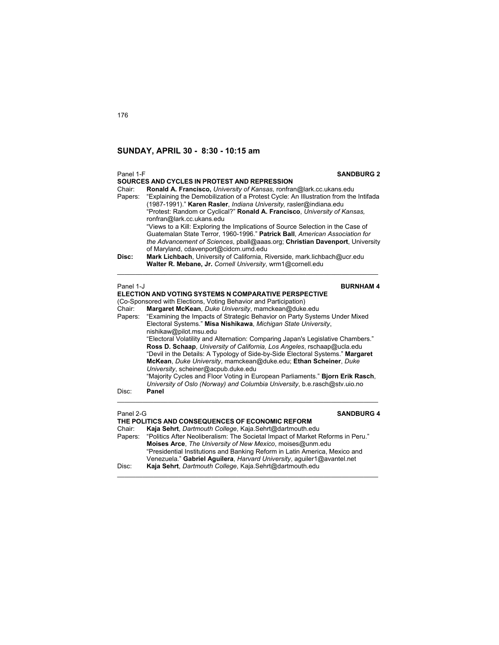| Panel 1-F         | <b>SANDBURG 2</b>                                                                                                                                                                                                                                                                                                                                                                                                                       |  |
|-------------------|-----------------------------------------------------------------------------------------------------------------------------------------------------------------------------------------------------------------------------------------------------------------------------------------------------------------------------------------------------------------------------------------------------------------------------------------|--|
|                   | <b>SOURCES AND CYCLES IN PROTEST AND REPRESSION</b>                                                                                                                                                                                                                                                                                                                                                                                     |  |
| Chair:<br>Papers: | Ronald A. Francisco, University of Kansas, ronfran@lark.cc.ukans.edu<br>"Explaining the Demobilization of a Protest Cycle: An Illustration from the Intifada<br>(1987-1991)." Karen Rasler, <i>Indiana University</i> , rasler@indiana.edu<br>"Protest: Random or Cyclical?" Ronald A. Francisco, University of Kansas,<br>ronfran@lark.cc.ukans.edu<br>"Views to a Kill: Exploring the Implications of Source Selection in the Case of |  |
|                   | Guatemalan State Terror, 1960-1996." Patrick Ball, American Association for<br>the Advancement of Sciences, pball@aaas.org; Christian Davenport, University<br>of Maryland, cdavenport@cidcm.umd.edu                                                                                                                                                                                                                                    |  |
| Disc:             | Mark Lichbach, University of California, Riverside, mark.lichbach@ucr.edu<br>Walter R. Mebane, Jr. Cornell University, wrm1@cornell.edu                                                                                                                                                                                                                                                                                                 |  |
| Panel 1-J         | <b>BURNHAM4</b>                                                                                                                                                                                                                                                                                                                                                                                                                         |  |
|                   | ELECTION AND VOTING SYSTEMS N COMPARATIVE PERSPECTIVE                                                                                                                                                                                                                                                                                                                                                                                   |  |
|                   | (Co-Sponsored with Elections, Voting Behavior and Participation)                                                                                                                                                                                                                                                                                                                                                                        |  |
| Chair:            | Margaret McKean, Duke University, mamckean@duke.edu                                                                                                                                                                                                                                                                                                                                                                                     |  |
| Papers:           | "Examining the Impacts of Strategic Behavior on Party Systems Under Mixed<br>Electoral Systems." Misa Nishikawa, Michigan State University,                                                                                                                                                                                                                                                                                             |  |
|                   | nishikaw@pilot.msu.edu<br>"Electoral Volatility and Alternation: Comparing Japan's Legislative Chambers."<br>Ross D. Schaap, University of California, Los Angeles, rschaap@ucla.edu<br>"Devil in the Details: A Typology of Side-by-Side Electoral Systems." Margaret<br>McKean, Duke University, mamckean@duke.edu; Ethan Scheiner, Duke<br>University, scheiner@acpub.duke.edu                                                       |  |
|                   | "Majority Cycles and Floor Voting in European Parliaments." Bjorn Erik Rasch,<br>University of Oslo (Norway) and Columbia University, b.e. rasch@stv.uio.no                                                                                                                                                                                                                                                                             |  |
| Disc:             | Panel                                                                                                                                                                                                                                                                                                                                                                                                                                   |  |
| Panel 2-G         | <b>SANDBURG 4</b>                                                                                                                                                                                                                                                                                                                                                                                                                       |  |
|                   | THE POLITICS AND CONSEQUENCES OF ECONOMIC REFORM                                                                                                                                                                                                                                                                                                                                                                                        |  |
| Chair:            | Kaja Sehrt, Dartmouth College, Kaja.Sehrt@dartmouth.edu                                                                                                                                                                                                                                                                                                                                                                                 |  |
| Papers:           | "Politics After Neoliberalism: The Societal Impact of Market Reforms in Peru."<br>Moises Arce, The University of New Mexico, moises@unm.edu                                                                                                                                                                                                                                                                                             |  |

"Presidential Institutions and Banking Reform in Latin America, Mexico and

\_\_\_\_\_\_\_\_\_\_\_\_\_\_\_\_\_\_\_\_\_\_\_\_\_\_\_\_\_\_\_\_\_\_\_\_\_\_\_\_\_\_\_\_\_\_\_\_\_\_\_\_\_\_\_\_\_\_\_\_\_\_\_\_\_\_\_\_\_\_\_\_

Venezuela." **Gabriel Aguilera**, *Harvard University*, aguiler1@avantel.net Disc: **Kaja Sehrt**, *Dartmouth College*, Kaja.Sehrt@dartmouth.edu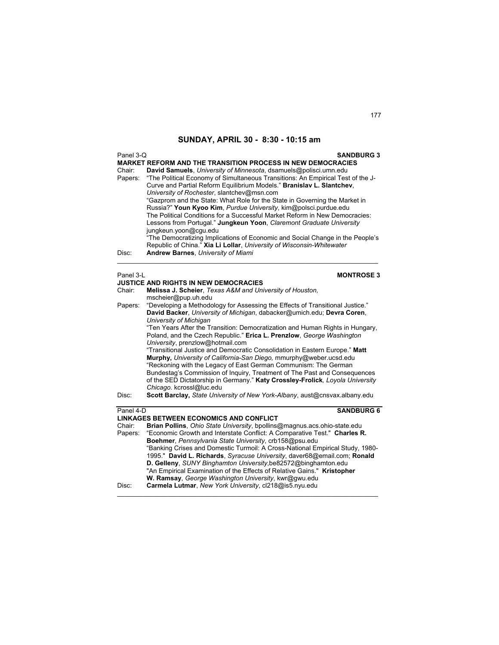| Panel 3-Q<br>Chair:<br>Papers: | <b>SANDBURG 3</b><br><b>MARKET REFORM AND THE TRANSITION PROCESS IN NEW DEMOCRACIES</b><br>David Samuels, University of Minnesota, dsamuels@polisci.umn.edu<br>"The Political Economy of Simultaneous Transitions: An Empirical Test of the J-<br>Curve and Partial Reform Equilibrium Models." Branislav L. Slantchev,<br>University of Rochester, slantchev@msn.com<br>"Gazprom and the State: What Role for the State in Governing the Market in<br>Russia?" Youn Kyoo Kim, Purdue University, kim@polsci.purdue.edu<br>The Political Conditions for a Successful Market Reform in New Democracies:<br>Lessons from Portugal." Jungkeun Yoon, Claremont Graduate University<br>jungkeun.yoon@cgu.edu<br>"The Democratizing Implications of Economic and Social Change in the People's |  |  |
|--------------------------------|------------------------------------------------------------------------------------------------------------------------------------------------------------------------------------------------------------------------------------------------------------------------------------------------------------------------------------------------------------------------------------------------------------------------------------------------------------------------------------------------------------------------------------------------------------------------------------------------------------------------------------------------------------------------------------------------------------------------------------------------------------------------------------------|--|--|
| Disc:                          | Republic of China." Xia Li Lollar, University of Wisconsin-Whitewater<br><b>Andrew Barnes, University of Miami</b>                                                                                                                                                                                                                                                                                                                                                                                                                                                                                                                                                                                                                                                                       |  |  |
|                                | Panel 3-L<br><b>MONTROSE 3</b>                                                                                                                                                                                                                                                                                                                                                                                                                                                                                                                                                                                                                                                                                                                                                           |  |  |
|                                | <b>JUSTICE AND RIGHTS IN NEW DEMOCRACIES</b>                                                                                                                                                                                                                                                                                                                                                                                                                                                                                                                                                                                                                                                                                                                                             |  |  |
| Chair:                         | Melissa J. Scheier, Texas A&M and University of Houston,<br>mscheier@pup.uh.edu                                                                                                                                                                                                                                                                                                                                                                                                                                                                                                                                                                                                                                                                                                          |  |  |
| Papers:                        | "Developing a Methodology for Assessing the Effects of Transitional Justice."<br>David Backer, University of Michigan, dabacker@umich.edu; Devra Coren,<br>University of Michigan                                                                                                                                                                                                                                                                                                                                                                                                                                                                                                                                                                                                        |  |  |
|                                | "Ten Years After the Transition: Democratization and Human Rights in Hungary,<br>Poland, and the Czech Republic." Erica L. Prenzlow, George Washington<br>University, prenzlow@hotmail.com                                                                                                                                                                                                                                                                                                                                                                                                                                                                                                                                                                                               |  |  |
|                                | "Transitional Justice and Democratic Consolidation in Eastern Europe." Matt                                                                                                                                                                                                                                                                                                                                                                                                                                                                                                                                                                                                                                                                                                              |  |  |
|                                | Murphy, University of California-San Diego, mmurphy@weber.ucsd.edu<br>"Reckoning with the Legacy of East German Communism: The German                                                                                                                                                                                                                                                                                                                                                                                                                                                                                                                                                                                                                                                    |  |  |
|                                | Bundestag's Commission of Inquiry, Treatment of The Past and Consequences                                                                                                                                                                                                                                                                                                                                                                                                                                                                                                                                                                                                                                                                                                                |  |  |
|                                | of the SED Dictatorship in Germany." Katy Crossley-Frolick, Loyola University<br>Chicago. kcrossl@luc.edu                                                                                                                                                                                                                                                                                                                                                                                                                                                                                                                                                                                                                                                                                |  |  |
| Disc:                          | Scott Barclay, State University of New York-Albany, aust@cnsvax.albany.edu                                                                                                                                                                                                                                                                                                                                                                                                                                                                                                                                                                                                                                                                                                               |  |  |
| Panel 4-D                      | <b>SANDBURG 6</b>                                                                                                                                                                                                                                                                                                                                                                                                                                                                                                                                                                                                                                                                                                                                                                        |  |  |
|                                | <b>LINKAGES BETWEEN ECONOMICS AND CONFLICT</b>                                                                                                                                                                                                                                                                                                                                                                                                                                                                                                                                                                                                                                                                                                                                           |  |  |
| Chair:                         | Brian Pollins, Ohio State University, bpollins@magnus.acs.ohio-state.edu                                                                                                                                                                                                                                                                                                                                                                                                                                                                                                                                                                                                                                                                                                                 |  |  |
| Papers:                        | "Economic Growth and Interstate Conflict: A Comparative Test." Charles R.                                                                                                                                                                                                                                                                                                                                                                                                                                                                                                                                                                                                                                                                                                                |  |  |
|                                | Boehmer, Pennsylvania State University, crb158@psu.edu                                                                                                                                                                                                                                                                                                                                                                                                                                                                                                                                                                                                                                                                                                                                   |  |  |
|                                | "Banking Crises and Domestic Turmoil: A Cross-National Empirical Study, 1980-                                                                                                                                                                                                                                                                                                                                                                                                                                                                                                                                                                                                                                                                                                            |  |  |
|                                | 1995." David L. Richards, Syracuse University, daver68@email.com; Ronald<br>D. Gelleny, SUNY Binghamton University, be82572@binghamton.edu                                                                                                                                                                                                                                                                                                                                                                                                                                                                                                                                                                                                                                               |  |  |
|                                | "An Empirical Examination of the Effects of Relative Gains." Kristopher                                                                                                                                                                                                                                                                                                                                                                                                                                                                                                                                                                                                                                                                                                                  |  |  |
|                                | W. Ramsay, George Washington University, kwr@gwu.edu                                                                                                                                                                                                                                                                                                                                                                                                                                                                                                                                                                                                                                                                                                                                     |  |  |
| Disc:                          | Carmela Lutmar, New York University, cl218@is5.nyu.edu                                                                                                                                                                                                                                                                                                                                                                                                                                                                                                                                                                                                                                                                                                                                   |  |  |

 $\mathcal{L}_\mathcal{L} = \{ \mathcal{L}_\mathcal{L} = \{ \mathcal{L}_\mathcal{L} = \{ \mathcal{L}_\mathcal{L} = \{ \mathcal{L}_\mathcal{L} = \{ \mathcal{L}_\mathcal{L} = \{ \mathcal{L}_\mathcal{L} = \{ \mathcal{L}_\mathcal{L} = \{ \mathcal{L}_\mathcal{L} = \{ \mathcal{L}_\mathcal{L} = \{ \mathcal{L}_\mathcal{L} = \{ \mathcal{L}_\mathcal{L} = \{ \mathcal{L}_\mathcal{L} = \{ \mathcal{L}_\mathcal{L} = \{ \mathcal{L}_\mathcal{$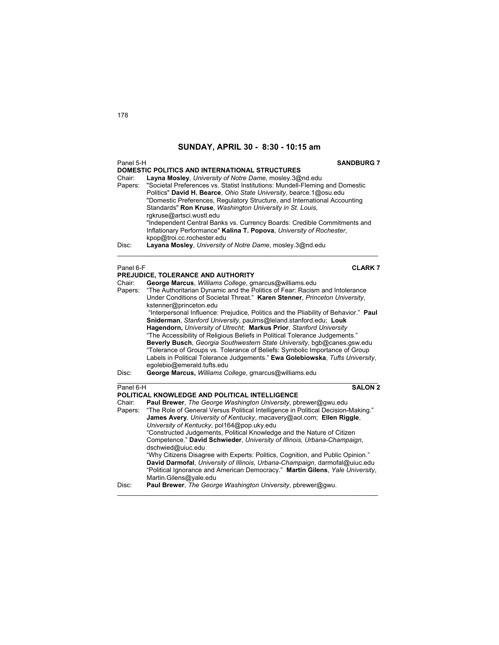| Panel 5-H         | <b>SANDBURG 7</b><br><b>DOMESTIC POLITICS AND INTERNATIONAL STRUCTURES</b>                                                                                                                                                                                                                                                                                                          |
|-------------------|-------------------------------------------------------------------------------------------------------------------------------------------------------------------------------------------------------------------------------------------------------------------------------------------------------------------------------------------------------------------------------------|
| Chair:<br>Papers: | Layna Mosley, University of Notre Dame, mosley.3@nd.edu<br>"Societal Preferences vs. Statist Institutions: Mundell-Fleming and Domestic<br>Politics" David H. Bearce, Ohio State University, bearce.1@osu.edu<br>"Domestic Preferences, Regulatory Structure, and International Accounting<br>Standards" Ron Kruse, Washington University in St. Louis,<br>rgkruse@artsci.wustl.edu |
|                   | "Independent Central Banks vs. Currency Boards: Credible Commitments and<br>Inflationary Performance" Kalina T. Popova, University of Rochester,<br>kpop@troi.cc.rochester.edu                                                                                                                                                                                                      |
| Disc:             | Layana Mosley, University of Notre Dame, mosley.3@nd.edu                                                                                                                                                                                                                                                                                                                            |
| Panel 6-F         | <b>CLARK7</b>                                                                                                                                                                                                                                                                                                                                                                       |
|                   | PREJUDICE, TOLERANCE AND AUTHORITY                                                                                                                                                                                                                                                                                                                                                  |
| Chair:            | George Marcus, Williams College, gmarcus@williams.edu                                                                                                                                                                                                                                                                                                                               |
| Papers:           | "The Authoritarian Dynamic and the Politics of Fear: Racism and Intolerance                                                                                                                                                                                                                                                                                                         |
|                   | Under Conditions of Societal Threat." Karen Stenner, Princeton University,                                                                                                                                                                                                                                                                                                          |
|                   | kstenner@princeton.edu                                                                                                                                                                                                                                                                                                                                                              |
|                   | "Interpersonal Influence: Prejudice, Politics and the Pliability of Behavior." Paul                                                                                                                                                                                                                                                                                                 |
|                   | Sniderman, Stanford University, paulms@leland.stanford.edu; Louk                                                                                                                                                                                                                                                                                                                    |
|                   | Hagendorn, University of Utrecht; Markus Prior, Stanford University<br>"The Accessibility of Religious Beliefs in Political Tolerance Judgements."                                                                                                                                                                                                                                  |
|                   | Beverly Busch, Georgia Southwestern State University, bgb@canes.gsw.edu                                                                                                                                                                                                                                                                                                             |
|                   | "Tolerance of Groups vs. Tolerance of Beliefs: Symbolic Importance of Group                                                                                                                                                                                                                                                                                                         |
|                   | Labels in Political Tolerance Judgements." Ewa Golebiowska, Tufts University,                                                                                                                                                                                                                                                                                                       |
|                   | egolebio@emerald.tufts.edu                                                                                                                                                                                                                                                                                                                                                          |
| Disc:             | George Marcus, Williams College, gmarcus@williams.edu                                                                                                                                                                                                                                                                                                                               |
| Panel 6-H         | <b>SALON 2</b>                                                                                                                                                                                                                                                                                                                                                                      |
|                   | POLITICAL KNOWLEDGE AND POLITICAL INTELLIGENCE                                                                                                                                                                                                                                                                                                                                      |
| Chair:            | Paul Brewer, The George Washington University, pbrewer@gwu.edu                                                                                                                                                                                                                                                                                                                      |
| Papers:           | "The Role of General Versus Political Intelligence in Political Decision-Making."                                                                                                                                                                                                                                                                                                   |
|                   | James Avery, University of Kentucky, macavery@aol.com; Ellen Riggle,                                                                                                                                                                                                                                                                                                                |
|                   | University of Kentucky, pol164@pop.uky.edu<br>"Constructed Judgements, Political Knowledge and the Nature of Citizen                                                                                                                                                                                                                                                                |
|                   | Competence." David Schwieder, University of Illinois, Urbana-Champaign,                                                                                                                                                                                                                                                                                                             |
|                   | dschwied@uiuc.edu                                                                                                                                                                                                                                                                                                                                                                   |
|                   | "Why Citizens Disagree with Experts: Politics, Cognition, and Public Opinion."                                                                                                                                                                                                                                                                                                      |
|                   | David Darmofal, University of Illinois, Urbana-Champaign, darmofal@uiuc.edu<br>"Political Ignorance and American Democracy." Martin Gilens, Yale University,<br>Martin.Gilens@yale.edu                                                                                                                                                                                              |

Disc: **Paul Brewer**, *The George Washington University*, pbrewer@gwu.

 $\mathcal{L}_\mathcal{L} = \{ \mathcal{L}_\mathcal{L} = \{ \mathcal{L}_\mathcal{L} = \{ \mathcal{L}_\mathcal{L} = \{ \mathcal{L}_\mathcal{L} = \{ \mathcal{L}_\mathcal{L} = \{ \mathcal{L}_\mathcal{L} = \{ \mathcal{L}_\mathcal{L} = \{ \mathcal{L}_\mathcal{L} = \{ \mathcal{L}_\mathcal{L} = \{ \mathcal{L}_\mathcal{L} = \{ \mathcal{L}_\mathcal{L} = \{ \mathcal{L}_\mathcal{L} = \{ \mathcal{L}_\mathcal{L} = \{ \mathcal{L}_\mathcal{$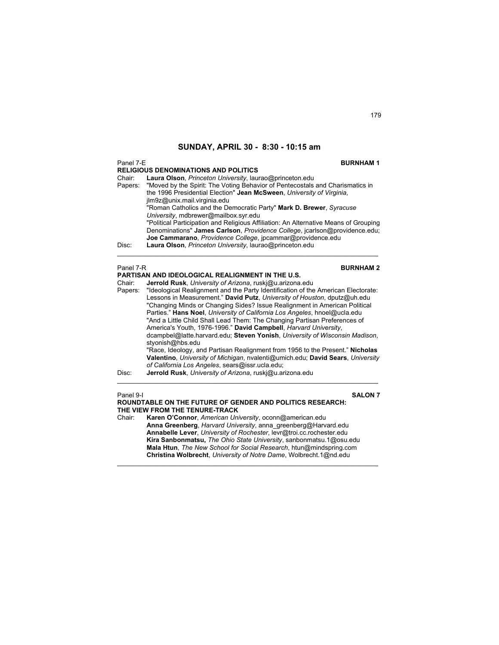Panel 7-E **BURNHAM 1 RELIGIOUS DENOMINATIONS AND POLITICS**  Chair: **Laura Olson**, *Princeton University*, laurao@princeton.edu "Moved by the Spirit: The Voting Behavior of Pentecostals and Charismatics in the 1996 Presidential Election" **Jean McSween**, *University of Virginia*, jlm9z@unix.mail.virginia.edu "Roman Catholics and the Democratic Party" **Mark D. Brewer**, *Syracuse University*, mdbrewer@mailbox.syr.edu "Political Participation and Religious Affiliation: An Alternative Means of Grouping Denominations" **James Carlson**, *Providence College*, jcarlson@providence.edu; **Joe Cammarano**, *Providence College*, jpcammar@providence.edu Disc: **Laura Olson**, *Princeton University*, laurao@princeton.edu \_\_\_\_\_\_\_\_\_\_\_\_\_\_\_\_\_\_\_\_\_\_\_\_\_\_\_\_\_\_\_\_\_\_\_\_\_\_\_\_\_\_\_\_\_\_\_\_\_\_\_\_\_\_\_\_\_\_\_\_\_\_\_\_\_\_\_\_\_\_\_\_ Panel 7-R **BURNHAM 2 PARTISAN AND IDEOLOGICAL REALIGNMENT IN THE U.S.**  Chair: **Jerrold Rusk**, *University of Arizona*, ruskj@u.arizona.edu Papers: "Ideological Realignment and the Party Identification of the American Electorate: Lessons in Measurement." **David Putz**, *University of Houston*, dputz@uh.edu "Changing Minds or Changing Sides? Issue Realignment in American Political Parties." **Hans Noel**, *University of California Los Angeles*, hnoel@ucla.edu

"And a Little Child Shall Lead Them: The Changing Partisan Preferences of America's Youth, 1976-1996." **David Campbell**, *Harvard University*, dcampbel@latte.harvard.edu; **Steven Yonish**, *University of Wisconsin Madison*, styonish@hbs.edu "Race, Ideology, and Partisan Realignment from 1956 to the Present." **Nicholas Valentino**, *University of Michigan*, nvalenti@umich.edu; **David Sears**, *University of California Los Angeles*, sears@issr.ucla.edu; Disc: **Jerrold Rusk**, *University of Arizona*, ruskj@u.arizona.edu  $\mathcal{L}_\mathcal{L} = \{ \mathcal{L}_\mathcal{L} = \{ \mathcal{L}_\mathcal{L} = \{ \mathcal{L}_\mathcal{L} = \{ \mathcal{L}_\mathcal{L} = \{ \mathcal{L}_\mathcal{L} = \{ \mathcal{L}_\mathcal{L} = \{ \mathcal{L}_\mathcal{L} = \{ \mathcal{L}_\mathcal{L} = \{ \mathcal{L}_\mathcal{L} = \{ \mathcal{L}_\mathcal{L} = \{ \mathcal{L}_\mathcal{L} = \{ \mathcal{L}_\mathcal{L} = \{ \mathcal{L}_\mathcal{L} = \{ \mathcal{L}_\mathcal{$ 

Panel 9-I **SALON 7**

**ROUNDTABLE ON THE FUTURE OF GENDER AND POLITICS RESEARCH: THE VIEW FROM THE TENURE-TRACK** Chair: **Karen O'Connor**, *American University*, oconn@american.edu **Anna Greenberg**, *Harvard University*, anna\_greenberg@Harvard.edu **Annabelle Lever**, *University of Rochester*, levr@troi.cc.rochester.edu **Kira Sanbonmatsu,** *The Ohio State University*, sanbonmatsu.1@osu.edu **Mala Htun**, *The New School for Social Research*, htun@mindspring.com **Christina Wolbrecht**, *University of Notre Dame*, Wolbrecht.1@nd.edu

 $\mathcal{L}_\mathcal{L} = \{ \mathcal{L}_\mathcal{L} = \{ \mathcal{L}_\mathcal{L} = \{ \mathcal{L}_\mathcal{L} = \{ \mathcal{L}_\mathcal{L} = \{ \mathcal{L}_\mathcal{L} = \{ \mathcal{L}_\mathcal{L} = \{ \mathcal{L}_\mathcal{L} = \{ \mathcal{L}_\mathcal{L} = \{ \mathcal{L}_\mathcal{L} = \{ \mathcal{L}_\mathcal{L} = \{ \mathcal{L}_\mathcal{L} = \{ \mathcal{L}_\mathcal{L} = \{ \mathcal{L}_\mathcal{L} = \{ \mathcal{L}_\mathcal{$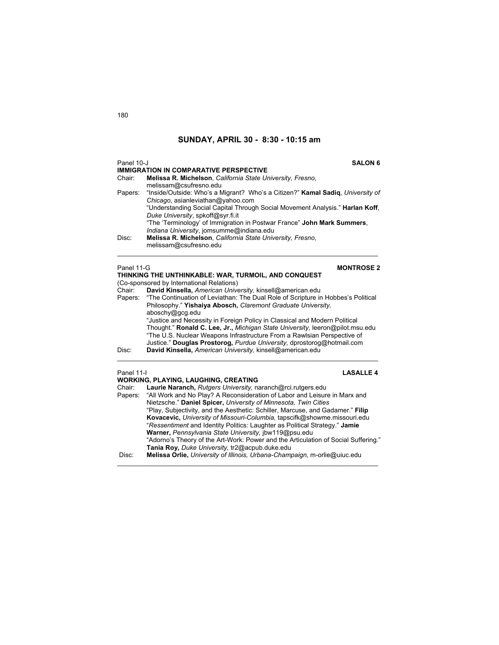| Panel 10-J | <b>SALON 6</b><br><b>IMMIGRATION IN COMPARATIVE PERSPECTIVE</b>                                                                                                                                                                                                                                                              |
|------------|------------------------------------------------------------------------------------------------------------------------------------------------------------------------------------------------------------------------------------------------------------------------------------------------------------------------------|
| Chair:     | Melissa R. Michelson, California State University, Fresno,<br>melissam@csufresno.edu                                                                                                                                                                                                                                         |
|            | Papers: "Inside/Outside: Who's a Migrant? Who's a Citizen?" Kamal Sadig, University of<br>Chicago, asianleviathan@yahoo.com<br>"Understanding Social Capital Through Social Movement Analysis." Harlan Koff,<br>Duke University, spkoff@syr.fi.it<br>"The 'Terminology' of Immigration in Postwar France" John Mark Summers, |
| Disc:      | Indiana University, jomsumme@indiana.edu<br>Melissa R. Michelson, California State University, Fresno,<br>melissam@csufresno.edu                                                                                                                                                                                             |

### Panel 11-G **MONTROSE 2**

|                      | THINKING THE UNTHINKABLE: WAR, TURMOIL, AND CONQUEST<br>(Co-sponsored by International Relations)                                                                                                                                                                                                                |
|----------------------|------------------------------------------------------------------------------------------------------------------------------------------------------------------------------------------------------------------------------------------------------------------------------------------------------------------|
| Chair:               | David Kinsella, American University, kinsell@american.edu                                                                                                                                                                                                                                                        |
| Papers:              | "The Continuation of Leviathan: The Dual Role of Scripture in Hobbes's Political<br>Philosophy." Yishaiya Abosch, Claremont Graduate University,<br>aboschy@gcg.edu                                                                                                                                              |
|                      | "Justice and Necessity in Foreign Policy in Classical and Modern Political<br>Thought." Ronald C. Lee, Jr., Michigan State University, leeron@pilot.msu.edu<br>"The U.S. Nuclear Weapons Infrastructure From a Rawlsian Perspective of<br>Justice." Douglas Prostorog, Purdue University, dprostorog@hotmail.com |
| Disc:                | David Kinsella, American University, kinsell@american.edu                                                                                                                                                                                                                                                        |
| Panel 11-I<br>Chair: | <b>LASALLE 4</b><br><b>WORKING, PLAYING, LAUGHING, CREATING</b><br>Laurie Naranch, Rutgers University, naranch@rci.rutgers.edu                                                                                                                                                                                   |

Papers: "All Work and No Play? A Reconsideration of Labor and Leisure in Marx and Nietzsche." **Daniel Spicer,** *University of Minnesota, Twin Cities* "Play, Subjectivity, and the Aesthetic: Schiller, Marcuse, and Gadamer." **Filip Kovacevic,** *University of Missouri-Columbia,* tapscifk@showme.missouri.edu "*Ressentiment* and Identity Politics: Laughter as Political Strategy." **Jamie Warner,** *Pennsylvania State University,* jbw119@psu.edu "Adorno's Theory of the Art-Work: Power and the Articulation of Social Suffering." **Tania Roy,** *Duke University,* tr2@acpub.duke.edu Disc: **Melissa Orlie,** *University of Illinois, Urbana-Champaign,* m-orlie@uiuc.edu \_\_\_\_\_\_\_\_\_\_\_\_\_\_\_\_\_\_\_\_\_\_\_\_\_\_\_\_\_\_\_\_\_\_\_\_\_\_\_\_\_\_\_\_\_\_\_\_\_\_\_\_\_\_\_\_\_\_\_\_\_\_\_\_\_\_\_\_\_\_\_\_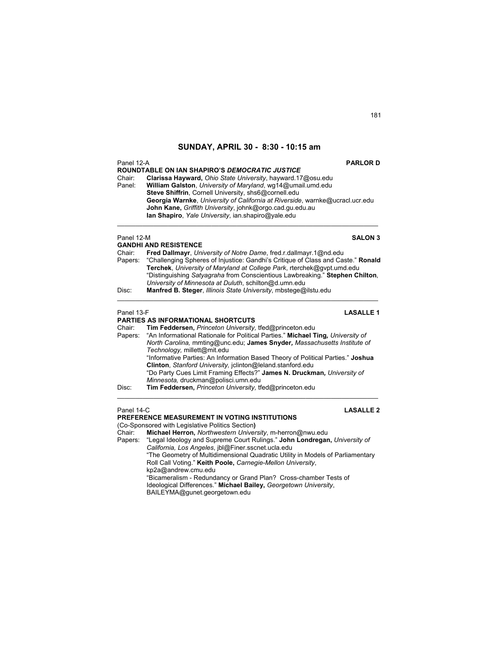| Panel 12-A        | <b>PARLOR D</b><br>ROUNDTABLE ON IAN SHAPIRO'S DEMOCRATIC JUSTICE                                                                                                                                                                                                                                                                                                        |
|-------------------|--------------------------------------------------------------------------------------------------------------------------------------------------------------------------------------------------------------------------------------------------------------------------------------------------------------------------------------------------------------------------|
| Chair:<br>Panel:  | Clarissa Hayward, Ohio State University, hayward.17@osu.edu<br>William Galston, University of Maryland, wq14@umail.umd.edu<br>Steve Shiffrin, Cornell University, shs6@cornell.edu<br>Georgia Warnke, University of California at Riverside, warnke@ucracl.ucr.edu<br>John Kane, Griffith University, johnk@orgo.cad.gu.edu.au                                           |
|                   | lan Shapiro, Yale University, ian shapiro@yale.edu                                                                                                                                                                                                                                                                                                                       |
| Panel 12-M        | <b>SALON 3</b><br><b>GANDHI AND RESISTENCE</b>                                                                                                                                                                                                                                                                                                                           |
| Chair:<br>Papers: | Fred Dallmayr, University of Notre Dame, fred.r.dallmayr.1@nd.edu<br>"Challenging Spheres of Injustice: Gandhi's Critique of Class and Caste." Ronald<br>Terchek, University of Maryland at College Park, rterchek@gvpt.umd.edu<br>"Distinguishing Satyagraha from Conscientious Lawbreaking." Stephen Chilton,<br>University of Minnesota at Duluth, schilton@d.umn.edu |
| Disc:             | Manfred B. Steger, Illinois State University, mbstege@ilstu.edu                                                                                                                                                                                                                                                                                                          |
| Panel 13-F        | <b>LASALLE1</b>                                                                                                                                                                                                                                                                                                                                                          |
|                   | <b>PARTIES AS INFORMATIONAL SHORTCUTS</b>                                                                                                                                                                                                                                                                                                                                |
| Chair:<br>Papers: | Tim Feddersen, Princeton University, tfed@princeton.edu<br>"An Informational Rationale for Political Parties." Michael Ting, University of<br>North Carolina, mmting@unc.edu; James Snyder, Massachusetts Institute of<br>Technology, millett@mit.edu                                                                                                                    |
|                   | "Informative Parties: An Information Based Theory of Political Parties." Joshua<br>Clinton, Stanford University, jolinton@leland.stanford.edu                                                                                                                                                                                                                            |
|                   | "Do Party Cues Limit Framing Effects?" James N. Druckman, University of<br>Minnesota, druckman@polisci.umn.edu                                                                                                                                                                                                                                                           |
| Disc:             | Tim Feddersen, Princeton University, tfed@princeton.edu                                                                                                                                                                                                                                                                                                                  |
| Panel 14-C        | <b>LASALLE 2</b>                                                                                                                                                                                                                                                                                                                                                         |
|                   | PREFERENCE MEASUREMENT IN VOTING INSTITUTIONS                                                                                                                                                                                                                                                                                                                            |
|                   | (Co-Sponsored with Legislative Politics Section)<br>Chair: Michael Herron Northwestern University m-berron@nwu edu                                                                                                                                                                                                                                                       |

Chair: **Michael Herron,** *Northwestern University*, m-herron@nwu.edu Papers: "Legal Ideology and Supreme Court Rulings." **John Londregan,** *University of California, Los Angeles*, jbl@Finer.sscnet.ucla.edu "The Geometry of Multidimensional Quadratic Utility in Models of Parliamentary Roll Call Voting." **Keith Poole,** *Carnegie-Mellon University*, kp2a@andrew.cmu.edu "Bicameralism - Redundancy or Grand Plan? Cross-chamber Tests of Ideological Differences." **Michael Bailey,** *Georgetown University*, BAILEYMA@gunet.georgetown.edu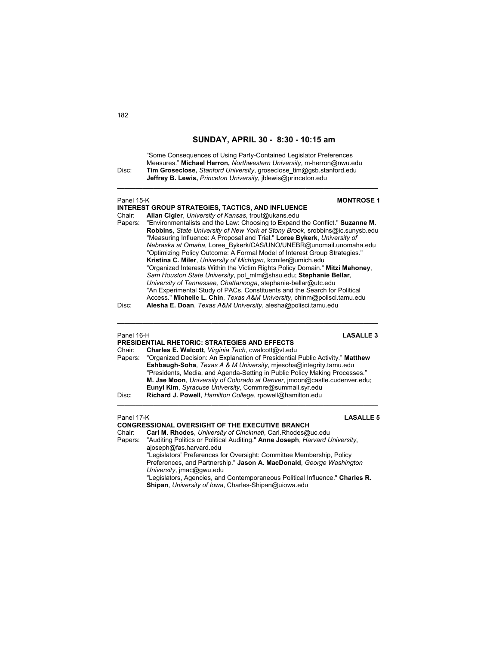"Some Consequences of Using Party-Contained Legislator Preferences Measures." **Michael Herron,** *Northwestern University*, m-herron@nwu.edu Disc: **Tim Groseclose,** *Stanford University*, groseclose\_tim@gsb.stanford.edu **Jeffrey B. Lewis,** *Princeton University*, jblewis@princeton.edu

 $\mathcal{L}_\text{max}$  , and the set of the set of the set of the set of the set of the set of the set of the set of the set of

| Panel 15-K                                                                                                                                                                                                                                                                                                                                                                                                                                                                                                                                                                                                         | <b>MONTROSE 1</b><br><b>INTEREST GROUP STRATEGIES, TACTICS, AND INFLUENCE</b>                                                                                                                                                                                                                                                                                                                                                                                                                                                                                                                                                                                                                                                                                                                                         |
|--------------------------------------------------------------------------------------------------------------------------------------------------------------------------------------------------------------------------------------------------------------------------------------------------------------------------------------------------------------------------------------------------------------------------------------------------------------------------------------------------------------------------------------------------------------------------------------------------------------------|-----------------------------------------------------------------------------------------------------------------------------------------------------------------------------------------------------------------------------------------------------------------------------------------------------------------------------------------------------------------------------------------------------------------------------------------------------------------------------------------------------------------------------------------------------------------------------------------------------------------------------------------------------------------------------------------------------------------------------------------------------------------------------------------------------------------------|
| Chair:<br>Papers:                                                                                                                                                                                                                                                                                                                                                                                                                                                                                                                                                                                                  | Allan Cigler, University of Kansas, trout@ukans.edu<br>"Environmentalists and the Law: Choosing to Expand the Conflict." Suzanne M.<br>Robbins, State University of New York at Stony Brook, srobbins@ic.sunysb.edu<br>"Measuring Influence: A Proposal and Trial." Loree Bykerk, University of<br>Nebraska at Omaha, Loree Bykerk/CAS/UNO/UNEBR@unomail.unomaha.edu<br>"Optimizing Policy Outcome: A Formal Model of Interest Group Strategies."<br>Kristina C. Miler, University of Michigan, kcmiler@umich.edu<br>"Organized Interests Within the Victim Rights Policy Domain." Mitzi Mahoney,<br>Sam Houston State University, pol mlm@shsu.edu; Stephanie Bellar,<br>University of Tennessee, Chattanooga, stephanie-bellar@utc.edu<br>"An Experimental Study of PACs, Constituents and the Search for Political |
| Disc:                                                                                                                                                                                                                                                                                                                                                                                                                                                                                                                                                                                                              | Access." Michelle L. Chin, Texas A&M University, chinm@polisci.tamu.edu<br>Alesha E. Doan, Texas A&M University, alesha@polisci.tamu.edu                                                                                                                                                                                                                                                                                                                                                                                                                                                                                                                                                                                                                                                                              |
| Panel 16-H<br><b>LASALLE 3</b><br><b>PRESIDENTIAL RHETORIC: STRATEGIES AND EFFECTS</b><br>Charles E. Walcott, Virginia Tech, cwalcott@vt.edu<br>Chair:<br>"Organized Decision: An Explanation of Presidential Public Activity." Matthew<br>Papers:<br>Eshbaugh-Soha, Texas A & M University, mjesoha@integrity.tamu.edu<br>"Presidents, Media, and Agenda-Setting in Public Policy Making Processes."<br>M. Jae Moon, University of Colorado at Denver, jmoon@castle.cudenver.edu;<br>Eunyi Kim, Syracuse University, Commre@summail.syr.edu<br>Richard J. Powell, Hamilton College, rpowell@hamilton.edu<br>Disc: |                                                                                                                                                                                                                                                                                                                                                                                                                                                                                                                                                                                                                                                                                                                                                                                                                       |
| Panel 17-K<br>Chair:<br>Papers:                                                                                                                                                                                                                                                                                                                                                                                                                                                                                                                                                                                    | <b>LASALLE 5</b><br><b>CONGRESSIONAL OVERSIGHT OF THE EXECUTIVE BRANCH</b><br>Carl M. Rhodes, University of Cincinnati, Carl.Rhodes@uc.edu<br>"Auditing Politics or Political Auditing." Anne Joseph, Harvard University,<br>ajoseph@fas.harvard.edu<br>"Legislators' Preferences for Oversight: Committee Membership, Policy<br>Preferences, and Partnership." Jason A. MacDonald, George Washington<br>University, imac@gwu.edu<br>"Legislators, Agencies, and Contemporaneous Political Influence." Charles R.<br>Shipan, University of Iowa, Charles-Shipan@uiowa.edu                                                                                                                                                                                                                                             |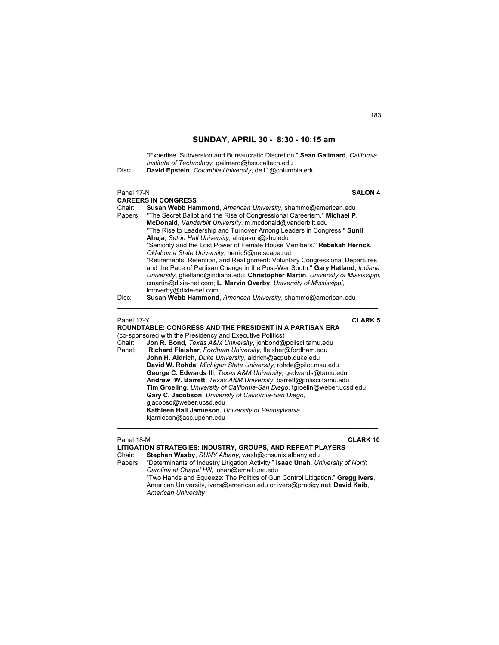|       | "Expertise, Subversion and Bureaucratic Discretion." Sean Gailmard, California |
|-------|--------------------------------------------------------------------------------|
|       | Institute of Technology, gailmard@hss.caltech.edu                              |
| Disc: | David Epstein, Columbia University, de11@columbia.edu                          |
|       |                                                                                |

### **Panel 17-N SALON 4 CAREERS IN CONGRESS**  Chair: **Susan Webb Hammond**, *American University*, shammo@american.edu "The Secret Ballot and the Rise of Congressional Careerism." **Michael P. McDonald**, *Vanderbilt University*, m.mcdonald@vanderbilt.edu "The Rise to Leadership and Turnover Among Leaders in Congress." **Sunil Ahuja**, *Seton Hall University*, ahujasun@shu.edu "Seniority and the Lost Power of Female House Members." **Rebekah Herrick**, *Oklahoma State University*, herric5@netscape.net "Retirements, Retention, and Realignment: Voluntary Congressional Departures and the Pace of Partisan Change in the Post-War South." **Gary Hetland**, *Indiana University*, ghetland@indiana.edu; **Christopher Martin**, *University of Mississippi*, cmartin@dixie-net.com; **L. Marvin Overby**, *University of Mississippi*, lmoverby@dixie-net.com Disc: **Susan Webb Hammond**, *American University*, shammo@american.edu \_\_\_\_\_\_\_\_\_\_\_\_\_\_\_\_\_\_\_\_\_\_\_\_\_\_\_\_\_\_\_\_\_\_\_\_\_\_\_\_\_\_\_\_\_\_\_\_\_\_\_\_\_\_\_\_\_\_\_\_\_\_\_\_\_\_\_\_\_\_\_\_ Panel 17-Y **CLARK 5 ROUNDTABLE: CONGRESS AND THE PRESIDENT IN A PARTISAN ERA**  (co-sponsored with the Presidency and Executive Politics) Chair: **Jon R. Bond**, *Texas A&M University*, jonbond@polisci.tamu.edu Panel: **Richard Fleisher**, *Fordham University*, fleisher@fordham.edu

 **John H. Aldrich**, *Duke University*, aldrich@acpub.duke.edu  **David W. Rohde**, *Michigan State University*, rohde@pilot.msu.edu  **George C. Edwards III**, *Texas A&M University*, gedwards@tamu.edu  **Andrew W. Barrett**, *Texas A&M University*, barrett@polisci.tamu.edu  **Tim Groeling**, *University of California-San Diego*, tgroelin@weber.ucsd.edu **Gary C. Jacobson**, *University of California-San Diego*, gjacobso@weber.ucsd.edu  **Kathleen Hall Jamieson**, *University of Pennsylvania*, kjamieson@asc.upenn.edu

| Panel 18-M | <b>CLARK 10</b>                                                                         |
|------------|-----------------------------------------------------------------------------------------|
|            | LITIGATION STRATEGIES: INDUSTRY, GROUPS, AND REPEAT PLAYERS                             |
| Chair:     | Stephen Wasby, SUNY Albany, wasb@cnsunix.albany.edu                                     |
|            | Papers: "Determinants of Industry Litigation Activity." Isaac Unah, University of North |
|            | Carolina at Chapel Hill, iunah@email.unc.edu                                            |
|            | "Two Hands and Squeeze: The Politics of Gun Control Litigation." Gregg Ivers.           |
|            | American University, ivers@american.edu or ivers@prodigy.net; David Kaib,               |
|            | <b>American University</b>                                                              |

 $\mathcal{L}_\text{max}$  , and the set of the set of the set of the set of the set of the set of the set of the set of the set of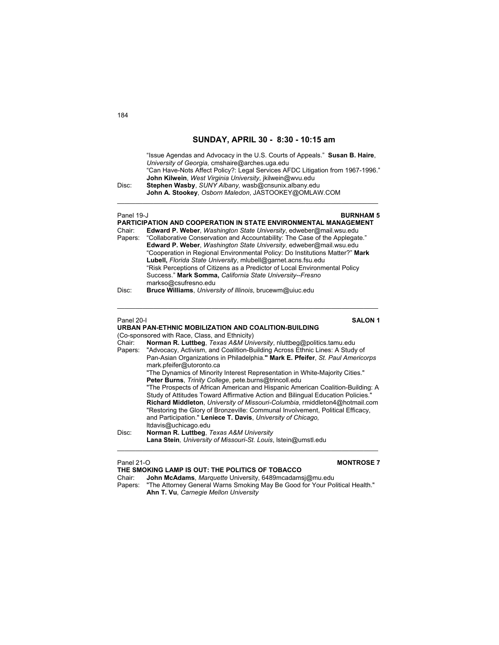"Issue Agendas and Advocacy in the U.S. Courts of Appeals." **Susan B. Haire**, *University of Georgia,* cmshaire@arches.uga.edu "Can Have-Nots Affect Policy?: Legal Services AFDC Litigation from 1967-1996." **John Kilwein**, *West Virginia University*, jkilwein@wvu.edu Disc: **Stephen Wasby**, *SUNY Albany,* wasb@cnsunix.albany.edu **John A. Stookey**, *Osborn Maledon*, JASTOOKEY@OMLAW.COM  $\mathcal{L}_\text{max}$  , and the set of the set of the set of the set of the set of the set of the set of the set of the set of Panel 19-J **BURNHAM 5 PARTICIPATION AND COOPERATION IN STATE ENVIRONMENTAL MANAGEMENT** Chair: **Edward P. Weber**, *Washington State University*, edweber@mail.wsu.edu Papers: "Collaborative Conservation and Accountability: The Case of the Applegate." **Edward P. Weber**, *Washington State University*, edweber@mail.wsu.edu "Cooperation in Regional Environmental Policy: Do Institutions Matter?" **Mark Lubell,** *Florida State University*, mlubell@garnet.acns.fsu.edu "Risk Perceptions of Citizens as a Predictor of Local Environmental Policy Success." **Mark Somma,** *California State University--Fresno* markso@csufresno.edu Disc: **Bruce Williams**, *University of Illinois*, brucewm@uiuc.edu \_\_\_\_\_\_\_\_\_\_\_\_\_\_\_\_\_\_\_\_\_\_\_\_\_\_\_\_\_\_\_\_\_\_\_\_\_\_\_\_\_\_\_\_\_\_\_\_\_\_\_\_\_\_\_\_\_\_\_\_\_\_\_\_\_\_\_\_\_\_\_\_ Panel 20-I **SALON 1 URBAN PAN-ETHNIC MOBILIZATION AND COALITION-BUILDING** (Co-sponsored with Race, Class, and Ethnicity) Chair: **Norman R. Luttbeg**, *Texas A&M University*, nluttbeg@politics.tamu.edu Papers: "Advocacy, Activism, and Coalition-Building Across Ethnic Lines: A Study of Pan-Asian Organizations in Philadelphia.**" Mark E. Pfeifer**, *St. Paul Americorps* mark.pfeifer@utoronto.ca "The Dynamics of Minority Interest Representation in White-Majority Cities." **Peter Burns**, *Trinity College*, pete.burns@trincoll.edu "The Prospects of African American and Hispanic American Coalition-Building: A Study of Attitudes Toward Affirmative Action and Bilingual Education Policies." **Richard Middleton**, *University of Missouri-Columbia*, rmiddleton4@hotmail.com "Restoring the Glory of Bronzeville: Communal Involvement, Political Efficacy, and Participation." **Leniece T. Davis**, *University of Chicago,* ltdavis@uchicago.edu Disc: **Norman R. Luttbeg**, *Texas A&M University*  **Lana Stein***, University of Missouri-St. Louis*, lstein@umstl.edu  $\mathcal{L}_\mathcal{L} = \{ \mathcal{L}_\mathcal{L} = \{ \mathcal{L}_\mathcal{L} = \{ \mathcal{L}_\mathcal{L} = \{ \mathcal{L}_\mathcal{L} = \{ \mathcal{L}_\mathcal{L} = \{ \mathcal{L}_\mathcal{L} = \{ \mathcal{L}_\mathcal{L} = \{ \mathcal{L}_\mathcal{L} = \{ \mathcal{L}_\mathcal{L} = \{ \mathcal{L}_\mathcal{L} = \{ \mathcal{L}_\mathcal{L} = \{ \mathcal{L}_\mathcal{L} = \{ \mathcal{L}_\mathcal{L} = \{ \mathcal{L}_\mathcal{$ 

### Panel 21-O **MONTROSE 7**

**THE SMOKING LAMP IS OUT: THE POLITICS OF TOBACCO**

Chair: **John McAdams**, *Marquette* University, 6489mcadamsj@mu.edu Papers: "The Attorney General Warns Smoking May Be Good for Your Political Health." **Ahn T. Vu**, *Carnegie Mellon University*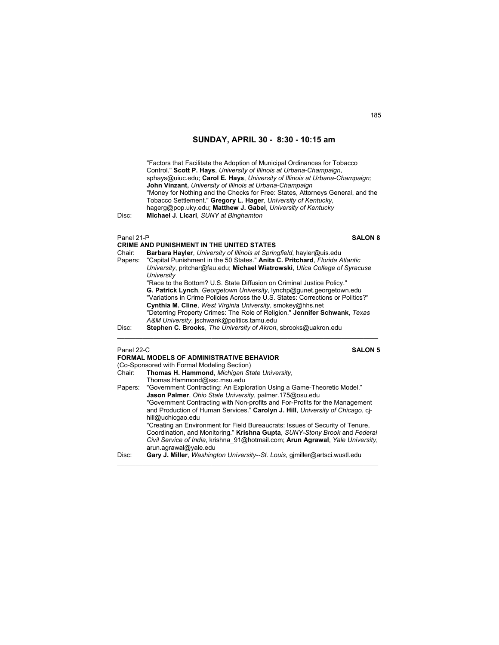"Factors that Facilitate the Adoption of Municipal Ordinances for Tobacco Control." **Scott P. Hays**, *University of Illinois at Urbana-Champaign*, sphays@uiuc.edu; **Carol E. Hays**, *University of Illinois at Urbana-Champaign;*  **John Vinzant,** *University of Illinois at Urbana-Champaign* "Money for Nothing and the Checks for Free: States, Attorneys General, and the Tobacco Settlement." **Gregory L. Hager**, *University of Kentucky*, hagerg@pop.uky.edu; **Matthew J. Gabel**, *University of Kentucky* Disc: **Michael J. Licari**, *SUNY at Binghamton*

| Panel 21-P | <b>SALON 8</b>                                                                                                                                          |
|------------|---------------------------------------------------------------------------------------------------------------------------------------------------------|
|            | <b>CRIME AND PUNISHMENT IN THE UNITED STATES</b>                                                                                                        |
| Chair:     | Barbara Hayler, University of Illinois at Springfield, hayler@uis.edu                                                                                   |
| Papers:    | "Capital Punishment in the 50 States." Anita C. Pritchard, Florida Atlantic                                                                             |
|            | University, pritchar@fau.edu; Michael Wiatrowski, Utica College of Syracuse<br>University                                                               |
|            | "Race to the Bottom? U.S. State Diffusion on Criminal Justice Policy."                                                                                  |
|            | G. Patrick Lynch, Georgetown University, lynchp@gunet.georgetown.edu<br>"Variations in Crime Policies Across the U.S. States: Corrections or Politics?" |
|            | Cynthia M. Cline, West Virginia University, smokey@hhs.net                                                                                              |
|            | "Deterring Property Crimes: The Role of Religion." Jennifer Schwank, Texas<br>A&M University, jschwank@politics.tamu.edu                                |
| Disc:      |                                                                                                                                                         |
|            | Stephen C. Brooks, The University of Akron, sbrooks@uakron.edu                                                                                          |
|            |                                                                                                                                                         |

 $\mathcal{L}_\mathcal{L} = \{ \mathcal{L}_\mathcal{L} = \{ \mathcal{L}_\mathcal{L} = \{ \mathcal{L}_\mathcal{L} = \{ \mathcal{L}_\mathcal{L} = \{ \mathcal{L}_\mathcal{L} = \{ \mathcal{L}_\mathcal{L} = \{ \mathcal{L}_\mathcal{L} = \{ \mathcal{L}_\mathcal{L} = \{ \mathcal{L}_\mathcal{L} = \{ \mathcal{L}_\mathcal{L} = \{ \mathcal{L}_\mathcal{L} = \{ \mathcal{L}_\mathcal{L} = \{ \mathcal{L}_\mathcal{L} = \{ \mathcal{L}_\mathcal{$ 

Panel 22-C **SALON 5 FORMAL MODELS OF ADMINISTRATIVE BEHAVIOR**  (Co-Sponsored with Formal Modeling Section) Chair: **Thomas H. Hammond**, *Michigan State University*, Thomas.Hammond@ssc.msu.edu Papers: "Government Contracting: An Exploration Using a Game-Theoretic Model." **Jason Palmer**, *Ohio State University*, palmer.175@osu.edu "Government Contracting with Non-profits and For-Profits for the Management and Production of Human Services." **Carolyn J. Hill**, *University of Chicago*, cjhill@uchicgao.edu "Creating an Environment for Field Bureaucrats: Issues of Security of Tenure, Coordination, and Monitoring." **Krishna Gupta**, *SUNY-Stony Brook* and *Federal Civil Service of India*, krishna\_91@hotmail.com; **Arun Agrawal**, *Yale University*, arun.agrawal@yale.edu Disc: **Gary J. Miller**, *Washington University--St. Louis*, gjmiller@artsci.wustl.edu  $\mathcal{L}_\mathcal{L} = \{ \mathcal{L}_\mathcal{L} = \{ \mathcal{L}_\mathcal{L} = \{ \mathcal{L}_\mathcal{L} = \{ \mathcal{L}_\mathcal{L} = \{ \mathcal{L}_\mathcal{L} = \{ \mathcal{L}_\mathcal{L} = \{ \mathcal{L}_\mathcal{L} = \{ \mathcal{L}_\mathcal{L} = \{ \mathcal{L}_\mathcal{L} = \{ \mathcal{L}_\mathcal{L} = \{ \mathcal{L}_\mathcal{L} = \{ \mathcal{L}_\mathcal{L} = \{ \mathcal{L}_\mathcal{L} = \{ \mathcal{L}_\mathcal{$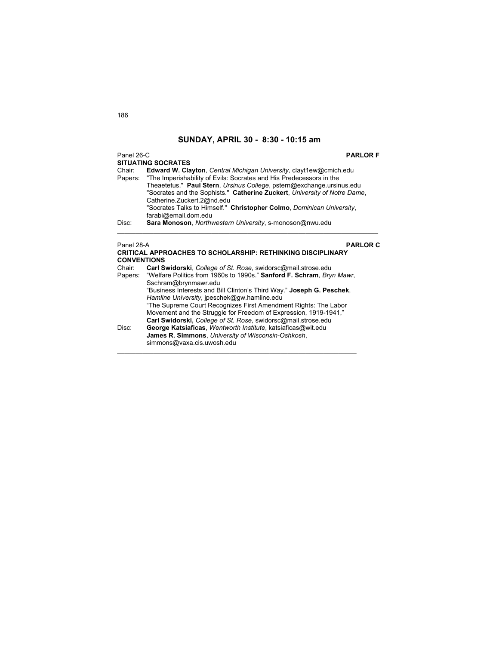Panel 26-C **PARLOR F**

186

**SITUATING SOCRATES**<br>Chair: **Edward W. Cla** Chair: **Edward W. Clayton**, *Central Michigan University*, clayt1ew@cmich.edu Papers: "The Imperishability of Evils: Socrates and His Predecessors in the Theaetetus." **Paul Stern**, *Ursinus College*, pstern@exchange.ursinus.edu "Socrates and the Sophists." **Catherine Zuckert**, *University of Notre Dame*, Catherine.Zuckert.2@nd.edu "Socrates Talks to Himself." **Christopher Colmo**, *Dominican University*, farabi@email.dom.edu<br>Disc: Sara Monoson, Northv Sara Monoson, Northwestern University, s-monoson@nwu.edu  $\mathcal{L}_\text{max}$  , and the set of the set of the set of the set of the set of the set of the set of the set of the set of

Panel 28-A **PARLOR C**

|         | <b>CRITICAL APPROACHES TO SCHOLARSHIP: RETHINKING DISCIPLINARY</b>    |  |  |
|---------|-----------------------------------------------------------------------|--|--|
|         | <b>CONVENTIONS</b>                                                    |  |  |
| Chair:  | Carl Swidorski, College of St. Rose, swidorsc@mail.strose.edu         |  |  |
| Papers: | "Welfare Politics from 1960s to 1990s." Sanford F. Schram, Bryn Mawr, |  |  |
|         | Sschram@brynmawr.edu                                                  |  |  |
|         | "Business Interests and Bill Clinton's Third Way." Joseph G. Peschek. |  |  |
|         | Hamline University, ipeschek@gw.hamline.edu                           |  |  |
|         | "The Supreme Court Recognizes First Amendment Rights: The Labor       |  |  |
|         | Movement and the Struggle for Freedom of Expression, 1919-1941,"      |  |  |
|         | Carl Swidorski, College of St. Rose, swidorsc@mail.strose.edu         |  |  |
| Disc:   | George Katsiaficas, Wentworth Institute, katsiaficas@wit.edu          |  |  |
|         | James R. Simmons, University of Wisconsin-Oshkosh,                    |  |  |
|         | simmons@vaxa.cis.uwosh.edu                                            |  |  |
|         |                                                                       |  |  |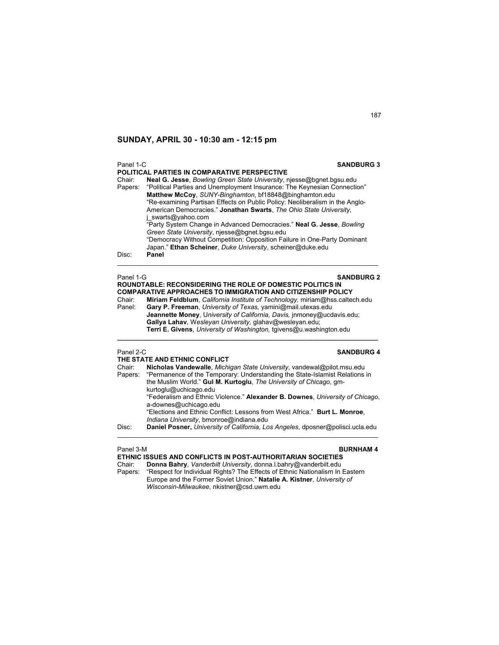| Panel 1-C | <b>SANDBURG 3</b>                                                                                                                                                                                                                                                                                         |
|-----------|-----------------------------------------------------------------------------------------------------------------------------------------------------------------------------------------------------------------------------------------------------------------------------------------------------------|
|           | POLITICAL PARTIES IN COMPARATIVE PERSPECTIVE                                                                                                                                                                                                                                                              |
| Chair:    | <b>Neal G. Jesse, Bowling Green State University, njesse@bgnet.bgsu.edu</b><br>Papers: "Political Parties and Unemployment Insurance: The Keynesian Connection"<br>Matthew McCoy, SUNY-Binghamton, bf18848@binghamton.edu<br>"Re-examining Partisan Effects on Public Policy: Neoliberalism in the Anglo- |
|           | American Democracies." Jonathan Swarts, The Ohio State University,<br>j swarts@yahoo.com                                                                                                                                                                                                                  |
|           | "Party System Change in Advanced Democracies." Neal G. Jesse, Bowling<br>Green State University, niesse@bqnet.bqsu.edu<br>"Democracy Without Competition: Opposition Failure in One-Party Dominant                                                                                                        |
| Disc:     | Japan." Ethan Scheiner, Duke University, scheiner@duke.edu<br>Panel                                                                                                                                                                                                                                       |

| Panel 1-G | <b>SANDBURG 2</b>                                                           |
|-----------|-----------------------------------------------------------------------------|
|           | <b>ROUNDTABLE: RECONSIDERING THE ROLE OF DOMESTIC POLITICS IN</b>           |
|           | <b>COMPARATIVE APPROACHES TO IMMIGRATION AND CITIZENSHIP POLICY</b>         |
| Chair:    | Miriam Feldblum, California Institute of Technology, miriam@hss.caltech.edu |
| Panel:    | Gary P. Freeman, University of Texas, yamini@mail.utexas.edu                |
|           | Jeannette Money, University of California, Davis, inmoney@ucdavis.edu;      |
|           | Gallya Lahav, Wesleyan University, glahav@wesleyan.edu;                     |
|           | Terri E. Givens, University of Washington, tgivens@u.washington.edu         |
|           |                                                                             |

### Panel 2-C **SANDBURG 4**

| THE STATE AND ETHNIC CONFLICT                                                                                         |  |
|-----------------------------------------------------------------------------------------------------------------------|--|
| Nicholas Vandewalle, Michigan State University, vandewal@pilot.msu.edu                                                |  |
| "Permanence of the Temporary: Understanding the State-Islamist Relations in                                           |  |
| the Muslim World." Gul M. Kurtoglu, The University of Chicago, gm-<br>kurtoglu@uchicago.edu                           |  |
| "Federalism and Ethnic Violence." Alexander B. Downes, University of Chicago,<br>a-downes@uchicago.edu                |  |
| "Elections and Ethnic Conflict: Lessons from West Africa." Burt L. Monroe,<br>Indiana University, bmonroe@indiana.edu |  |
| Daniel Posner, University of California, Los Angeles, dposner@polisci.ucla.edu                                        |  |
|                                                                                                                       |  |

Panel 3-M **BURNHAM 4 ETHNIC ISSUES AND CONFLICTS IN POST-AUTHORITARIAN SOCIETIES**  Chair: **Donna Bahry**, *Vanderbilt University*, donna.l.bahry@vanderbilt.edu Papers: "Respect for Individual Rights? The Effects of Ethnic Nationalism In Eastern Europe and the Former Soviet Union." **Natalie A. Kistner**, *University of Wisconsin-Milwaukee*, nkistner@csd.uwm.edu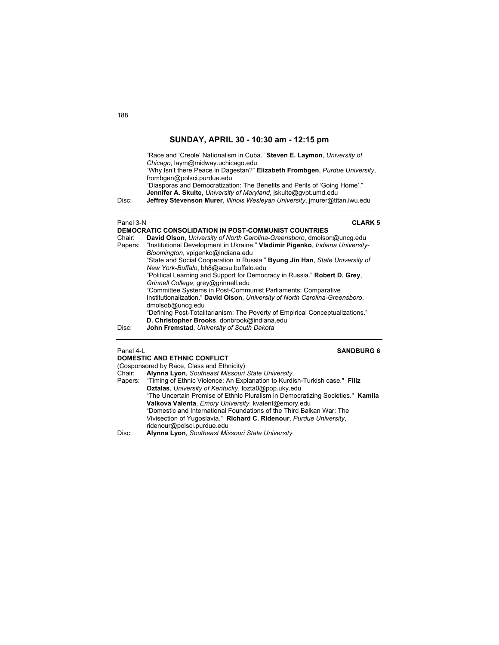| Disc:     | "Race and 'Creole' Nationalism in Cuba." Steven E. Laymon, University of<br>Chicago, laym@midway.uchicago.edu<br>"Why Isn't there Peace in Dagestan?" Elizabeth Frombgen, Purdue University,<br>frombgen@polsci.purdue.edu<br>"Diasporas and Democratization: The Benefits and Perils of 'Going Home'."<br><b>Jennifer A. Skulte, University of Maryland, iskulte@gypt.umd.edu</b><br>Jeffrey Stevenson Murer, Illinois Wesleyan University, imurer@titan.iwu.edu |
|-----------|-------------------------------------------------------------------------------------------------------------------------------------------------------------------------------------------------------------------------------------------------------------------------------------------------------------------------------------------------------------------------------------------------------------------------------------------------------------------|
| Panel 3-N | <b>CLARK 5</b>                                                                                                                                                                                                                                                                                                                                                                                                                                                    |
|           | DEMOCRATIC CONSOLIDATION IN POST-COMMUNIST COUNTRIES                                                                                                                                                                                                                                                                                                                                                                                                              |
| Chair:    | David Olson, University of North Carolina-Greensboro, dmolson@uncq.edu                                                                                                                                                                                                                                                                                                                                                                                            |
| Papers:   | "Institutional Development in Ukraine." Vladimir Pigenko, Indiana University-                                                                                                                                                                                                                                                                                                                                                                                     |
|           | Bloomington, vpigenko@indiana.edu                                                                                                                                                                                                                                                                                                                                                                                                                                 |
|           |                                                                                                                                                                                                                                                                                                                                                                                                                                                                   |

"State and Social Cooperation in Russia." **Byung Jin Han**, *State University of New York-Buffalo*, bh8@acsu.buffalo.edu "Political Learning and Support for Democracy in Russia." **Robert D. Grey**, *Grinnell College*, grey@grinnell.edu "Committee Systems in Post-Communist Parliaments: Comparative Institutionalization." **David Olson**, *University of North Carolina-Greensboro*, dmolsob@uncg.edu "Defining Post-Totalitarianism: The Poverty of Empirical Conceptualizations." **D. Christopher Brooks**, donbrook@indiana.edu Disc: **John Fremstad**, *University of South Dakota*

### Panel 4-L **SANDBURG 6**

|        | <b>DOMESTIC AND ETHNIC CONFLICT</b>                                                |
|--------|------------------------------------------------------------------------------------|
|        | (Cosponsored by Race, Class and Ethnicity)                                         |
| Chair: | Alynna Lyon, Southeast Missouri State University,                                  |
|        | Papers: "Timing of Ethnic Violence: An Explanation to Kurdish-Turkish case." Filiz |
|        | Oztalas, University of Kentucky, fozta0@pop.uky.edu                                |
|        | "The Uncertain Promise of Ethnic Pluralism in Democratizing Societies." Kamila     |
|        | Valkova Valenta, Emory University, kvalent@emory.edu                               |
|        | "Domestic and International Foundations of the Third Balkan War: The               |
|        | Vivisection of Yugoslavia." Richard C. Ridenour, Purdue University,                |
|        | ridenour@polsci.purdue.edu                                                         |
| Disc:  | Alynna Lyon, Southeast Missouri State University                                   |
|        |                                                                                    |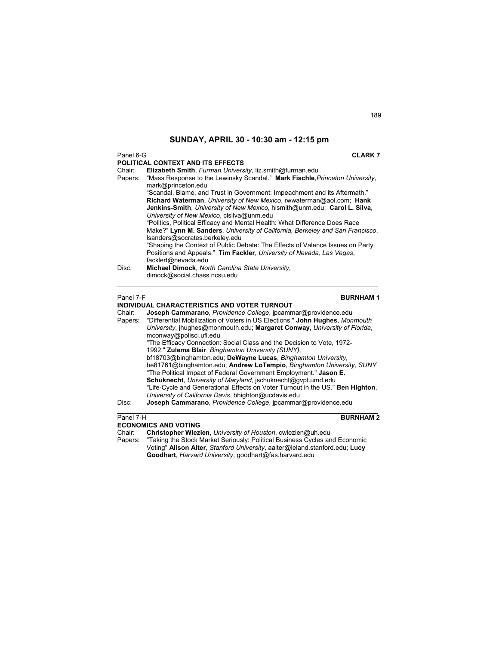### Panel 6-G **CLARK 7**

|         | POLITICAL CONTEXT AND ITS EFFECTS                                                                                                                                                              |
|---------|------------------------------------------------------------------------------------------------------------------------------------------------------------------------------------------------|
| Chair:  | Elizabeth Smith, Furman University, liz.smith@furman.edu                                                                                                                                       |
| Papers: | "Mass Response to the Lewinsky Scandal." Mark Fischle Princeton University.<br>mark@princeton.edu                                                                                              |
|         | "Scandal, Blame, and Trust in Government: Impeachment and its Aftermath."                                                                                                                      |
|         | Richard Waterman, University of New Mexico, rwwaterman@aol.com; Hank<br>Jenkins-Smith, University of New Mexico, hismith@unm.edu; Carol L. Silva,<br>University of New Mexico, clsilva@unm.edu |
|         | "Politics, Political Efficacy and Mental Health: What Difference Does Race                                                                                                                     |
|         | Make?" Lynn M. Sanders, University of California, Berkeley and San Francisco,<br>Isanders@socrates.berkeley.edu                                                                                |
|         | "Shaping the Context of Public Debate: The Effects of Valence Issues on Party<br>Positions and Appeals." Tim Fackler, University of Nevada, Las Vegas,<br>facklert@nevada.edu                  |
| Disc:   | Michael Dimock, North Carolina State University,<br>dimock@social.chass.ncsu.edu                                                                                                               |

### Panel 7-F **BURNHAM 1**

### **INDIVIDUAL CHARACTERISTICS AND VOTER TURNOUT**  Chair: **Joseph Cammarano**, *Providence College*, jpcammar@providence.edu Papers: "Differential Mobilization of Voters in US Elections." **John Hughes**, *Monmouth*

- *University*, jhughes@monmouth.edu; **Margaret Conway**, *University of Florida*, mconway@polisci.ufl.edu "The Efficacy Connection: Social Class and the Decision to Vote, 1972- 1992." **Zulema Blair**, *Binghamton University (SUNY)*, bf18703@binghamton.edu; **DeWayne Lucas**, *Binghamton University*, be81761@binghamton.edu; **Andrew LoTempio**, *Binghamton University, SUNY* "The Political Impact of Federal Government Employment." **Jason E. Schuknecht**, *University of Maryland*, jschuknecht@gvpt.umd.edu
	- "Life-Cycle and Generational Effects on Voter Turnout in the US." **Ben Highton**, *University of California Davis*, bhighton@ucdavis.edu

Disc: **Joseph Cammarano**, *Providence College*, jpcammar@providence.edu

### **Panel 7-H BURNHAM 2**

### **ECONOMICS AND VOTING**

Chair: **Christopher Wlezien**, *University of Houston*, cwlezien@uh.edu

"Taking the Stock Market Seriously: Political Business Cycles and Economic Voting" **Alison Alter**, *Stanford University*, aalter@leland.stanford.edu; **Lucy Goodhart**, *Harvard University*, goodhart@fas.harvard.edu

 $\mathcal{L}_\mathcal{L} = \{ \mathcal{L}_\mathcal{L} = \{ \mathcal{L}_\mathcal{L} = \{ \mathcal{L}_\mathcal{L} = \{ \mathcal{L}_\mathcal{L} = \{ \mathcal{L}_\mathcal{L} = \{ \mathcal{L}_\mathcal{L} = \{ \mathcal{L}_\mathcal{L} = \{ \mathcal{L}_\mathcal{L} = \{ \mathcal{L}_\mathcal{L} = \{ \mathcal{L}_\mathcal{L} = \{ \mathcal{L}_\mathcal{L} = \{ \mathcal{L}_\mathcal{L} = \{ \mathcal{L}_\mathcal{L} = \{ \mathcal{L}_\mathcal{$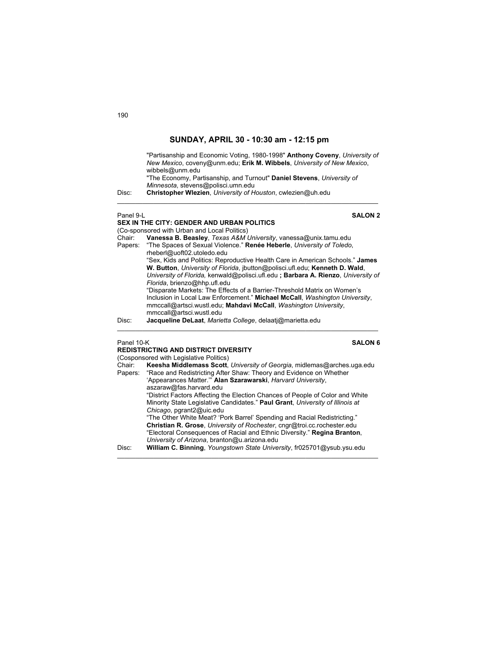| Disc:     | "Partisanship and Economic Voting, 1980-1998" Anthony Coveny, University of<br>New Mexico, coveny@unm.edu; Erik M. Wibbels, University of New Mexico,<br>wibbels@unm.edu<br>"The Economy, Partisanship, and Turnout" Daniel Stevens, University of<br>Minnesota, stevens@polisci.umn.edu<br>Christopher Wlezien, University of Houston, cwlezien@uh.edu |
|-----------|---------------------------------------------------------------------------------------------------------------------------------------------------------------------------------------------------------------------------------------------------------------------------------------------------------------------------------------------------------|
| Panel 9-L | <b>SALON 2</b><br><b>SEX IN THE CITY: GENDER AND URBAN POLITICS</b>                                                                                                                                                                                                                                                                                     |
|           | (Co-sponsored with Urban and Local Politics)                                                                                                                                                                                                                                                                                                            |
| Chair:    | Vanessa B. Beasley, Texas A&M University, vanessa@unix.tamu.edu                                                                                                                                                                                                                                                                                         |
| Papers:   | "The Spaces of Sexual Violence." <b>Renée Heberle</b> , University of Toledo,<br>rheberl@uoft02.utoledo.edu                                                                                                                                                                                                                                             |
|           | "Sex, Kids and Politics: Reproductive Health Care in American Schools." James                                                                                                                                                                                                                                                                           |
|           | W. Button, University of Florida, jbutton@polisci.ufl.edu; Kenneth D. Wald,                                                                                                                                                                                                                                                                             |
|           | University of Florida, kenwald@polisci.ufl.edu; Barbara A. Rienzo, University of                                                                                                                                                                                                                                                                        |
|           | Florida, brienzo@hhp.ufl.edu<br>"Disparate Markets: The Effects of a Barrier-Threshold Matrix on Women's                                                                                                                                                                                                                                                |
|           | بيشود بثورا المرماني وتلاحماها المكركة المجملة فالمتحوص ومحاوي والمتحال والمحارمين ويحتجبوا والمحارب                                                                                                                                                                                                                                                    |

Inclusion in Local Law Enforcement." **Michael McCall**, *Washington University*, mmccall@artsci.wustl.edu; **Mahdavi McCall**, *Washington University*, mmccall@artsci.wustl.edu

 $\_$  , and the set of the set of the set of the set of the set of the set of the set of the set of the set of the set of the set of the set of the set of the set of the set of the set of the set of the set of the set of th

Disc: **Jacqueline DeLaat**, *Marietta College*, delaatj@marietta.edu

**REDISTRICTING AND DISTRICT DIVERSITY** 

### Panel 10-K **SALON 6**

|         | (Cosponsored with Legislative Politics)                                       |
|---------|-------------------------------------------------------------------------------|
| Chair:  | Keesha Middlemass Scott, University of Georgia, midlemas@arches.uga.edu       |
| Papers: | "Race and Redistricting After Shaw: Theory and Evidence on Whether            |
|         | 'Appearances Matter." Alan Szarawarski, Harvard University,                   |
|         | aszaraw@fas.harvard.edu                                                       |
|         | "District Factors Affecting the Election Chances of People of Color and White |
|         | Minority State Legislative Candidates." Paul Grant, University of Illinois at |
|         | Chicago, pgrant2@uic.edu                                                      |
|         | "The Other White Meat? 'Pork Barrel' Spending and Racial Redistricting."      |
|         | Christian R. Grose, University of Rochester, cngr@troi.cc.rochester.edu       |
|         | "Electoral Consequences of Racial and Ethnic Diversity." Regina Branton,      |
|         | University of Arizona, branton@u.arizona.edu                                  |
| Disc:   | William C. Binning, Youngstown State University, fr025701@ysub.ysu.edu        |
|         |                                                                               |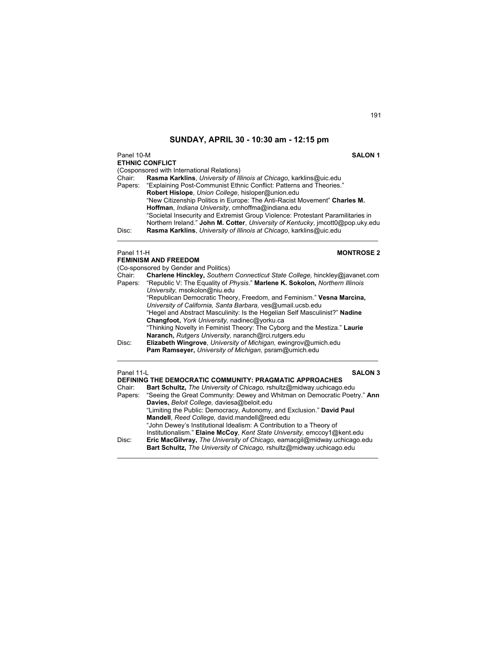Panel 10-M **SALON 1 ETHNIC CONFLICT**  (Cosponsored with International Relations) Chair: **Rasma Karklins**, *University of Illinois at Chicago*, karklins@uic.edu "Explaining Post-Communist Ethnic Conflict: Patterns and Theories." **Robert Hislope**, *Union College*, hisloper@union.edu "New Citizenship Politics in Europe: The Anti-Racist Movement" **Charles M. Hoffman**, *Indiana University*, cmhoffma@indiana.edu "Societal Insecurity and Extremist Group Violence: Protestant Paramilitaries in Northern Ireland." **John M. Cotter**, *University of Kentucky*, jmcott0@pop.uky.edu Disc: **Rasma Karklins**, *University of Illinois at Chicago*, karklins@uic.edu \_\_\_\_\_\_\_\_\_\_\_\_\_\_\_\_\_\_\_\_\_\_\_\_\_\_\_\_\_\_\_\_\_\_\_\_\_\_\_\_\_\_\_\_\_\_\_\_\_\_\_\_\_\_\_\_\_\_\_\_\_\_\_\_\_\_\_\_\_\_\_\_

## Panel 11-H<br> **HONTROSE 2**

|                   | <b>FEMINISM AND FREEDOM</b>                                                                                                                                |
|-------------------|------------------------------------------------------------------------------------------------------------------------------------------------------------|
|                   | (Co-sponsored by Gender and Politics)                                                                                                                      |
| Chair:<br>Papers: | Charlene Hinckley, Southern Connecticut State College, hinckley@javanet.com<br>"Republic V: The Equality of Physis." Marlene K. Sokolon, Northern Illinois |
|                   | University, msokolon@niu.edu                                                                                                                               |
|                   | "Republican Democratic Theory, Freedom, and Feminism." Vesna Marcina,<br>University of California, Santa Barbara, ves@umail.ucsb.edu                       |
|                   | "Hegel and Abstract Masculinity: Is the Hegelian Self Masculinist?" Nadine<br>Changfoot, York University, nadinec@yorku.ca                                 |
|                   | "Thinking Novelty in Feminist Theory: The Cyborg and the Mestiza." Laurie<br>Naranch, Rutgers University, naranch@rci.rutgers.edu                          |
| Disc:             | Elizabeth Wingrove, University of Michigan, ewingrov@umich.edu                                                                                             |
|                   | Pam Ramseyer, University of Michigan, psram@umich.edu                                                                                                      |
| Panel 11-L        | <b>SALON 3</b>                                                                                                                                             |
|                   | DEFINING THE DEMOCRATIC COMMUNITY: PRAGMATIC APPROACHES                                                                                                    |
| Chair:            | <b>Bart Schultz, The University of Chicago, rshultz@midway.uchicago.edu</b>                                                                                |
| Papers:           | "Seeing the Great Community: Dewey and Whitman on Democratic Poetry." Ann                                                                                  |
|                   | Davies, Beloit College, daviesa@beloit.edu                                                                                                                 |
|                   | "Limiting the Public: Democracy, Autonomy, and Exclusion." David Paul                                                                                      |
|                   | Mandell, Reed College, david.mandell@reed.edu<br>" John Doway's Institutional Idealism: A Contribution to a Theory of                                      |
|                   |                                                                                                                                                            |

"John Dewey's Institutional Idealism: A Contribution to a Theory of Institutionalism." **Elaine McCoy**, *Kent State University,* emccoy1@kent.edu Disc: **Eric MacGilvray,** *The University of Chicago,* eamacgil@midway.uchicago.edu **Bart Schultz,** *The University of Chicago,* rshultz@midway.uchicago.edu

 $\_$  , and the set of the set of the set of the set of the set of the set of the set of the set of the set of the set of the set of the set of the set of the set of the set of the set of the set of the set of the set of th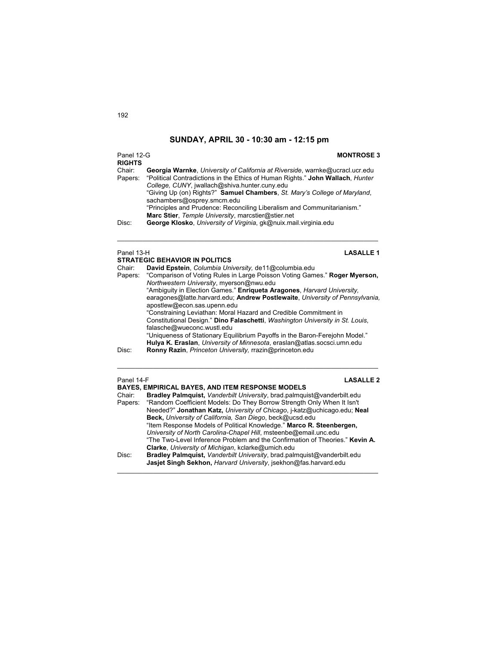### Panel 12-G **MONTROSE 3 RIGHTS**  Georgia Warnke, University of California at Riverside, warnke@ucracl.ucr.edu Papers: "Political Contradictions in the Ethics of Human Rights." **John Wallach**, *Hunter College, CUNY*, jwallach@shiva.hunter.cuny.edu "Giving Up (on) Rights?" **Samuel Chambers**, *St. Mary's College of Maryland*, sachambers@osprey.smcm.edu "Principles and Prudence: Reconciling Liberalism and Communitarianism." **Marc Stier**, *Temple University*, marcstier@stier.net Disc: **George Klosko**, *University of Virginia*, gk@nuix.mail.virginia.edu  $\mathcal{L}_\mathcal{L} = \{ \mathcal{L}_\mathcal{L} = \{ \mathcal{L}_\mathcal{L} = \{ \mathcal{L}_\mathcal{L} = \{ \mathcal{L}_\mathcal{L} = \{ \mathcal{L}_\mathcal{L} = \{ \mathcal{L}_\mathcal{L} = \{ \mathcal{L}_\mathcal{L} = \{ \mathcal{L}_\mathcal{L} = \{ \mathcal{L}_\mathcal{L} = \{ \mathcal{L}_\mathcal{L} = \{ \mathcal{L}_\mathcal{L} = \{ \mathcal{L}_\mathcal{L} = \{ \mathcal{L}_\mathcal{L} = \{ \mathcal{L}_\mathcal{$ Panel 13-H **LASALLE 1 STRATEGIC BEHAVIOR IN POLITICS**

| Chair:  | David Epstein, Columbia University, de11@columbia.edu                         |
|---------|-------------------------------------------------------------------------------|
| Papers: | "Comparison of Voting Rules in Large Poisson Voting Games." Roger Myerson,    |
|         | Northwestern University, myerson@nwu.edu                                      |
|         | "Ambiguity in Election Games." Enriqueta Aragones, Harvard University,        |
|         | earagones@latte.harvard.edu; Andrew Postlewaite, University of Pennsylvania,  |
|         | apostlew@econ.sas.upenn.edu                                                   |
|         | "Constraining Leviathan: Moral Hazard and Credible Commitment in              |
|         | Constitutional Design." Dino Falaschetti, Washington University in St. Louis, |
|         | falasche@wueconc.wustl.edu                                                    |
|         | "Uniqueness of Stationary Equilibrium Payoffs in the Baron-Ferejohn Model."   |
|         | Hulya K. Eraslan, University of Minnesota, eraslan@atlas.socsci.umn.edu       |
| Disc:   | Ronny Razin, Princeton University, rrazin@princeton.edu                       |
|         |                                                                               |

 $\mathcal{L}_\mathcal{L} = \{ \mathcal{L}_\mathcal{L} = \{ \mathcal{L}_\mathcal{L} = \{ \mathcal{L}_\mathcal{L} = \{ \mathcal{L}_\mathcal{L} = \{ \mathcal{L}_\mathcal{L} = \{ \mathcal{L}_\mathcal{L} = \{ \mathcal{L}_\mathcal{L} = \{ \mathcal{L}_\mathcal{L} = \{ \mathcal{L}_\mathcal{L} = \{ \mathcal{L}_\mathcal{L} = \{ \mathcal{L}_\mathcal{L} = \{ \mathcal{L}_\mathcal{L} = \{ \mathcal{L}_\mathcal{L} = \{ \mathcal{L}_\mathcal{$ 

Panel 14-F **LASALLE 2 BAYES, EMPIRICAL BAYES, AND ITEM RESPONSE MODELS** Chair: **Bradley Palmquist,** *Vanderbilt University*, brad.palmquist@vanderbilt.edu "Random Coefficient Models: Do They Borrow Strength Only When It Isn't Needed?" **Jonathan Katz,** *University of Chicago*, j-katz@uchicago.edu; **Neal Beck,** *University of California, San Diego*, beck@ucsd.edu "Item Response Models of Political Knowledge." **Marco R. Steenbergen,** *University of North Carolina-Chapel Hill*, msteenbe@email.unc.edu "The Two-Level Inference Problem and the Confirmation of Theories." **Kevin A. Clarke**, *University of Michigan*, kclarke@umich.edu Disc: **Bradley Palmquist,** *Vanderbilt University*, brad.palmquist@vanderbilt.edu **Jasjet Singh Sekhon,** *Harvard University*, jsekhon@fas.harvard.edu

 $\mathcal{L}_\text{max}$  , and the set of the set of the set of the set of the set of the set of the set of the set of the set of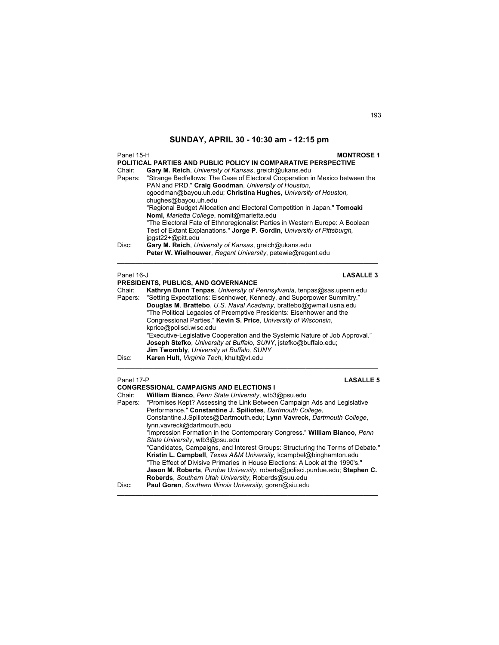| <b>MONTROSE 1</b><br>Panel 15-H<br>POLITICAL PARTIES AND PUBLIC POLICY IN COMPARATIVE PERSPECTIVE |                                                                                                                                                                                         |  |  |
|---------------------------------------------------------------------------------------------------|-----------------------------------------------------------------------------------------------------------------------------------------------------------------------------------------|--|--|
| Chair:                                                                                            | Gary M. Reich, University of Kansas, greich@ukans.edu<br>Papers: "Strange Bedfellows: The Case of Electoral Cooperation in Mexico between the                                           |  |  |
|                                                                                                   | PAN and PRD." Craig Goodman, University of Houston,<br>cgoodman@bayou.uh.edu; Christina Hughes, University of Houston.                                                                  |  |  |
|                                                                                                   | chughes@bayou.uh.edu                                                                                                                                                                    |  |  |
|                                                                                                   | "Regional Budget Allocation and Electoral Competition in Japan." Tomoaki                                                                                                                |  |  |
|                                                                                                   | Nomi, Marietta College, nomit@marietta.edu                                                                                                                                              |  |  |
|                                                                                                   | "The Electoral Fate of Ethnoregionalist Parties in Western Europe: A Boolean<br>Test of Extant Explanations." Jorge P. Gordin, University of Pittsburgh,<br>$ipast22 + \omega$ pitt.edu |  |  |
| Disc:                                                                                             | Gary M. Reich, University of Kansas, greich@ukans.edu                                                                                                                                   |  |  |
|                                                                                                   | Peter W. Wielhouwer, Regent University, petewie@regent.edu                                                                                                                              |  |  |
| Panel 16-J<br><b>LASALLE 3</b><br>PRESIDENTS, PUBLICS, AND GOVERNANCE                             |                                                                                                                                                                                         |  |  |

Chair:**Kathryn Dunn Tenpas***, University of Pennsylvania*, tenpas@sas.upenn.edu Papers: "Setting Expectations: Eisenhower, Kennedy, and Superpower Summitry." **Douglas M**. **Brattebo**, *U.S. Naval Academy*, brattebo@gwmail.usna.edu "The Political Legacies of Preemptive Presidents: Eisenhower and the Congressional Parties." **Kevin S. Price**, *University of Wisconsin*, kprice@polisci.wisc.edu "Executive-Legislative Cooperation and the Systemic Nature of Job Approval." **Joseph Stefko**, *University at Buffalo, SUNY*, jstefko@buffalo.edu; **Jim Twombly**, *University at Buffalo, SUNY*  Disc: **Karen Hult**, *Virginia Tech*, khult@vt.edu  $\mathcal{L}_\mathcal{L} = \{ \mathcal{L}_\mathcal{L} = \{ \mathcal{L}_\mathcal{L} = \{ \mathcal{L}_\mathcal{L} = \{ \mathcal{L}_\mathcal{L} = \{ \mathcal{L}_\mathcal{L} = \{ \mathcal{L}_\mathcal{L} = \{ \mathcal{L}_\mathcal{L} = \{ \mathcal{L}_\mathcal{L} = \{ \mathcal{L}_\mathcal{L} = \{ \mathcal{L}_\mathcal{L} = \{ \mathcal{L}_\mathcal{L} = \{ \mathcal{L}_\mathcal{L} = \{ \mathcal{L}_\mathcal{L} = \{ \mathcal{L}_\mathcal{$ 

### Panel 17-P **LASALLE 5**

|        | <b>CONGRESSIONAL CAMPAIGNS AND ELECTIONS I</b>                                  |
|--------|---------------------------------------------------------------------------------|
| Chair: | William Bianco, Penn State University, wtb3@psu.edu                             |
|        | Papers: "Promises Kept? Assessing the Link Between Campaign Ads and Legislative |
|        | Performance." Constantine J. Spiliotes, Dartmouth College,                      |
|        | Constantine.J.Spiliotes@Dartmouth.edu; Lynn Vavreck, Dartmouth College,         |
|        | lynn.vavreck@dartmouth.edu                                                      |
|        | "Impression Formation in the Contemporary Congress." William Bianco, Penn       |
|        | State University, wtb3@psu.edu                                                  |
|        | "Candidates, Campaigns, and Interest Groups: Structuring the Terms of Debate."  |
|        | Kristin L. Campbell, Texas A&M University, kcampbel@binghamton.edu              |
|        | "The Effect of Divisive Primaries in House Elections: A Look at the 1990's."    |
|        | Jason M. Roberts, Purdue University, roberts@polisci.purdue.edu; Stephen C.     |
|        | Roberds, Southern Utah University, Roberds@suu.edu                              |
| Disc:  | Paul Goren, Southern Illinois University, goren@siu.edu                         |
|        |                                                                                 |

 $\mathcal{L}_\mathcal{L} = \{ \mathcal{L}_\mathcal{L} = \{ \mathcal{L}_\mathcal{L} = \{ \mathcal{L}_\mathcal{L} = \{ \mathcal{L}_\mathcal{L} = \{ \mathcal{L}_\mathcal{L} = \{ \mathcal{L}_\mathcal{L} = \{ \mathcal{L}_\mathcal{L} = \{ \mathcal{L}_\mathcal{L} = \{ \mathcal{L}_\mathcal{L} = \{ \mathcal{L}_\mathcal{L} = \{ \mathcal{L}_\mathcal{L} = \{ \mathcal{L}_\mathcal{L} = \{ \mathcal{L}_\mathcal{L} = \{ \mathcal{L}_\mathcal{$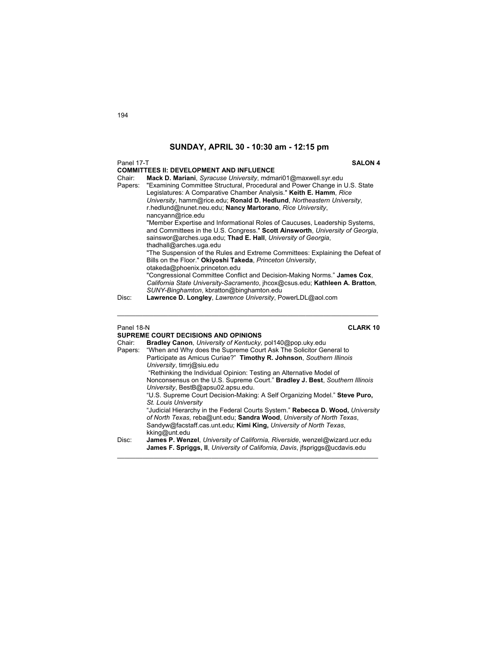### Panel 17-T **SALON 4**

## **COMMITTEES II: DEVELOPMENT AND INFLUENCE**

Chair: **Mack D. Mariani**, *Syracuse University*, mdmari01@maxwell.syr.edu "Examining Committee Structural, Procedural and Power Change in U.S. State Legislatures: A Comparative Chamber Analysis." **Keith E. Hamm**, *Rice University*, hamm@rice.edu; **Ronald D. Hedlund**, *Northeastern University*, r.hedlund@nunet.neu.edu; **Nancy Martorano**, *Rice University*, nancyann@rice.edu "Member Expertise and Informational Roles of Caucuses, Leadership Systems, and Committees in the U.S. Congress." **Scott Ainsworth**, *University of Georgia*, sainswor@arches.uga.edu; **Thad E. Hall**, *University of Georgia*, thadhall@arches.uga.edu "The Suspension of the Rules and Extreme Committees: Explaining the Defeat of Bills on the Floor." **Okiyoshi Takeda**, *Princeton University*, otakeda@phoenix.princeton.edu "Congressional Committee Conflict and Decision-Making Norms." **James Cox**, *California State University-Sacramento*, jhcox@csus.edu; **Kathleen A. Bratton**, *SUNY-Binghamton*, kbratton@binghamton.edu

Disc: **Lawrence D. Longley**, *Lawrence University*, PowerLDL@aol.com

Panel 18-N **CLARK 10**

|         | <b>SUPREME COURT DECISIONS AND OPINIONS</b>                                    |
|---------|--------------------------------------------------------------------------------|
| Chair:  | Bradley Canon, University of Kentucky, pol140@pop.uky.edu                      |
| Papers: | "When and Why does the Supreme Court Ask The Solicitor General to              |
|         | Participate as Amicus Curiae?" Timothy R. Johnson, Southern Illinois           |
|         | University, timri@siu.edu                                                      |
|         | "Rethinking the Individual Opinion: Testing an Alternative Model of            |
|         | Nonconsensus on the U.S. Supreme Court." Bradley J. Best, Southern Illinois    |
|         | University, BestB@apsu02.apsu.edu.                                             |
|         | "U.S. Supreme Court Decision-Making: A Self Organizing Model." Steve Puro,     |
|         | St. Louis University                                                           |
|         | "Judicial Hierarchy in the Federal Courts System." Rebecca D. Wood, University |
|         | of North Texas, reba@unt.edu; Sandra Wood, University of North Texas,          |
|         | Sandyw@facstaff.cas.unt.edu; Kimi King, University of North Texas,             |
|         | kking@unt.edu                                                                  |
| Disc:   | James P. Wenzel, University of California, Riverside, wenzel@wizard.ucr.edu    |
|         | James F. Spriggs, II. University of California, Davis, ifspriggs@ucdavis.edu   |
|         |                                                                                |

 $\mathcal{L}_\text{max}$  , and the set of the set of the set of the set of the set of the set of the set of the set of the set of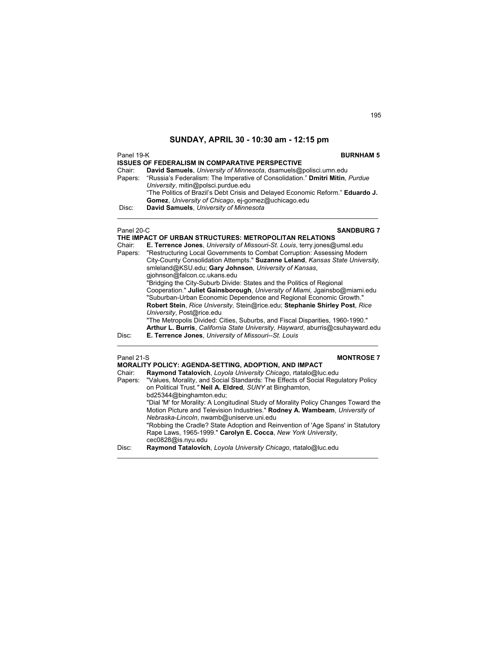| Panel 19-K | <b>ISSUES OF FEDERALISM IN COMPARATIVE PERSPECTIVE</b>                                                                                                                                                        | <b>BURNHAM 5</b>  |
|------------|---------------------------------------------------------------------------------------------------------------------------------------------------------------------------------------------------------------|-------------------|
| Chair:     | David Samuels, University of Minnesota, dsamuels@polisci.umn.edu                                                                                                                                              |                   |
|            | Papers: "Russia's Federalism: The Imperative of Consolidation." Dmitri Mitin, Purdue<br>University, mitin@polsci.purdue.edu<br>"The Politics of Brazil's Debt Crisis and Delayed Economic Reform." Eduardo J. |                   |
|            | Gomez, University of Chicago, ej-gomez@uchicago.edu                                                                                                                                                           |                   |
| Disc:      | David Samuels, University of Minnesota                                                                                                                                                                        |                   |
| Panel 20-C | THE IMPACT OF URBAN STRUCTURES: METROPOLITAN RELATIONS                                                                                                                                                        | <b>SANDBURG 7</b> |

| Chair:     | <b>E. Terrence Jones.</b> University of Missouri-St. Louis, terry jones@umsl.edu |
|------------|----------------------------------------------------------------------------------|
| Papers:    | "Restructuring Local Governments to Combat Corruption: Assessing Modern          |
|            | City-County Consolidation Attempts." Suzanne Leland, Kansas State University,    |
|            | smleland@KSU.edu; Gary Johnson, University of Kansas,                            |
|            | gjohnson@falcon.cc.ukans.edu                                                     |
|            | "Bridging the City-Suburb Divide: States and the Politics of Regional            |
|            | Cooperation." Juliet Gainsborough, University of Miami, Jgainsbo@miami.edu       |
|            | "Suburban-Urban Economic Dependence and Regional Economic Growth."               |
|            | Robert Stein, Rice University, Stein@rice.edu; Stephanie Shirley Post, Rice      |
|            | University, Post@rice.edu                                                        |
|            | "The Metropolis Divided: Cities, Suburbs, and Fiscal Disparities, 1960-1990."    |
|            | Arthur L. Burris, California State University, Hayward, aburris@csuhayward.edu   |
| Disc:      | E. Terrence Jones, University of Missouri--St. Louis                             |
| Panel 21-S | <b>MONTROSE 7</b>                                                                |
|            |                                                                                  |

|         | <b>MORALITY POLICY: AGENDA-SETTING, ADOPTION, AND IMPACT</b>                       |
|---------|------------------------------------------------------------------------------------|
| Chair:  | Raymond Tatalovich, Loyola University Chicago, rtatalo@luc.edu                     |
| Papers: | "Values, Morality, and Social Standards: The Effects of Social Regulatory Policy   |
|         | on Political Trust." Neil A. Eldred, SUNY at Binghamton,                           |
|         | bd25344@binghamton.edu;                                                            |
|         | "Dial 'M' for Morality: A Longitudinal Study of Morality Policy Changes Toward the |
|         | Motion Picture and Television Industries." Rodney A. Wambeam, University of        |
|         | Nebraska-Lincoln, nwamb@uniserve.uni.edu                                           |
|         | "Robbing the Cradle? State Adoption and Reinvention of 'Age Spans' in Statutory    |
|         | Rape Laws, 1965-1999." Carolyn E. Cocca, New York University,                      |
|         | cec0828@is.nyu.edu                                                                 |
| Disc:   | Raymond Tatalovich, Loyola University Chicago, rtatalo@luc.edu                     |
|         |                                                                                    |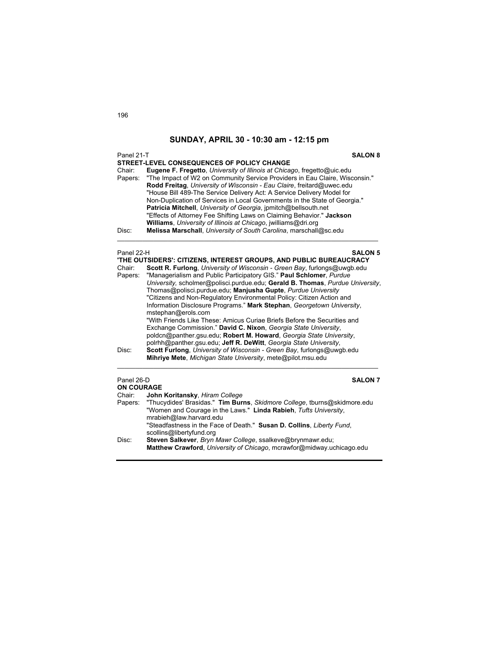| Panel 21-T<br><b>SALON 8</b> |                                                                                                                                                                                                                                                                                                                                                                                                                                                                                                                                                                                                                                                                                                                          |
|------------------------------|--------------------------------------------------------------------------------------------------------------------------------------------------------------------------------------------------------------------------------------------------------------------------------------------------------------------------------------------------------------------------------------------------------------------------------------------------------------------------------------------------------------------------------------------------------------------------------------------------------------------------------------------------------------------------------------------------------------------------|
| Chair:<br>Papers:<br>Disc:   | STREET-LEVEL CONSEQUENCES OF POLICY CHANGE<br>Eugene F. Fregetto, University of Illinois at Chicago, fregetto@uic.edu<br>"The Impact of W2 on Community Service Providers in Eau Claire, Wisconsin."<br>Rodd Freitag, University of Wisconsin - Eau Claire, freitard@uwec.edu<br>"House Bill 489-The Service Delivery Act: A Service Delivery Model for<br>Non-Duplication of Services in Local Governments in the State of Georgia."<br>Patricia Mitchell, University of Georgia, ipmitch@bellsouth.net<br>"Effects of Attorney Fee Shifting Laws on Claiming Behavior." Jackson<br>Williams, University of Illinois at Chicago, jwilliams@dri.org<br>Melissa Marschall, University of South Carolina, marschall@sc.edu |
|                              |                                                                                                                                                                                                                                                                                                                                                                                                                                                                                                                                                                                                                                                                                                                          |
| Panel 22-H                   | <b>SALON 5</b>                                                                                                                                                                                                                                                                                                                                                                                                                                                                                                                                                                                                                                                                                                           |
| Chair:                       | 'THE OUTSIDERS': CITIZENS, INTEREST GROUPS, AND PUBLIC BUREAUCRACY<br>Scott R. Furlong, University of Wisconsin - Green Bay, furlongs@uwgb.edu                                                                                                                                                                                                                                                                                                                                                                                                                                                                                                                                                                           |
| Papers:                      | "Managerialism and Public Participatory GIS." Paul Schlomer, Purdue                                                                                                                                                                                                                                                                                                                                                                                                                                                                                                                                                                                                                                                      |
|                              | University, scholmer@polisci.purdue.edu; Gerald B. Thomas, Purdue University,                                                                                                                                                                                                                                                                                                                                                                                                                                                                                                                                                                                                                                            |
|                              | Thomas@polisci.purdue.edu; Manjusha Gupte, Purdue University                                                                                                                                                                                                                                                                                                                                                                                                                                                                                                                                                                                                                                                             |
|                              | "Citizens and Non-Regulatory Environmental Policy: Citizen Action and                                                                                                                                                                                                                                                                                                                                                                                                                                                                                                                                                                                                                                                    |
|                              | Information Disclosure Programs." Mark Stephan, Georgetown University,                                                                                                                                                                                                                                                                                                                                                                                                                                                                                                                                                                                                                                                   |
|                              | mstephan@erols.com                                                                                                                                                                                                                                                                                                                                                                                                                                                                                                                                                                                                                                                                                                       |
|                              | "With Friends Like These: Amicus Curiae Briefs Before the Securities and                                                                                                                                                                                                                                                                                                                                                                                                                                                                                                                                                                                                                                                 |
|                              | Exchange Commission." David C. Nixon, Georgia State University,                                                                                                                                                                                                                                                                                                                                                                                                                                                                                                                                                                                                                                                          |
|                              | poldcn@panther.gsu.edu; Robert M. Howard, Georgia State University,                                                                                                                                                                                                                                                                                                                                                                                                                                                                                                                                                                                                                                                      |
|                              | polrhh@panther.gsu.edu; Jeff R. DeWitt, Georgia State University,                                                                                                                                                                                                                                                                                                                                                                                                                                                                                                                                                                                                                                                        |
| Disc:                        | Scott Furlong, University of Wisconsin - Green Bay, furlongs@uwgb.edu                                                                                                                                                                                                                                                                                                                                                                                                                                                                                                                                                                                                                                                    |
|                              | Mihriye Mete, Michigan State University, mete@pilot.msu.edu                                                                                                                                                                                                                                                                                                                                                                                                                                                                                                                                                                                                                                                              |
| Panel 26-D                   | <b>SALON 7</b>                                                                                                                                                                                                                                                                                                                                                                                                                                                                                                                                                                                                                                                                                                           |
| <b>ON COURAGE</b>            |                                                                                                                                                                                                                                                                                                                                                                                                                                                                                                                                                                                                                                                                                                                          |
| Chair:                       | John Koritansky, Hiram College                                                                                                                                                                                                                                                                                                                                                                                                                                                                                                                                                                                                                                                                                           |
| Papers:                      | "Thucydides' Brasidas." Tim Burns, Skidmore College, tburns@skidmore.edu                                                                                                                                                                                                                                                                                                                                                                                                                                                                                                                                                                                                                                                 |
|                              | "Women and Courage in the Laws." Linda Rabieh, Tufts University,                                                                                                                                                                                                                                                                                                                                                                                                                                                                                                                                                                                                                                                         |
|                              | mrabieh@law.harvard.edu                                                                                                                                                                                                                                                                                                                                                                                                                                                                                                                                                                                                                                                                                                  |
|                              | "Steadfastness in the Face of Death." Susan D. Collins, Liberty Fund,                                                                                                                                                                                                                                                                                                                                                                                                                                                                                                                                                                                                                                                    |
|                              | scollins@libertyfund.org                                                                                                                                                                                                                                                                                                                                                                                                                                                                                                                                                                                                                                                                                                 |
| Disc:                        | Steven Salkever, Bryn Mawr College, ssalkeve@brynmawr.edu;                                                                                                                                                                                                                                                                                                                                                                                                                                                                                                                                                                                                                                                               |
|                              | Matthew Crawford, University of Chicago, mcrawfor@midway.uchicago.edu                                                                                                                                                                                                                                                                                                                                                                                                                                                                                                                                                                                                                                                    |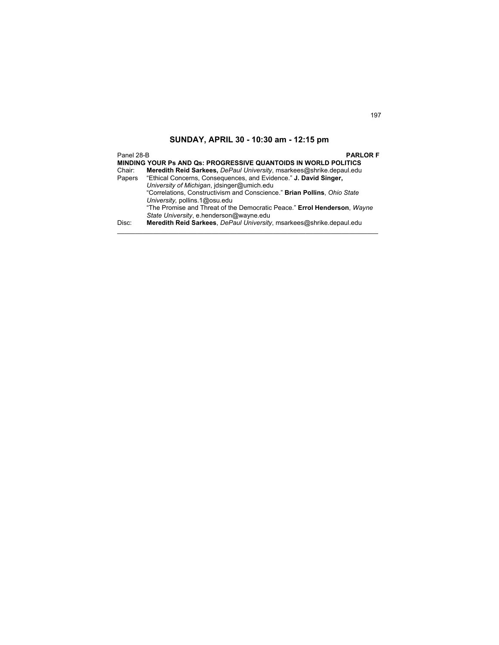Panel 28-B **PARLOR F MINDING YOUR Ps AND Qs: PROGRESSIVE QUANTOIDS IN WORLD POLITICS**  Chair: **Meredith Reid Sarkees,** *DePaul University*, msarkees@shrike.depaul.edu Papers "Ethical Concerns, Consequences, and Evidence." **J. David Singer,**  *University of Michigan*, jdsinger@umich.edu "Correlations, Constructivism and Conscience." **Brian Pollins**, *Ohio State University,* pollins.1@osu.edu "The Promise and Threat of the Democratic Peace." **Errol Henderson**, *Wayne State University*, e.henderson@wayne.edu Disc: **Meredith Reid Sarkees**, *DePaul University*, msarkees@shrike.depaul.edu  $\mathcal{L}_\text{max}$  , and the set of the set of the set of the set of the set of the set of the set of the set of the set of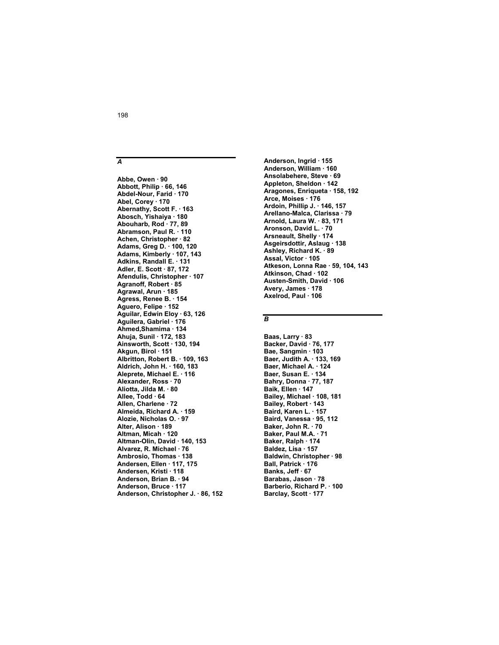**Abbe, Owen · 90 Abbott, Philip · 66, 146 Abdel-Nour, Farid · 170 Abel, Corey · 170 Abernathy, Scott F. · 163 Abosch, Yishaiya · 180 Abouharb, Rod · 77, 89 Abramson, Paul R. · 110 Achen, Christopher · 82 Adams, Greg D. · 100, 120 Adams, Kimberly · 107, 143 Adkins, Randall E. · 131 Adler, E. Scott · 87, 172 Afendulis, Christopher · 107 Agranoff, Robert · 85 Agrawal, Arun · 185 Agress, Renee B. · 154 Aguero, Felipe · 152 Aguilar, Edwin Eloy · 63, 126 Aguilera, Gabriel · 176 Ahmed,Shamima · 134 Ahuja, Sunil · 172, 183 Ainsworth, Scott · 130, 194 Akgun, Birol · 151 Albritton, Robert B. · 109, 163 Aldrich, John H. · 160, 183 Aleprete, Michael E. · 116 Alexander, Ross · 70 Aliotta, Jilda M. · 80 Allee, Todd · 64 Allen, Charlene · 72 Almeida, Richard A. · 159 Alozie, Nicholas O. · 97 Alter, Alison · 189 Altman, Micah · 120 Altman-Olin, David · 140, 153 Alvarez, R. Michael · 76 Ambrosio, Thomas · 138 Andersen, Ellen · 117, 175 Andersen, Kristi · 118 Anderson, Brian B. · 94 Anderson, Bruce · 117 Anderson, Christopher J. · 86, 152** 

**Anderson, Ingrid · 155 Anderson, William · 160 Ansolabehere, Steve · 69 Appleton, Sheldon · 142 Aragones, Enriqueta · 158, 192 Arce, Moises · 176 Ardoin, Phillip J. · 146, 157 Arellano-Malca, Clarissa · 79 Arnold, Laura W. · 83, 171 Aronson, David L. · 70 Arsneault, Shelly · 174 Asgeirsdottir, Aslaug · 138 Ashley, Richard K. · 89 Assal, Victor · 105 Atkeson, Lonna Rae · 59, 104, 143 Atkinson, Chad · 102 Austen-Smith, David · 106 Avery, James · 178 Axelrod, Paul · 106** 

### *B*

**Baas, Larry · 83 Backer, David · 76, 177 Bae, Sangmin · 103 Baer, Judith A. · 133, 169 Baer, Michael A. · 124 Baer, Susan E. · 134 Bahry, Donna · 77, 187 Baik, Ellen · 147 Bailey, Michael · 108, 181 Bailey, Robert · 143 Baird, Karen L. · 157 Baird, Vanessa · 95, 112 Baker, John R. · 70 Baker, Paul M.A. · 71 Baker, Ralph · 174 Baldez, Lisa · 157 Baldwin, Christopher · 98 Ball, Patrick · 176 Banks, Jeff · 67 Barabas, Jason · 78 Barberio, Richard P. · 100 Barclay, Scott · 177** 

### 198

*A*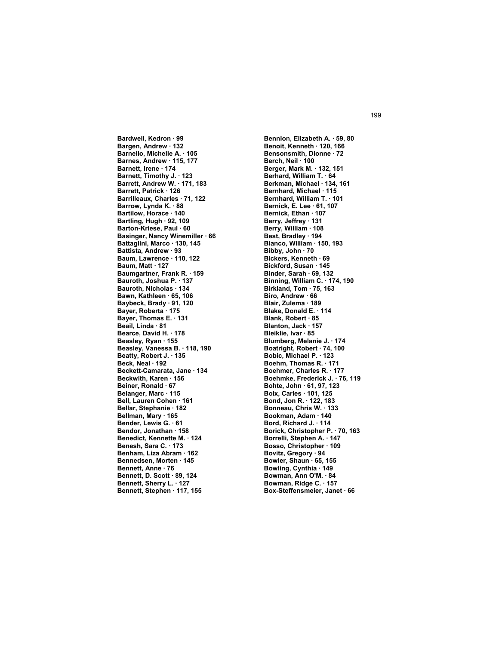**Bardwell, Kedron · 99 Bargen, Andrew · 132 Barnello, Michelle A. · 105 Barnes, Andrew · 115, 177 Barnett, Irene · 174 Barnett, Timothy J. · 123 Barrett, Andrew W. · 171, 183 Barrett, Patrick · 126 Barrilleaux, Charles · 71, 122 Barrow, Lynda K. · 88 Bartilow, Horace · 140 Bartling, Hugh · 92, 109 Barton-Kriese, Paul · 60 Basinger, Nancy Winemiller · 66 Battaglini, Marco · 130, 145 Battista, Andrew · 93 Baum, Lawrence · 110, 122 Baum, Matt · 127 Baumgartner, Frank R. · 159 Bauroth, Joshua P. · 137 Bauroth, Nicholas · 134 Bawn, Kathleen · 65, 106 Baybeck, Brady · 91, 120 Bayer, Roberta · 175 Bayer, Thomas E. · 131 Beail, Linda · 81 Bearce, David H. · 178 Beasley, Ryan · 155 Beasley, Vanessa B. · 118, 190 Beatty, Robert J. · 135 Beck, Neal · 192 Beckett-Camarata, Jane · 134 Beckwith, Karen · 156 Beiner, Ronald · 67 Belanger, Marc · 115 Bell, Lauren Cohen · 161 Bellar, Stephanie · 182 Bellman, Mary · 165 Bender, Lewis G. · 61 Bendor, Jonathan · 158 Benedict, Kennette M. · 124 Benesh, Sara C. · 173 Benham, Liza Abram · 162 Bennedsen, Morten · 145 Bennett, Anne · 76 Bennett, D. Scott · 89, 124 Bennett, Sherry L. · 127 Bennett, Stephen · 117, 155** 

**Bennion, Elizabeth A. · 59, 80 Benoit, Kenneth · 120, 166 Bensonsmith, Dionne · 72 Berch, Neil · 100 Berger, Mark M. · 132, 151 Berhard, William T. · 64 Berkman, Michael · 134, 161 Bernhard, Michael · 115 Bernhard, William T. · 101 Bernick, E. Lee · 61, 107 Bernick, Ethan · 107 Berry, Jeffrey · 131 Berry, William · 108 Best, Bradley · 194 Bianco, William · 150, 193 Bibby, John · 70 Bickers, Kenneth · 69 Bickford, Susan · 145 Binder, Sarah · 69, 132 Binning, William C. · 174, 190 Birkland, Tom · 75, 163 Biro, Andrew · 66 Blair, Zulema · 189 Blake, Donald E. · 114 Blank, Robert · 85 Blanton, Jack · 157 Bleiklie, Ivar · 85 Blumberg, Melanie J. · 174 Boatright, Robert · 74, 100 Bobic, Michael P. · 123 Boehm, Thomas R. · 171 Boehmer, Charles R. · 177 Boehmke, Frederick J. · 76, 119 Bohte, John · 61, 97, 123 Boix, Carles · 101, 125 Bond, Jon R. · 122, 183 Bonneau, Chris W. · 133 Bookman, Adam · 140 Bord, Richard J. · 114 Borick, Christopher P. · 70, 163 Borrelli, Stephen A. · 147 Bosso, Christopher · 109 Bovitz, Gregory · 94 Bowler, Shaun · 65, 155 Bowling, Cynthia · 149 Bowman, Ann O'M. · 84 Bowman, Ridge C. · 157 Box-Steffensmeier, Janet · 66**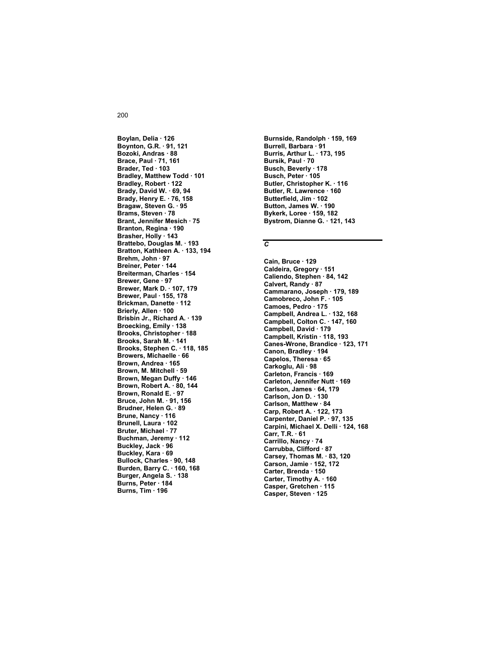# **Boylan, Delia · 126 Boynton, G.R. · 91, 121 Bozoki, Andras · 88 Brace, Paul · 71, 161 Brader, Ted · 103 Bradley, Matthew Todd · 101 Bradley, Robert · 122 Brady, David W. · 69, 94**

**Brady, Henry E. · 76, 158 Bragaw, Steven G. · 95 Brams, Steven · 78 Brant, Jennifer Mesich · 75 Branton, Regina · 190 Brasher, Holly · 143 Brattebo, Douglas M. · 193 Bratton, Kathleen A. · 133, 194 Brehm, John · 97 Breiner, Peter · 144 Breiterman, Charles · 154 Brewer, Gene · 97 Brewer, Mark D. · 107, 179 Brewer, Paul · 155, 178 Brickman, Danette · 112 Brierly, Allen · 100 Brisbin Jr., Richard A. · 139 Broecking, Emily · 138 Brooks, Christopher · 188 Brooks, Sarah M. · 141 Brooks, Stephen C. · 118, 185 Browers, Michaelle · 66 Brown, Andrea · 165 Brown, M. Mitchell · 59 Brown, Megan Duffy · 146 Brown, Robert A. · 80, 144 Brown, Ronald E. · 97 Bruce, John M. · 91, 156 Brudner, Helen G. · 89 Brune, Nancy · 116 Brunell, Laura · 102 Bruter, Michael · 77 Buchman, Jeremy · 112 Buckley, Jack · 96 Buckley, Kara · 69 Bullock, Charles · 90, 148 Burden, Barry C. · 160, 168 Burger, Angela S. · 138 Burns, Peter · 184 Burns, Tim · 196** 

**Burnside, Randolph · 159, 169 Burrell, Barbara · 91 Burris, Arthur L. · 173, 195 Bursik, Paul · 70 Busch, Beverly · 178 Busch, Peter · 105 Butler, Christopher K. · 116 Butler, R. Lawrence · 160 Butterfield, Jim · 102 Button, James W. · 190 Bykerk, Loree · 159, 182 Bystrom, Dianne G. · 121, 143** 

### *C*

**Cain, Bruce · 129 Caldeira, Gregory · 151 Caliendo, Stephen · 84, 142 Calvert, Randy · 87 Cammarano, Joseph · 179, 189 Camobreco, John F. · 105 Camoes, Pedro · 175 Campbell, Andrea L. · 132, 168 Campbell, Colton C. · 147, 160 Campbell, David · 179 Campbell, Kristin · 118, 193 Canes-Wrone, Brandice · 123, 171 Canon, Bradley · 194 Capelos, Theresa · 65 Carkoglu, Ali · 98 Carleton, Francis · 169 Carleton, Jennifer Nutt · 169 Carlson, James · 64, 179 Carlson, Jon D. · 130 Carlson, Matthew · 84 Carp, Robert A. · 122, 173 Carpenter, Daniel P. · 97, 135 Carpini, Michael X. Delli · 124, 168 Carr, T.R. · 61 Carrillo, Nancy · 74 Carrubba, Clifford · 87 Carsey, Thomas M. · 83, 120 Carson, Jamie · 152, 172 Carter, Brenda · 150 Carter, Timothy A. · 160 Casper, Gretchen · 115 Casper, Steven · 125**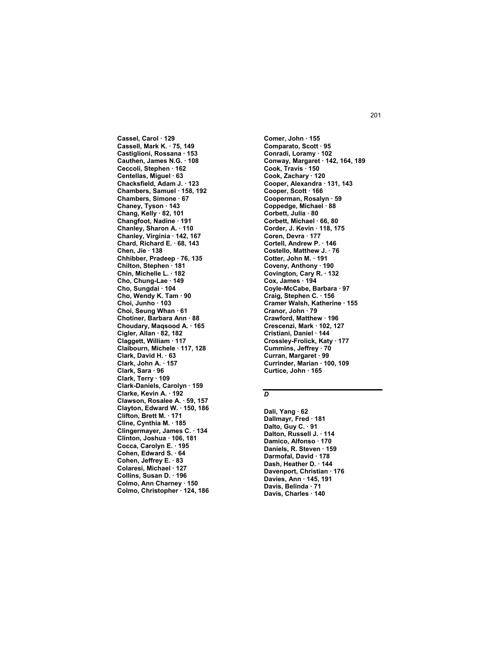**Cassel, Carol · 129 Cassell, Mark K. · 75, 149 Castiglioni, Rossana · 153 Cauthen, James N.G. · 108 Ceccoli, Stephen · 162 Centellas, Miguel · 63 Chacksfield, Adam J. · 123 Chambers, Samuel · 158, 192 Chambers, Simone · 67 Chaney, Tyson · 143 Chang, Kelly · 82, 101 Changfoot, Nadine · 191 Chanley, Sharon A. · 110 Chanley, Virginia · 142, 167 Chard, Richard E. · 68, 143 Chen, Jie · 138 Chhibber, Pradeep · 76, 135 Chilton, Stephen · 181 Chin, Michelle L. · 182 Cho, Chung-Lae · 149 Cho, Sungdai · 104 Cho, Wendy K. Tam · 90 Choi, Junho · 103 Choi, Seung Whan · 61 Chotiner, Barbara Ann · 88 Choudary, Maqsood A. · 165 Cigler, Allan · 82, 182 Claggett, William · 117 Claibourn, Michele · 117, 128 Clark, David H. · 63 Clark, John A. · 157 Clark, Sara · 96 Clark, Terry · 109 Clark-Daniels, Carolyn · 159 Clarke, Kevin A. · 192 Clawson, Rosalee A. · 59, 157 Clayton, Edward W. · 150, 186 Clifton, Brett M. · 171 Cline, Cynthia M. · 185 Clingermayer, James C. · 134 Clinton, Joshua · 106, 181 Cocca, Carolyn E. · 195 Cohen, Edward S. · 64 Cohen, Jeffrey E. · 83 Colaresi, Michael · 127 Collins, Susan D. · 196 Colmo, Ann Charney · 150 Colmo, Christopher · 124, 186**  **Comer, John · 155 Comparato, Scott · 95 Conradi, Loramy · 102 Conway, Margaret · 142, 164, 189 Cook, Travis · 150 Cook, Zachary · 120 Cooper, Alexandra · 131, 143 Cooper, Scott · 166 Cooperman, Rosalyn · 59 Coppedge, Michael · 88 Corbett, Julia · 80 Corbett, Michael · 66, 80 Corder, J. Kevin · 118, 175 Coren, Devra · 177 Cortell, Andrew P. · 146 Costello, Matthew J. · 76 Cotter, John M. · 191 Coveny, Anthony · 190 Covington, Cary R. · 132 Cox, James · 194 Coyle-McCabe, Barbara · 97 Craig, Stephen C. · 156 Cramer Walsh, Katherine · 155 Cranor, John · 79 Crawford, Matthew · 196 Crescenzi, Mark · 102, 127 Cristiani, Daniel · 144 Crossley-Frolick, Katy · 177 Cummins, Jeffrey · 70 Curran, Margaret · 99 Currinder, Marian · 100, 109 Curtice, John · 165** 

### *D*

**Dali, Yang · 62 Dallmayr, Fred · 181 Dalto, Guy C. · 91 Dalton, Russell J. · 114 Damico, Alfonso · 170 Daniels, R. Steven · 159 Darmofal, David · 178 Dash, Heather D. · 144 Davenport, Christian · 176 Davies, Ann · 145, 191 Davis, Belinda · 71 Davis, Charles · 140**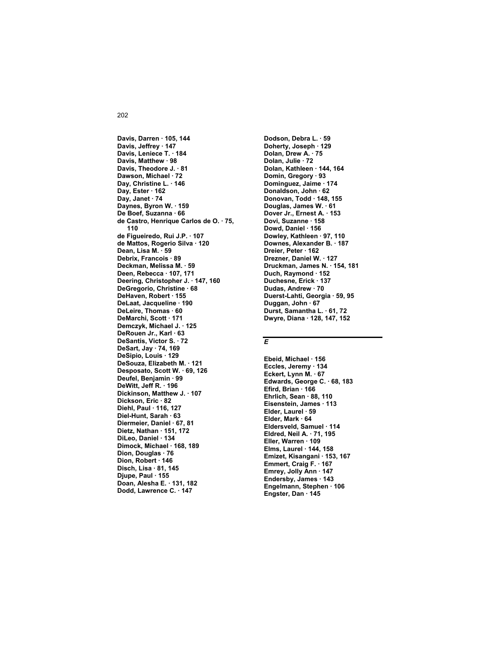**Davis, Darren · 105, 144 Davis, Jeffrey · 147 Davis, Leniece T. · 184 Davis, Matthew · 98 Davis, Theodore J. · 81 Dawson, Michael · 72 Day, Christine L. · 146 Day, Ester · 162 Day, Janet · 74 Daynes, Byron W. · 159 De Boef, Suzanna · 66 de Castro, Henrique Carlos de O. · 75, 110 de Figueiredo, Rui J.P. · 107 de Mattos, Rogerio Silva · 120 Dean, Lisa M. · 59 Debrix, Francois · 89 Deckman, Melissa M. · 59 Deen, Rebecca · 107, 171 Deering, Christopher J. · 147, 160 DeGregorio, Christine · 68 DeHaven, Robert · 155 DeLaat, Jacqueline · 190 DeLeire, Thomas · 60 DeMarchi, Scott · 171 Demczyk, Michael J. · 125 DeRouen Jr., Karl · 63 DeSantis, Victor S. · 72 DeSart, Jay · 74, 169 DeSipio, Louis · 129 DeSouza, Elizabeth M. · 121 Desposato, Scott W. · 69, 126 Deufel, Benjamin · 99 DeWitt, Jeff R. · 196 Dickinson, Matthew J. · 107 Dickson, Eric · 82 Diehl, Paul · 116, 127 Diel-Hunt, Sarah · 63 Diermeier, Daniel · 67, 81 Dietz, Nathan · 151, 172 DiLeo, Daniel · 134 Dimock, Michael · 168, 189 Dion, Douglas · 76 Dion, Robert · 146 Disch, Lisa · 81, 145 Djupe, Paul · 155 Doan, Alesha E. · 131, 182 Dodd, Lawrence C. · 147** 

**Dodson, Debra L. · 59 Doherty, Joseph · 129 Dolan, Drew A. · 75 Dolan, Julie · 72 Dolan, Kathleen · 144, 164 Domin, Gregory · 93 Dominguez, Jaime · 174 Donaldson, John · 62 Donovan, Todd · 148, 155 Douglas, James W. · 61 Dover Jr., Ernest A. · 153 Dovi, Suzanne · 158 Dowd, Daniel · 156 Dowley, Kathleen · 97, 110 Downes, Alexander B. · 187 Dreier, Peter · 162 Drezner, Daniel W. · 127 Druckman, James N. · 154, 181 Duch, Raymond · 152 Duchesne, Erick · 137 Dudas, Andrew · 70 Duerst-Lahti, Georgia · 59, 95 Duggan, John · 67 Durst, Samantha L. · 61, 72 Dwyre, Diana · 128, 147, 152** 

### *E*

**Ebeid, Michael · 156 Eccles, Jeremy · 134 Eckert, Lynn M. · 67 Edwards, George C. · 68, 183 Efird, Brian · 166 Ehrlich, Sean · 88, 110 Eisenstein, James · 113 Elder, Laurel · 59 Elder, Mark · 64 Eldersveld, Samuel · 114 Eldred, Neil A. · 71, 195 Eller, Warren · 109 Elms, Laurel · 144, 158 Emizet, Kisangani · 153, 167 Emmert, Craig F. · 167 Emrey, Jolly Ann · 147 Endersby, James · 143 Engelmann, Stephen · 106 Engster, Dan · 145**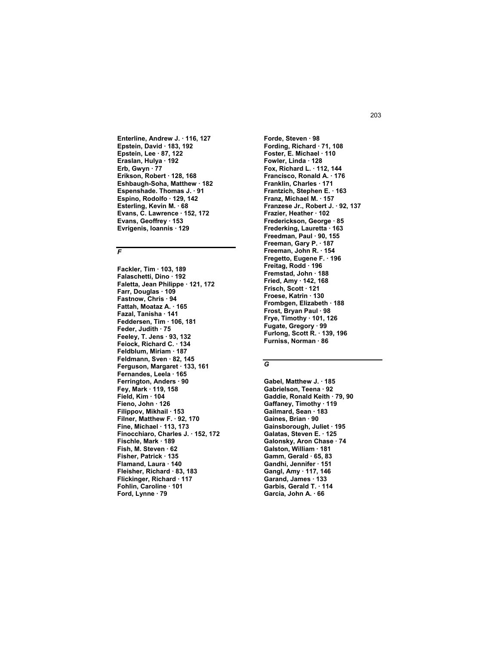Enterline, Andrew J. · 116, 127 Epstein, David · 183, 192 Epstein, Lee · 87, 122 Eraslan, Hulya · 192 Erb, Gwyn 77 Erikson, Robert · 128, 168 Eshbaugh-Soha, Matthew 182 Espenshade. Thomas J. . 91 Espino, Rodolfo · 129, 142 Esterling, Kevin M. . 68 Evans, C. Lawrence · 152, 172 Evans, Geoffrey · 153 Evrigenis, Ioannis · 129

### $\overline{F}$

Fackler, Tim · 103, 189 Falaschetti, Dino · 192 Faletta. Jean Philippe 121, 172 Farr, Douglas · 109 Fastnow, Chris 94 Fattah, Moataz A. · 165 Fazal, Tanisha 141 Feddersen, Tim · 106, 181 Feder, Judith · 75 Feeley, T. Jens · 93, 132 Feiock, Richard C. 134 Feldblum, Miriam · 187 Feldmann, Sven · 82, 145 Ferguson, Margaret · 133, 161 Fernandes, Leela · 165 Ferrington, Anders · 90 Fey, Mark 119, 158 Field, Kim · 104 Fieno, John · 126 Filippov, Mikhail · 153 Filner, Matthew F. . 92, 170 Fine, Michael 113, 173 Finocchiaro, Charles J. 152, 172 Fischle, Mark · 189 Fish, M. Steven · 62 Fisher, Patrick 135 Flamand, Laura · 140 Fleisher, Richard 83, 183 Flickinger, Richard · 117 Fohlin, Caroline · 101 Ford, Lynne · 79

Forde, Steven · 98 Fording, Richard · 71, 108 Foster, E. Michael . 110 Fowler, Linda · 128 Fox, Richard L. . 112, 144 Francisco, Ronald A. · 176 Franklin, Charles . 171 Frantzich, Stephen E. · 163 Franz, Michael M. 157 Franzese Jr., Robert J. · 92, 137 Frazier. Heather · 102 Frederickson, George · 85 Frederking, Lauretta · 163 Freedman, Paul · 90, 155 Freeman, Gary P. 187 Freeman, John R. · 154 Fregetto, Eugene F. · 196 Freitag, Rodd · 196 Fremstad, John 188 Fried, Amy · 142, 168 Frisch. Scott 121 Froese, Katrin · 130 Frombgen, Elizabeth · 188 Frost, Bryan Paul · 98 Frye, Timothy · 101, 126 Fugate, Gregory · 99 Furlong, Scott R. 139, 196 Furniss, Norman · 86

### $\overline{G}$

Gabel, Matthew J. . 185 Gabrielson, Teena 92 Gaddie, Ronald Keith 79, 90 Gaffaney, Timothy · 119 Gailmard, Sean 183 Gaines, Brian · 90 Gainsborough, Juliet 195 Galatas, Steven E. 125 Galonsky, Aron Chase · 74 Galston, William 181 Gamm, Gerald 65, 83 Gandhi, Jennifer · 151 Gangl, Amy · 117, 146 Garand, James · 133 Garbis, Gerald T. 114 Garcia, John A. 66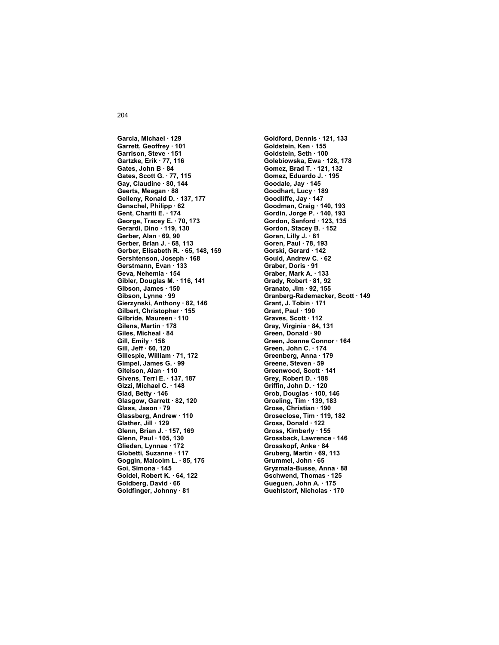**Garcia, Michael · 129 Garrett, Geoffrey · 101 Garrison, Steve · 151 Gartzke, Erik · 77, 116 Gates, John B · 84 Gates, Scott G. · 77, 115 Gay, Claudine · 80, 144 Geerts, Meagan · 88 Gelleny, Ronald D. · 137, 177 Genschel, Philipp · 62 Gent, Chariti E. · 174 George, Tracey E. · 70, 173 Gerardi, Dino · 119, 130 Gerber, Alan · 69, 90 Gerber, Brian J. · 68, 113 Gerber, Elisabeth R. · 65, 148, 159 Gershtenson, Joseph · 168 Gerstmann, Evan · 133 Geva, Nehemia · 154 Gibler, Douglas M. · 116, 141 Gibson, James · 150 Gibson, Lynne · 99 Gierzynski, Anthony · 82, 146 Gilbert, Christopher · 155 Gilbride, Maureen · 110 Gilens, Martin · 178 Giles, Micheal · 84 Gill, Emily · 158 Gill, Jeff · 60, 120 Gillespie, William · 71, 172 Gimpel, James G. · 99 Gitelson, Alan · 110 Givens, Terri E. · 137, 187 Gizzi, Michael C. · 148 Glad, Betty · 146 Glasgow, Garrett · 82, 120 Glass, Jason · 79 Glassberg, Andrew · 110 Glather, Jill · 129 Glenn, Brian J. · 157, 169 Glenn, Paul · 105, 130 Glieden, Lynnae · 172 Globetti, Suzanne · 117 Goggin, Malcolm L. · 85, 175 Goi, Simona · 145 Goidel, Robert K. · 64, 122 Goldberg, David · 66 Goldfinger, Johnny · 81** 

**Goldford, Dennis · 121, 133 Goldstein, Ken · 155 Goldstein, Seth · 100 Golebiowska, Ewa · 128, 178 Gomez, Brad T. · 121, 132 Gomez, Eduardo J. · 195 Goodale, Jay · 145 Goodhart, Lucy · 189 Goodliffe, Jay · 147 Goodman, Craig · 140, 193 Gordin, Jorge P. · 140, 193 Gordon, Sanford · 123, 135 Gordon, Stacey B. · 152 Goren, Lilly J. · 81 Goren, Paul · 78, 193 Gorski, Gerard · 142 Gould, Andrew C. · 62 Graber, Doris · 91 Graber, Mark A. · 133 Grady, Robert · 81, 92 Granato, Jim · 92, 155 Granberg-Rademacker, Scott · 149 Grant, J. Tobin · 171 Grant, Paul · 190 Graves, Scott · 112 Gray, Virginia · 84, 131 Green, Donald · 90 Green, Joanne Connor · 164 Green, John C. · 174 Greenberg, Anna · 179 Greene, Steven · 59 Greenwood, Scott · 141 Grey, Robert D. · 188 Griffin, John D. · 120 Grob, Douglas · 100, 146 Groeling, Tim · 139, 183 Grose, Christian · 190 Groseclose, Tim · 119, 182 Gross, Donald · 122 Gross, Kimberly · 155 Grossback, Lawrence · 146 Grosskopf, Anke · 84 Gruberg, Martin · 69, 113 Grummel, John · 65 Gryzmala-Busse, Anna · 88 Gschwend, Thomas · 125 Gueguen, John A. · 175 Guehlstorf, Nicholas · 170**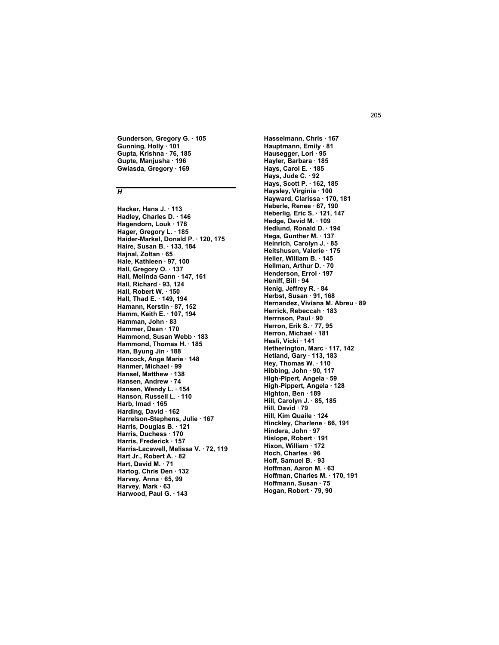**Gunderson, Gregory G. · 105 Gunning, Holly · 101 Gupta, Krishna · 76, 185 Gupte, Manjusha · 196 Gwiasda, Gregory · 169** 

#### *H*

**Hacker, Hans J. · 113 Hadley, Charles D. · 146 Hagendorn, Louk · 178 Hager, Gregory L. · 185 Haider-Markel, Donald P. · 120, 175 Haire, Susan B. · 133, 184 Hajnal, Zoltan · 65 Hale, Kathleen · 97, 100 Hall, Gregory O. · 137 Hall, Melinda Gann · 147, 161 Hall, Richard · 93, 124 Hall, Robert W. · 150 Hall, Thad E. · 149, 194 Hamann, Kerstin · 87, 152 Hamm, Keith E. · 107, 194 Hamman, John · 83 Hammer, Dean · 170 Hammond, Susan Webb · 183 Hammond, Thomas H. · 185 Han, Byung Jin · 188 Hancock, Ange Marie · 148 Hanmer, Michael · 99 Hansel, Matthew · 138 Hansen, Andrew · 74 Hansen, Wendy L. · 154 Hanson, Russell L. · 110 Harb, Imad · 165 Harding, David · 162 Harrelson-Stephens, Julie · 167 Harris, Douglas B. · 121 Harris, Duchess · 170 Harris, Frederick · 157 Harris-Lacewell, Melissa V. · 72, 119 Hart Jr., Robert A. · 82 Hart, David M. · 71 Hartog, Chris Den · 132 Harvey, Anna · 65, 99 Harvey, Mark · 63 Harwood, Paul G. · 143** 

**Hasselmann, Chris · 167 Hauptmann, Emily · 81 Hausegger, Lori · 95 Hayler, Barbara · 185 Hays, Carol E. · 185 Hays, Jude C. · 92 Hays, Scott P. · 162, 185 Haysley, Virginia · 100 Hayward, Clarissa · 170, 181 Heberle, Renee · 67, 190 Heberlig, Eric S. · 121, 147 Hedge, David M. · 109 Hedlund, Ronald D. · 194 Hega, Gunther M. · 137 Heinrich, Carolyn J. · 85 Heitshusen, Valerie · 175 Heller, William B. · 145 Hellman, Arthur D. · 70 Henderson, Errol · 197 Heniff, Bill · 94 Henig, Jeffrey R. · 84 Herbst, Susan · 91, 168 Hernandez, Viviana M. Abreu · 89 Herrick, Rebeccah · 183 Herrnson, Paul · 90 Herron, Erik S. · 77, 95 Herron, Michael · 181 Hesli, Vicki · 141 Hetherington, Marc · 117, 142 Hetland, Gary · 113, 183 Hey, Thomas W. · 110 Hibbing, John · 90, 117 High-Pipert, Angela · 59 High-Pippert, Angela · 128 Highton, Ben · 189 Hill, Carolyn J. · 85, 185 Hill, David · 79 Hill, Kim Quaile · 124 Hinckley, Charlene · 66, 191 Hindera, John · 97 Hislope, Robert · 191 Hixon, William · 172 Hoch, Charles · 96 Hoff, Samuel B. · 93 Hoffman, Aaron M. · 63 Hoffman, Charles M. · 170, 191 Hoffmann, Susan · 75 Hogan, Robert · 79, 90**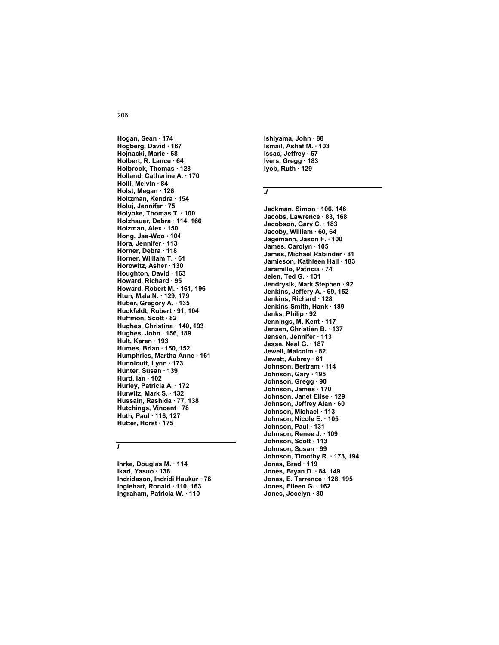**Hogan, Sean · 174 Hogberg, David · 167 Hojnacki, Marie · 68 Holbert, R. Lance · 64 Holbrook, Thomas · 128 Holland, Catherine A. · 170 Holli, Melvin · 84 Holst, Megan · 126 Holtzman, Kendra · 154 Holuj, Jennifer · 75 Holyoke, Thomas T. · 100 Holzhauer, Debra · 114, 166 Holzman, Alex · 150 Hong, Jae-Woo · 104 Hora, Jennifer · 113 Horner, Debra · 118 Horner, William T. · 61 Horowitz, Asher · 130 Houghton, David · 163 Howard, Richard · 95 Howard, Robert M. · 161, 196 Htun, Mala N. · 129, 179 Huber, Gregory A. · 135 Huckfeldt, Robert · 91, 104 Huffmon, Scott · 82 Hughes, Christina · 140, 193 Hughes, John · 156, 189 Hult, Karen · 193 Humes, Brian · 150, 152 Humphries, Martha Anne · 161 Hunnicutt, Lynn · 173 Hunter, Susan · 139 Hurd, Ian · 102 Hurley, Patricia A. · 172 Hurwitz, Mark S. · 132 Hussain, Rashida · 77, 138 Hutchings, Vincent · 78 Huth, Paul · 116, 127 Hutter, Horst · 175** 

## *I*

**Ihrke, Douglas M. · 114 Ikari, Yasuo · 138 Indridason, Indridi Haukur · 76 Inglehart, Ronald · 110, 163 Ingraham, Patricia W. · 110** 

**Ishiyama, John · 88 Ismail, Ashaf M. · 103 Issac, Jeffrey · 67 Ivers, Gregg · 183 Iyob, Ruth · 129** 

# *J*

**Jackman, Simon · 106, 146 Jacobs, Lawrence · 83, 168 Jacobson, Gary C. · 183 Jacoby, William · 60, 64 Jagemann, Jason F. · 100 James, Carolyn · 105 James, Michael Rabinder · 81 Jamieson, Kathleen Hall · 183 Jaramillo, Patricia · 74 Jelen, Ted G. · 131 Jendrysik, Mark Stephen · 92 Jenkins, Jeffery A. · 69, 152 Jenkins, Richard · 128 Jenkins-Smith, Hank · 189 Jenks, Philip · 92 Jennings, M. Kent · 117 Jensen, Christian B. · 137 Jensen, Jennifer · 113 Jesse, Neal G. · 187 Jewell, Malcolm · 82 Jewett, Aubrey · 61 Johnson, Bertram · 114 Johnson, Gary · 195 Johnson, Gregg · 90 Johnson, James · 170 Johnson, Janet Elise · 129 Johnson, Jeffrey Alan · 60 Johnson, Michael · 113 Johnson, Nicole E. · 105 Johnson, Paul · 131 Johnson, Renee J. · 109 Johnson, Scott · 113 Johnson, Susan · 99 Johnson, Timothy R. · 173, 194 Jones, Brad · 119 Jones, Bryan D. · 84, 149 Jones, E. Terrence · 128, 195 Jones, Eileen G. · 162 Jones, Jocelyn · 80**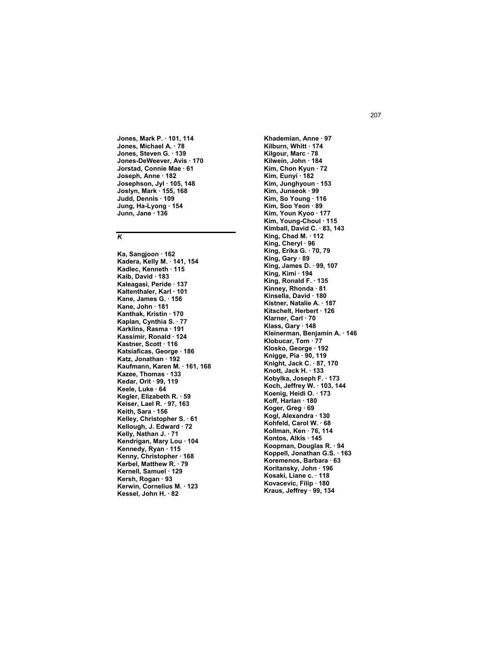Jones, Mark P. · 101, 114 Jones, Michael A. · 78 Jones, Steven G. 139 Jones-DeWeever, Avis · 170 Jorstad, Connie Mae · 61 Joseph, Anne · 182 Josephson, Jyl · 105, 148 Joslyn, Mark · 155, 168 Judd, Dennis 109 Jung, Ha-Lyong · 154 Junn, Jane 136

# $\overline{\boldsymbol{\kappa}}$

Ka, Sangjoon · 162 Kadera, Kelly M. . 141, 154 Kadlec, Kenneth 115 Kaib, David · 183 Kaleagasi, Peride 137 Kaltenthaler, Karl · 101 Kane, James G. 156 Kane, John · 181 Kanthak, Kristin 170 Kaplan, Cynthia S. · 77 Karklins, Rasma · 191 Kassimir, Ronald · 124 Kastner, Scott 116 Katsiaficas, George · 186 Katz, Jonathan 192 Kaufmann, Karen M. · 161, 168 Kazee, Thomas · 133 Kedar, Orit 99, 119 Keele, Luke 64 Kegler, Elizabeth R. · 59 Keiser, Lael R. · 97, 163 Keith, Sara · 156 Kelley, Christopher S. . 61 Kellough, J. Edward 72 Kelly, Nathan J. · 71 Kendrigan, Mary Lou · 104 Kennedy, Ryan · 115 Kenny, Christopher · 168 Kerbel, Matthew R. 79 Kernell, Samuel 129 Kersh, Rogan · 93 Kerwin, Cornelius M. · 123 Kessel, John H. 82

Khademian, Anne · 97 Kilburn, Whitt 174 Kilgour, Marc · 78 Kilwein, John · 184 Kim, Chon Kyun · 72 Kim, Eunyi · 182 Kim, Junghyoun 153 Kim, Junseok · 99 Kim, So Young 116 Kim, Soo Yeon · 89 Kim, Youn Kyoo · 177 Kim, Young-Choul · 115 Kimball, David C. 83, 143 King, Chad M.  $\cdot$  112 King, Cheryl 96 King, Erika G. · 70, 79 King, Gary · 89 King, James D. 99, 107 King, Kimi · 194 King, Ronald F. 135 Kinney, Rhonda 81 Kinsella, David 180 Kistner, Natalie A. · 187 Kitschelt, Herbert · 126 Klarner, Carl · 70 Klass, Gary · 148 Kleinerman, Benjamin A. 146 Klobucar, Tom · 77 Klosko, George · 192 Knigge, Pia · 90, 119 Knight, Jack C. . 87, 170 Knott, Jack H. · 133 Kobylka, Joseph F. · 173 Koch, Jeffrey W. 103, 144 Koenig, Heidi O. . 173 Koff. Harlan · 180 Koger, Greg · 69 Kogl, Alexandra 130 Kohfeld, Carol W. . 68 Kollman, Ken · 76, 114 Kontos, Alkis · 145 Koopman, Douglas R. · 94 Koppell, Jonathan G.S. . 163 Koremenos, Barbara 63 Koritansky, John · 196 Kosaki, Liane c. · 118 Kovacevic, Filip · 180 Kraus, Jeffrey · 99, 134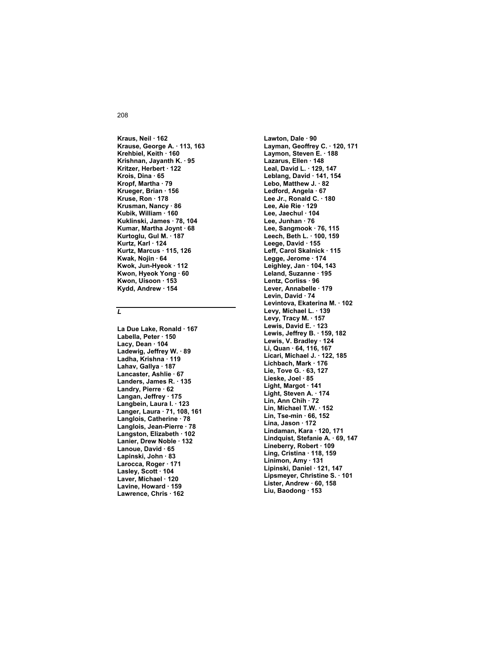**Kraus, Neil · 162 Krause, George A. · 113, 163 Krehbiel, Keith · 160 Krishnan, Jayanth K. · 95 Kritzer, Herbert · 122 Krois, Dina · 65 Kropf, Martha · 79 Krueger, Brian · 156 Kruse, Ron · 178 Krusman, Nancy · 86 Kubik, William · 160 Kuklinski, James · 78, 104 Kumar, Martha Joynt · 68 Kurtoglu, Gul M. · 187 Kurtz, Karl · 124 Kurtz, Marcus · 115, 126 Kwak, Nojin · 64 Kwok, Jun-Hyeok · 112 Kwon, Hyeok Yong · 60 Kwon, Uisoon · 153 Kydd, Andrew · 154** 

#### *L*

**La Due Lake, Ronald · 167 Labella, Peter · 150 Lacy, Dean · 104 Ladewig, Jeffrey W. · 89 Ladha, Krishna · 119 Lahav, Gallya · 187 Lancaster, Ashlie · 67 Landers, James R. · 135 Landry, Pierre · 62 Langan, Jeffrey · 175 Langbein, Laura I. · 123 Langer, Laura · 71, 108, 161 Langlois, Catherine · 78 Langlois, Jean-Pierre · 78 Langston, Elizabeth · 102 Lanier, Drew Noble · 132 Lanoue, David · 65 Lapinski, John · 83 Larocca, Roger · 171 Lasley, Scott · 104 Laver, Michael · 120 Lavine, Howard · 159 Lawrence, Chris · 162** 

**Lawton, Dale · 90 Layman, Geoffrey C. · 120, 171 Laymon, Steven E. · 188 Lazarus, Ellen · 148 Leal, David L. · 129, 147 Leblang, David · 141, 154 Lebo, Matthew J. · 82 Ledford, Angela · 67 Lee Jr., Ronald C. · 180 Lee, Aie Rie · 129 Lee, Jaechul · 104 Lee, Junhan · 76 Lee, Sangmook · 76, 115 Leech, Beth L. · 100, 159 Leege, David · 155 Leff, Carol Skalnick · 115 Legge, Jerome · 174 Leighley, Jan · 104, 143 Leland, Suzanne · 195 Lentz, Corliss · 96 Lever, Annabelle · 179 Levin, David · 74 Levintova, Ekaterina M. · 102 Levy, Michael L. · 139 Levy, Tracy M. · 157 Lewis, David E. · 123 Lewis, Jeffrey B. · 159, 182 Lewis, V. Bradley · 124 Li, Quan · 64, 116, 167 Licari, Michael J. · 122, 185 Lichbach, Mark · 176 Lie, Tove G. · 63, 127 Lieske, Joel · 85 Light, Margot · 141 Light, Steven A. · 174 Lin, Ann Chih · 72 Lin, Michael T.W. · 152 Lin, Tse-min · 66, 152 Lina, Jason · 172 Lindaman, Kara · 120, 171 Lindquist, Stefanie A. · 69, 147 Lineberry, Robert · 109 Ling, Cristina · 118, 159 Linimon, Amy · 131 Lipinski, Daniel · 121, 147 Lipsmeyer, Christine S. · 101 Lister, Andrew · 60, 158 Liu, Baodong · 153**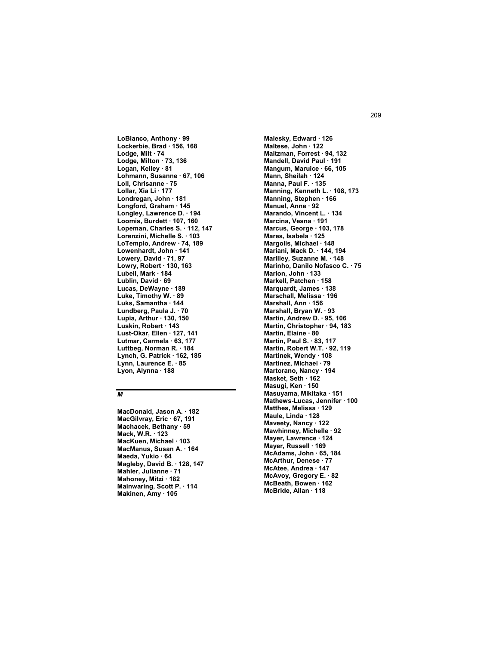**LoBianco, Anthony · 99 Lockerbie, Brad · 156, 168 Lodge, Milt · 74 Lodge, Milton · 73, 136 Logan, Kelley · 81 Lohmann, Susanne · 67, 106 Loll, Chrisanne · 75 Lollar, Xia Li · 177 Londregan, John · 181 Longford, Graham · 145 Longley, Lawrence D. · 194 Loomis, Burdett · 107, 160 Lopeman, Charles S. · 112, 147 Lorenzini, Michelle S. · 103 LoTempio, Andrew · 74, 189 Lowenhardt, John · 141 Lowery, David · 71, 97 Lowry, Robert · 130, 163 Lubell, Mark · 184 Lublin, David · 69 Lucas, DeWayne · 189 Luke, Timothy W. · 89 Luks, Samantha · 144 Lundberg, Paula J. · 70 Lupia, Arthur · 130, 150 Luskin, Robert · 143 Lust-Okar, Ellen · 127, 141 Lutmar, Carmela · 63, 177 Luttbeg, Norman R. · 184 Lynch, G. Patrick · 162, 185 Lynn, Laurence E. · 85 Lyon, Alynna · 188** 

#### *M*

**MacDonald, Jason A. · 182 MacGilvray, Eric · 67, 191 Machacek, Bethany · 59 Mack, W.R. · 123 MacKuen, Michael · 103 MacManus, Susan A. · 164 Maeda, Yukio · 64 Magleby, David B. · 128, 147 Mahler, Julianne · 71 Mahoney, Mitzi · 182 Mainwaring, Scott P. · 114 Makinen, Amy · 105** 

**Malesky, Edward · 126 Maltese, John · 122 Maltzman, Forrest · 94, 132 Mandell, David Paul · 191 Mangum, Maruice · 66, 105 Mann, Sheilah · 124 Manna, Paul F. · 135 Manning, Kenneth L. · 108, 173 Manning, Stephen · 166 Manuel, Anne · 92 Marando, Vincent L. · 134 Marcina, Vesna · 191 Marcus, George · 103, 178 Mares, Isabela · 125 Margolis, Michael · 148 Mariani, Mack D. · 144, 194 Marilley, Suzanne M. · 148 Marinho, Danilo Nofasco C. · 75 Marion, John · 133 Markell, Patchen · 158 Marquardt, James · 138 Marschall, Melissa · 196 Marshall, Ann · 156 Marshall, Bryan W. · 93 Martin, Andrew D. · 95, 106 Martin, Christopher · 94, 183 Martin, Elaine · 80 Martin, Paul S. · 83, 117 Martin, Robert W.T. · 92, 119 Martinek, Wendy · 108 Martinez, Michael · 79 Martorano, Nancy · 194 Masket, Seth · 162 Masugi, Ken · 150 Masuyama, Mikitaka · 151 Mathews-Lucas, Jennifer · 100 Matthes, Melissa · 129 Maule, Linda · 128 Maveety, Nancy · 122 Mawhinney, Michelle · 92 Mayer, Lawrence · 124 Mayer, Russell · 169 McAdams, John · 65, 184 McArthur, Denese · 77 McAtee, Andrea · 147 McAvoy, Gregory E. · 82 McBeath, Bowen · 162 McBride, Allan · 118**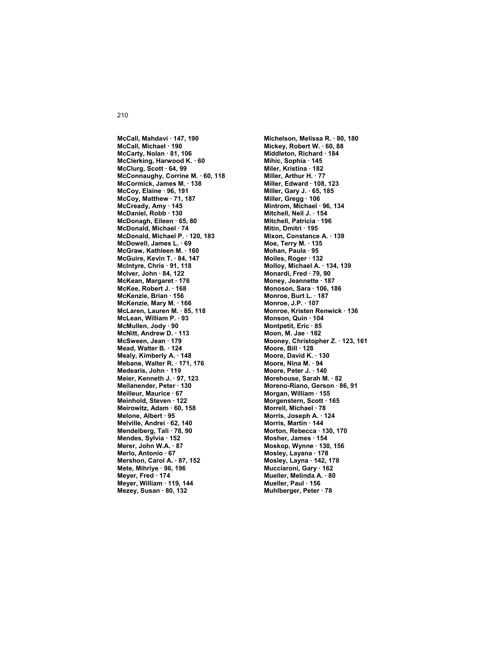**McCall, Mahdavi · 147, 190 McCall, Michael · 190 McCarty, Nolan · 81, 106 McClerking, Harwood K. · 60 McClurg, Scott · 64, 99 McConnaughy, Corrine M. · 60, 118 McCormick, James M. · 138 McCoy, Elaine · 96, 191 McCoy, Matthew · 71, 187 McCready, Amy · 145 McDaniel, Robb · 130 McDonagh, Eileen · 65, 80 McDonald, Michael · 74 McDonald, Michael P. · 120, 183 McDowell, James L. · 69 McGraw, Kathleen M. · 160 McGuire, Kevin T. · 84, 147 McIntyre, Chris · 91, 118 McIver, John · 84, 122 McKean, Margaret · 176 McKee, Robert J. · 168 McKenzie, Brian · 156 McKenzie, Mary M. · 166 McLaren, Lauren M. · 85, 118 McLean, William P. · 93 McMullen, Jody · 90 McNitt, Andrew D. · 113 McSween, Jean · 179 Mead, Walter B. · 124 Mealy, Kimberly A. · 148 Mebane, Walter R. · 171, 176 Medearis, John · 119 Meier, Kenneth J. · 97, 123 Meilanender, Peter · 130 Meilleur, Maurice · 67 Meinhold, Steven · 122 Meirowitz, Adam · 60, 158 Melone, Albert · 95 Melville, Andrei · 62, 140 Mendelberg, Tali · 78, 90 Mendes, Sylvia · 152 Merer, John W.A. · 87 Merlo, Antonio · 67 Mershon, Carol A. · 87, 152 Mete, Mihriye · 96, 196 Meyer, Fred · 174 Meyer, William · 119, 144 Mezey, Susan · 80, 132** 

**Michelson, Melissa R. · 80, 180 Mickey, Robert W. · 60, 88 Middleton, Richard · 184 Mihic, Sophia · 145 Miler, Kristina · 182 Miller, Arthur H. · 77 Miller, Edward · 108, 123 Miller, Gary J. · 65, 185 Miller, Gregg · 106 Mintrom, Michael · 96, 134 Mitchell, Neil J. · 154 Mitchell, Patricia · 196 Mitin, Dmitri · 195 Mixon, Constance A. · 139 Moe, Terry M. · 135 Mohan, Paula · 95 Moiles, Roger · 132 Molloy, Michael A. · 134, 139 Monardi, Fred · 79, 90 Money, Jeannette · 187 Monoson, Sara · 106, 186 Monroe, Burt L. · 187 Monroe, J.P. · 107 Monroe, Kristen Renwick · 136 Monson, Quin · 104 Montpetit, Eric · 85 Moon, M. Jae · 182 Mooney, Christopher Z. · 123, 161 Moore, Bill · 128 Moore, David K. · 130 Moore, Nina M. · 94 Moore, Peter J. · 140 Morehouse, Sarah M. · 82 Moreno-Riano, Gerson · 86, 91 Morgan, William · 155 Morgenstern, Scott · 165 Morrell, Michael · 78 Morris, Joseph A. · 124 Morris, Martin · 144 Morton, Rebecca · 130, 170 Mosher, James · 154 Moskop, Wynne · 130, 156 Mosley, Layana · 178 Mosley, Layna · 142, 178 Mucciaroni, Gary · 162 Mueller, Melinda A. · 80 Mueller, Paul · 156 Muhlberger, Peter · 78**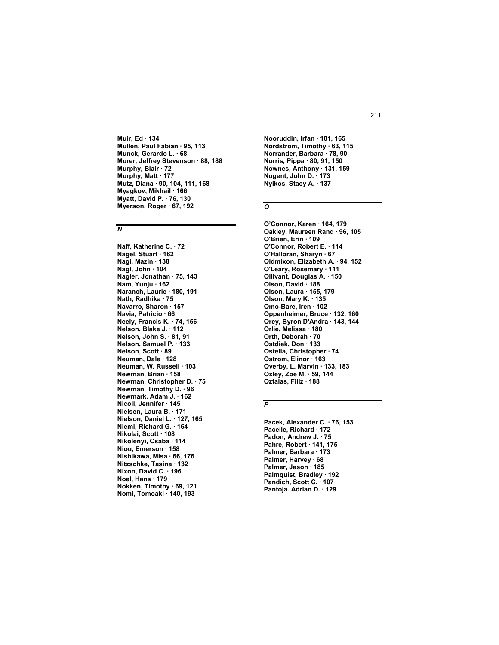Muir, Ed · 134 Mullen, Paul Fabian · 95, 113 Munck, Gerardo L. . 68 Murer, Jeffrey Stevenson · 88, 188 Murphy, Blair · 72 Murphy, Matt · 177 Mutz, Diana · 90, 104, 111, 168 Myagkov, Mikhail · 166 Myatt, David P. . 76, 130 Myerson, Roger · 67, 192

## $\overline{N}$

Naff, Katherine C. . 72 Nagel, Stuart · 162 Nagi, Mazin 138 Nagl, John 104 Nagler, Jonathan · 75, 143 Nam. Yuniu 162 Naranch, Laurie · 180, 191 Nath, Radhika · 75 Navarro, Sharon · 157 Navia, Patricio · 66 Neely, Francis K. 74, 156 Nelson, Blake J. 112 Nelson, John S. · 81, 91 Nelson, Samuel P. 133 Nelson, Scott 89 Neuman, Dale 128 Neuman, W. Russell · 103 Newman, Brian · 158 Newman, Christopher D. 75 Newman, Timothy D. 96 Newmark, Adam J. 162 Nicoll, Jennifer · 145 Nielsen, Laura B. 171 Nielson, Daniel L. · 127, 165 Niemi, Richard G. 164 Nikolai, Scott · 108 Nikolenvi, Csaba · 114 Niou, Emerson · 158 Nishikawa, Misa · 66, 176 Nitzschke, Tasina · 132 Nixon, David C. 196 Noel, Hans · 179 Nokken, Timothy · 69, 121 Nomi, Tomoaki · 140, 193

Nooruddin, Irfan · 101, 165 Nordstrom, Timothy · 63, 115 Norrander, Barbara 78, 90 Norris, Pippa · 80, 91, 150 Nownes, Anthony · 131, 159 Nugent, John D. 173 Nyikos, Stacy A. 137

# $\overline{o}$

O'Connor, Karen · 164, 179 Oakley, Maureen Rand · 96, 105 O'Brien, Erin · 109 O'Connor, Robert E. . 114 O'Halloran, Sharyn · 67 Oldmixon, Elizabeth A. . 94, 152 O'Leary, Rosemary 111 Ollivant, Douglas A. · 150 Olson, David 188<br>Olson, Laura 155, 179 Olson, Mary K. 135 Omo-Bare, Iren · 102 Oppenheimer, Bruce · 132, 160 Orey, Byron D'Andra 143, 144 Orlie, Melissa · 180 Orth, Deborah · 70 Ostdiek, Don · 133 Ostella, Christopher · 74 Ostrom, Elinor 163 Overby, L. Marvin · 133, 183 Oxley, Zoe M. · 59, 144 Oztalas, Filiz · 188

# $\overline{P}$

Pacek, Alexander C. · 76, 153 Pacelle, Richard · 172 Padon, Andrew J. . 75 Pahre, Robert · 141, 175 Palmer, Barbara 173 Palmer, Harvey 68 Palmer, Jason 185 Palmquist, Bradley · 192 Pandich. Scott C. 107 Pantoja. Adrian D. · 129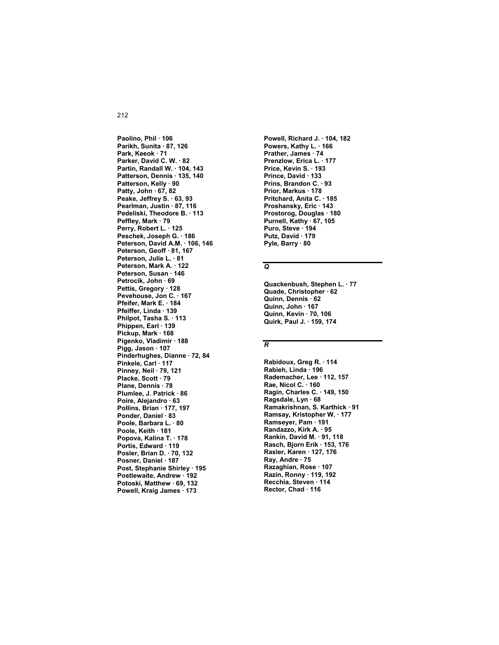Paolino, Phil · 106 Parikh, Sunita · 87, 126 Park, Keeok · 71 Parker, David C. W. · 82 Partin, Randall W. 104, 143 Patterson, Dennis · 135, 140 Patterson, Kelly · 90 Patty, John 67, 82 Peake, Jeffrey S. 63, 93 Pearlman, Justin · 87, 116 Pedeliski, Theodore B. 113 Peffley, Mark · 79 Perry, Robert L. · 125 Peschek, Joseph G. · 186 Peterson, David A.M. 106, 146 Peterson, Geoff · 81, 167 Peterson, Julie L. · 81 Peterson, Mark A. · 122 Peterson, Susan 146 Petrocik, John · 69 Pettis. Greaory 128 Pevehouse, Jon C. · 167 Pfeifer, Mark E. 184 Pfeiffer, Linda · 139 Philpot, Tasha S. 113 Phippen, Earl · 139 Pickup, Mark 168 Pigenko, Vladimir · 188 Pigg, Jason 107 Pinderhughes, Dianne · 72, 84 Pinkele, Carl 117 Pinney, Neil 79, 121 Placke, Scott · 79 Plane, Dennis · 78 Plumlee, J. Patrick 86 Poire, Alejandro · 63 Pollins, Brian · 177, 197 Ponder, Daniel 83 Poole, Barbara L. · 80 Poole, Keith 181 Popova, Kalina T. · 178 Portis, Edward · 119 Posler, Brian D. · 70, 132 Posner, Daniel 187 Post, Stephanie Shirley · 195 Postlewaite, Andrew · 192 Potoski, Matthew · 69, 132 Powell, Kraig James · 173

Powell, Richard J. · 104, 182 Powers, Kathy L. 166 Prather, James · 74 Prenzlow, Erica L. · 177 Price, Kevin S. 193 Prince, David · 133 Prins, Brandon C. . 93 Prior, Markus · 178 Pritchard, Anita C. 185 Proshansky, Eric · 143 Prostorog, Douglas · 180 Purnell, Kathy · 67, 105 Puro, Steve 194<br>Putz, David 179 Pyle, Barry · 80

# $\overline{Q}$

Quackenbush, Stephen L. . 77 Quade, Christopher · 62 Quinn, Dennis 62 Quinn, John · 167 Quinn, Kevin · 70, 106 Quirk, Paul J. . 159, 174

## $\overline{R}$

Rabidoux, Greg R. · 114 Rabieh, Linda · 196 Rademacher, Lee · 112, 157 Rae, Nicol C. 160 Ragin, Charles C. · 149, 150 Ragsdale, Lyn · 68 Ramakrishnan, S. Karthick · 91 Ramsay, Kristopher W. · 177 Ramseyer, Pam 191 Randazzo, Kirk A. · 95 Rankin, David M. 91, 118 Rasch, Bjorn Erik · 153, 176 Rasler, Karen · 127, 176 Ray, Andre · 75 Razaghian, Rose · 107 Razin, Ronny · 119, 192 Recchia Steven 114 Rector, Chad · 116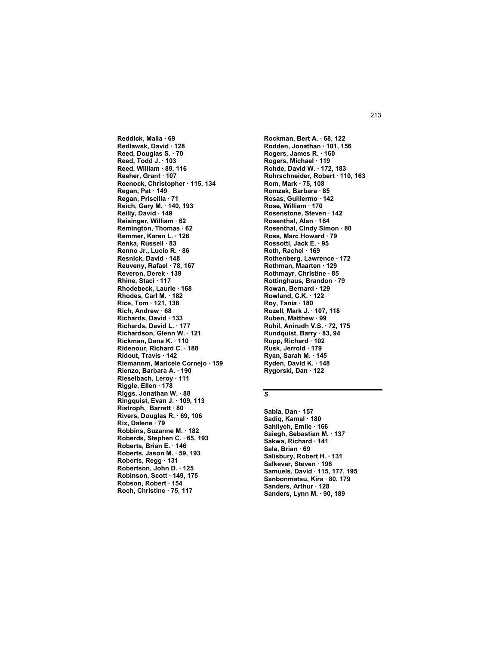**Reddick, Malia · 69 Redlawsk, David · 128 Reed, Douglas S. · 70 Reed, Todd J. · 103 Reed, William · 89, 116 Reeher, Grant · 107 Reenock, Christopher · 115, 134 Regan, Pat · 149 Regan, Priscilla · 71 Reich, Gary M. · 140, 193 Reilly, David · 149 Reisinger, William · 62 Remington, Thomas · 62 Remmer, Karen L. · 126 Renka, Russell · 83 Renno Jr., Lucio R. · 86 Resnick, David · 148 Reuveny, Rafael · 78, 167 Reveron, Derek · 139 Rhine, Staci · 117 Rhodebeck, Laurie · 168 Rhodes, Carl M. · 182 Rice, Tom · 121, 138 Rich, Andrew · 68 Richards, David · 133 Richards, David L. · 177 Richardson, Glenn W. · 121 Rickman, Dana K. · 110 Ridenour, Richard C. · 188 Ridout, Travis · 142 Riemannm, Maricele Cornejo · 159 Rienzo, Barbara A. · 190 Rieselbach, Leroy · 111 Riggle, Ellen · 178 Riggs, Jonathan W. · 88 Ringquist, Evan J. · 109, 113 Ristroph, Barrett · 80 Rivers, Douglas R. · 69, 106 Rix, Dalene · 79 Robbins, Suzanne M. · 182 Roberds, Stephen C. · 65, 193 Roberts, Brian E. · 146 Roberts, Jason M. · 59, 193 Roberts, Regg · 131 Robertson, John D. · 125 Robinson, Scott · 149, 175 Robson, Robert · 154 Roch, Christine · 75, 117** 

**Rockman, Bert A. · 68, 122 Rodden, Jonathan · 101, 156 Rogers, James R. · 160 Rogers, Michael · 119 Rohde, David W. · 172, 183 Rohrschneider, Robert · 110, 163 Rom, Mark · 75, 108 Romzek, Barbara · 85 Rosas, Guillermo · 142 Rose, William · 170 Rosenstone, Steven · 142 Rosenthal, Alan · 164 Rosenthal, Cindy Simon · 80 Ross, Marc Howard · 79 Rossotti, Jack E. · 95 Roth, Rachel · 169 Rothenberg, Lawrence · 172 Rothman, Maarten · 129 Rothmayr, Christine · 85 Rottinghaus, Brandon · 79 Rowan, Bernard · 129 Rowland, C.K. · 122 Roy, Tania · 180 Rozell, Mark J. · 107, 118 Ruben, Matthew · 99 Ruhil, Anirudh V.S. · 72, 175 Rundquist, Barry · 83, 94 Rupp, Richard · 102 Rusk, Jerrold · 179 Ryan, Sarah M. · 145 Ryden, David K. · 148 Rygorski, Dan · 122** 

# *S*

**Sabia, Dan · 157 Sadiq, Kamal · 180 Sahliyeh, Emile · 166 Saiegh, Sebastian M. · 137 Sakwa, Richard · 141 Sala, Brian · 69 Salisbury, Robert H. · 131 Salkever, Steven · 196 Samuels, David · 115, 177, 195 Sanbonmatsu, Kira · 80, 179 Sanders, Arthur · 128 Sanders, Lynn M. · 90, 189**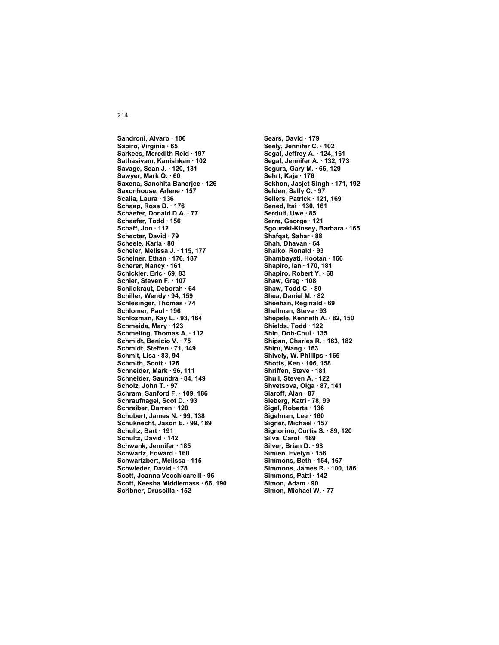Sandroni, Alvaro · 106 Sapiro, Virginia · 65 Sarkees, Meredith Reid 197 Sathasivam, Kanishkan · 102 Savage, Sean J. . 120, 131 Sawyer, Mark Q. 60 Saxena, Sanchita Banerjee · 126 Saxonhouse, Arlene · 157 Scalia, Laura 136 Schaap, Ross D. · 176 Schaefer, Donald D.A. 77 Schaefer, Todd · 156 Schaff. Jon 112 Schecter, David 79 Scheele, Karla · 80 Scheier, Melissa J. · 115, 177 Scheiner, Ethan 176, 187 Scherer, Nancy 161 Schickler, Eric 69, 83 Schier, Steven F. 107 Schildkraut. Deborah · 64 Schiller, Wendy · 94, 159 Schlesinger, Thomas · 74 Schlomer, Paul · 196 Schlozman, Kay L. 93, 164 Schmeida, Mary · 123 Schmeling, Thomas A. 112 Schmidt, Benicio V. · 75 Schmidt, Steffen · 71, 149 Schmit, Lisa · 83, 94 Schmith, Scott 126 Schneider, Mark · 96, 111 Schneider, Saundra · 84, 149 Scholz, John T. 97 Schram, Sanford F. 109, 186 Schraufnagel, Scot D. 93 Schreiber, Darren · 120 Schubert, James N. 99, 138 Schuknecht, Jason E. . 99, 189 Schultz, Bart 191 Schultz, David 142 Schwank, Jennifer · 185 Schwartz, Edward · 160 Schwartzbert, Melissa 115 Schwieder, David · 178 Scott, Joanna Vecchicarelli · 96 Scott, Keesha Middlemass · 66, 190 Scribner, Druscilla · 152

Sears, David · 179 Seely, Jennifer C. 102 Segal, Jeffrey A. 124, 161 Segal, Jennifer A. · 132, 173 Segura, Gary M. . 66, 129 Sehrt, Kaja · 176 Sekhon, Jasjet Singh · 171, 192 Selden, Sally C. . 97 Sellers, Patrick 121, 169 Sened, Itai · 130, 161 Serdult. Uwe · 85 Serra, George · 121 Sgouraki-Kinsey, Barbara · 165 Shafqat, Sahar 88 Shah, Dhavan 64 Shaiko, Ronald · 93 Shambavati. Hootan · 166 Shapiro, Ian · 170, 181 Shapiro, Robert Y. 68 Shaw, Greg 108 Shaw, Todd C. 80 Shea, Daniel M. 82 Sheehan, Reginald . 69 Shellman, Steve · 93 Shepsle, Kenneth A. . 82, 150 Shields, Todd 122 Shin, Doh-Chul 135 Shipan, Charles R. · 163, 182 Shiru, Wang 163 Shively, W. Phillips 165 Shotts, Ken · 106, 158 Shriffen, Steve 181 Shull, Steven A. · 122 Shvetsova, Olga · 87, 141 Siaroff, Alan · 87 Sieberg, Katri · 78, 99 Sigel, Roberta · 136 Sigelman, Lee 160 Signer, Michael · 157 Signorino, Curtis S. · 89, 120 Silva, Carol . 189 Silver, Brian D. · 98 Simien, Evelyn · 156 Simmons, Beth 154, 167 Simmons, James R. · 100, 186 Simmons, Patti · 142 Simon, Adam · 90 Simon, Michael W. · 77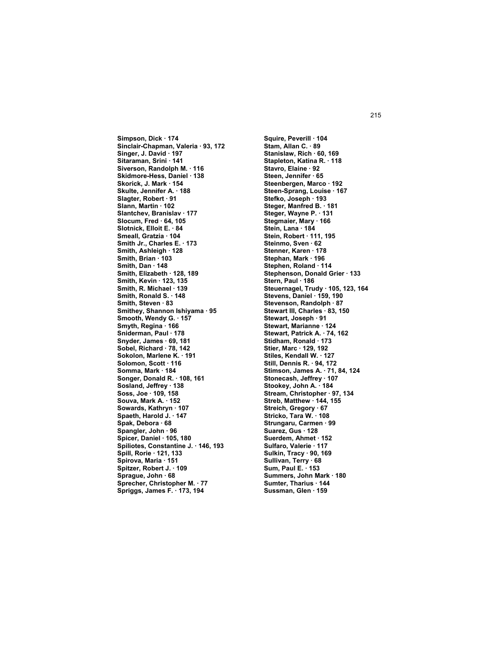**Simpson, Dick · 174 Sinclair-Chapman, Valeria · 93, 172 Singer, J. David · 197 Sitaraman, Srini · 141 Siverson, Randolph M. · 116 Skidmore-Hess, Daniel · 138 Skorick, J. Mark · 154 Skulte, Jennifer A. · 188 Slagter, Robert · 91 Slann, Martin · 102 Slantchev, Branislav · 177 Slocum, Fred · 64, 105 Slotnick, Elloit E. · 84 Smeall, Gratzia · 104 Smith Jr., Charles E. · 173 Smith, Ashleigh · 128 Smith, Brian · 103 Smith, Dan · 148 Smith, Elizabeth · 128, 189 Smith, Kevin · 123, 135 Smith, R. Michael · 139 Smith, Ronald S. · 148 Smith, Steven · 83 Smithey, Shannon Ishiyama · 95 Smooth, Wendy G. · 157 Smyth, Regina · 166 Sniderman, Paul · 178 Snyder, James · 69, 181 Sobel, Richard · 78, 142 Sokolon, Marlene K. · 191 Solomon, Scott · 116 Somma, Mark · 184 Songer, Donald R. · 108, 161 Sosland, Jeffrey · 138 Soss, Joe · 109, 158 Souva, Mark A. · 152 Sowards, Kathryn · 107 Spaeth, Harold J. · 147 Spak, Debora · 68 Spangler, John · 96 Spicer, Daniel · 105, 180 Spiliotes, Constantine J. · 146, 193 Spill, Rorie · 121, 133 Spirova, Maria · 151 Spitzer, Robert J. · 109 Sprague, John · 68 Sprecher, Christopher M. · 77 Spriggs, James F. · 173, 194** 

**Squire, Peverill · 104 Stam, Allan C. · 89 Stanislaw, Rich · 60, 169 Stapleton, Katina R. · 118 Stavro, Elaine · 92 Steen, Jennifer · 65 Steenbergen, Marco · 192 Steen-Sprang, Louise · 167 Stefko, Joseph · 193 Steger, Manfred B. · 181 Steger, Wayne P. · 131 Stegmaier, Mary · 166 Stein, Lana · 184 Stein, Robert · 111, 195 Steinmo, Sven · 62 Stenner, Karen · 178 Stephan, Mark · 196 Stephen, Roland · 114 Stephenson, Donald Grier · 133 Stern, Paul · 186 Steuernagel, Trudy · 105, 123, 164 Stevens, Daniel · 159, 190 Stevenson, Randolph · 87 Stewart III, Charles · 83, 150 Stewart, Joseph · 91 Stewart, Marianne · 124 Stewart, Patrick A. · 74, 162 Stidham, Ronald · 173 Stier, Marc · 129, 192 Stiles, Kendall W. · 127 Still, Dennis R. · 94, 172 Stimson, James A. · 71, 84, 124 Stonecash, Jeffrey · 107 Stookey, John A. · 184 Stream, Christopher · 97, 134 Streb, Matthew · 144, 155 Streich, Gregory · 67 Stricko, Tara W. · 108 Strungaru, Carmen · 99 Suarez, Gus · 128 Suerdem, Ahmet · 152 Sulfaro, Valerie · 117 Sulkin, Tracy · 90, 169 Sullivan, Terry · 68 Sum, Paul E. · 153 Summers, John Mark · 180 Sumter, Tharius · 144 Sussman, Glen · 159**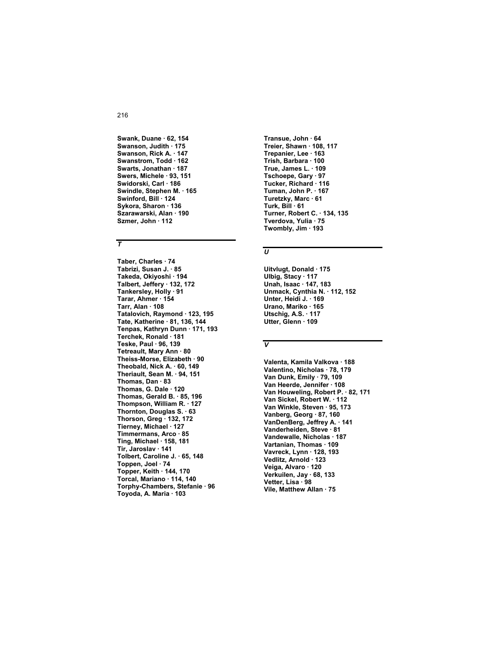Swank, Duane · 62, 154 Swanson, Judith · 175 Swanson, Rick A. 147 Swanstrom, Todd · 162 Swarts, Jonathan · 187 Swers, Michele · 93, 151 Swidorski, Carl · 186 Swindle, Stephen M. · 165 Swinford, Bill 124 Sykora, Sharon · 136 Szarawarski, Alan · 190 Szmer, John · 112

# $\overline{\tau}$

Taber, Charles · 74 Tabrizi, Susan J. · 85 Takeda, Okiyoshi · 194 Talbert. Jeffery 132, 172 Tankersley, Holly · 91 Tarar, Ahmer · 154 Tarr, Alan · 108 Tatalovich, Raymond · 123, 195 Tate, Katherine 81, 136, 144 Tenpas, Kathryn Dunn · 171, 193 Terchek, Ronald · 181 Teske, Paul . 96, 139 Tetreault, Mary Ann · 80 Theiss-Morse, Elizabeth · 90 Theobald, Nick A. 60, 149 Theriault, Sean M. · 94, 151 Thomas, Dan  $\cdot$  83 Thomas, G. Dale · 120 Thomas, Gerald B. 85, 196 Thompson, William R. · 127 Thornton, Douglas S. 63 Thorson, Greg · 132, 172 Tierney, Michael · 127 Timmermans, Arco · 85 Ting, Michael 158, 181 Tir, Jaroslav · 141 Tolbert, Caroline J. 65, 148 Toppen, Joel · 74 Topper, Keith · 144, 170 Torcal, Mariano · 114, 140 Torphy-Chambers, Stefanie · 96 Toyoda, A. Maria · 103

Transue, John · 64 Treier, Shawn · 108, 117 Trepanier, Lee 163 Trish, Barbara · 100 True, James L. 109 Tschoepe, Gary · 97 Tucker, Richard 116 Tuman, John P. · 167 Turetzky, Marc · 61 Turk, Bill · 61 Turner, Robert C. . 134, 135 Tverdova, Yulia · 75 Twombly, Jim 193

# $\overline{U}$

Uitvlugt, Donald · 175 Ulbig, Stacy · 117 Unah, Isaac 147, 183 Unmack, Cynthia N. · 112, 152 Unter, Heidi J. 169 Urano, Mariko · 165 Utschig, A.S. 117 Utter, Glenn · 109

# $\overline{\mathsf{v}}$

Valenta, Kamila Valkova · 188 Valentino, Nicholas · 78, 179 Van Dunk, Emily · 79, 109 Van Heerde, Jennifer · 108 Van Houweling, Robert P. · 82, 171 Van Sickel, Robert W. . 112 Van Winkle, Steven · 95, 173 Vanberg, Georg · 87, 160 VanDenBerg, Jeffrey A. 141 Vanderheiden, Steve · 81 Vandewalle, Nicholas · 187 Vartanian, Thomas · 109 Vavreck, Lynn · 128, 193 Vedlitz, Arnold · 123 Veiga, Alvaro · 120 Verkuilen, Jay · 68, 133 Vetter, Lisa 98 Vile, Matthew Allan · 75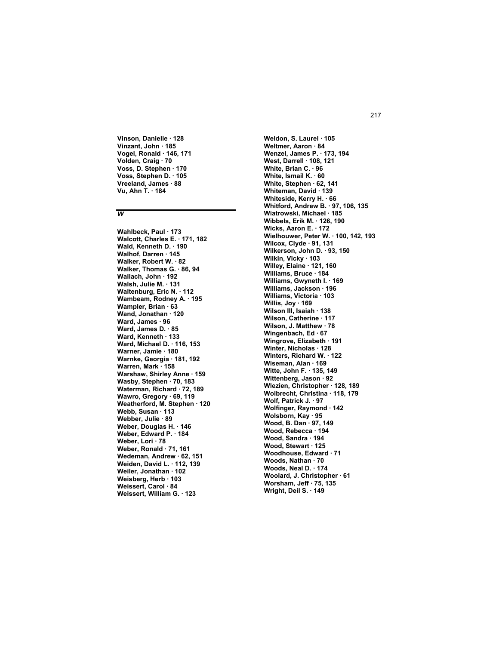**Vinson, Danielle · 128 Vinzant, John · 185 Vogel, Ronald · 146, 171 Volden, Craig · 70 Voss, D. Stephen · 170 Voss, Stephen D. · 105 Vreeland, James · 88 Vu, Ahn T. · 184** 

#### *W*

**Wahlbeck, Paul · 173 Walcott, Charles E. · 171, 182 Wald, Kenneth D. · 190 Walhof, Darren · 145 Walker, Robert W. · 82 Walker, Thomas G. · 86, 94 Wallach, John · 192 Walsh, Julie M. · 131 Waltenburg, Eric N. · 112 Wambeam, Rodney A. · 195 Wampler, Brian · 63 Wand, Jonathan · 120 Ward, James · 96 Ward, James D. · 85 Ward, Kenneth · 133 Ward, Michael D. · 116, 153 Warner, Jamie · 180 Warnke, Georgia · 181, 192 Warren, Mark · 158 Warshaw, Shirley Anne · 159 Wasby, Stephen · 70, 183 Waterman, Richard · 72, 189 Wawro, Gregory · 69, 119 Weatherford, M. Stephen · 120 Webb, Susan · 113 Webber, Julie · 89 Weber, Douglas H. · 146 Weber, Edward P. · 184 Weber, Lori · 78 Weber, Ronald · 71, 161 Wedeman, Andrew · 62, 151 Weiden, David L. · 112, 139 Weiler, Jonathan · 102 Weisberg, Herb · 103 Weissert, Carol · 84 Weissert, William G. · 123** 

**Weldon, S. Laurel · 105 Weltmer, Aaron · 84 Wenzel, James P. · 173, 194 West, Darrell · 108, 121 White, Brian C. · 96 White, Ismail K. · 60 White, Stephen · 62, 141 Whiteman, David · 139 Whiteside, Kerry H. · 66 Whitford, Andrew B. · 97, 106, 135 Wiatrowski, Michael · 185 Wibbels, Erik M. · 126, 190 Wicks, Aaron E. · 172 Wielhouwer, Peter W. · 100, 142, 193 Wilcox, Clyde · 91, 131 Wilkerson, John D. · 93, 150 Wilkin, Vicky · 103 Willey, Elaine · 121, 160 Williams, Bruce · 184 Williams, Gwyneth I. · 169 Williams, Jackson · 196 Williams, Victoria · 103 Willis, Joy · 169 Wilson III, Isaiah · 138 Wilson, Catherine · 117 Wilson, J. Matthew · 78 Wingenbach, Ed · 67 Wingrove, Elizabeth · 191 Winter, Nicholas · 128 Winters, Richard W. · 122 Wiseman, Alan · 169 Witte, John F. · 135, 149 Wittenberg, Jason · 92 Wlezien, Christopher · 128, 189 Wolbrecht, Christina · 118, 179 Wolf, Patrick J. · 97 Wolfinger, Raymond · 142 Wolsborn, Kay · 95 Wood, B. Dan · 97, 149 Wood, Rebecca · 194 Wood, Sandra · 194 Wood, Stewart · 125 Woodhouse, Edward · 71 Woods, Nathan · 70 Woods, Neal D. · 174 Woolard, J. Christopher · 61 Worsham, Jeff · 75, 135 Wright, Deil S. · 149**